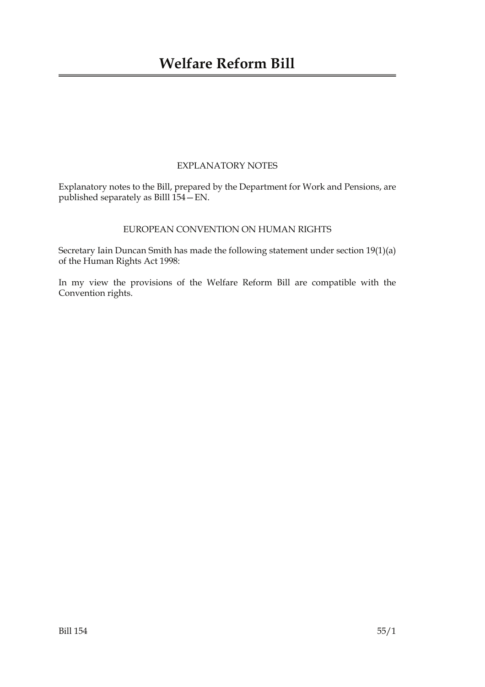# EXPLANATORY NOTES

Explanatory notes to the Bill, prepared by the Department for Work and Pensions, are published separately as Billl 154—EN.

# EUROPEAN CONVENTION ON HUMAN RIGHTS

Secretary Iain Duncan Smith has made the following statement under section 19(1)(a) of the Human Rights Act 1998:

In my view the provisions of the Welfare Reform Bill are compatible with the Convention rights.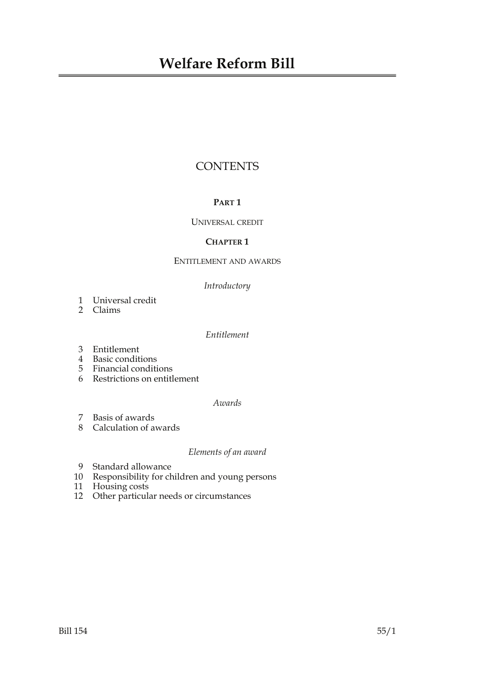# **CONTENTS**

# **PART 1**

# UNIVERSAL CREDIT

# **CHAPTER 1**

# ENTITLEMENT AND AWARDS

# *Introductory*

- 1 Universal credit
- 2 Claims

# *Entitlement*

- 3 Entitlement
- 4 Basic conditions
- 5 Financial conditions
- 6 Restrictions on entitlement

# *Awards*

- 7 Basis of awards
- 8 Calculation of awards

# *Elements of an award*

- 9 Standard allowance
- 10 Responsibility for children and young persons
- 11 Housing costs
- 12 Other particular needs or circumstances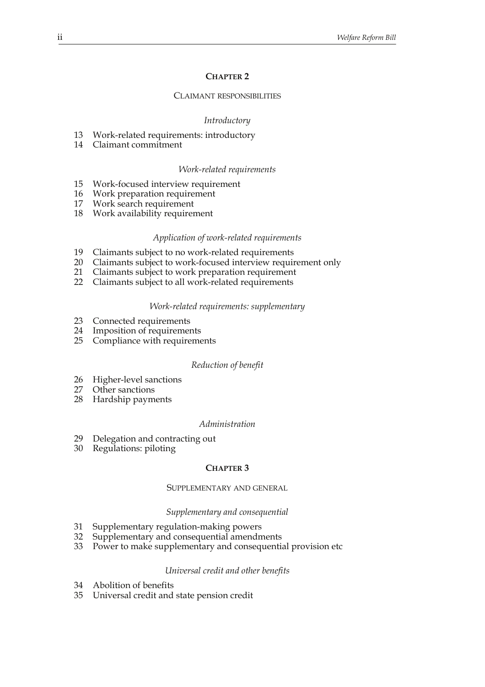## **CHAPTER 2**

#### CLAIMANT RESPONSIBILITIES

#### *Introductory*

- 13 Work-related requirements: introductory
- 14 Claimant commitment

#### *Work-related requirements*

- 15 Work-focused interview requirement
- 16 Work preparation requirement
- 17 Work search requirement
- 18 Work availability requirement

#### *Application of work-related requirements*

- 19 Claimants subject to no work-related requirements
- 20 Claimants subject to work-focused interview requirement only
- 21 Claimants subject to work preparation requirement
- 22 Claimants subject to all work-related requirements

#### *Work-related requirements: supplementary*

- 23 Connected requirements
- 24 Imposition of requirements
- 25 Compliance with requirements

#### *Reduction of benefit*

- 26 Higher-level sanctions
- 27 Other sanctions
- 28 Hardship payments

#### *Administration*

- 29 Delegation and contracting out
- 30 Regulations: piloting

## **CHAPTER 3**

#### SUPPLEMENTARY AND GENERAL

#### *Supplementary and consequential*

- 31 Supplementary regulation-making powers
- 32 Supplementary and consequential amendments
- 33 Power to make supplementary and consequential provision etc

#### *Universal credit and other benefits*

- 34 Abolition of benefits
- 35 Universal credit and state pension credit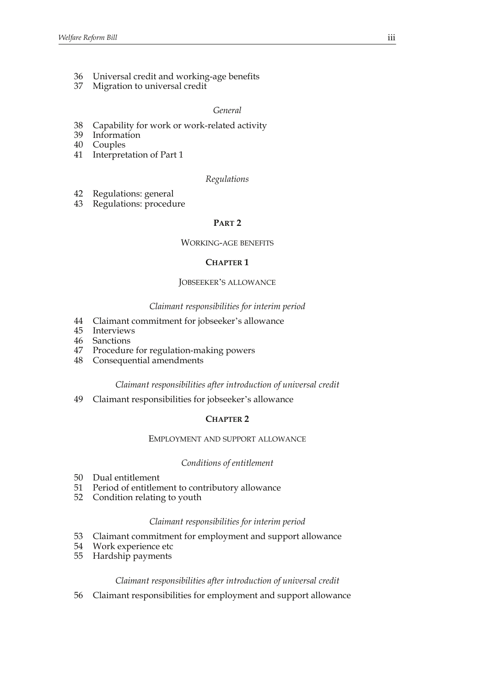- 36 Universal credit and working-age benefits
- 37 Migration to universal credit

## *General*

- 38 Capability for work or work-related activity
- 39 Information
- 40 Couples
- 41 Interpretation of Part 1

#### *Regulations*

- 42 Regulations: general
- 43 Regulations: procedure

# **PART 2**

# WORKING-AGE BENEFITS

# **CHAPTER 1**

## JOBSEEKER'S ALLOWANCE

# *Claimant responsibilities for interim period*

- 44 Claimant commitment for jobseeker's allowance
- 45 Interviews
- 46 Sanctions
- 47 Procedure for regulation-making powers
- 48 Consequential amendments

## *Claimant responsibilities after introduction of universal credit*

49 Claimant responsibilities for jobseeker's allowance

# **CHAPTER 2**

#### EMPLOYMENT AND SUPPORT ALLOWANCE

# *Conditions of entitlement*

- 50 Dual entitlement
- 51 Period of entitlement to contributory allowance
- 52 Condition relating to youth

# *Claimant responsibilities for interim period*

- 53 Claimant commitment for employment and support allowance
- 54 Work experience etc
- 55 Hardship payments

# *Claimant responsibilities after introduction of universal credit*

56 Claimant responsibilities for employment and support allowance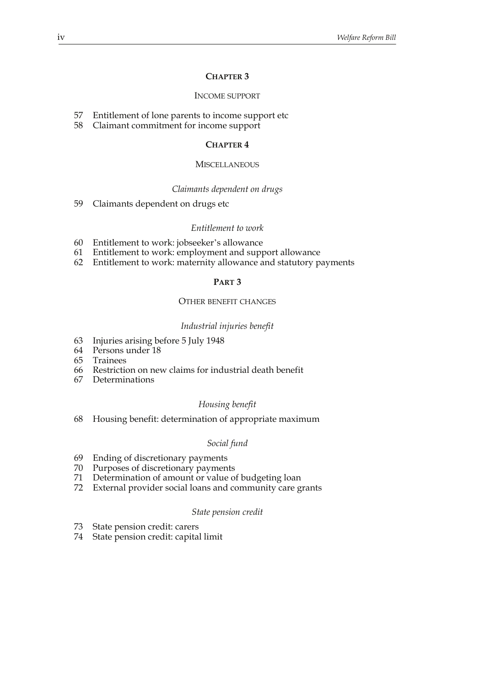#### **CHAPTER 3**

#### INCOME SUPPORT

- 57 Entitlement of lone parents to income support etc
- 58 Claimant commitment for income support

#### **CHAPTER 4**

## **MISCELLANEOUS**

#### *Claimants dependent on drugs*

59 Claimants dependent on drugs etc

#### *Entitlement to work*

- 60 Entitlement to work: jobseeker's allowance
- 61 Entitlement to work: employment and support allowance
- 62 Entitlement to work: maternity allowance and statutory payments

## **PART 3**

#### OTHER BENEFIT CHANGES

#### *Industrial injuries benefit*

- 63 Injuries arising before 5 July 1948
- 64 Persons under 18
- 65 Trainees
- 66 Restriction on new claims for industrial death benefit
- 67 Determinations

#### *Housing benefit*

68 Housing benefit: determination of appropriate maximum

#### *Social fund*

- 69 Ending of discretionary payments
- 70 Purposes of discretionary payments
- 71 Determination of amount or value of budgeting loan
- 72 External provider social loans and community care grants

#### *State pension credit*

- 73 State pension credit: carers
- 74 State pension credit: capital limit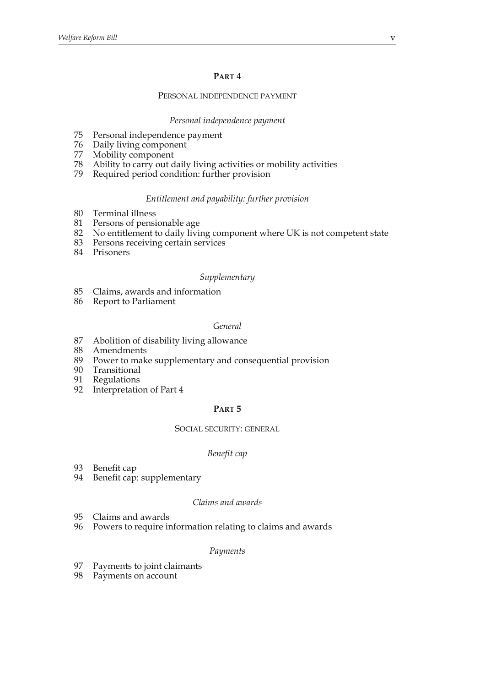# **PART 4**

## PERSONAL INDEPENDENCE PAYMENT

## *Personal independence payment*

- 75 Personal independence payment
- 76 Daily living component
- 77 Mobility component
- 78 Ability to carry out daily living activities or mobility activities
- 79 Required period condition: further provision

#### *Entitlement and payability: further provision*

- 80 Terminal illness
- 
- 81 Persons of pensionable age<br>82 No entitlement to daily livi No entitlement to daily living component where UK is not competent state
- 83 Persons receiving certain services
- 84 Prisoners

## *Supplementary*

- 85 Claims, awards and information
- 86 Report to Parliament

## *General*

- 87 Abolition of disability living allowance
- 88 Amendments
- 89 Power to make supplementary and consequential provision
- 90 Transitional<br>91 Regulations
- **Regulations**
- 92 Interpretation of Part 4

#### **PART 5**

# SOCIAL SECURITY: GENERAL

# *Benefit cap*

- 93 Benefit cap
- 94 Benefit cap: supplementary

#### *Claims and awards*

- 95 Claims and awards
- 96 Powers to require information relating to claims and awards

#### *Payments*

- 97 Payments to joint claimants
- 98 Payments on account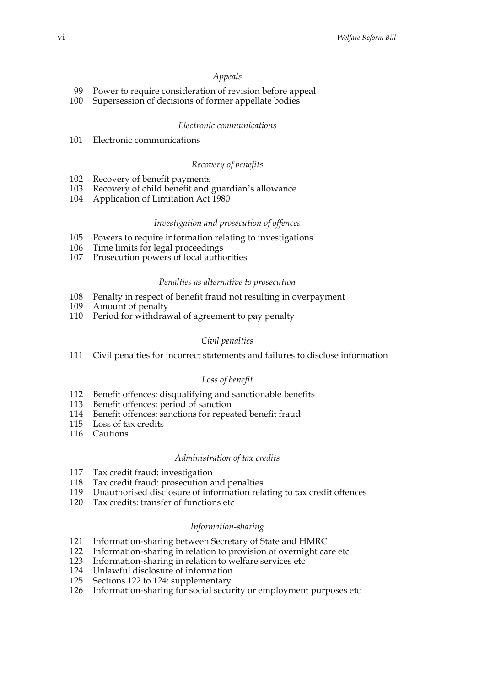## *Appeals*

- 99 Power to require consideration of revision before appeal
- 100 Supersession of decisions of former appellate bodies

#### *Electronic communications*

101 Electronic communications

#### *Recovery of benefits*

- 102 Recovery of benefit payments
- 103 Recovery of child benefit and guardian's allowance
- 104 Application of Limitation Act 1980

#### *Investigation and prosecution of offences*

- 105 Powers to require information relating to investigations
- 106 Time limits for legal proceedings
- 107 Prosecution powers of local authorities

#### *Penalties as alternative to prosecution*

- 108 Penalty in respect of benefit fraud not resulting in overpayment
- 109 Amount of penalty
- 110 Period for withdrawal of agreement to pay penalty

#### *Civil penalties*

111 Civil penalties for incorrect statements and failures to disclose information

#### *Loss of benefit*

- 112 Benefit offences: disqualifying and sanctionable benefits
- 113 Benefit offences: period of sanction
- 114 Benefit offences: sanctions for repeated benefit fraud
- 115 Loss of tax credits
- 116 Cautions

#### *Administration of tax credits*

- 117 Tax credit fraud: investigation
- 118 Tax credit fraud: prosecution and penalties
- 119 Unauthorised disclosure of information relating to tax credit offences
- 120 Tax credits: transfer of functions etc

#### *Information-sharing*

- 121 Information-sharing between Secretary of State and HMRC
- 122 Information-sharing in relation to provision of overnight care etc
- 123 Information-sharing in relation to welfare services etc
- 124 Unlawful disclosure of information
- 125 Sections 122 to 124: supplementary
- 126 Information-sharing for social security or employment purposes etc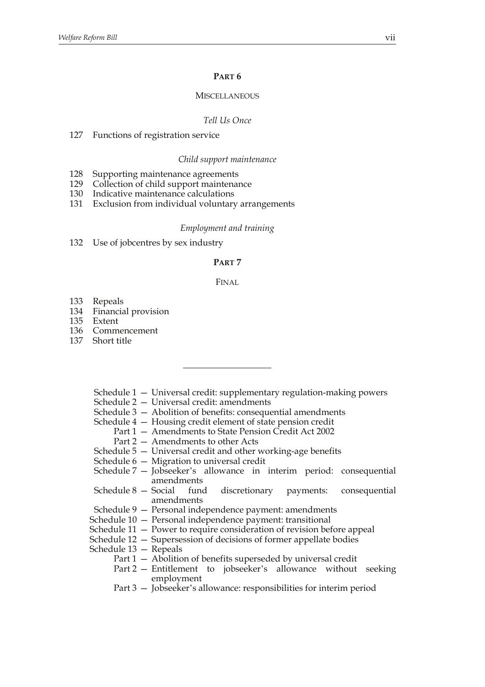## **PART 6**

#### **MISCELLANEOUS**

#### *Tell Us Once*

127 Functions of registration service

#### *Child support maintenance*

- 128 Supporting maintenance agreements
- 129 Collection of child support maintenance
- 130 Indicative maintenance calculations
- 131 Exclusion from individual voluntary arrangements

#### *Employment and training*

132 Use of jobcentres by sex industry

#### **PART 7**

#### FINAL

- 133 Repeals
- 134 Financial provision
- 135 Extent
- 136 Commencement
- 137 Short title
	- Schedule 1 Universal credit: supplementary regulation-making powers
	- Schedule 2 Universal credit: amendments
	- Schedule 3 Abolition of benefits: consequential amendments
	- Schedule 4 Housing credit element of state pension credit
		- Part 1 Amendments to State Pension Credit Act 2002
		- Part 2 Amendments to other Acts
	- Schedule 5 Universal credit and other working-age benefits
	- Schedule 6 Migration to universal credit
	- Schedule 7 Jobseeker's allowance in interim period: consequential amendments
	- Schedule 8 Social fund discretionary payments: consequential amendments
	- Schedule 9 Personal independence payment: amendments
	- Schedule 10 Personal independence payment: transitional
	- Schedule 11 Power to require consideration of revision before appeal
	- Schedule 12 Supersession of decisions of former appellate bodies
	- Schedule 13 Repeals
		- Part 1 Abolition of benefits superseded by universal credit
		- Part 2 Entitlement to jobseeker's allowance without seeking employment
		- Part 3 Jobseeker's allowance: responsibilities for interim period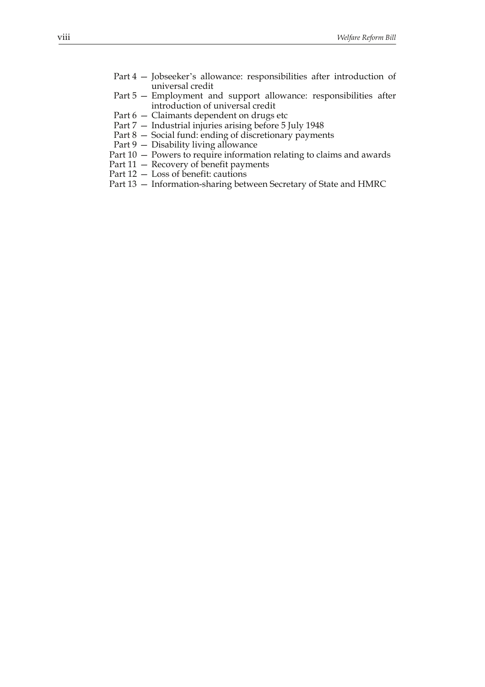- Part 4 Jobseeker's allowance: responsibilities after introduction of universal credit
- Part 5 Employment and support allowance: responsibilities after introduction of universal credit
- Part 6 Claimants dependent on drugs etc
- Part 7 Industrial injuries arising before 5 July 1948
- Part 8 Social fund: ending of discretionary payments
- Part 9 Disability living allowance
- Part 10 Powers to require information relating to claims and awards
- Part 11 Recovery of benefit payments
- Part 12 Loss of benefit: cautions
- Part 13 Information-sharing between Secretary of State and HMRC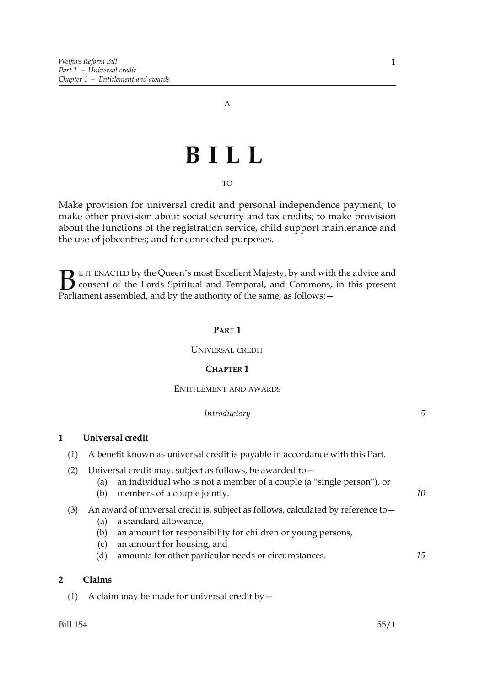#### A

# **BILL**

#### TO

Make provision for universal credit and personal independence payment; to make other provision about social security and tax credits; to make provision about the functions of the registration service, child support maintenance and the use of jobcentres; and for connected purposes.

E IT ENACTED by the Queen's most Excellent Majesty, by and with the advice and consent of the Lords Spiritual and Temporal, and Commons, in this present Parliament assembled, and by the authority of the same, as follows: - $B_{\text{p}}$ 

#### **PART 1**

#### UNIVERSAL CREDIT

## **CHAPTER 1**

## ENTITLEMENT AND AWARDS

#### *Introductory*

## **1 Universal credit**

|  | (1) A benefit known as universal credit is payable in accordance with this Part. |  |  |  |
|--|----------------------------------------------------------------------------------|--|--|--|
|  |                                                                                  |  |  |  |

- (2) Universal credit may, subject as follows, be awarded to—
	- (a) an individual who is not a member of a couple (a "single person"), or
	- (b) members of a couple jointly.

## (3) An award of universal credit is, subject as follows, calculated by reference to—

- (a) a standard allowance,
- (b) an amount for responsibility for children or young persons,
- (c) an amount for housing, and
- (d) amounts for other particular needs or circumstances.

## **2 Claims**

(1) A claim may be made for universal credit by—

*10*

*15*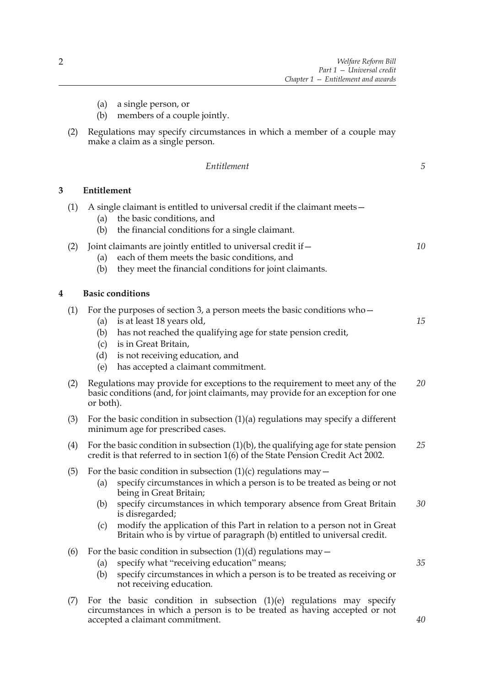- (a) a single person, or
- (b) members of a couple jointly.
- (2) Regulations may specify circumstances in which a member of a couple may make a claim as a single person.

*Entitlement*

# **3 Entitlement**

- (1) A single claimant is entitled to universal credit if the claimant meets—
	- (a) the basic conditions, and
	- (b) the financial conditions for a single claimant.
- (2) Joint claimants are jointly entitled to universal credit if  $-$ 
	- (a) each of them meets the basic conditions, and
	- (b) they meet the financial conditions for joint claimants.

## **4 Basic conditions**

- (1) For the purposes of section 3, a person meets the basic conditions who  $-$ 
	- (a) is at least 18 years old,

*15*

*10*

*5*

- (b) has not reached the qualifying age for state pension credit,
- (c) is in Great Britain,
- (d) is not receiving education, and
- (e) has accepted a claimant commitment.
- (2) Regulations may provide for exceptions to the requirement to meet any of the basic conditions (and, for joint claimants, may provide for an exception for one or both). *20*
- (3) For the basic condition in subsection (1)(a) regulations may specify a different minimum age for prescribed cases.
- (4) For the basic condition in subsection (1)(b), the qualifying age for state pension credit is that referred to in section 1(6) of the State Pension Credit Act 2002. *25*
- (5) For the basic condition in subsection (1)(c) regulations may  $-$ 
	- (a) specify circumstances in which a person is to be treated as being or not being in Great Britain;
	- (b) specify circumstances in which temporary absence from Great Britain is disregarded; *30*
	- (c) modify the application of this Part in relation to a person not in Great Britain who is by virtue of paragraph (b) entitled to universal credit.
- (6) For the basic condition in subsection (1)(d) regulations may  $-$ 
	- (a) specify what "receiving education" means;
	- (b) specify circumstances in which a person is to be treated as receiving or not receiving education.
- (7) For the basic condition in subsection (1)(e) regulations may specify circumstances in which a person is to be treated as having accepted or not accepted a claimant commitment.

*40*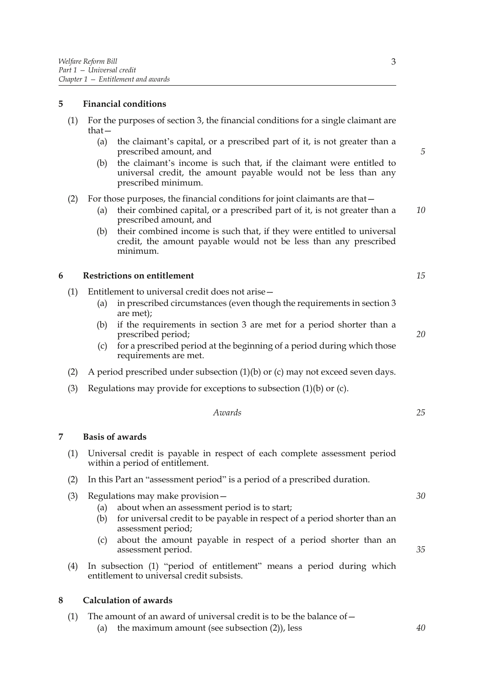## **5 Financial conditions**

- (1) For the purposes of section 3, the financial conditions for a single claimant are that—
	- (a) the claimant's capital, or a prescribed part of it, is not greater than a prescribed amount, and
	- (b) the claimant's income is such that, if the claimant were entitled to universal credit, the amount payable would not be less than any prescribed minimum.
- (2) For those purposes, the financial conditions for joint claimants are that—
	- (a) their combined capital, or a prescribed part of it, is not greater than a prescribed amount, and *10*
	- (b) their combined income is such that, if they were entitled to universal credit, the amount payable would not be less than any prescribed minimum.

# **6 Restrictions on entitlement**

- (1) Entitlement to universal credit does not arise—
	- (a) in prescribed circumstances (even though the requirements in section 3 are met);
	- (b) if the requirements in section 3 are met for a period shorter than a prescribed period;
	- (c) for a prescribed period at the beginning of a period during which those requirements are met.
- (2) A period prescribed under subsection  $(1)(b)$  or (c) may not exceed seven days.
- (3) Regulations may provide for exceptions to subsection  $(1)(b)$  or  $(c)$ .

*Awards*

#### **7 Basis of awards**

- (1) Universal credit is payable in respect of each complete assessment period within a period of entitlement.
- (2) In this Part an "assessment period" is a period of a prescribed duration.
- (3) Regulations may make provision—
	- (a) about when an assessment period is to start;
	- (b) for universal credit to be payable in respect of a period shorter than an assessment period;
	- (c) about the amount payable in respect of a period shorter than an assessment period.
- (4) In subsection (1) "period of entitlement" means a period during which entitlement to universal credit subsists.

#### **8 Calculation of awards**

- (1) The amount of an award of universal credit is to be the balance of  $-$ 
	- (a) the maximum amount (see subsection (2)), less

*5*

*25*

*20*

*15*

*30*

*35*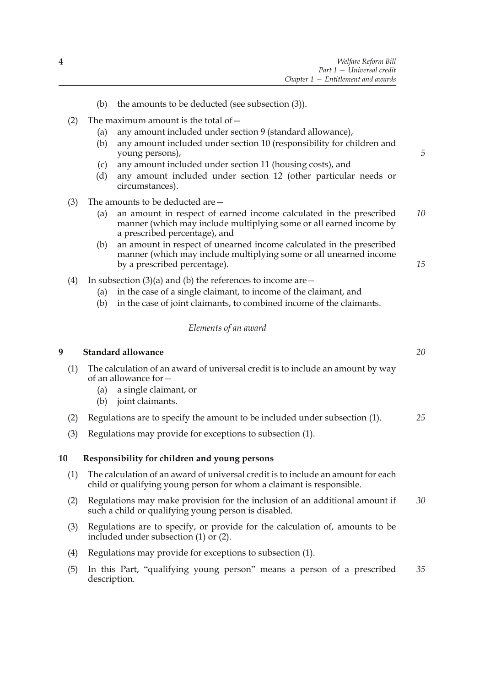- (b) the amounts to be deducted (see subsection (3)).
- (2) The maximum amount is the total of  $-$ 
	- (a) any amount included under section 9 (standard allowance),
	- (b) any amount included under section 10 (responsibility for children and young persons),
	- (c) any amount included under section 11 (housing costs), and
	- (d) any amount included under section 12 (other particular needs or circumstances).
- (3) The amounts to be deducted are—
	- (a) an amount in respect of earned income calculated in the prescribed manner (which may include multiplying some or all earned income by a prescribed percentage), and *10*
	- (b) an amount in respect of unearned income calculated in the prescribed manner (which may include multiplying some or all unearned income by a prescribed percentage).
- (4) In subsection (3)(a) and (b) the references to income are  $-$ 
	- (a) in the case of a single claimant, to income of the claimant, and
	- (b) in the case of joint claimants, to combined income of the claimants.

## *Elements of an award*

## **9 Standard allowance**

*20*

*15*

*5*

- (1) The calculation of an award of universal credit is to include an amount by way of an allowance for—
	- (a) a single claimant, or
	- (b) joint claimants.
- (2) Regulations are to specify the amount to be included under subsection (1). *25*
- (3) Regulations may provide for exceptions to subsection (1).

## **10 Responsibility for children and young persons**

- (1) The calculation of an award of universal credit is to include an amount for each child or qualifying young person for whom a claimant is responsible.
- (2) Regulations may make provision for the inclusion of an additional amount if such a child or qualifying young person is disabled. *30*
- (3) Regulations are to specify, or provide for the calculation of, amounts to be included under subsection (1) or (2).
- (4) Regulations may provide for exceptions to subsection (1).
- (5) In this Part, "qualifying young person" means a person of a prescribed description. *35*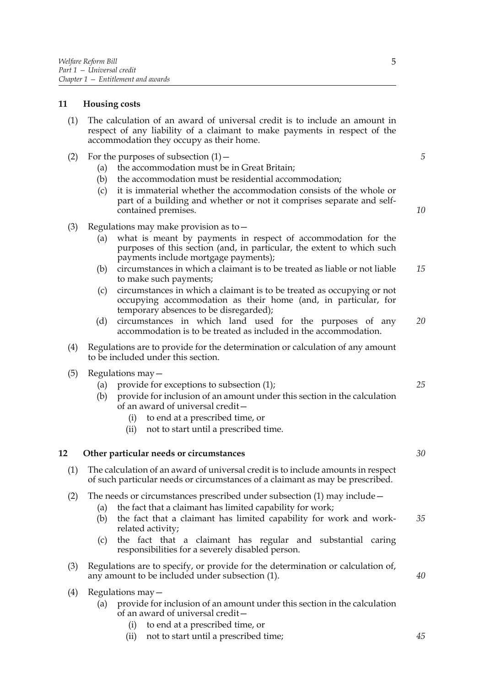## **11 Housing costs**

- (1) The calculation of an award of universal credit is to include an amount in respect of any liability of a claimant to make payments in respect of the accommodation they occupy as their home.
- (2) For the purposes of subsection  $(1)$ 
	- (a) the accommodation must be in Great Britain;
	- (b) the accommodation must be residential accommodation;
	- (c) it is immaterial whether the accommodation consists of the whole or part of a building and whether or not it comprises separate and selfcontained premises.
- (3) Regulations may make provision as to—
	- (a) what is meant by payments in respect of accommodation for the purposes of this section (and, in particular, the extent to which such payments include mortgage payments);
	- (b) circumstances in which a claimant is to be treated as liable or not liable to make such payments; *15*
	- (c) circumstances in which a claimant is to be treated as occupying or not occupying accommodation as their home (and, in particular, for temporary absences to be disregarded);
	- (d) circumstances in which land used for the purposes of any accommodation is to be treated as included in the accommodation. *20*
- (4) Regulations are to provide for the determination or calculation of any amount to be included under this section.
- (5) Regulations may—
	- (a) provide for exceptions to subsection (1);
	- (b) provide for inclusion of an amount under this section in the calculation of an award of universal credit—
		- (i) to end at a prescribed time, or
		- (ii) not to start until a prescribed time.

#### **12 Other particular needs or circumstances**

- (1) The calculation of an award of universal credit is to include amounts in respect of such particular needs or circumstances of a claimant as may be prescribed.
- (2) The needs or circumstances prescribed under subsection (1) may include—
	- (a) the fact that a claimant has limited capability for work;
	- (b) the fact that a claimant has limited capability for work and workrelated activity; *35*
	- (c) the fact that a claimant has regular and substantial caring responsibilities for a severely disabled person.
- (3) Regulations are to specify, or provide for the determination or calculation of, any amount to be included under subsection (1).
- (4) Regulations may—
	- (a) provide for inclusion of an amount under this section in the calculation of an award of universal credit—
		- (i) to end at a prescribed time, or
		- (ii) not to start until a prescribed time;

*5*

*10*

*25*

*40*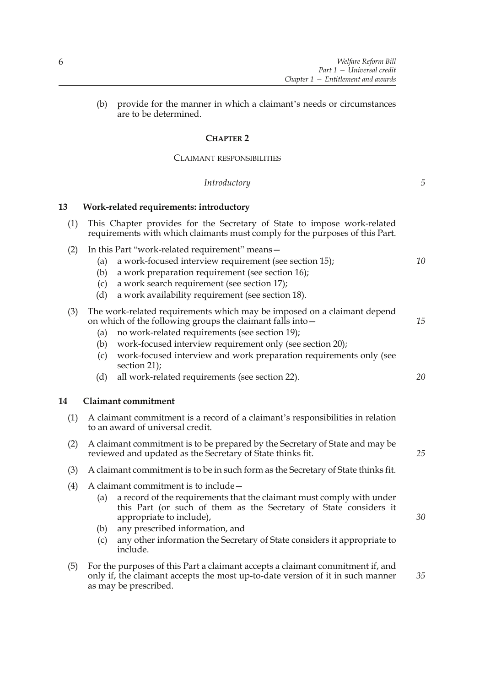(b) provide for the manner in which a claimant's needs or circumstances are to be determined.

# **CHAPTER 2**

## CLAIMANT RESPONSIBILITIES

#### *Introductory*

## **13 Work-related requirements: introductory**

- (1) This Chapter provides for the Secretary of State to impose work-related requirements with which claimants must comply for the purposes of this Part.
- (2) In this Part "work-related requirement" means—
	- (a) a work-focused interview requirement (see section 15); *10*
	- (b) a work preparation requirement (see section 16);
	- (c) a work search requirement (see section 17);
	- (d) a work availability requirement (see section 18).

#### (3) The work-related requirements which may be imposed on a claimant depend on which of the following groups the claimant falls into— *15*

- (a) no work-related requirements (see section 19);
- (b) work-focused interview requirement only (see section 20);
- (c) work-focused interview and work preparation requirements only (see section 21);
- (d) all work-related requirements (see section 22).

#### **14 Claimant commitment**

- (1) A claimant commitment is a record of a claimant's responsibilities in relation to an award of universal credit.
- (2) A claimant commitment is to be prepared by the Secretary of State and may be reviewed and updated as the Secretary of State thinks fit.
- (3) A claimant commitment is to be in such form as the Secretary of State thinks fit.
- (4) A claimant commitment is to include—
	- (a) a record of the requirements that the claimant must comply with under this Part (or such of them as the Secretary of State considers it appropriate to include),
	- (b) any prescribed information, and
	- (c) any other information the Secretary of State considers it appropriate to include.
- (5) For the purposes of this Part a claimant accepts a claimant commitment if, and only if, the claimant accepts the most up-to-date version of it in such manner as may be prescribed. *35*

*5*

*25*

*30*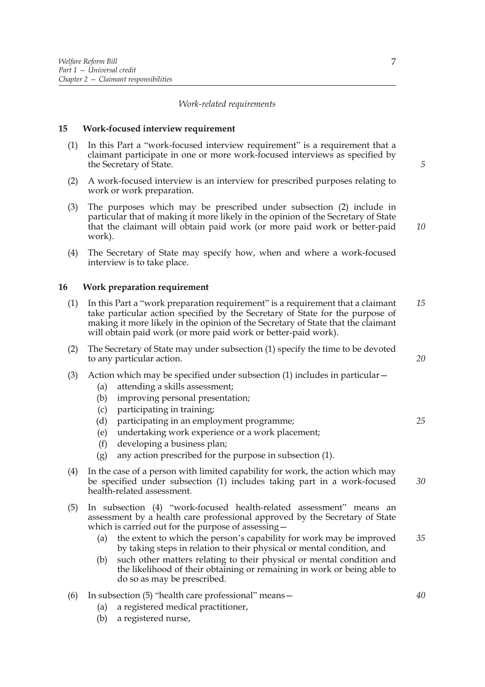## *Work-related requirements*

#### **15 Work-focused interview requirement**

- (1) In this Part a "work-focused interview requirement" is a requirement that a claimant participate in one or more work-focused interviews as specified by the Secretary of State.
- (2) A work-focused interview is an interview for prescribed purposes relating to work or work preparation.
- (3) The purposes which may be prescribed under subsection (2) include in particular that of making it more likely in the opinion of the Secretary of State that the claimant will obtain paid work (or more paid work or better-paid work).
- (4) The Secretary of State may specify how, when and where a work-focused interview is to take place.

#### **16 Work preparation requirement**

- (1) In this Part a "work preparation requirement" is a requirement that a claimant take particular action specified by the Secretary of State for the purpose of making it more likely in the opinion of the Secretary of State that the claimant will obtain paid work (or more paid work or better-paid work). *15*
- (2) The Secretary of State may under subsection (1) specify the time to be devoted to any particular action.
- (3) Action which may be specified under subsection (1) includes in particular—
	- (a) attending a skills assessment;
	- (b) improving personal presentation;
	- (c) participating in training;
	- (d) participating in an employment programme;
	- (e) undertaking work experience or a work placement;
	- (f) developing a business plan;
	- (g) any action prescribed for the purpose in subsection (1).
- (4) In the case of a person with limited capability for work, the action which may be specified under subsection (1) includes taking part in a work-focused health-related assessment. *30*
- (5) In subsection (4) "work-focused health-related assessment" means an assessment by a health care professional approved by the Secretary of State which is carried out for the purpose of assessing—
	- (a) the extent to which the person's capability for work may be improved by taking steps in relation to their physical or mental condition, and *35*
	- (b) such other matters relating to their physical or mental condition and the likelihood of their obtaining or remaining in work or being able to do so as may be prescribed.
- (6) In subsection (5) "health care professional" means—
	- (a) a registered medical practitioner,
	- (b) a registered nurse,

*5*

*10*

*20*

*25*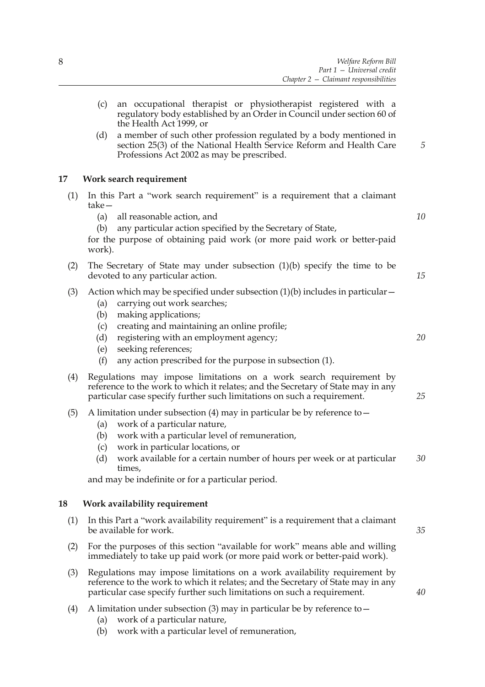|     | (c)                                                                                                                                                       | an occupational therapist or physiotherapist registered with a<br>regulatory body established by an Order in Council under section 60 of<br>the Health Act 1999, or                                                                                                                                                                      |    |
|-----|-----------------------------------------------------------------------------------------------------------------------------------------------------------|------------------------------------------------------------------------------------------------------------------------------------------------------------------------------------------------------------------------------------------------------------------------------------------------------------------------------------------|----|
|     | (d)                                                                                                                                                       | a member of such other profession regulated by a body mentioned in<br>section 25(3) of the National Health Service Reform and Health Care<br>Professions Act 2002 as may be prescribed.                                                                                                                                                  | 5  |
| 17  |                                                                                                                                                           | Work search requirement                                                                                                                                                                                                                                                                                                                  |    |
| (1) | $take-$                                                                                                                                                   | In this Part a "work search requirement" is a requirement that a claimant                                                                                                                                                                                                                                                                |    |
|     | (a)<br>(b)<br>work).                                                                                                                                      | all reasonable action, and<br>any particular action specified by the Secretary of State,<br>for the purpose of obtaining paid work (or more paid work or better-paid                                                                                                                                                                     | 10 |
| (2) | The Secretary of State may under subsection $(1)(b)$ specify the time to be<br>devoted to any particular action.                                          |                                                                                                                                                                                                                                                                                                                                          | 15 |
| (3) | (a)<br>(b)<br>(c)<br>(d)<br>(e)<br>(f)                                                                                                                    | Action which may be specified under subsection $(1)(b)$ includes in particular –<br>carrying out work searches;<br>making applications;<br>creating and maintaining an online profile;<br>registering with an employment agency;<br>seeking references;<br>any action prescribed for the purpose in subsection (1).                      | 20 |
| (4) |                                                                                                                                                           | Regulations may impose limitations on a work search requirement by<br>reference to the work to which it relates; and the Secretary of State may in any<br>particular case specify further such limitations on such a requirement.                                                                                                        | 25 |
| (5) | (a)<br>(b)<br>(c)<br>(d)                                                                                                                                  | A limitation under subsection (4) may in particular be by reference to $-$<br>work of a particular nature,<br>work with a particular level of remuneration,<br>work in particular locations, or<br>work available for a certain number of hours per week or at particular<br>times,<br>and may be indefinite or for a particular period. | 30 |
| 18  |                                                                                                                                                           | Work availability requirement                                                                                                                                                                                                                                                                                                            |    |
| (1) | In this Part a "work availability requirement" is a requirement that a claimant<br>be available for work.                                                 |                                                                                                                                                                                                                                                                                                                                          | 35 |
| (2) | For the purposes of this section "available for work" means able and willing<br>immediately to take up paid work (or more paid work or better-paid work). |                                                                                                                                                                                                                                                                                                                                          |    |
| (3) |                                                                                                                                                           | Regulations may impose limitations on a work availability requirement by<br>reference to the work to which it relates; and the Secretary of State may in any<br>particular case specify further such limitations on such a requirement.                                                                                                  | 40 |
| (4) | (a)                                                                                                                                                       | A limitation under subsection $(3)$ may in particular be by reference to $-$<br>work of a particular nature,                                                                                                                                                                                                                             |    |

(b) work with a particular level of remuneration,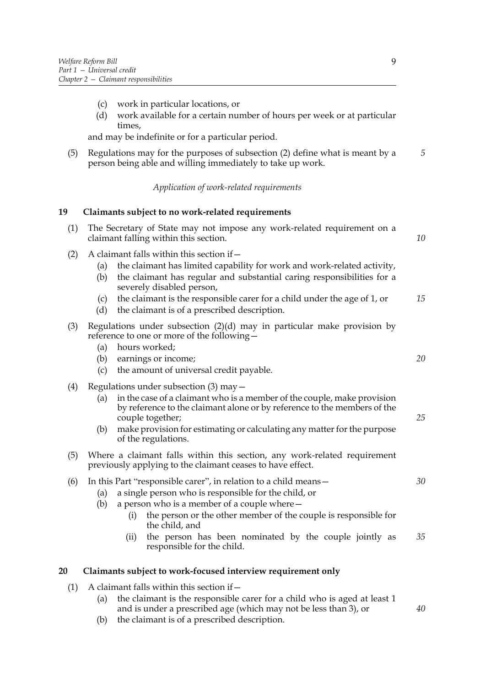- (c) work in particular locations, or (d) work available for a certain number of hours per week or at particular times, and may be indefinite or for a particular period. (5) Regulations may for the purposes of subsection (2) define what is meant by a person being able and willing immediately to take up work. *Application of work-related requirements* **19 Claimants subject to no work-related requirements** (1) The Secretary of State may not impose any work-related requirement on a claimant falling within this section. (2) A claimant falls within this section if  $-$ (a) the claimant has limited capability for work and work-related activity, (b) the claimant has regular and substantial caring responsibilities for a severely disabled person, (c) the claimant is the responsible carer for a child under the age of 1, or (d) the claimant is of a prescribed description. (3) Regulations under subsection (2)(d) may in particular make provision by reference to one or more of the following— (a) hours worked; (b) earnings or income; (c) the amount of universal credit payable. (4) Regulations under subsection (3) may— (a) in the case of a claimant who is a member of the couple, make provision by reference to the claimant alone or by reference to the members of the couple together; (b) make provision for estimating or calculating any matter for the purpose of the regulations. (5) Where a claimant falls within this section, any work-related requirement previously applying to the claimant ceases to have effect. (6) In this Part "responsible carer", in relation to a child means— (a) a single person who is responsible for the child, or (b) a person who is a member of a couple where  $-$ (i) the person or the other member of the couple is responsible for the child, and (ii) the person has been nominated by the couple jointly as responsible for the child. **20 Claimants subject to work-focused interview requirement only** *5 10 15 20 25 30 35*
	- (1) A claimant falls within this section if  $-$ 
		- (a) the claimant is the responsible carer for a child who is aged at least 1 and is under a prescribed age (which may not be less than 3), or
		- (b) the claimant is of a prescribed description.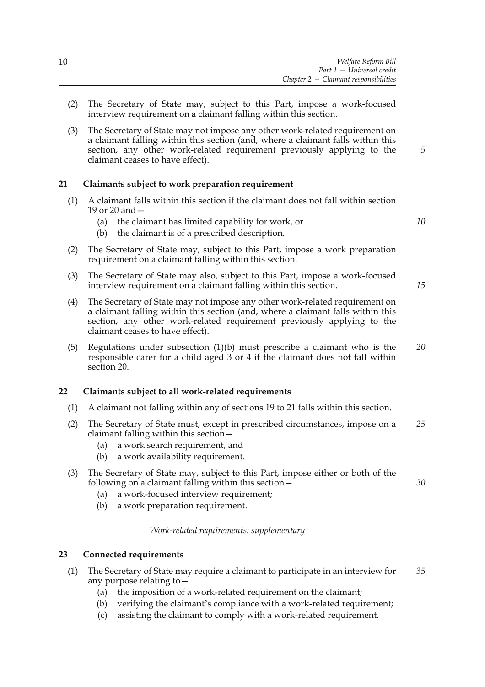- (2) The Secretary of State may, subject to this Part, impose a work-focused interview requirement on a claimant falling within this section.
- (3) The Secretary of State may not impose any other work-related requirement on a claimant falling within this section (and, where a claimant falls within this section, any other work-related requirement previously applying to the claimant ceases to have effect).

## **21 Claimants subject to work preparation requirement**

- (1) A claimant falls within this section if the claimant does not fall within section 19 or 20 and—
	- (a) the claimant has limited capability for work, or
	- (b) the claimant is of a prescribed description.
- (2) The Secretary of State may, subject to this Part, impose a work preparation requirement on a claimant falling within this section.
- (3) The Secretary of State may also, subject to this Part, impose a work-focused interview requirement on a claimant falling within this section.
- (4) The Secretary of State may not impose any other work-related requirement on a claimant falling within this section (and, where a claimant falls within this section, any other work-related requirement previously applying to the claimant ceases to have effect).
- (5) Regulations under subsection (1)(b) must prescribe a claimant who is the responsible carer for a child aged 3 or 4 if the claimant does not fall within section 20. *20*

## **22 Claimants subject to all work-related requirements**

- (1) A claimant not falling within any of sections 19 to 21 falls within this section.
- (2) The Secretary of State must, except in prescribed circumstances, impose on a claimant falling within this section— *25*
	- (a) a work search requirement, and
	- (b) a work availability requirement.
- (3) The Secretary of State may, subject to this Part, impose either or both of the following on a claimant falling within this section—
	- (a) a work-focused interview requirement;
	- (b) a work preparation requirement.

#### *Work-related requirements: supplementary*

#### **23 Connected requirements**

- (1) The Secretary of State may require a claimant to participate in an interview for any purpose relating to— *35*
	- (a) the imposition of a work-related requirement on the claimant;
	- (b) verifying the claimant's compliance with a work-related requirement;
	- (c) assisting the claimant to comply with a work-related requirement.

*5*

*10*

*15*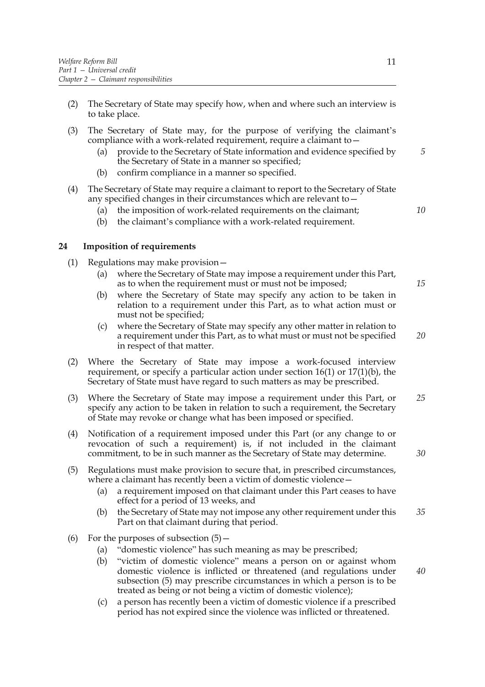- (2) The Secretary of State may specify how, when and where such an interview is to take place.
- (3) The Secretary of State may, for the purpose of verifying the claimant's compliance with a work-related requirement, require a claimant to—
	- (a) provide to the Secretary of State information and evidence specified by the Secretary of State in a manner so specified;
	- (b) confirm compliance in a manner so specified.
- (4) The Secretary of State may require a claimant to report to the Secretary of State any specified changes in their circumstances which are relevant to—
	- (a) the imposition of work-related requirements on the claimant;
	- (b) the claimant's compliance with a work-related requirement.

## **24 Imposition of requirements**

- (1) Regulations may make provision—
	- (a) where the Secretary of State may impose a requirement under this Part, as to when the requirement must or must not be imposed;
	- (b) where the Secretary of State may specify any action to be taken in relation to a requirement under this Part, as to what action must or must not be specified;
	- (c) where the Secretary of State may specify any other matter in relation to a requirement under this Part, as to what must or must not be specified in respect of that matter. *20*
- (2) Where the Secretary of State may impose a work-focused interview requirement, or specify a particular action under section  $16(1)$  or  $17(1)(b)$ , the Secretary of State must have regard to such matters as may be prescribed.
- (3) Where the Secretary of State may impose a requirement under this Part, or specify any action to be taken in relation to such a requirement, the Secretary of State may revoke or change what has been imposed or specified. *25*
- (4) Notification of a requirement imposed under this Part (or any change to or revocation of such a requirement) is, if not included in the claimant commitment, to be in such manner as the Secretary of State may determine.
- (5) Regulations must make provision to secure that, in prescribed circumstances, where a claimant has recently been a victim of domestic violence—
	- (a) a requirement imposed on that claimant under this Part ceases to have effect for a period of 13 weeks, and
	- (b) the Secretary of State may not impose any other requirement under this Part on that claimant during that period. *35*
- (6) For the purposes of subsection  $(5)$ 
	- (a) "domestic violence" has such meaning as may be prescribed;
	- (b) "victim of domestic violence" means a person on or against whom domestic violence is inflicted or threatened (and regulations under subsection (5) may prescribe circumstances in which a person is to be treated as being or not being a victim of domestic violence);
	- (c) a person has recently been a victim of domestic violence if a prescribed period has not expired since the violence was inflicted or threatened.

*5*

*10*

*15*

*30*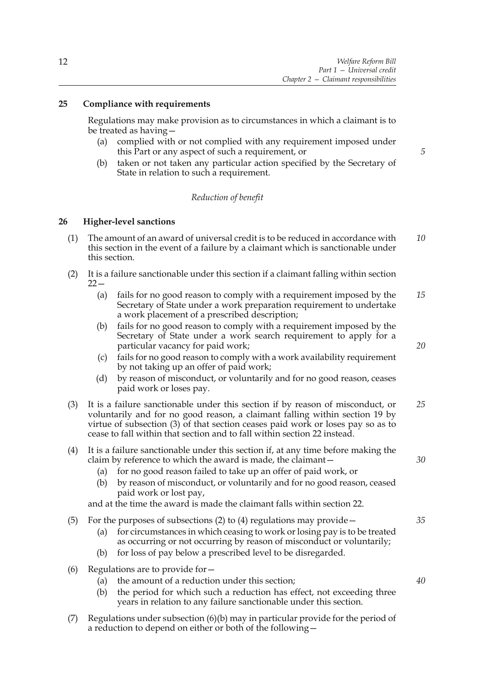# **25 Compliance with requirements**

Regulations may make provision as to circumstances in which a claimant is to be treated as having—

- (a) complied with or not complied with any requirement imposed under this Part or any aspect of such a requirement, or
- (b) taken or not taken any particular action specified by the Secretary of State in relation to such a requirement.

## *Reduction of benefit*

#### **26 Higher-level sanctions**

- (1) The amount of an award of universal credit is to be reduced in accordance with this section in the event of a failure by a claimant which is sanctionable under this section. *10*
- (2) It is a failure sanctionable under this section if a claimant falling within section  $22-$ 
	- (a) fails for no good reason to comply with a requirement imposed by the Secretary of State under a work preparation requirement to undertake a work placement of a prescribed description; *15*
	- (b) fails for no good reason to comply with a requirement imposed by the Secretary of State under a work search requirement to apply for a particular vacancy for paid work;
	- (c) fails for no good reason to comply with a work availability requirement by not taking up an offer of paid work;
	- (d) by reason of misconduct, or voluntarily and for no good reason, ceases paid work or loses pay.
- (3) It is a failure sanctionable under this section if by reason of misconduct, or voluntarily and for no good reason, a claimant falling within section 19 by virtue of subsection (3) of that section ceases paid work or loses pay so as to cease to fall within that section and to fall within section 22 instead. *25*
- (4) It is a failure sanctionable under this section if, at any time before making the claim by reference to which the award is made, the claimant—
	- (a) for no good reason failed to take up an offer of paid work, or
	- (b) by reason of misconduct, or voluntarily and for no good reason, ceased paid work or lost pay,

and at the time the award is made the claimant falls within section 22.

- (5) For the purposes of subsections (2) to (4) regulations may provide  $-$ 
	- (a) for circumstances in which ceasing to work or losing pay is to be treated as occurring or not occurring by reason of misconduct or voluntarily;
	- (b) for loss of pay below a prescribed level to be disregarded.
- (6) Regulations are to provide for—
	- (a) the amount of a reduction under this section;
	- (b) the period for which such a reduction has effect, not exceeding three years in relation to any failure sanctionable under this section.
- (7) Regulations under subsection  $(6)(b)$  may in particular provide for the period of a reduction to depend on either or both of the following—

*5*

*35*

*30*

*20*

- 
-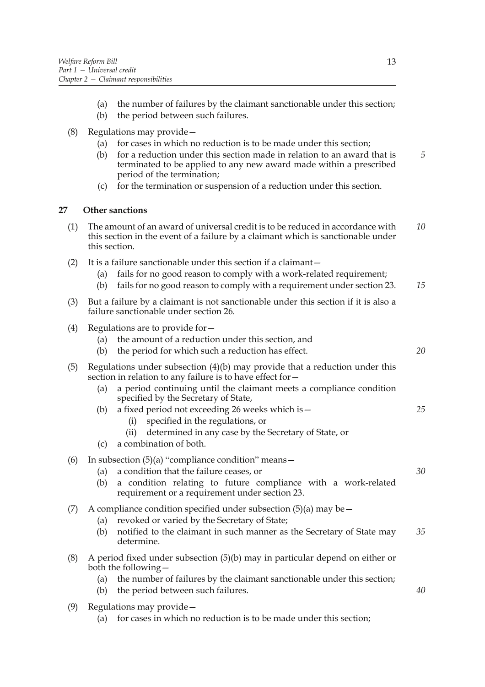- (a) the number of failures by the claimant sanctionable under this section;
- (b) the period between such failures.
- (8) Regulations may provide—
	- (a) for cases in which no reduction is to be made under this section;
	- (b) for a reduction under this section made in relation to an award that is terminated to be applied to any new award made within a prescribed period of the termination; *5*
	- (c) for the termination or suspension of a reduction under this section.

# **27 Other sanctions**

| (1) The amount of an award of universal credit is to be reduced in accordance with |  |
|------------------------------------------------------------------------------------|--|
| this section in the event of a failure by a claimant which is sanctionable under   |  |
| this section.                                                                      |  |

- (2) It is a failure sanctionable under this section if a claimant—
	- (a) fails for no good reason to comply with a work-related requirement;
	- (b) fails for no good reason to comply with a requirement under section 23. *15*
- (3) But a failure by a claimant is not sanctionable under this section if it is also a failure sanctionable under section 26.
- (4) Regulations are to provide for—
	- (a) the amount of a reduction under this section, and
	- (b) the period for which such a reduction has effect.
- (5) Regulations under subsection (4)(b) may provide that a reduction under this section in relation to any failure is to have effect for—
	- (a) a period continuing until the claimant meets a compliance condition specified by the Secretary of State,
	- (b) a fixed period not exceeding 26 weeks which is  $-$ *25*
		- (i) specified in the regulations, or
		- (ii) determined in any case by the Secretary of State, or
	- (c) a combination of both.

(6) In subsection  $(5)(a)$  "compliance condition" means -

- (a) a condition that the failure ceases, or
- (b) a condition relating to future compliance with a work-related requirement or a requirement under section 23.
- (7) A compliance condition specified under subsection  $(5)(a)$  may be
	- (a) revoked or varied by the Secretary of State;
	- (b) notified to the claimant in such manner as the Secretary of State may determine. *35*
- (8) A period fixed under subsection (5)(b) may in particular depend on either or both the following—
	- (a) the number of failures by the claimant sanctionable under this section;
	- (b) the period between such failures.
- (9) Regulations may provide—
	- (a) for cases in which no reduction is to be made under this section;

*30*

*40*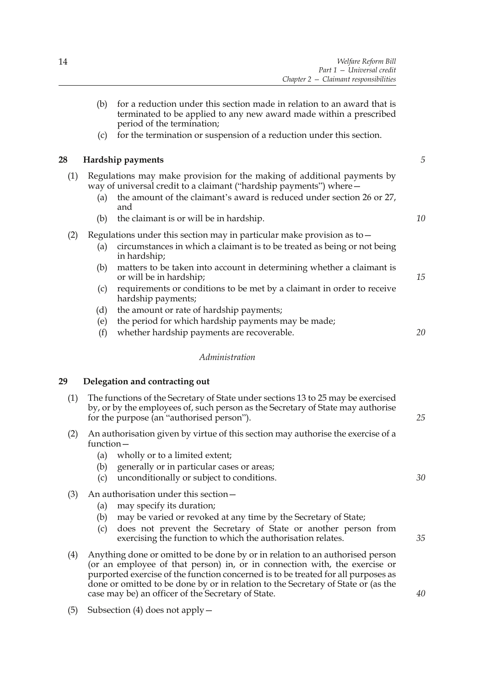- (b) for a reduction under this section made in relation to an award that is terminated to be applied to any new award made within a prescribed period of the termination;
- (c) for the termination or suspension of a reduction under this section.

# **28 Hardship payments**

- (1) Regulations may make provision for the making of additional payments by way of universal credit to a claimant ("hardship payments") where—
	- (a) the amount of the claimant's award is reduced under section 26 or 27, and
	- (b) the claimant is or will be in hardship.

# (2) Regulations under this section may in particular make provision as to  $-$

- (a) circumstances in which a claimant is to be treated as being or not being in hardship;
- (b) matters to be taken into account in determining whether a claimant is or will be in hardship;
- (c) requirements or conditions to be met by a claimant in order to receive hardship payments;
- (d) the amount or rate of hardship payments;
- (e) the period for which hardship payments may be made;
- (f) whether hardship payments are recoverable.

#### *Administration*

# **29 Delegation and contracting out**

- (1) The functions of the Secretary of State under sections 13 to 25 may be exercised by, or by the employees of, such person as the Secretary of State may authorise for the purpose (an "authorised person").
- (2) An authorisation given by virtue of this section may authorise the exercise of a function—
	- (a) wholly or to a limited extent;
	- (b) generally or in particular cases or areas;
	- (c) unconditionally or subject to conditions.
- (3) An authorisation under this section—
	- (a) may specify its duration;
	- (b) may be varied or revoked at any time by the Secretary of State;
	- (c) does not prevent the Secretary of State or another person from exercising the function to which the authorisation relates.
- (4) Anything done or omitted to be done by or in relation to an authorised person (or an employee of that person) in, or in connection with, the exercise or purported exercise of the function concerned is to be treated for all purposes as done or omitted to be done by or in relation to the Secretary of State or (as the case may be) an officer of the Secretary of State.
- (5) Subsection (4) does not apply—

*10*

*15*

*20*

*25*

*30*

*35*

*40*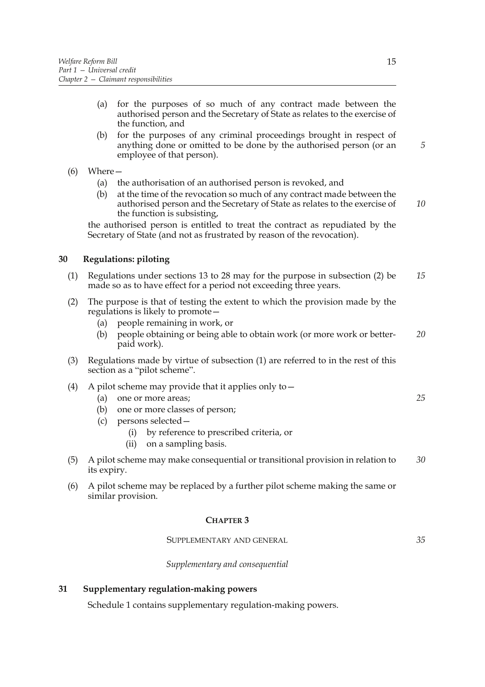- (a) for the purposes of so much of any contract made between the authorised person and the Secretary of State as relates to the exercise of the function, and
- (b) for the purposes of any criminal proceedings brought in respect of anything done or omitted to be done by the authorised person (or an employee of that person).
- (6) Where—
	- (a) the authorisation of an authorised person is revoked, and
	- (b) at the time of the revocation so much of any contract made between the authorised person and the Secretary of State as relates to the exercise of the function is subsisting, *10*

the authorised person is entitled to treat the contract as repudiated by the Secretary of State (and not as frustrated by reason of the revocation).

# **30 Regulations: piloting**

- (1) Regulations under sections 13 to 28 may for the purpose in subsection (2) be made so as to have effect for a period not exceeding three years. *15*
- (2) The purpose is that of testing the extent to which the provision made by the regulations is likely to promote—
	- (a) people remaining in work, or
	- (b) people obtaining or being able to obtain work (or more work or betterpaid work). *20*
- (3) Regulations made by virtue of subsection (1) are referred to in the rest of this section as a "pilot scheme".
- (4) A pilot scheme may provide that it applies only to  $-$ 
	- (a) one or more areas;
	- (b) one or more classes of person;
	- (c) persons selected—
		- (i) by reference to prescribed criteria, or
		- (ii) on a sampling basis.
- (5) A pilot scheme may make consequential or transitional provision in relation to its expiry. *30*
- (6) A pilot scheme may be replaced by a further pilot scheme making the same or similar provision.

#### **CHAPTER 3**

## SUPPLEMENTARY AND GENERAL

# *35*

*25*

# *Supplementary and consequential*

# **31 Supplementary regulation-making powers**

Schedule 1 contains supplementary regulation-making powers.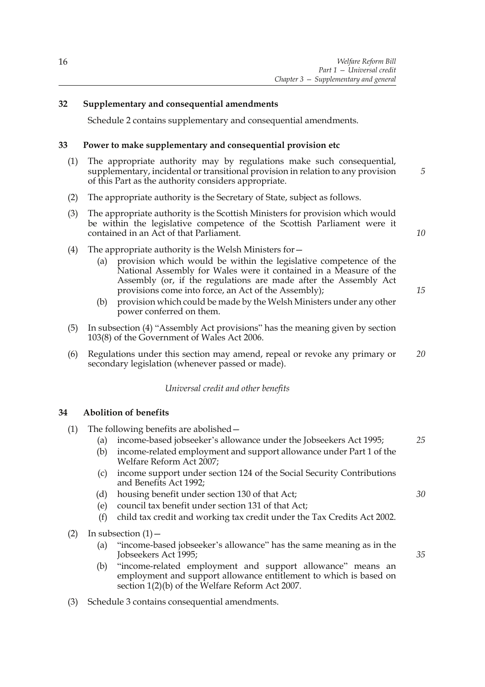# **32 Supplementary and consequential amendments**

Schedule 2 contains supplementary and consequential amendments.

# **33 Power to make supplementary and consequential provision etc**

- (1) The appropriate authority may by regulations make such consequential, supplementary, incidental or transitional provision in relation to any provision of this Part as the authority considers appropriate.
- (2) The appropriate authority is the Secretary of State, subject as follows.
- (3) The appropriate authority is the Scottish Ministers for provision which would be within the legislative competence of the Scottish Parliament were it contained in an Act of that Parliament.

*10*

*15*

*5*

- (4) The appropriate authority is the Welsh Ministers for  $-$ 
	- (a) provision which would be within the legislative competence of the National Assembly for Wales were it contained in a Measure of the Assembly (or, if the regulations are made after the Assembly Act provisions come into force, an Act of the Assembly);
	- (b) provision which could be made by the Welsh Ministers under any other power conferred on them.
- (5) In subsection (4) "Assembly Act provisions" has the meaning given by section 103(8) of the Government of Wales Act 2006.
- (6) Regulations under this section may amend, repeal or revoke any primary or secondary legislation (whenever passed or made). *20*

# *Universal credit and other benefits*

# **34 Abolition of benefits**

- (1) The following benefits are abolished—
	- (a) income-based jobseeker's allowance under the Jobseekers Act 1995;
	- (b) income-related employment and support allowance under Part 1 of the Welfare Reform Act 2007;
	- (c) income support under section 124 of the Social Security Contributions and Benefits Act 1992;
	- (d) housing benefit under section 130 of that Act;
	- (e) council tax benefit under section 131 of that Act;
	- (f) child tax credit and working tax credit under the Tax Credits Act 2002.
- (2) In subsection  $(1)$ 
	- (a) "income-based jobseeker's allowance" has the same meaning as in the Jobseekers Act 1995;
	- (b) "income-related employment and support allowance" means an employment and support allowance entitlement to which is based on section 1(2)(b) of the Welfare Reform Act 2007.
- (3) Schedule 3 contains consequential amendments.

*35*

*30*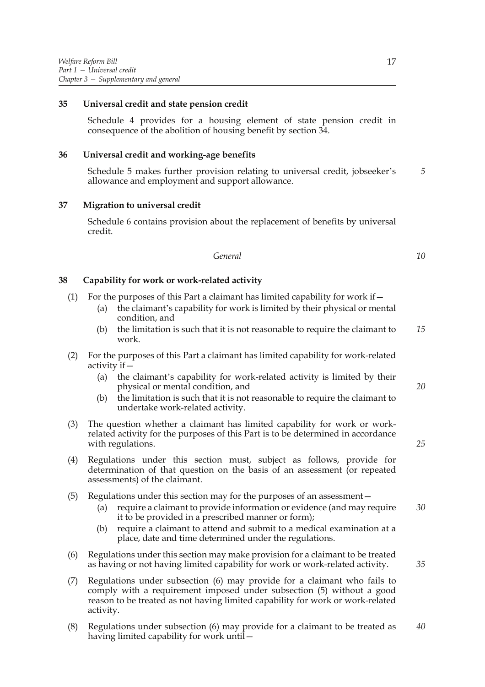Schedule 4 provides for a housing element of state pension credit in consequence of the abolition of housing benefit by section 34.

## **36 Universal credit and working-age benefits**

Schedule 5 makes further provision relating to universal credit, jobseeker's allowance and employment and support allowance. *5*

#### **37 Migration to universal credit**

Schedule 6 contains provision about the replacement of benefits by universal credit.

*General 10*

#### **38 Capability for work or work-related activity**

- (1) For the purposes of this Part a claimant has limited capability for work if  $-$ 
	- (a) the claimant's capability for work is limited by their physical or mental condition, and
	- (b) the limitation is such that it is not reasonable to require the claimant to work. *15*
- (2) For the purposes of this Part a claimant has limited capability for work-related activity if—
	- (a) the claimant's capability for work-related activity is limited by their physical or mental condition, and
	- (b) the limitation is such that it is not reasonable to require the claimant to undertake work-related activity.
- (3) The question whether a claimant has limited capability for work or workrelated activity for the purposes of this Part is to be determined in accordance with regulations.
- (4) Regulations under this section must, subject as follows, provide for determination of that question on the basis of an assessment (or repeated assessments) of the claimant.
- (5) Regulations under this section may for the purposes of an assessment—
	- (a) require a claimant to provide information or evidence (and may require it to be provided in a prescribed manner or form); *30*
	- (b) require a claimant to attend and submit to a medical examination at a place, date and time determined under the regulations.
- (6) Regulations under this section may make provision for a claimant to be treated as having or not having limited capability for work or work-related activity.
- (7) Regulations under subsection (6) may provide for a claimant who fails to comply with a requirement imposed under subsection (5) without a good reason to be treated as not having limited capability for work or work-related activity.
- (8) Regulations under subsection (6) may provide for a claimant to be treated as having limited capability for work until— *40*

*20*

*25*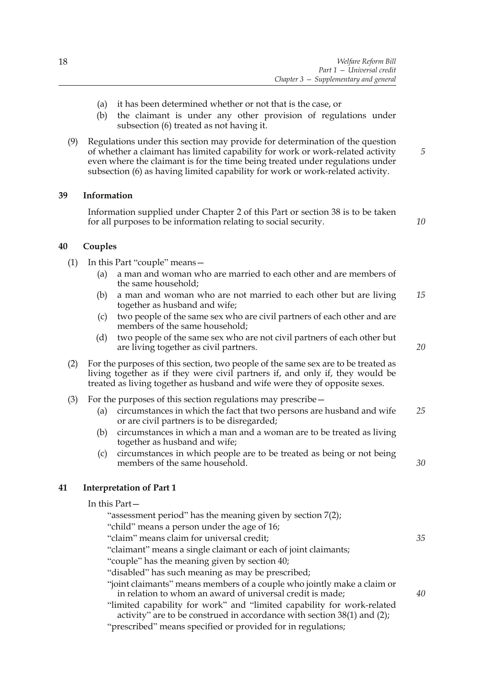- (a) it has been determined whether or not that is the case, or
- (b) the claimant is under any other provision of regulations under subsection (6) treated as not having it.
- (9) Regulations under this section may provide for determination of the question of whether a claimant has limited capability for work or work-related activity even where the claimant is for the time being treated under regulations under subsection (6) as having limited capability for work or work-related activity.

## **39 Information**

Information supplied under Chapter 2 of this Part or section 38 is to be taken for all purposes to be information relating to social security.

*10*

*20*

*30*

*5*

# **40 Couples**

- (1) In this Part "couple" means—
	- (a) a man and woman who are married to each other and are members of the same household;
	- (b) a man and woman who are not married to each other but are living together as husband and wife; *15*
	- (c) two people of the same sex who are civil partners of each other and are members of the same household;
	- (d) two people of the same sex who are not civil partners of each other but are living together as civil partners.
- (2) For the purposes of this section, two people of the same sex are to be treated as living together as if they were civil partners if, and only if, they would be treated as living together as husband and wife were they of opposite sexes.
- (3) For the purposes of this section regulations may prescribe—
	- (a) circumstances in which the fact that two persons are husband and wife or are civil partners is to be disregarded; *25*
	- (b) circumstances in which a man and a woman are to be treated as living together as husband and wife;
	- (c) circumstances in which people are to be treated as being or not being members of the same household.

# **41 Interpretation of Part 1**

#### In this Part—

| "assessment period" has the meaning given by section 7(2);                                                                                        |    |
|---------------------------------------------------------------------------------------------------------------------------------------------------|----|
| "child" means a person under the age of 16;                                                                                                       |    |
| "claim" means claim for universal credit;                                                                                                         | 35 |
| "claimant" means a single claimant or each of joint claimants;                                                                                    |    |
| "couple" has the meaning given by section 40;                                                                                                     |    |
| "disabled" has such meaning as may be prescribed;                                                                                                 |    |
| "joint claimants" means members of a couple who jointly make a claim or<br>in relation to whom an award of universal credit is made;              | 40 |
| "limited capability for work" and "limited capability for work-related<br>activity" are to be construed in accordance with section 38(1) and (2); |    |
| "prescribed" means specified or provided for in regulations;                                                                                      |    |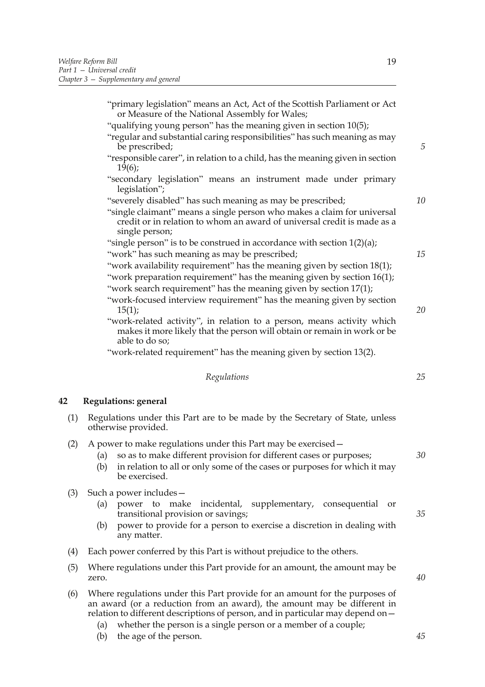*5*

*10*

*15*

*20*

*25*

*30*

*35*

| "primary legislation" means an Act, Act of the Scottish Parliament or Act<br>or Measure of the National Assembly for Wales;                                          |
|----------------------------------------------------------------------------------------------------------------------------------------------------------------------|
| "qualifying young person" has the meaning given in section 10(5);                                                                                                    |
| "regular and substantial caring responsibilities" has such meaning as may<br>be prescribed;                                                                          |
| "responsible carer", in relation to a child, has the meaning given in section<br>19(6);                                                                              |
| "secondary legislation" means an instrument made under primary<br>legislation";                                                                                      |
| "severely disabled" has such meaning as may be prescribed;                                                                                                           |
| "single claimant" means a single person who makes a claim for universal<br>credit or in relation to whom an award of universal credit is made as a<br>single person; |
| "single person" is to be construed in accordance with section $1(2)(a)$ ;                                                                                            |
| "work" has such meaning as may be prescribed;                                                                                                                        |
| "work availability requirement" has the meaning given by section 18(1);                                                                                              |
| "work preparation requirement" has the meaning given by section 16(1);                                                                                               |
| "work search requirement" has the meaning given by section 17(1);                                                                                                    |
| "work-focused interview requirement" has the meaning given by section<br>15(1);                                                                                      |

"work-related activity", in relation to a person, means activity which makes it more likely that the person will obtain or remain in work or be able to do so;

"work-related requirement" has the meaning given by section 13(2).

*Regulations*

**42 Regulations: general**

- (1) Regulations under this Part are to be made by the Secretary of State, unless otherwise provided.
- (2) A power to make regulations under this Part may be exercised—
	- (a) so as to make different provision for different cases or purposes;
	- (b) in relation to all or only some of the cases or purposes for which it may be exercised.
- (3) Such a power includes—
	- (a) power to make incidental, supplementary, consequential or transitional provision or savings;
	- (b) power to provide for a person to exercise a discretion in dealing with any matter.
- (4) Each power conferred by this Part is without prejudice to the others.
- (5) Where regulations under this Part provide for an amount, the amount may be zero.

(6) Where regulations under this Part provide for an amount for the purposes of an award (or a reduction from an award), the amount may be different in relation to different descriptions of person, and in particular may depend on—

- (a) whether the person is a single person or a member of a couple;
- (b) the age of the person.

*45*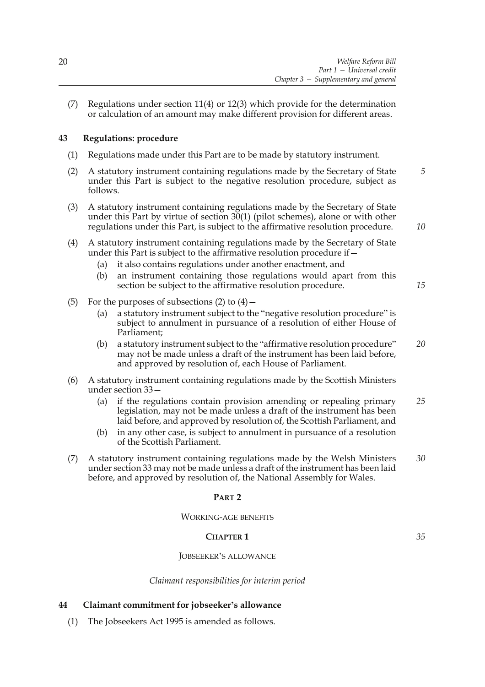(7) Regulations under section 11(4) or 12(3) which provide for the determination or calculation of an amount may make different provision for different areas.

# **43 Regulations: procedure**

- (1) Regulations made under this Part are to be made by statutory instrument.
- (2) A statutory instrument containing regulations made by the Secretary of State under this Part is subject to the negative resolution procedure, subject as follows. *5*
- (3) A statutory instrument containing regulations made by the Secretary of State under this Part by virtue of section 30(1) (pilot schemes), alone or with other regulations under this Part, is subject to the affirmative resolution procedure.
- (4) A statutory instrument containing regulations made by the Secretary of State under this Part is subject to the affirmative resolution procedure if—
	- (a) it also contains regulations under another enactment, and
	- (b) an instrument containing those regulations would apart from this section be subject to the affirmative resolution procedure.
- (5) For the purposes of subsections  $(2)$  to  $(4)$  -
	- (a) a statutory instrument subject to the "negative resolution procedure" is subject to annulment in pursuance of a resolution of either House of Parliament;
	- (b) a statutory instrument subject to the "affirmative resolution procedure" may not be made unless a draft of the instrument has been laid before, and approved by resolution of, each House of Parliament. *20*
- (6) A statutory instrument containing regulations made by the Scottish Ministers under section 33—
	- (a) if the regulations contain provision amending or repealing primary legislation, may not be made unless a draft of the instrument has been laid before, and approved by resolution of, the Scottish Parliament, and *25*
	- (b) in any other case, is subject to annulment in pursuance of a resolution of the Scottish Parliament.
- (7) A statutory instrument containing regulations made by the Welsh Ministers under section 33 may not be made unless a draft of the instrument has been laid before, and approved by resolution of, the National Assembly for Wales. *30*

#### **PART 2**

#### WORKING-AGE BENEFITS

# **CHAPTER 1**

*35*

*10*

*15*

JOBSEEKER'S ALLOWANCE

*Claimant responsibilities for interim period*

# **44 Claimant commitment for jobseeker's allowance**

(1) The Jobseekers Act 1995 is amended as follows.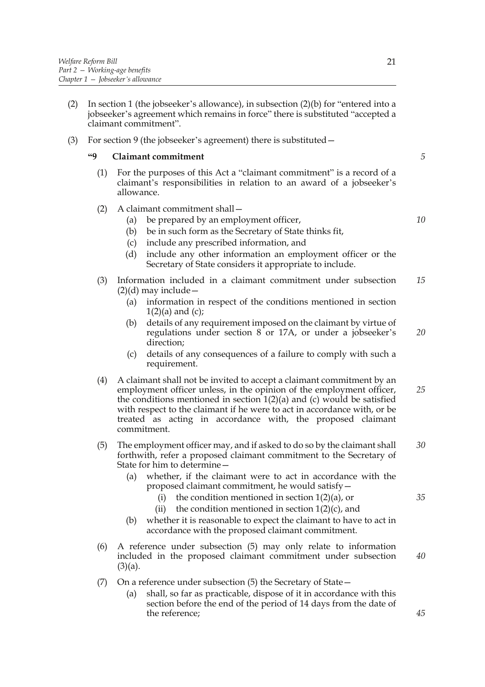- (2) In section 1 (the jobseeker's allowance), in subsection  $(2)(b)$  for "entered into a jobseeker's agreement which remains in force" there is substituted "accepted a claimant commitment".
- (3) For section 9 (the jobseeker's agreement) there is substituted—

# **"9 Claimant commitment**

- (1) For the purposes of this Act a "claimant commitment" is a record of a claimant's responsibilities in relation to an award of a jobseeker's allowance.
- (2) A claimant commitment shall—
	- (a) be prepared by an employment officer,
	- (b) be in such form as the Secretary of State thinks fit,
	- (c) include any prescribed information, and
	- (d) include any other information an employment officer or the Secretary of State considers it appropriate to include.
- (3) Information included in a claimant commitment under subsection  $(2)(d)$  may include – *15*
	- (a) information in respect of the conditions mentioned in section  $1(2)(a)$  and  $(c)$ ;
	- (b) details of any requirement imposed on the claimant by virtue of regulations under section 8 or 17A, or under a jobseeker's direction; *20*
	- (c) details of any consequences of a failure to comply with such a requirement.
- (4) A claimant shall not be invited to accept a claimant commitment by an employment officer unless, in the opinion of the employment officer, the conditions mentioned in section  $1(2)(a)$  and (c) would be satisfied with respect to the claimant if he were to act in accordance with, or be treated as acting in accordance with, the proposed claimant commitment. *25*
- (5) The employment officer may, and if asked to do so by the claimant shall forthwith, refer a proposed claimant commitment to the Secretary of State for him to determine— *30*
	- (a) whether, if the claimant were to act in accordance with the proposed claimant commitment, he would satisfy—
		- (i) the condition mentioned in section  $1(2)(a)$ , or
		- (ii) the condition mentioned in section  $1(2)(c)$ , and
	- (b) whether it is reasonable to expect the claimant to have to act in accordance with the proposed claimant commitment.
- (6) A reference under subsection (5) may only relate to information included in the proposed claimant commitment under subsection  $(3)(a)$ .
- (7) On a reference under subsection (5) the Secretary of State—
	- (a) shall, so far as practicable, dispose of it in accordance with this section before the end of the period of 14 days from the date of the reference;

*5*

*10*

*40*

*45*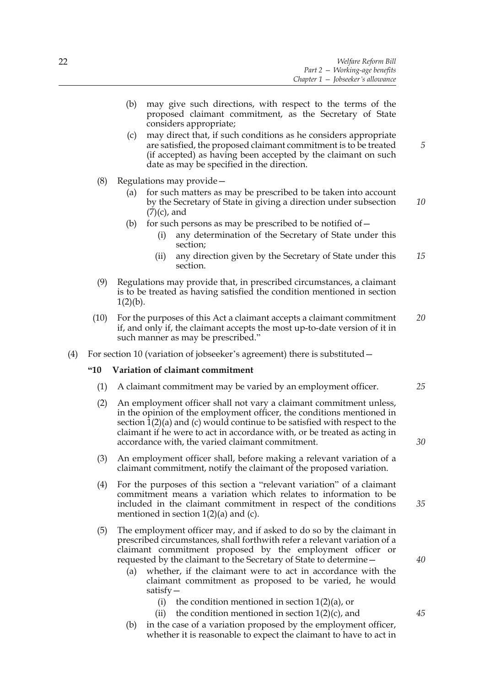- (b) may give such directions, with respect to the terms of the proposed claimant commitment, as the Secretary of State considers appropriate; (c) may direct that, if such conditions as he considers appropriate are satisfied, the proposed claimant commitment is to be treated (if accepted) as having been accepted by the claimant on such date as may be specified in the direction. (8) Regulations may provide— (a) for such matters as may be prescribed to be taken into account by the Secretary of State in giving a direction under subsection  $(7)(c)$ , and (b) for such persons as may be prescribed to be notified of  $-$ (i) any determination of the Secretary of State under this section; (ii) any direction given by the Secretary of State under this section. (9) Regulations may provide that, in prescribed circumstances, a claimant is to be treated as having satisfied the condition mentioned in section  $1(2)(b)$ . (10) For the purposes of this Act a claimant accepts a claimant commitment if, and only if, the claimant accepts the most up-to-date version of it in such manner as may be prescribed." (4) For section 10 (variation of jobseeker's agreement) there is substituted— **"10 Variation of claimant commitment** (1) A claimant commitment may be varied by an employment officer. (2) An employment officer shall not vary a claimant commitment unless, in the opinion of the employment officer, the conditions mentioned in section  $\hat{1}(2)(a)$  and (c) would continue to be satisfied with respect to the claimant if he were to act in accordance with, or be treated as acting in accordance with, the varied claimant commitment. (3) An employment officer shall, before making a relevant variation of a claimant commitment, notify the claimant of the proposed variation. (4) For the purposes of this section a "relevant variation" of a claimant commitment means a variation which relates to information to be included in the claimant commitment in respect of the conditions mentioned in section  $1(2)(a)$  and (c). (5) The employment officer may, and if asked to do so by the claimant in prescribed circumstances, shall forthwith refer a relevant variation of a *5 10 15 20 25 30 35*
	- requested by the claimant to the Secretary of State to determine— (a) whether, if the claimant were to act in accordance with the claimant commitment as proposed to be varied, he would satisfy—
		- (i) the condition mentioned in section  $1(2)(a)$ , or

claimant commitment proposed by the employment officer or

- (ii) the condition mentioned in section  $1(2)(c)$ , and
- (b) in the case of a variation proposed by the employment officer, whether it is reasonable to expect the claimant to have to act in

*40*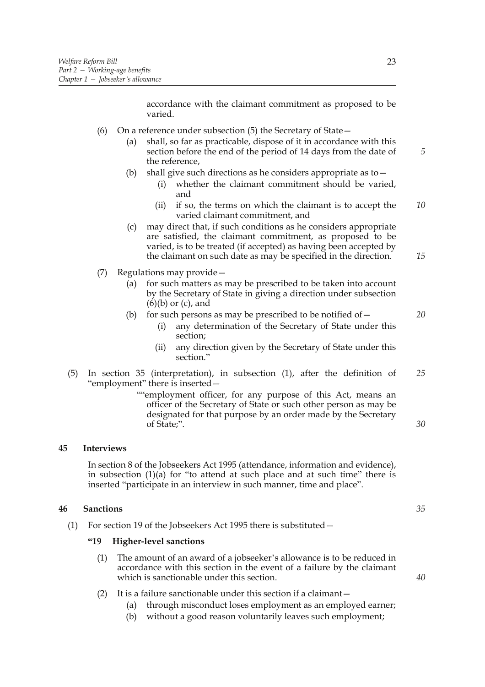accordance with the claimant commitment as proposed to be varied.

- (6) On a reference under subsection (5) the Secretary of State—
	- (a) shall, so far as practicable, dispose of it in accordance with this section before the end of the period of 14 days from the date of the reference,
	- (b) shall give such directions as he considers appropriate as to—
		- (i) whether the claimant commitment should be varied, and
		- (ii) if so, the terms on which the claimant is to accept the varied claimant commitment, and *10*
	- (c) may direct that, if such conditions as he considers appropriate are satisfied, the claimant commitment, as proposed to be varied, is to be treated (if accepted) as having been accepted by the claimant on such date as may be specified in the direction.
- (7) Regulations may provide—
	- (a) for such matters as may be prescribed to be taken into account by the Secretary of State in giving a direction under subsection (6)(b) or (c), and
	- (b) for such persons as may be prescribed to be notified of  $-$ 
		- (i) any determination of the Secretary of State under this section;
		- (ii) any direction given by the Secretary of State under this section."
- (5) In section 35 (interpretation), in subsection (1), after the definition of "employment" there is inserted— *25*

""employment officer, for any purpose of this Act, means an officer of the Secretary of State or such other person as may be designated for that purpose by an order made by the Secretary of State;".

#### **45 Interviews**

In section 8 of the Jobseekers Act 1995 (attendance, information and evidence), in subsection (1)(a) for "to attend at such place and at such time" there is inserted "participate in an interview in such manner, time and place".

#### **46 Sanctions**

(1) For section 19 of the Jobseekers Act 1995 there is substituted—

## **"19 Higher-level sanctions**

- (1) The amount of an award of a jobseeker's allowance is to be reduced in accordance with this section in the event of a failure by the claimant which is sanctionable under this section.
- (2) It is a failure sanctionable under this section if a claimant—
	- (a) through misconduct loses employment as an employed earner;
	- (b) without a good reason voluntarily leaves such employment;

*5*

*15*

*20*

*30*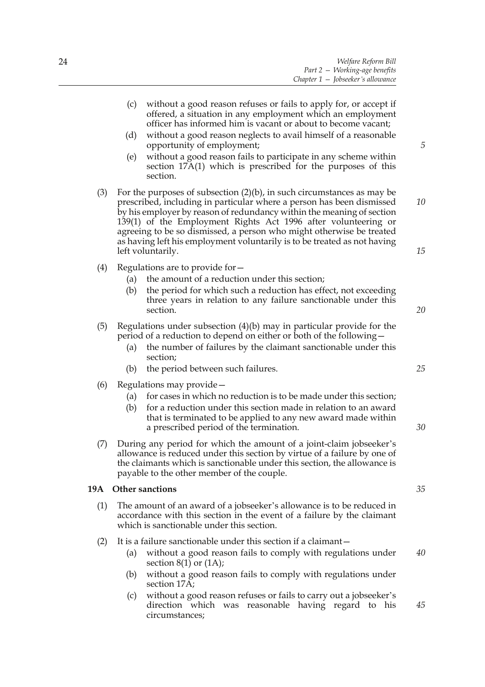- (c) without a good reason refuses or fails to apply for, or accept if offered, a situation in any employment which an employment officer has informed him is vacant or about to become vacant;
- (d) without a good reason neglects to avail himself of a reasonable opportunity of employment;
- (e) without a good reason fails to participate in any scheme within section 17A(1) which is prescribed for the purposes of this section.
- (3) For the purposes of subsection (2)(b), in such circumstances as may be prescribed, including in particular where a person has been dismissed by his employer by reason of redundancy within the meaning of section 139(1) of the Employment Rights Act 1996 after volunteering or agreeing to be so dismissed, a person who might otherwise be treated as having left his employment voluntarily is to be treated as not having left voluntarily.
- (4) Regulations are to provide for—
	- (a) the amount of a reduction under this section;
	- (b) the period for which such a reduction has effect, not exceeding three years in relation to any failure sanctionable under this section.

## (5) Regulations under subsection (4)(b) may in particular provide for the period of a reduction to depend on either or both of the following—

- (a) the number of failures by the claimant sanctionable under this section;
- (b) the period between such failures.
- (6) Regulations may provide—
	- (a) for cases in which no reduction is to be made under this section;
	- (b) for a reduction under this section made in relation to an award that is terminated to be applied to any new award made within a prescribed period of the termination.
- (7) During any period for which the amount of a joint-claim jobseeker's allowance is reduced under this section by virtue of a failure by one of the claimants which is sanctionable under this section, the allowance is payable to the other member of the couple.

## **19A Other sanctions**

- (1) The amount of an award of a jobseeker's allowance is to be reduced in accordance with this section in the event of a failure by the claimant which is sanctionable under this section.
- (2) It is a failure sanctionable under this section if a claimant—
	- (a) without a good reason fails to comply with regulations under section  $8(1)$  or  $(1A)$ ; *40*
	- (b) without a good reason fails to comply with regulations under section 17A;
	- (c) without a good reason refuses or fails to carry out a jobseeker's direction which was reasonable having regard to his circumstances; *45*

*5*

*10*

*20*

*15*

*25*

*30*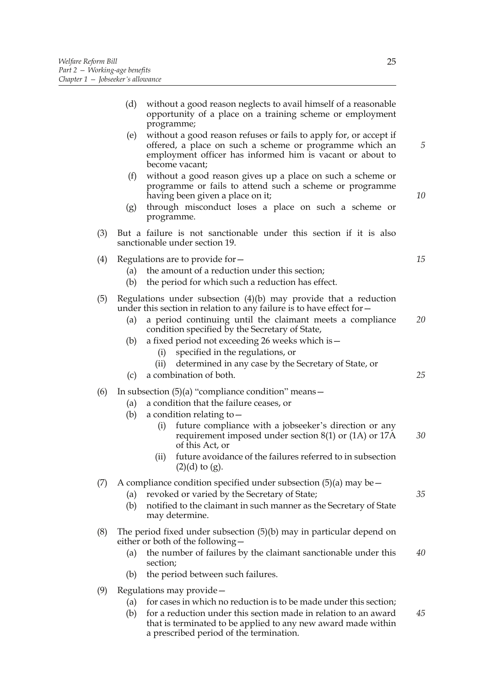|     | (d)        | without a good reason neglects to avail himself of a reasonable<br>opportunity of a place on a training scheme or employment<br>programme;                                                                                                                                                                                                                                       |    |
|-----|------------|----------------------------------------------------------------------------------------------------------------------------------------------------------------------------------------------------------------------------------------------------------------------------------------------------------------------------------------------------------------------------------|----|
|     | (e)        | without a good reason refuses or fails to apply for, or accept if<br>offered, a place on such a scheme or programme which an<br>employment officer has informed him is vacant or about to<br>become vacant;                                                                                                                                                                      | 5  |
|     | (f)<br>(g) | without a good reason gives up a place on such a scheme or<br>programme or fails to attend such a scheme or programme<br>having been given a place on it;<br>through misconduct loses a place on such a scheme or                                                                                                                                                                | 10 |
|     |            | programme.                                                                                                                                                                                                                                                                                                                                                                       |    |
| (3) |            | But a failure is not sanctionable under this section if it is also<br>sanctionable under section 19.                                                                                                                                                                                                                                                                             |    |
| (4) |            | Regulations are to provide for -                                                                                                                                                                                                                                                                                                                                                 | 15 |
|     | (a)<br>(b) | the amount of a reduction under this section;<br>the period for which such a reduction has effect.                                                                                                                                                                                                                                                                               |    |
| (5) | (a)<br>(b) | Regulations under subsection $(4)(b)$ may provide that a reduction<br>under this section in relation to any failure is to have effect for $-$<br>a period continuing until the claimant meets a compliance<br>condition specified by the Secretary of State,<br>a fixed period not exceeding 26 weeks which is -<br>specified in the regulations, or<br>(i)                      | 20 |
|     | (c)        | determined in any case by the Secretary of State, or<br>(ii)<br>a combination of both.                                                                                                                                                                                                                                                                                           | 25 |
| (6) | (a)<br>(b) | In subsection $(5)(a)$ "compliance condition" means $-$<br>a condition that the failure ceases, or<br>a condition relating to $-$<br>future compliance with a jobseeker's direction or any<br>(i)<br>requirement imposed under section $8(1)$ or $(1A)$ or $17A$<br>of this Act, or<br>future avoidance of the failures referred to in subsection<br>(ii)<br>$(2)(d)$ to $(g)$ . | 30 |
| (7) | (a)<br>(b) | A compliance condition specified under subsection $(5)(a)$ may be -<br>revoked or varied by the Secretary of State;<br>notified to the claimant in such manner as the Secretary of State<br>may determine.                                                                                                                                                                       | 35 |
| (8) | (a)<br>(b) | The period fixed under subsection (5)(b) may in particular depend on<br>either or both of the following -<br>the number of failures by the claimant sanctionable under this<br>section;<br>the period between such failures.                                                                                                                                                     | 40 |
| (9) |            | Regulations may provide -                                                                                                                                                                                                                                                                                                                                                        |    |
|     | (a)<br>(b) | for cases in which no reduction is to be made under this section;<br>for a reduction under this section made in relation to an award<br>that is terminated to be applied to any new award made within                                                                                                                                                                            | 45 |

a prescribed period of the termination.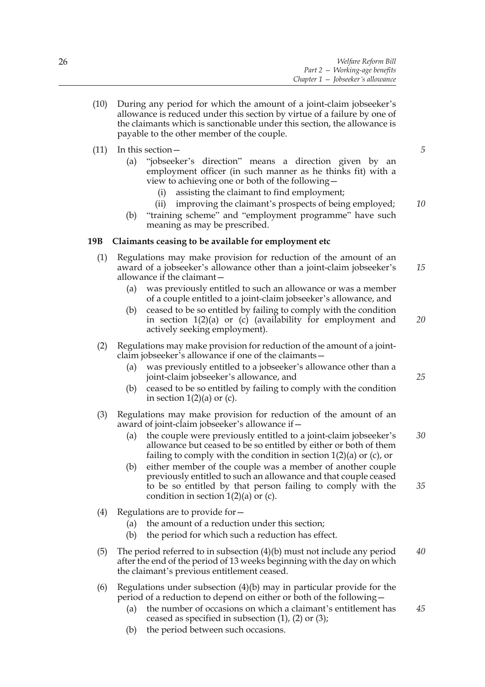- (10) During any period for which the amount of a joint-claim jobseeker's allowance is reduced under this section by virtue of a failure by one of the claimants which is sanctionable under this section, the allowance is payable to the other member of the couple.
- (11) In this section—

*5*

- (a) "jobseeker's direction" means a direction given by an employment officer (in such manner as he thinks fit) with a view to achieving one or both of the following—
	- (i) assisting the claimant to find employment;
	- (ii) improving the claimant's prospects of being employed; *10*
- (b) "training scheme" and "employment programme" have such meaning as may be prescribed.

# **19B Claimants ceasing to be available for employment etc**

- (1) Regulations may make provision for reduction of the amount of an award of a jobseeker's allowance other than a joint-claim jobseeker's allowance if the claimant— *15*
	- (a) was previously entitled to such an allowance or was a member of a couple entitled to a joint-claim jobseeker's allowance, and
	- (b) ceased to be so entitled by failing to comply with the condition in section 1(2)(a) or (c) (availability for employment and actively seeking employment). *20*
- (2) Regulations may make provision for reduction of the amount of a jointclaim jobseeker's allowance if one of the claimants—
	- (a) was previously entitled to a jobseeker's allowance other than a joint-claim jobseeker's allowance, and
	- (b) ceased to be so entitled by failing to comply with the condition in section  $1(2)(a)$  or  $(c)$ .
- (3) Regulations may make provision for reduction of the amount of an award of joint-claim jobseeker's allowance if—
	- (a) the couple were previously entitled to a joint-claim jobseeker's allowance but ceased to be so entitled by either or both of them failing to comply with the condition in section  $1(2)(a)$  or  $(c)$ , or *30*
	- (b) either member of the couple was a member of another couple previously entitled to such an allowance and that couple ceased to be so entitled by that person failing to comply with the condition in section  $1(2)(a)$  or (c).
- (4) Regulations are to provide for—
	- (a) the amount of a reduction under this section;
	- (b) the period for which such a reduction has effect.
- (5) The period referred to in subsection (4)(b) must not include any period after the end of the period of 13 weeks beginning with the day on which the claimant's previous entitlement ceased. *40*
- (6) Regulations under subsection (4)(b) may in particular provide for the period of a reduction to depend on either or both of the following—
	- (a) the number of occasions on which a claimant's entitlement has ceased as specified in subsection (1), (2) or (3); *45*
	- (b) the period between such occasions.

*25*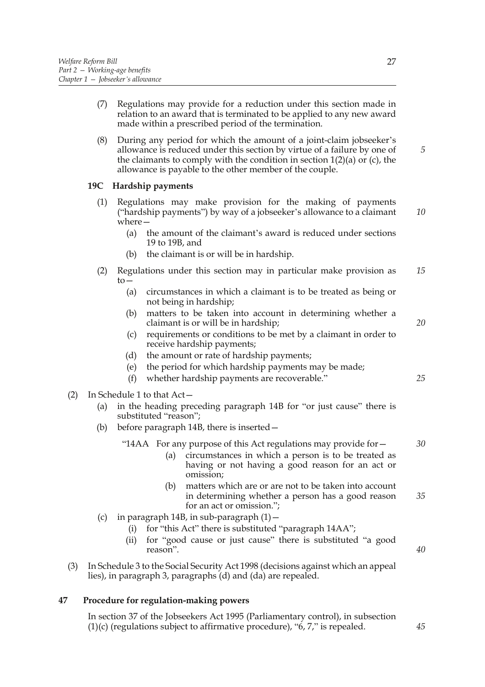- (7) Regulations may provide for a reduction under this section made in relation to an award that is terminated to be applied to any new award made within a prescribed period of the termination.
- (8) During any period for which the amount of a joint-claim jobseeker's allowance is reduced under this section by virtue of a failure by one of the claimants to comply with the condition in section  $1(2)(a)$  or (c), the allowance is payable to the other member of the couple.

# **19C Hardship payments**

- (1) Regulations may make provision for the making of payments ("hardship payments") by way of a jobseeker's allowance to a claimant where— *10*
	- (a) the amount of the claimant's award is reduced under sections 19 to 19B, and
	- (b) the claimant is or will be in hardship.
- (2) Regulations under this section may in particular make provision as  $to-$ *15*
	- (a) circumstances in which a claimant is to be treated as being or not being in hardship;
	- (b) matters to be taken into account in determining whether a claimant is or will be in hardship;
	- (c) requirements or conditions to be met by a claimant in order to receive hardship payments;
	- (d) the amount or rate of hardship payments;
	- (e) the period for which hardship payments may be made;
	- (f) whether hardship payments are recoverable."
- (2) In Schedule 1 to that Act—
	- (a) in the heading preceding paragraph 14B for "or just cause" there is substituted "reason";
	- (b) before paragraph 14B, there is inserted—

# "14AA For any purpose of this Act regulations may provide for—

- (a) circumstances in which a person is to be treated as having or not having a good reason for an act or omission;
- (b) matters which are or are not to be taken into account in determining whether a person has a good reason for an act or omission."; *35*
- (c) in paragraph 14B, in sub-paragraph  $(1)$  -
	- (i) for "this Act" there is substituted "paragraph 14AA";
	- (ii) for "good cause or just cause" there is substituted "a good reason".
- (3) In Schedule 3 to the Social Security Act 1998 (decisions against which an appeal lies), in paragraph 3, paragraphs (d) and (da) are repealed.

# **47 Procedure for regulation-making powers**

In section 37 of the Jobseekers Act 1995 (Parliamentary control), in subsection  $(1)(c)$  (regulations subject to affirmative procedure), "6, 7," is repealed.

*5*

*40*

*30*

*20*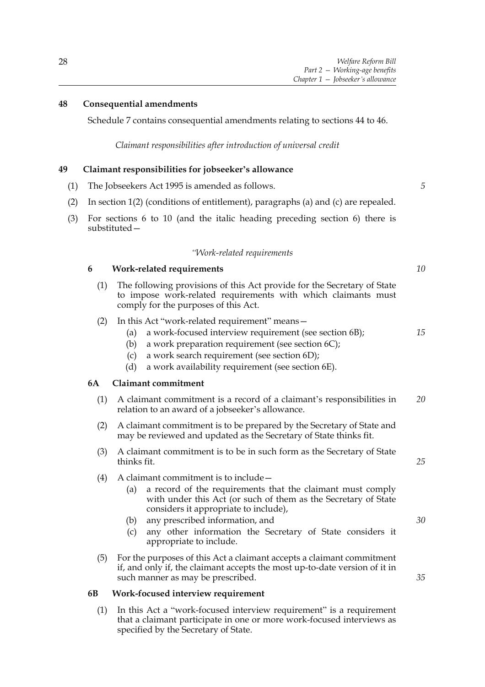## **48 Consequential amendments**

Schedule 7 contains consequential amendments relating to sections 44 to 46.

*Claimant responsibilities after introduction of universal credit*

## **49 Claimant responsibilities for jobseeker's allowance**

- (1) The Jobseekers Act 1995 is amended as follows.
- (2) In section 1(2) (conditions of entitlement), paragraphs (a) and (c) are repealed.
- (3) For sections 6 to 10 (and the italic heading preceding section 6) there is substituted—

#### *"Work-related requirements*

#### **6 Work-related requirements**

(1) The following provisions of this Act provide for the Secretary of State to impose work-related requirements with which claimants must comply for the purposes of this Act.

#### (2) In this Act "work-related requirement" means—

- (a) a work-focused interview requirement (see section 6B);
- (b) a work preparation requirement (see section 6C);
- (c) a work search requirement (see section 6D);
- (d) a work availability requirement (see section 6E).

#### **6A Claimant commitment**

- (1) A claimant commitment is a record of a claimant's responsibilities in relation to an award of a jobseeker's allowance. *20*
- (2) A claimant commitment is to be prepared by the Secretary of State and may be reviewed and updated as the Secretary of State thinks fit.
- (3) A claimant commitment is to be in such form as the Secretary of State thinks fit.
- (4) A claimant commitment is to include—
	- (a) a record of the requirements that the claimant must comply with under this Act (or such of them as the Secretary of State considers it appropriate to include),
	- (b) any prescribed information, and
	- (c) any other information the Secretary of State considers it appropriate to include.
- (5) For the purposes of this Act a claimant accepts a claimant commitment if, and only if, the claimant accepts the most up-to-date version of it in such manner as may be prescribed.

## **6B Work-focused interview requirement**

(1) In this Act a "work-focused interview requirement" is a requirement that a claimant participate in one or more work-focused interviews as specified by the Secretary of State.

*5*

*15*

*10*

*25*

*30*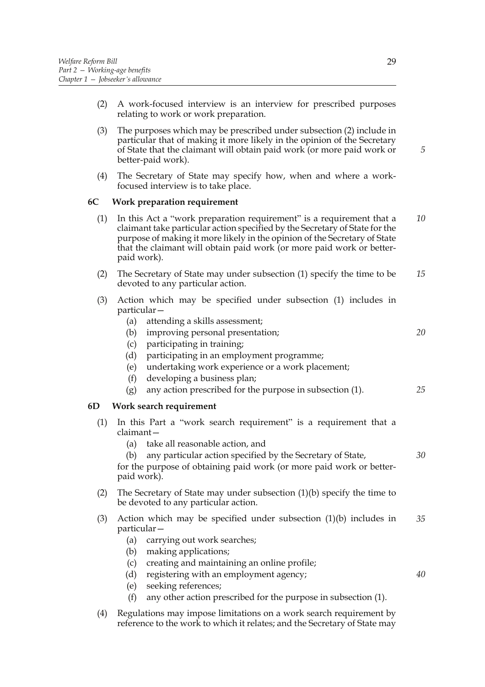- (2) A work-focused interview is an interview for prescribed purposes relating to work or work preparation.
- (3) The purposes which may be prescribed under subsection (2) include in particular that of making it more likely in the opinion of the Secretary of State that the claimant will obtain paid work (or more paid work or better-paid work).
- (4) The Secretary of State may specify how, when and where a workfocused interview is to take place.

## **6C Work preparation requirement**

- (1) In this Act a "work preparation requirement" is a requirement that a claimant take particular action specified by the Secretary of State for the purpose of making it more likely in the opinion of the Secretary of State that the claimant will obtain paid work (or more paid work or betterpaid work). *10*
- (2) The Secretary of State may under subsection (1) specify the time to be devoted to any particular action. *15*
- (3) Action which may be specified under subsection (1) includes in particular—
	- (a) attending a skills assessment;
	- (b) improving personal presentation;
	- (c) participating in training;
	- (d) participating in an employment programme;
	- (e) undertaking work experience or a work placement;
	- (f) developing a business plan;
	- (g) any action prescribed for the purpose in subsection (1).

#### **6D Work search requirement**

- (1) In this Part a "work search requirement" is a requirement that a claimant—
	- (a) take all reasonable action, and
	- (b) any particular action specified by the Secretary of State,

for the purpose of obtaining paid work (or more paid work or betterpaid work).

- (2) The Secretary of State may under subsection (1)(b) specify the time to be devoted to any particular action.
- (3) Action which may be specified under subsection (1)(b) includes in particular— *35*
	- (a) carrying out work searches;
	- (b) making applications;
	- (c) creating and maintaining an online profile;
	- (d) registering with an employment agency;
	- (e) seeking references;
	- (f) any other action prescribed for the purpose in subsection (1).
- (4) Regulations may impose limitations on a work search requirement by reference to the work to which it relates; and the Secretary of State may

*5*

*20*

*25*

*30*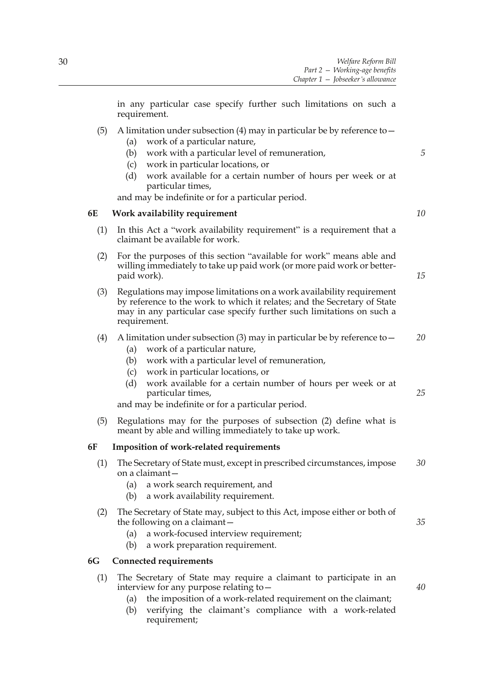in any particular case specify further such limitations on such a requirement.

## (5) A limitation under subsection (4) may in particular be by reference to  $-$

- (a) work of a particular nature,
- (b) work with a particular level of remuneration,
- (c) work in particular locations, or
- (d) work available for a certain number of hours per week or at particular times,

and may be indefinite or for a particular period.

## **6E Work availability requirement**

- (1) In this Act a "work availability requirement" is a requirement that a claimant be available for work.
- (2) For the purposes of this section "available for work" means able and willing immediately to take up paid work (or more paid work or betterpaid work).
- (3) Regulations may impose limitations on a work availability requirement by reference to the work to which it relates; and the Secretary of State may in any particular case specify further such limitations on such a requirement.

#### (4) A limitation under subsection (3) may in particular be by reference to  $-$ *20*

- (a) work of a particular nature,
- (b) work with a particular level of remuneration,
- (c) work in particular locations, or
- (d) work available for a certain number of hours per week or at particular times,

and may be indefinite or for a particular period.

(5) Regulations may for the purposes of subsection (2) define what is meant by able and willing immediately to take up work.

## **6F Imposition of work-related requirements**

- (1) The Secretary of State must, except in prescribed circumstances, impose on a claimant— *30*
	- (a) a work search requirement, and
	- (b) a work availability requirement.
- (2) The Secretary of State may, subject to this Act, impose either or both of the following on a claimant—

*35*

*40*

*5*

*10*

*15*

*25*

- (a) a work-focused interview requirement;
- (b) a work preparation requirement.

## **6G Connected requirements**

- (1) The Secretary of State may require a claimant to participate in an interview for any purpose relating to—
	- (a) the imposition of a work-related requirement on the claimant;
	- (b) verifying the claimant's compliance with a work-related requirement;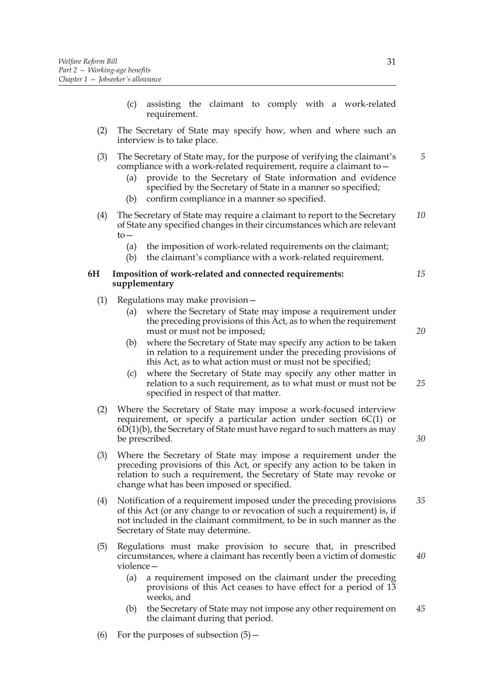- assisting the claimant to comply with a work-related requirement. (2) The Secretary of State may specify how, when and where such an interview is to take place. (3) The Secretary of State may, for the purpose of verifying the claimant's compliance with a work-related requirement, require a claimant to— (a) provide to the Secretary of State information and evidence specified by the Secretary of State in a manner so specified; (b) confirm compliance in a manner so specified. (4) The Secretary of State may require a claimant to report to the Secretary of State any specified changes in their circumstances which are relevant to— (a) the imposition of work-related requirements on the claimant; (b) the claimant's compliance with a work-related requirement. **6H Imposition of work-related and connected requirements: supplementary** (1) Regulations may make provision— (a) where the Secretary of State may impose a requirement under the preceding provisions of this Act, as to when the requirement must or must not be imposed; (b) where the Secretary of State may specify any action to be taken in relation to a requirement under the preceding provisions of this Act, as to what action must or must not be specified; (c) where the Secretary of State may specify any other matter in relation to a such requirement, as to what must or must not be specified in respect of that matter. (2) Where the Secretary of State may impose a work-focused interview requirement, or specify a particular action under section 6C(1) or  $6D(1)(b)$ , the Secretary of State must have regard to such matters as may be prescribed. (3) Where the Secretary of State may impose a requirement under the preceding provisions of this Act, or specify any action to be taken in relation to such a requirement, the Secretary of State may revoke or change what has been imposed or specified. (4) Notification of a requirement imposed under the preceding provisions of this Act (or any change to or revocation of such a requirement) is, if not included in the claimant commitment, to be in such manner as the Secretary of State may determine. (5) Regulations must make provision to secure that, in prescribed circumstances, where a claimant has recently been a victim of domestic violence— *5 10 15 20 25 30 35 40*
	- (a) a requirement imposed on the claimant under the preceding provisions of this Act ceases to have effect for a period of 13 weeks, and
	- (b) the Secretary of State may not impose any other requirement on the claimant during that period. *45*
	- (6) For the purposes of subsection  $(5)$  –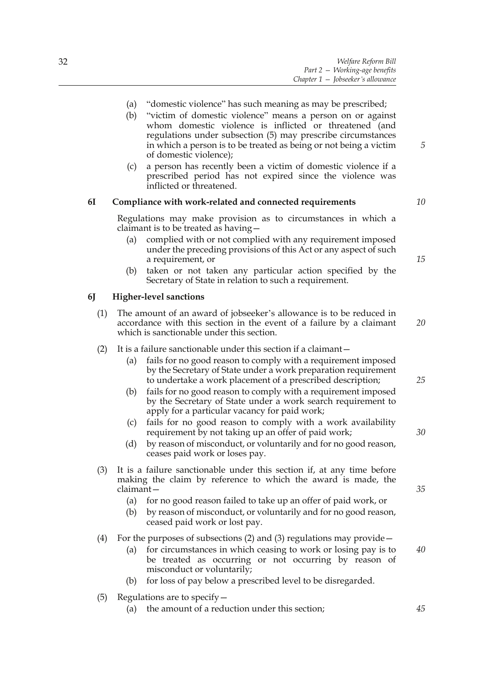- (a) "domestic violence" has such meaning as may be prescribed;
- (b) "victim of domestic violence" means a person on or against whom domestic violence is inflicted or threatened (and regulations under subsection (5) may prescribe circumstances in which a person is to be treated as being or not being a victim of domestic violence);
- (c) a person has recently been a victim of domestic violence if a prescribed period has not expired since the violence was inflicted or threatened.

## **6I Compliance with work-related and connected requirements**

Regulations may make provision as to circumstances in which a claimant is to be treated as having—

- (a) complied with or not complied with any requirement imposed under the preceding provisions of this Act or any aspect of such a requirement, or
- (b) taken or not taken any particular action specified by the Secretary of State in relation to such a requirement.

## **6J Higher-level sanctions**

- (1) The amount of an award of jobseeker's allowance is to be reduced in accordance with this section in the event of a failure by a claimant which is sanctionable under this section.
- (2) It is a failure sanctionable under this section if a claimant—
	- (a) fails for no good reason to comply with a requirement imposed by the Secretary of State under a work preparation requirement to undertake a work placement of a prescribed description;
	- (b) fails for no good reason to comply with a requirement imposed by the Secretary of State under a work search requirement to apply for a particular vacancy for paid work;
	- (c) fails for no good reason to comply with a work availability requirement by not taking up an offer of paid work;
	- (d) by reason of misconduct, or voluntarily and for no good reason, ceases paid work or loses pay.
- (3) It is a failure sanctionable under this section if, at any time before making the claim by reference to which the award is made, the claimant—
	- (a) for no good reason failed to take up an offer of paid work, or
	- (b) by reason of misconduct, or voluntarily and for no good reason, ceased paid work or lost pay.

#### (4) For the purposes of subsections (2) and (3) regulations may provide  $-$

- (a) for circumstances in which ceasing to work or losing pay is to be treated as occurring or not occurring by reason of misconduct or voluntarily;
- (b) for loss of pay below a prescribed level to be disregarded.
- (5) Regulations are to specify—
	- (a) the amount of a reduction under this section;

*5*

*15*

*20*

*25*

*30*

*35*

*45*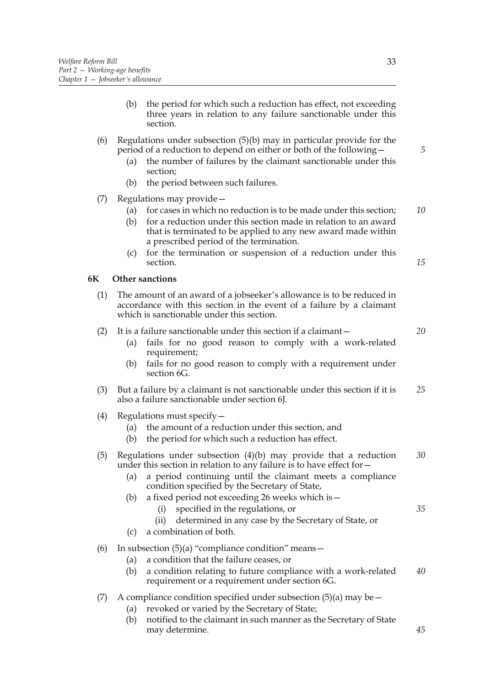- (b) the period for which such a reduction has effect, not exceeding three years in relation to any failure sanctionable under this section.
- (6) Regulations under subsection (5)(b) may in particular provide for the period of a reduction to depend on either or both of the following—
	- (a) the number of failures by the claimant sanctionable under this section;
	- (b) the period between such failures.
- (7) Regulations may provide—
	- (a) for cases in which no reduction is to be made under this section; *10*
	- (b) for a reduction under this section made in relation to an award that is terminated to be applied to any new award made within a prescribed period of the termination.
	- (c) for the termination or suspension of a reduction under this section.

## **6K Other sanctions**

(1) The amount of an award of a jobseeker's allowance is to be reduced in accordance with this section in the event of a failure by a claimant which is sanctionable under this section.

## (2) It is a failure sanctionable under this section if a claimant—

- (a) fails for no good reason to comply with a work-related requirement;
- (b) fails for no good reason to comply with a requirement under section 6G.
- (3) But a failure by a claimant is not sanctionable under this section if it is also a failure sanctionable under section 6J. *25*
- (4) Regulations must specify—
	- (a) the amount of a reduction under this section, and
	- (b) the period for which such a reduction has effect.
- (5) Regulations under subsection (4)(b) may provide that a reduction under this section in relation to any failure is to have effect for— *30*
	- (a) a period continuing until the claimant meets a compliance condition specified by the Secretary of State,
	- (b) a fixed period not exceeding 26 weeks which is—
		- (i) specified in the regulations, or
		- (ii) determined in any case by the Secretary of State, or
	- (c) a combination of both.
- (6) In subsection  $(5)(a)$  "compliance condition" means -
	- (a) a condition that the failure ceases, or
	- (b) a condition relating to future compliance with a work-related requirement or a requirement under section 6G. *40*

# (7) A compliance condition specified under subsection  $(5)(a)$  may be –

- (a) revoked or varied by the Secretary of State;
- (b) notified to the claimant in such manner as the Secretary of State may determine.

*5*

*15*

*20*

*35*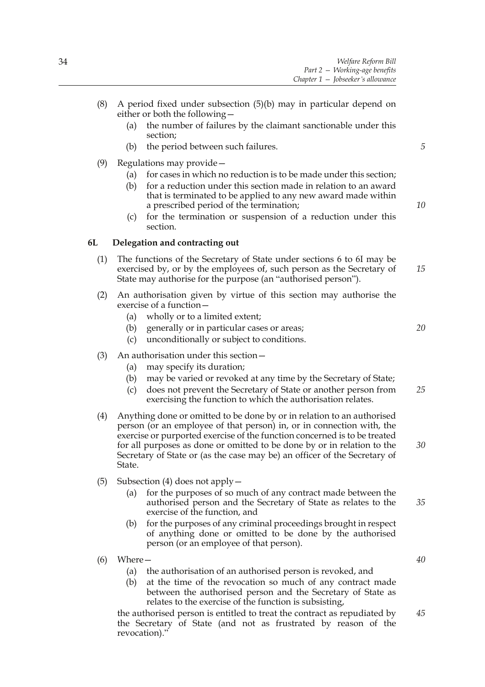- (8) A period fixed under subsection (5)(b) may in particular depend on either or both the following—
	- (a) the number of failures by the claimant sanctionable under this section;
	- (b) the period between such failures.
- (9) Regulations may provide—
	- (a) for cases in which no reduction is to be made under this section;
	- (b) for a reduction under this section made in relation to an award that is terminated to be applied to any new award made within a prescribed period of the termination;
	- (c) for the termination or suspension of a reduction under this section.

## **6L Delegation and contracting out**

- (1) The functions of the Secretary of State under sections 6 to 6I may be exercised by, or by the employees of, such person as the Secretary of State may authorise for the purpose (an "authorised person"). *15*
- (2) An authorisation given by virtue of this section may authorise the exercise of a function—
	- (a) wholly or to a limited extent;
	- (b) generally or in particular cases or areas;
	- (c) unconditionally or subject to conditions.
- (3) An authorisation under this section—
	- (a) may specify its duration;
	- (b) may be varied or revoked at any time by the Secretary of State;
	- (c) does not prevent the Secretary of State or another person from exercising the function to which the authorisation relates. *25*
- (4) Anything done or omitted to be done by or in relation to an authorised person (or an employee of that person) in, or in connection with, the exercise or purported exercise of the function concerned is to be treated for all purposes as done or omitted to be done by or in relation to the Secretary of State or (as the case may be) an officer of the Secretary of State. *30*
- (5) Subsection (4) does not apply—
	- (a) for the purposes of so much of any contract made between the authorised person and the Secretary of State as relates to the exercise of the function, and *35*
	- (b) for the purposes of any criminal proceedings brought in respect of anything done or omitted to be done by the authorised person (or an employee of that person).
- (6) Where—
	- (a) the authorisation of an authorised person is revoked, and
	- (b) at the time of the revocation so much of any contract made between the authorised person and the Secretary of State as relates to the exercise of the function is subsisting,

the authorised person is entitled to treat the contract as repudiated by the Secretary of State (and not as frustrated by reason of the revocation)." *45*

*40*

*20*

*5*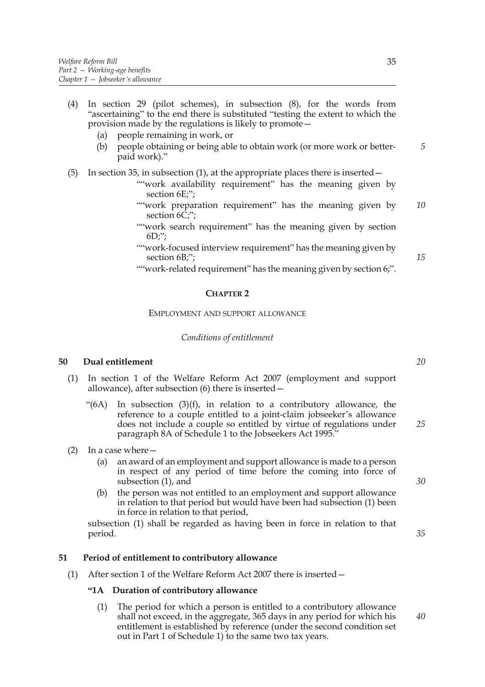- (4) In section 29 (pilot schemes), in subsection (8), for the words from "ascertaining" to the end there is substituted "testing the extent to which the provision made by the regulations is likely to promote—
	- (a) people remaining in work, or
	- (b) people obtaining or being able to obtain work (or more work or betterpaid work)."
- (5) In section 35, in subsection (1), at the appropriate places there is inserted—
	- ""work availability requirement" has the meaning given by section 6E;";
	- ""work preparation requirement" has the meaning given by section 6C;"; *10*
	- ""work search requirement" has the meaning given by section 6D;";
	- ""work-focused interview requirement" has the meaning given by section 6B;";
	- ""work-related requirement" has the meaning given by section 6;".

#### **CHAPTER 2**

#### EMPLOYMENT AND SUPPORT ALLOWANCE

#### *Conditions of entitlement*

## **50 Dual entitlement**

- (1) In section 1 of the Welfare Reform Act 2007 (employment and support allowance), after subsection (6) there is inserted—
	- " $(6A)$  In subsection  $(3)(f)$ , in relation to a contributory allowance, the reference to a couple entitled to a joint-claim jobseeker's allowance does not include a couple so entitled by virtue of regulations under paragraph 8A of Schedule 1 to the Jobseekers Act 1995." *25*
- (2) In a case where  $-$ 
	- (a) an award of an employment and support allowance is made to a person in respect of any period of time before the coming into force of subsection (1), and
	- (b) the person was not entitled to an employment and support allowance in relation to that period but would have been had subsection (1) been in force in relation to that period,

subsection (1) shall be regarded as having been in force in relation to that period.

#### **51 Period of entitlement to contributory allowance**

(1) After section 1 of the Welfare Reform Act 2007 there is inserted—

#### **"1A Duration of contributory allowance**

(1) The period for which a person is entitled to a contributory allowance shall not exceed, in the aggregate, 365 days in any period for which his entitlement is established by reference (under the second condition set out in Part 1 of Schedule 1) to the same two tax years.

*5*

*15*

*20*

*30*

*35*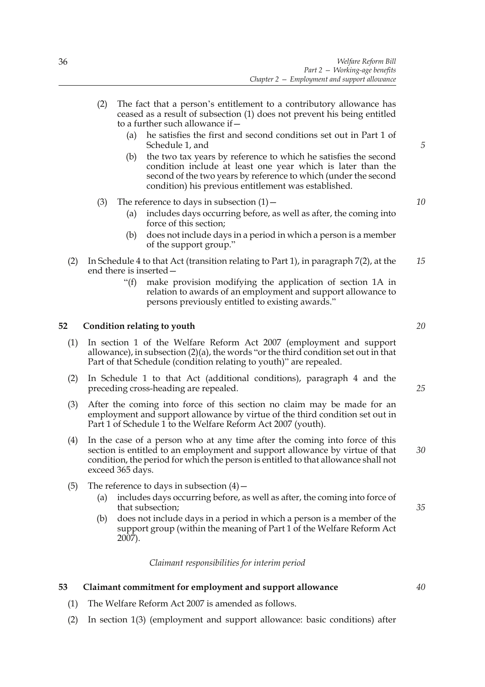- ceased as a result of subsection (1) does not prevent his being entitled to a further such allowance if—
	- (a) he satisfies the first and second conditions set out in Part 1 of Schedule 1, and
	- (b) the two tax years by reference to which he satisfies the second condition include at least one year which is later than the second of the two years by reference to which (under the second condition) his previous entitlement was established.
- (3) The reference to days in subsection  $(1)$ 
	- (a) includes days occurring before, as well as after, the coming into force of this section;
	- (b) does not include days in a period in which a person is a member of the support group."
- (2) In Schedule 4 to that Act (transition relating to Part 1), in paragraph 7(2), at the end there is inserted— *15*
	- "(f) make provision modifying the application of section 1A in relation to awards of an employment and support allowance to persons previously entitled to existing awards."

## **52 Condition relating to youth**

- (1) In section 1 of the Welfare Reform Act 2007 (employment and support allowance), in subsection (2)(a), the words "or the third condition set out in that Part of that Schedule (condition relating to youth)" are repealed.
- (2) In Schedule 1 to that Act (additional conditions), paragraph 4 and the preceding cross-heading are repealed.
- (3) After the coming into force of this section no claim may be made for an employment and support allowance by virtue of the third condition set out in Part 1 of Schedule 1 to the Welfare Reform Act 2007 (youth).
- (4) In the case of a person who at any time after the coming into force of this section is entitled to an employment and support allowance by virtue of that condition, the period for which the person is entitled to that allowance shall not exceed 365 days. *30*
- (5) The reference to days in subsection  $(4)$ 
	- (a) includes days occurring before, as well as after, the coming into force of that subsection;
	- (b) does not include days in a period in which a person is a member of the support group (within the meaning of Part 1 of the Welfare Reform Act 2007).

*Claimant responsibilities for interim period*

## **53 Claimant commitment for employment and support allowance**

- (1) The Welfare Reform Act 2007 is amended as follows.
- (2) In section 1(3) (employment and support allowance: basic conditions) after

*20*

*5*

*10*

*25*

*35*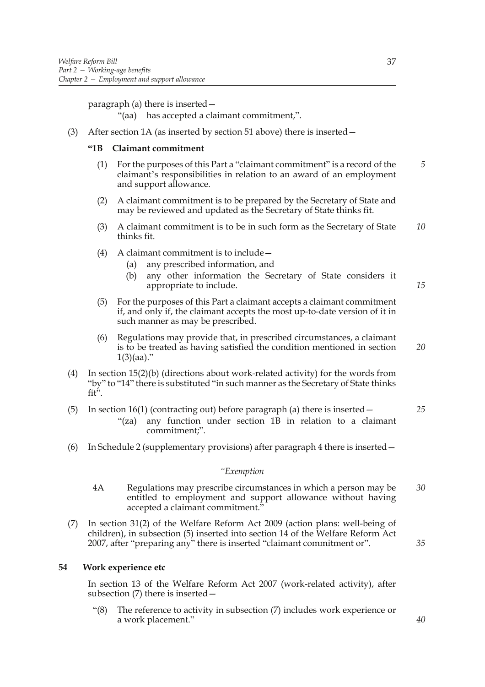paragraph (a) there is inserted—

"(aa) has accepted a claimant commitment,".

(3) After section 1A (as inserted by section 51 above) there is inserted—

## **"1B Claimant commitment**

- (1) For the purposes of this Part a "claimant commitment" is a record of the claimant's responsibilities in relation to an award of an employment and support allowance. *5*
- (2) A claimant commitment is to be prepared by the Secretary of State and may be reviewed and updated as the Secretary of State thinks fit.
- (3) A claimant commitment is to be in such form as the Secretary of State thinks fit. *10*
- (4) A claimant commitment is to include—
	- (a) any prescribed information, and
	- (b) any other information the Secretary of State considers it appropriate to include. *15*
- (5) For the purposes of this Part a claimant accepts a claimant commitment if, and only if, the claimant accepts the most up-to-date version of it in such manner as may be prescribed.
- (6) Regulations may provide that, in prescribed circumstances, a claimant is to be treated as having satisfied the condition mentioned in section  $1(3)(aa)$ ." *20*
- (4) In section 15(2)(b) (directions about work-related activity) for the words from "by" to "14" there is substituted "in such manner as the Secretary of State thinks fit".
- (5) In section 16(1) (contracting out) before paragraph (a) there is inserted  $-$ *25*
	- "(za) any function under section 1B in relation to a claimant commitment;".
- (6) In Schedule 2 (supplementary provisions) after paragraph 4 there is inserted—

#### *"Exemption*

- 4A Regulations may prescribe circumstances in which a person may be entitled to employment and support allowance without having accepted a claimant commitment." *30*
- (7) In section 31(2) of the Welfare Reform Act 2009 (action plans: well-being of children), in subsection (5) inserted into section 14 of the Welfare Reform Act 2007, after "preparing any" there is inserted "claimant commitment or".

## **54 Work experience etc**

In section 13 of the Welfare Reform Act 2007 (work-related activity), after subsection (7) there is inserted—

"(8) The reference to activity in subsection (7) includes work experience or a work placement."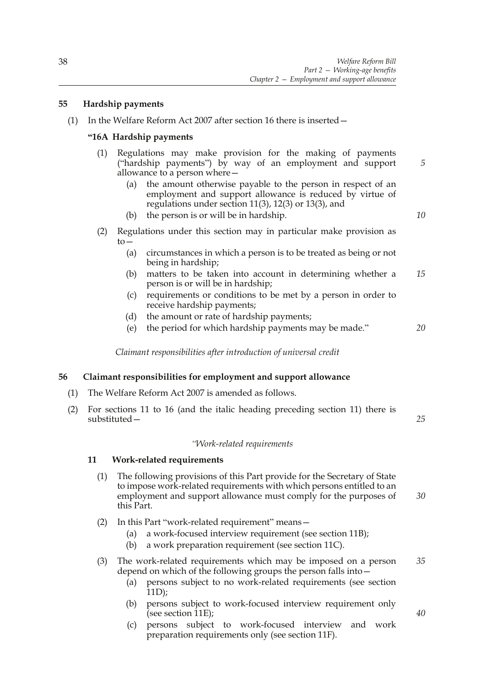## **55 Hardship payments**

(1) In the Welfare Reform Act 2007 after section 16 there is inserted—

## **"16A Hardship payments**

- (1) Regulations may make provision for the making of payments ("hardship payments") by way of an employment and support allowance to a person where— *5*
	- (a) the amount otherwise payable to the person in respect of an employment and support allowance is reduced by virtue of regulations under section 11(3), 12(3) or 13(3), and
	- (b) the person is or will be in hardship.
- (2) Regulations under this section may in particular make provision as  $t_0$ —
	- (a) circumstances in which a person is to be treated as being or not being in hardship;
	- (b) matters to be taken into account in determining whether a person is or will be in hardship; *15*
	- (c) requirements or conditions to be met by a person in order to receive hardship payments;
	- (d) the amount or rate of hardship payments;
	- (e) the period for which hardship payments may be made." *20*

*Claimant responsibilities after introduction of universal credit*

# **56 Claimant responsibilities for employment and support allowance**

- (1) The Welfare Reform Act 2007 is amended as follows.
- (2) For sections 11 to 16 (and the italic heading preceding section 11) there is substituted—

#### *"Work-related requirements*

## **11 Work-related requirements**

- (1) The following provisions of this Part provide for the Secretary of State to impose work-related requirements with which persons entitled to an employment and support allowance must comply for the purposes of this Part.
- (2) In this Part "work-related requirement" means—
	- (a) a work-focused interview requirement (see section 11B);
	- (b) a work preparation requirement (see section 11C).
- (3) The work-related requirements which may be imposed on a person depend on which of the following groups the person falls into— *35*
	- (a) persons subject to no work-related requirements (see section 11D);
	- (b) persons subject to work-focused interview requirement only (see section 11E);
	- (c) persons subject to work-focused interview and work preparation requirements only (see section 11F).

*40*

*25*

*30*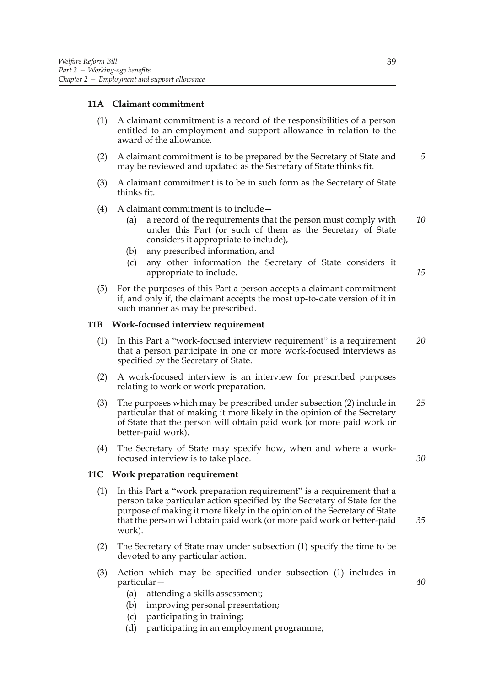## **11A Claimant commitment**

- (1) A claimant commitment is a record of the responsibilities of a person entitled to an employment and support allowance in relation to the award of the allowance.
- (2) A claimant commitment is to be prepared by the Secretary of State and may be reviewed and updated as the Secretary of State thinks fit. *5*
- (3) A claimant commitment is to be in such form as the Secretary of State thinks fit.
- (4) A claimant commitment is to include—
	- (a) a record of the requirements that the person must comply with under this Part (or such of them as the Secretary of State considers it appropriate to include), *10*
	- (b) any prescribed information, and
	- (c) any other information the Secretary of State considers it appropriate to include.
- (5) For the purposes of this Part a person accepts a claimant commitment if, and only if, the claimant accepts the most up-to-date version of it in such manner as may be prescribed.

#### **11B Work-focused interview requirement**

- (1) In this Part a "work-focused interview requirement" is a requirement that a person participate in one or more work-focused interviews as specified by the Secretary of State. *20*
- (2) A work-focused interview is an interview for prescribed purposes relating to work or work preparation.
- (3) The purposes which may be prescribed under subsection (2) include in particular that of making it more likely in the opinion of the Secretary of State that the person will obtain paid work (or more paid work or better-paid work). *25*
- (4) The Secretary of State may specify how, when and where a workfocused interview is to take place.

#### **11C Work preparation requirement**

- (1) In this Part a "work preparation requirement" is a requirement that a person take particular action specified by the Secretary of State for the purpose of making it more likely in the opinion of the Secretary of State that the person will obtain paid work (or more paid work or better-paid work).
- (2) The Secretary of State may under subsection (1) specify the time to be devoted to any particular action.
- (3) Action which may be specified under subsection (1) includes in particular—
	- (a) attending a skills assessment;
	- (b) improving personal presentation;
	- (c) participating in training;
	- (d) participating in an employment programme;

*40*

*35*

*30*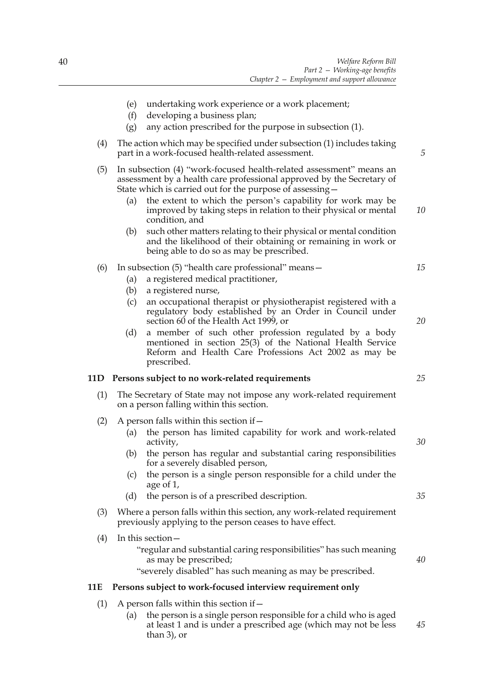- (e) undertaking work experience or a work placement; (f) developing a business plan; (g) any action prescribed for the purpose in subsection (1). (4) The action which may be specified under subsection (1) includes taking part in a work-focused health-related assessment. (5) In subsection (4) "work-focused health-related assessment" means an assessment by a health care professional approved by the Secretary of State which is carried out for the purpose of assessing— (a) the extent to which the person's capability for work may be improved by taking steps in relation to their physical or mental condition, and (b) such other matters relating to their physical or mental condition and the likelihood of their obtaining or remaining in work or being able to do so as may be prescribed. (6) In subsection (5) "health care professional" means— (a) a registered medical practitioner, (b) a registered nurse, (c) an occupational therapist or physiotherapist registered with a regulatory body established by an Order in Council under section 60 of the Health Act 1999, or (d) a member of such other profession regulated by a body mentioned in section 25(3) of the National Health Service Reform and Health Care Professions Act 2002 as may be prescribed. **11D Persons subject to no work-related requirements** (1) The Secretary of State may not impose any work-related requirement on a person falling within this section. (2) A person falls within this section if  $-$ (a) the person has limited capability for work and work-related activity, (b) the person has regular and substantial caring responsibilities for a severely disabled person, (c) the person is a single person responsible for a child under the age of 1, (d) the person is of a prescribed description. (3) Where a person falls within this section, any work-related requirement previously applying to the person ceases to have effect. (4) In this section— "regular and substantial caring responsibilities" has such meaning as may be prescribed; "severely disabled" has such meaning as may be prescribed. **11E Persons subject to work-focused interview requirement only** (1) A person falls within this section if  $-$ *10 15 20 25 30 35 40*
	- (a) the person is a single person responsible for a child who is aged at least 1 and is under a prescribed age (which may not be less than 3), or *45*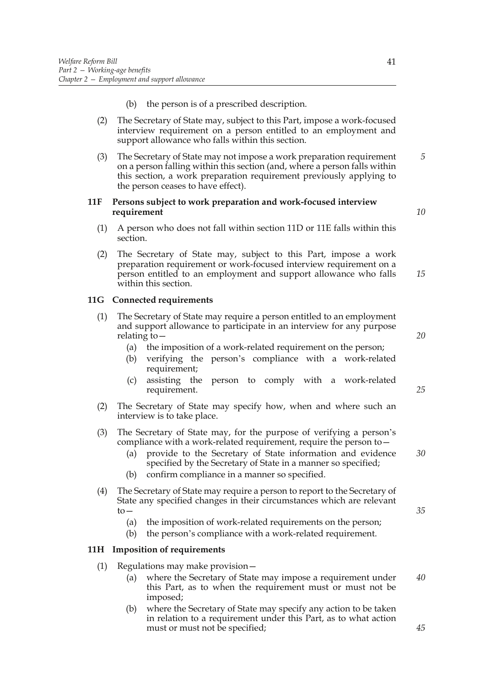- (b) the person is of a prescribed description.
- (2) The Secretary of State may, subject to this Part, impose a work-focused interview requirement on a person entitled to an employment and support allowance who falls within this section.
- (3) The Secretary of State may not impose a work preparation requirement on a person falling within this section (and, where a person falls within this section, a work preparation requirement previously applying to the person ceases to have effect).

## **11F Persons subject to work preparation and work-focused interview requirement**

*10*

*5*

- (1) A person who does not fall within section 11D or 11E falls within this section.
- (2) The Secretary of State may, subject to this Part, impose a work preparation requirement or work-focused interview requirement on a person entitled to an employment and support allowance who falls within this section. *15*

## **11G Connected requirements**

- (1) The Secretary of State may require a person entitled to an employment and support allowance to participate in an interview for any purpose relating to—
	- (a) the imposition of a work-related requirement on the person;
	- (b) verifying the person's compliance with a work-related requirement;
	- (c) assisting the person to comply with a work-related requirement.
- (2) The Secretary of State may specify how, when and where such an interview is to take place.
- (3) The Secretary of State may, for the purpose of verifying a person's compliance with a work-related requirement, require the person to—
	- (a) provide to the Secretary of State information and evidence specified by the Secretary of State in a manner so specified; *30*
	- (b) confirm compliance in a manner so specified.
- (4) The Secretary of State may require a person to report to the Secretary of State any specified changes in their circumstances which are relevant  $to-$ 
	- (a) the imposition of work-related requirements on the person;
	- (b) the person's compliance with a work-related requirement.

## **11H Imposition of requirements**

- (1) Regulations may make provision—
	- (a) where the Secretary of State may impose a requirement under this Part, as to when the requirement must or must not be imposed; *40*
	- (b) where the Secretary of State may specify any action to be taken in relation to a requirement under this Part, as to what action must or must not be specified;

*25*

*20*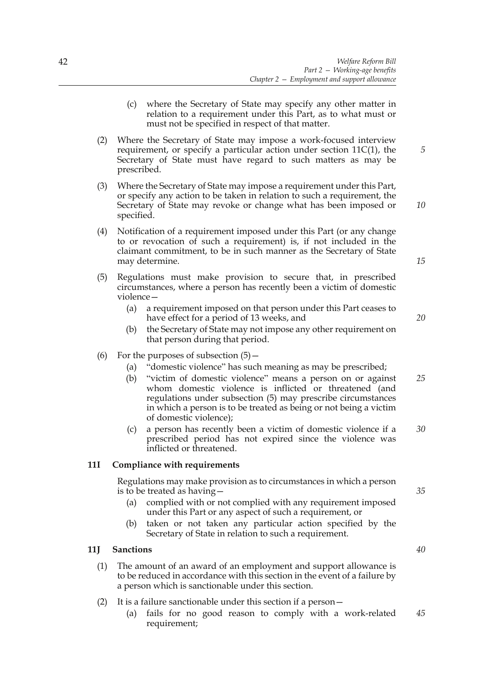- (c) where the Secretary of State may specify any other matter in relation to a requirement under this Part, as to what must or must not be specified in respect of that matter.
- (2) Where the Secretary of State may impose a work-focused interview requirement, or specify a particular action under section 11C(1), the Secretary of State must have regard to such matters as may be prescribed.
- (3) Where the Secretary of State may impose a requirement under this Part, or specify any action to be taken in relation to such a requirement, the Secretary of State may revoke or change what has been imposed or specified.
- (4) Notification of a requirement imposed under this Part (or any change to or revocation of such a requirement) is, if not included in the claimant commitment, to be in such manner as the Secretary of State may determine.
- (5) Regulations must make provision to secure that, in prescribed circumstances, where a person has recently been a victim of domestic violence—
	- (a) a requirement imposed on that person under this Part ceases to have effect for a period of 13 weeks, and
	- (b) the Secretary of State may not impose any other requirement on that person during that period.
- (6) For the purposes of subsection  $(5)$  -
	- (a) "domestic violence" has such meaning as may be prescribed;
	- (b) "victim of domestic violence" means a person on or against whom domestic violence is inflicted or threatened (and regulations under subsection (5) may prescribe circumstances in which a person is to be treated as being or not being a victim of domestic violence); *25*
	- (c) a person has recently been a victim of domestic violence if a prescribed period has not expired since the violence was inflicted or threatened. *30*

#### **11I Compliance with requirements**

Regulations may make provision as to circumstances in which a person is to be treated as having—

- (a) complied with or not complied with any requirement imposed under this Part or any aspect of such a requirement, or
- (b) taken or not taken any particular action specified by the Secretary of State in relation to such a requirement.

## **11J Sanctions**

- (1) The amount of an award of an employment and support allowance is to be reduced in accordance with this section in the event of a failure by a person which is sanctionable under this section.
- (2) It is a failure sanctionable under this section if a person—
	- (a) fails for no good reason to comply with a work-related requirement; *45*

*15*

*10*

*5*

*20*

*35*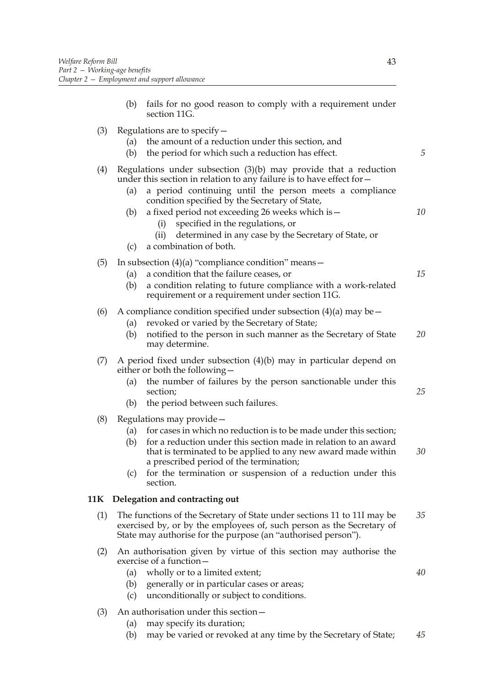- (b) fails for no good reason to comply with a requirement under section 11G. (3) Regulations are to specify— (a) the amount of a reduction under this section, and (b) the period for which such a reduction has effect. (4) Regulations under subsection (3)(b) may provide that a reduction under this section in relation to any failure is to have effect for— (a) a period continuing until the person meets a compliance condition specified by the Secretary of State, (b) a fixed period not exceeding 26 weeks which is— (i) specified in the regulations, or (ii) determined in any case by the Secretary of State, or (c) a combination of both. (5) In subsection  $(4)(a)$  "compliance condition" means -(a) a condition that the failure ceases, or (b) a condition relating to future compliance with a work-related requirement or a requirement under section 11G. (6) A compliance condition specified under subsection  $(4)(a)$  may be – (a) revoked or varied by the Secretary of State; (b) notified to the person in such manner as the Secretary of State may determine. (7) A period fixed under subsection (4)(b) may in particular depend on either or both the following— (a) the number of failures by the person sanctionable under this section; (b) the period between such failures. (8) Regulations may provide— (a) for cases in which no reduction is to be made under this section; (b) for a reduction under this section made in relation to an award that is terminated to be applied to any new award made within a prescribed period of the termination; (c) for the termination or suspension of a reduction under this section. **11K Delegation and contracting out** (1) The functions of the Secretary of State under sections 11 to 11I may be exercised by, or by the employees of, such person as the Secretary of State may authorise for the purpose (an "authorised person"). (2) An authorisation given by virtue of this section may authorise the exercise of a function— (a) wholly or to a limited extent; (b) generally or in particular cases or areas; (c) unconditionally or subject to conditions. (3) An authorisation under this section— (a) may specify its duration; *5 10 15 20 25 30 35 40*
	- (b) may be varied or revoked at any time by the Secretary of State; *45*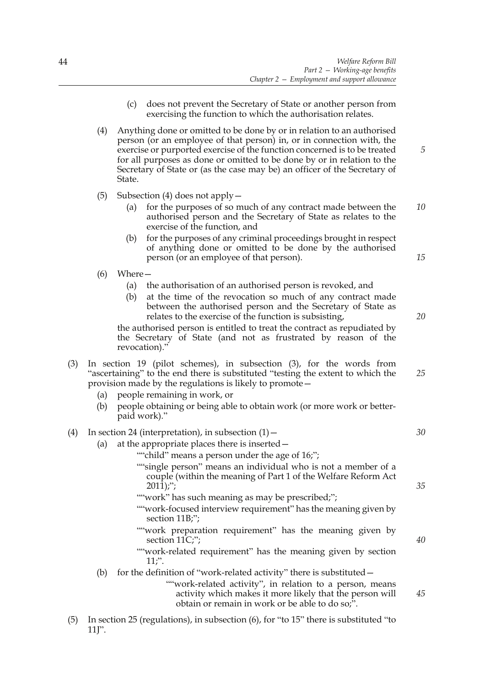- (c) does not prevent the Secretary of State or another person from exercising the function to which the authorisation relates.
- (4) Anything done or omitted to be done by or in relation to an authorised person (or an employee of that person) in, or in connection with, the exercise or purported exercise of the function concerned is to be treated for all purposes as done or omitted to be done by or in relation to the Secretary of State or (as the case may be) an officer of the Secretary of State. *5*
- (5) Subsection (4) does not apply—
	- (a) for the purposes of so much of any contract made between the authorised person and the Secretary of State as relates to the exercise of the function, and *10*
	- (b) for the purposes of any criminal proceedings brought in respect of anything done or omitted to be done by the authorised person (or an employee of that person).
- (6) Where—
	- (a) the authorisation of an authorised person is revoked, and
	- (b) at the time of the revocation so much of any contract made between the authorised person and the Secretary of State as relates to the exercise of the function is subsisting,

the authorised person is entitled to treat the contract as repudiated by the Secretary of State (and not as frustrated by reason of the revocation)."

- (3) In section 19 (pilot schemes), in subsection (3), for the words from "ascertaining" to the end there is substituted "testing the extent to which the provision made by the regulations is likely to promote—
	- (a) people remaining in work, or
	- (b) people obtaining or being able to obtain work (or more work or betterpaid work)."
- (4) In section 24 (interpretation), in subsection  $(1)$  -
	- (a) at the appropriate places there is inserted—
		- ""child" means a person under the age of 16;";
			- ""single person" means an individual who is not a member of a couple (within the meaning of Part 1 of the Welfare Reform Act  $2011$ ;";
			- ""work" has such meaning as may be prescribed;";
			- ""work-focused interview requirement" has the meaning given by section 11B;";
			- ""work preparation requirement" has the meaning given by section 11C;";
			- ""work-related requirement" has the meaning given by section 11;".
	- (b) for the definition of "work-related activity" there is substituted—
		- ""work-related activity", in relation to a person, means activity which makes it more likely that the person will obtain or remain in work or be able to do so;".
- (5) In section 25 (regulations), in subsection (6), for "to 15" there is substituted "to 11J".

*20*

*15*

*25*

*30*

*40*

*45*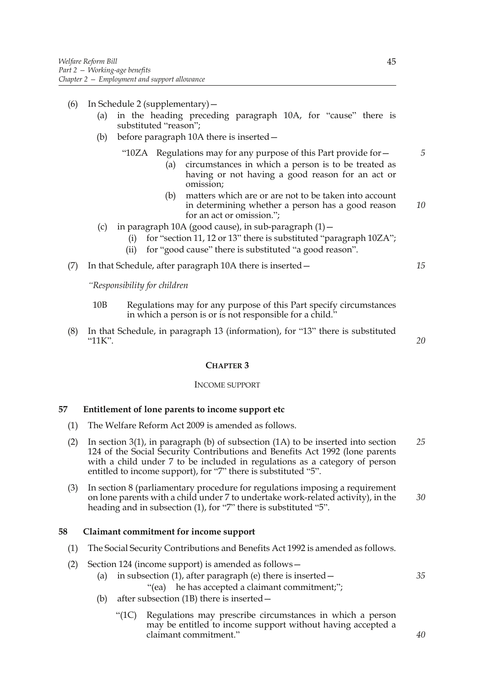- (6) In Schedule 2 (supplementary)—
	- (a) in the heading preceding paragraph 10A, for "cause" there is substituted "reason";
	- (b) before paragraph 10A there is inserted—

|  |  | "10ZA Regulations may for any purpose of this Part provide for - |  |
|--|--|------------------------------------------------------------------|--|
|--|--|------------------------------------------------------------------|--|

- (a) circumstances in which a person is to be treated as having or not having a good reason for an act or omission;
- (b) matters which are or are not to be taken into account in determining whether a person has a good reason for an act or omission."; *10*
- (c) in paragraph 10A (good cause), in sub-paragraph  $(1)$  -
	- (i) for "section 11, 12 or 13" there is substituted "paragraph 10ZA";
	- (ii) for "good cause" there is substituted "a good reason".

## (7) In that Schedule, after paragraph 10A there is inserted—

*"Responsibility for children*

- 10B Regulations may for any purpose of this Part specify circumstances in which a person is or is not responsible for a child."
- (8) In that Schedule, in paragraph 13 (information), for "13" there is substituted "11K".

*20*

*15*

#### **CHAPTER 3**

#### INCOME SUPPORT

#### **57 Entitlement of lone parents to income support etc**

- (1) The Welfare Reform Act 2009 is amended as follows.
- (2) In section 3(1), in paragraph (b) of subsection (1A) to be inserted into section 124 of the Social Security Contributions and Benefits Act 1992 (lone parents with a child under 7 to be included in regulations as a category of person entitled to income support), for "7" there is substituted "5". *25*
- (3) In section 8 (parliamentary procedure for regulations imposing a requirement on lone parents with a child under 7 to undertake work-related activity), in the heading and in subsection (1), for "7" there is substituted "5". *30*

#### **58 Claimant commitment for income support**

- (1) The Social Security Contributions and Benefits Act 1992 is amended as follows.
- (2) Section 124 (income support) is amended as follows—
	- (a) in subsection (1), after paragraph (e) there is inserted  $-$ 
		- "(ea) he has accepted a claimant commitment;";
	- (b) after subsection (1B) there is inserted—
		- "(1C) Regulations may prescribe circumstances in which a person may be entitled to income support without having accepted a claimant commitment."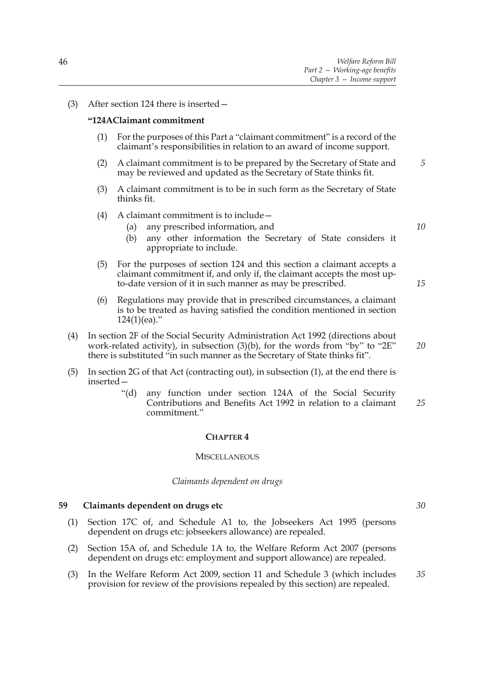(3) After section 124 there is inserted—

#### **"124AClaimant commitment**

- (1) For the purposes of this Part a "claimant commitment" is a record of the claimant's responsibilities in relation to an award of income support.
- (2) A claimant commitment is to be prepared by the Secretary of State and may be reviewed and updated as the Secretary of State thinks fit. *5*
- (3) A claimant commitment is to be in such form as the Secretary of State thinks fit.
- (4) A claimant commitment is to include—
	- (a) any prescribed information, and
	- (b) any other information the Secretary of State considers it appropriate to include.
- (5) For the purposes of section 124 and this section a claimant accepts a claimant commitment if, and only if, the claimant accepts the most upto-date version of it in such manner as may be prescribed.
- (6) Regulations may provide that in prescribed circumstances, a claimant is to be treated as having satisfied the condition mentioned in section  $124(1)(ea)$ ."
- (4) In section 2F of the Social Security Administration Act 1992 (directions about work-related activity), in subsection (3)(b), for the words from "by" to "2E" there is substituted "in such manner as the Secretary of State thinks fit".
- (5) In section 2G of that Act (contracting out), in subsection (1), at the end there is inserted—
	- "(d) any function under section 124A of the Social Security Contributions and Benefits Act 1992 in relation to a claimant commitment." *25*

#### **CHAPTER 4**

#### **MISCELLANEOUS**

#### *Claimants dependent on drugs*

## **59 Claimants dependent on drugs etc**

- (1) Section 17C of, and Schedule A1 to, the Jobseekers Act 1995 (persons dependent on drugs etc: jobseekers allowance) are repealed.
- (2) Section 15A of, and Schedule 1A to, the Welfare Reform Act 2007 (persons dependent on drugs etc: employment and support allowance) are repealed.
- (3) In the Welfare Reform Act 2009, section 11 and Schedule 3 (which includes provision for review of the provisions repealed by this section) are repealed. *35*

*30*

*10*

*15*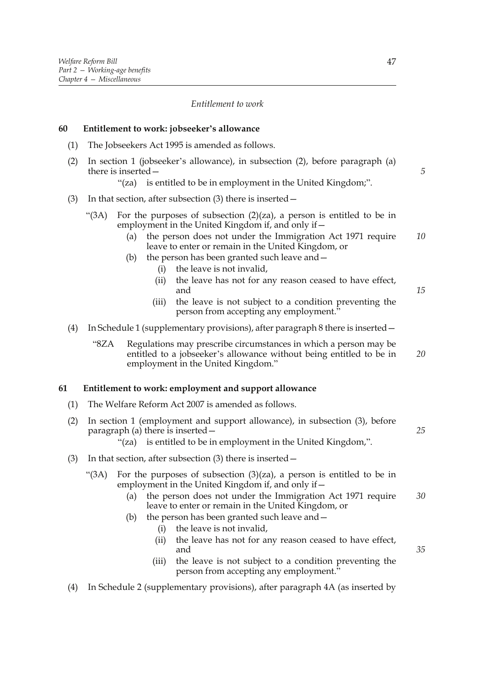#### *Entitlement to work*

#### **60 Entitlement to work: jobseeker's allowance**

- (1) The Jobseekers Act 1995 is amended as follows.
- (2) In section 1 (jobseeker's allowance), in subsection (2), before paragraph (a) there is inserted—
	- "(za) is entitled to be in employment in the United Kingdom;".
- (3) In that section, after subsection (3) there is inserted—

| "(3A) For the purposes of subsection $(2)(za)$ , a person is entitled to be in |
|--------------------------------------------------------------------------------|
| employment in the United Kingdom if, and only if $-$                           |

- (a) the person does not under the Immigration Act 1971 require leave to enter or remain in the United Kingdom, or *10*
- (b) the person has been granted such leave and—
	- (i) the leave is not invalid,
	- (ii) the leave has not for any reason ceased to have effect, and
	- (iii) the leave is not subject to a condition preventing the person from accepting any employment."
- (4) In Schedule 1 (supplementary provisions), after paragraph 8 there is inserted—
	- "8ZA Regulations may prescribe circumstances in which a person may be entitled to a jobseeker's allowance without being entitled to be in employment in the United Kingdom."

## **61 Entitlement to work: employment and support allowance**

- (1) The Welfare Reform Act 2007 is amended as follows.
- (2) In section 1 (employment and support allowance), in subsection (3), before paragraph (a) there is inserted— "(za) is entitled to be in employment in the United Kingdom,". *25*
- (3) In that section, after subsection (3) there is inserted—
	- "(3A) For the purposes of subsection (3)(za), a person is entitled to be in employment in the United Kingdom if, and only if—
		- (a) the person does not under the Immigration Act 1971 require leave to enter or remain in the United Kingdom, or *30*
		- (b) the person has been granted such leave and—
			- (i) the leave is not invalid,
			- (ii) the leave has not for any reason ceased to have effect, and
			- (iii) the leave is not subject to a condition preventing the person from accepting any employment."
- (4) In Schedule 2 (supplementary provisions), after paragraph 4A (as inserted by

*5*

*15*

*20*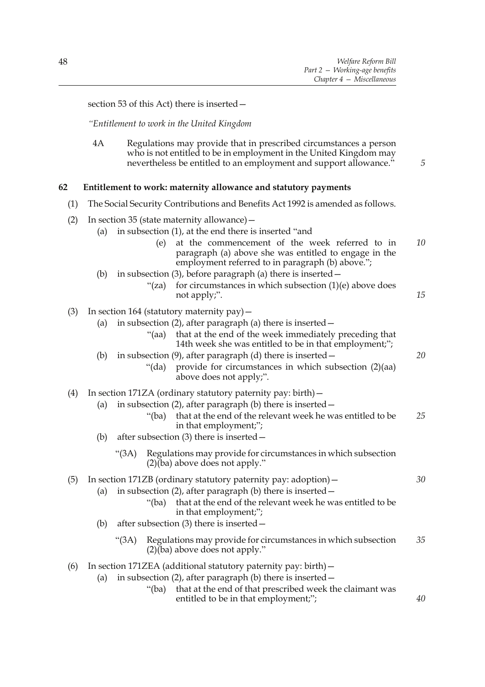*5*

*15*

*20*

*40*

section 53 of this Act) there is inserted—

*"Entitlement to work in the United Kingdom*

4A Regulations may provide that in prescribed circumstances a person who is not entitled to be in employment in the United Kingdom may nevertheless be entitled to an employment and support allowance."

# **62 Entitlement to work: maternity allowance and statutory payments**

- (1) The Social Security Contributions and Benefits Act 1992 is amended as follows.
- (2) In section 35 (state maternity allowance)—
	- (a) in subsection (1), at the end there is inserted "and
		- (e) at the commencement of the week referred to in paragraph (a) above she was entitled to engage in the employment referred to in paragraph (b) above."; *10*
	- (b) in subsection (3), before paragraph (a) there is inserted—
		- "(za) for circumstances in which subsection  $(1)(e)$  above does not apply;".
- (3) In section 164 (statutory maternity pay)—
	- (a) in subsection (2), after paragraph (a) there is inserted  $-$ 
		- "(aa) that at the end of the week immediately preceding that 14th week she was entitled to be in that employment;";
	- (b) in subsection (9), after paragraph (d) there is inserted—
		- "(da) provide for circumstances in which subsection (2)(aa) above does not apply;".
- (4) In section 171ZA (ordinary statutory paternity pay: birth)—
	- (a) in subsection (2), after paragraph (b) there is inserted  $-$ 
		- "(ba) that at the end of the relevant week he was entitled to be in that employment;"; *25*
	- (b) after subsection (3) there is inserted—
		- "(3A) Regulations may provide for circumstances in which subsection  $(2)$ (ba) above does not apply."

#### (5) In section 171ZB (ordinary statutory paternity pay: adoption)— *30*

- (a) in subsection (2), after paragraph (b) there is inserted  $-$ 
	- "(ba) that at the end of the relevant week he was entitled to be in that employment;";
- (b) after subsection (3) there is inserted—
	- "(3A) Regulations may provide for circumstances in which subsection  $(2)$ (ba) above does not apply." *35*

## (6) In section 171ZEA (additional statutory paternity pay: birth)—

- (a) in subsection (2), after paragraph (b) there is inserted  $-$ 
	- "(ba) that at the end of that prescribed week the claimant was entitled to be in that employment;";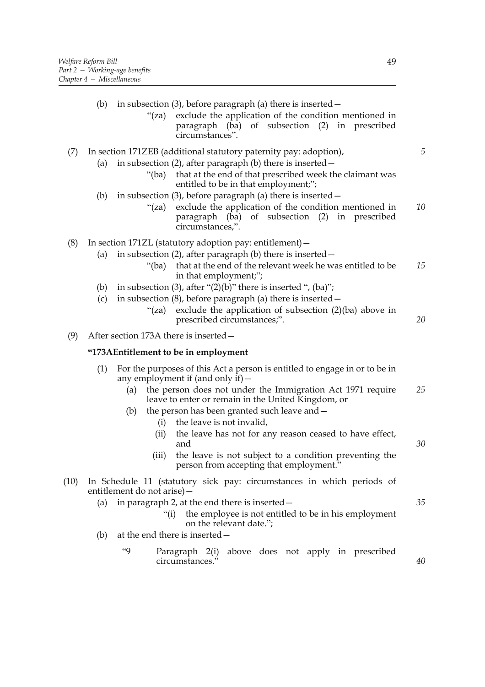|      | (b)                                  | in subsection $(3)$ , before paragraph $(a)$ there is inserted $-$<br>exclude the application of the condition mentioned in<br>" $(za)$<br>paragraph (ba) of subsection (2) in prescribed<br>circumstances".                                                                                                                                                                                |         |  |
|------|--------------------------------------|---------------------------------------------------------------------------------------------------------------------------------------------------------------------------------------------------------------------------------------------------------------------------------------------------------------------------------------------------------------------------------------------|---------|--|
| (7)  | (a)<br>(b)                           | In section 171ZEB (additional statutory paternity pay: adoption),<br>in subsection $(2)$ , after paragraph $(b)$ there is inserted $-$<br>"(ba) that at the end of that prescribed week the claimant was<br>entitled to be in that employment;";<br>in subsection $(3)$ , before paragraph $(a)$ there is inserted $-$<br>exclude the application of the condition mentioned in<br>" $(za)$ | 5<br>10 |  |
|      |                                      | paragraph (ba) of subsection (2)<br>in prescribed<br>circumstances,".                                                                                                                                                                                                                                                                                                                       |         |  |
| (8)  | (a)                                  | In section 171ZL (statutory adoption pay: entitlement) –<br>in subsection $(2)$ , after paragraph $(b)$ there is inserted $-$<br>that at the end of the relevant week he was entitled to be<br>"(ba)<br>in that employment;";                                                                                                                                                               | 15      |  |
|      | (b)<br>(c)                           | in subsection (3), after " $(2)(b)$ " there is inserted ", $(ba)$ ";<br>in subsection $(8)$ , before paragraph $(a)$ there is inserted $-$<br>exclude the application of subsection (2)(ba) above in<br>" $(za)$<br>prescribed circumstances;".                                                                                                                                             | 20      |  |
| (9)  |                                      | After section 173A there is inserted –                                                                                                                                                                                                                                                                                                                                                      |         |  |
|      | "173AEntitlement to be in employment |                                                                                                                                                                                                                                                                                                                                                                                             |         |  |
|      | (1)                                  | For the purposes of this Act a person is entitled to engage in or to be in<br>any employment if (and only if) $-$<br>the person does not under the Immigration Act 1971 require<br>(a)<br>leave to enter or remain in the United Kingdom, or<br>the person has been granted such leave and -<br>(b)<br>the leave is not invalid,<br>(i)                                                     | 25      |  |
|      |                                      | the leave has not for any reason ceased to have effect,<br>(ii)<br>and<br>the leave is not subject to a condition preventing the<br>(iii)<br>person from accepting that employment."                                                                                                                                                                                                        | 30      |  |
| (10) | (a)                                  | In Schedule 11 (statutory sick pay: circumstances in which periods of<br>entitlement do not arise) –<br>in paragraph 2, at the end there is inserted -<br>the employee is not entitled to be in his employment<br>``(i)                                                                                                                                                                     | 35      |  |
|      | (b)                                  | on the relevant date.";<br>at the end there is inserted -                                                                                                                                                                                                                                                                                                                                   |         |  |
|      |                                      | $\lq\lq q$<br>Paragraph 2(i) above does not apply in prescribed<br>circumstances."                                                                                                                                                                                                                                                                                                          | 40      |  |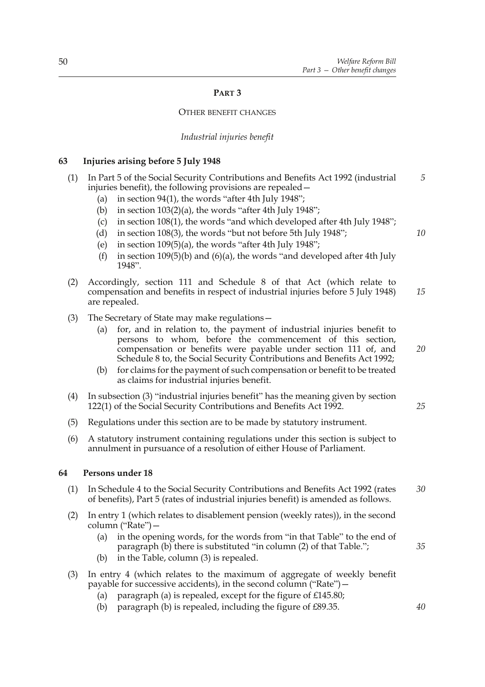## **PART 3**

#### OTHER BENEFIT CHANGES

#### *Industrial injuries benefit*

#### **63 Injuries arising before 5 July 1948**

| (1) In Part 5 of the Social Security Contributions and Benefits Act 1992 (industrial |  |
|--------------------------------------------------------------------------------------|--|
| injuries benefit), the following provisions are repealed –                           |  |

- (a) in section  $94(1)$ , the words "after 4th July 1948";
- (b) in section  $103(2)(a)$ , the words "after 4th July 1948";
- (c) in section 108(1), the words "and which developed after 4th July 1948";
- (d) in section 108(3), the words "but not before 5th July 1948";
- (e) in section 109(5)(a), the words "after 4th July 1948";
- (f) in section 109(5)(b) and (6)(a), the words "and developed after 4th July 1948".
- (2) Accordingly, section 111 and Schedule 8 of that Act (which relate to compensation and benefits in respect of industrial injuries before 5 July 1948) are repealed. *15*
- (3) The Secretary of State may make regulations—
	- (a) for, and in relation to, the payment of industrial injuries benefit to persons to whom, before the commencement of this section, compensation or benefits were payable under section 111 of, and Schedule 8 to, the Social Security Contributions and Benefits Act 1992;
	- (b) for claims for the payment of such compensation or benefit to be treated as claims for industrial injuries benefit.
- (4) In subsection (3) "industrial injuries benefit" has the meaning given by section 122(1) of the Social Security Contributions and Benefits Act 1992.
- (5) Regulations under this section are to be made by statutory instrument.
- (6) A statutory instrument containing regulations under this section is subject to annulment in pursuance of a resolution of either House of Parliament.

#### **64 Persons under 18**

- (1) In Schedule 4 to the Social Security Contributions and Benefits Act 1992 (rates of benefits), Part 5 (rates of industrial injuries benefit) is amended as follows. *30*
- (2) In entry 1 (which relates to disablement pension (weekly rates)), in the second column ("Rate")—
	- (a) in the opening words, for the words from "in that Table" to the end of paragraph (b) there is substituted "in column (2) of that Table.";
	- (b) in the Table, column (3) is repealed.
- (3) In entry 4 (which relates to the maximum of aggregate of weekly benefit payable for successive accidents), in the second column ("Rate")—
	- (a) paragraph (a) is repealed, except for the figure of £145.80;
	- (b) paragraph (b) is repealed, including the figure of £89.35.

*40*

*35*

*10*

*20*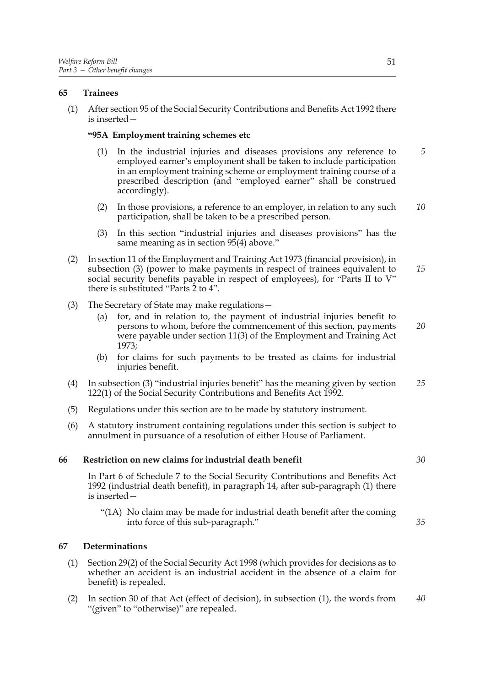## **65 Trainees**

(1) After section 95 of the Social Security Contributions and Benefits Act 1992 there is inserted—

## **"95A Employment training schemes etc**

- (1) In the industrial injuries and diseases provisions any reference to employed earner's employment shall be taken to include participation in an employment training scheme or employment training course of a prescribed description (and "employed earner" shall be construed accordingly). *5*
- (2) In those provisions, a reference to an employer, in relation to any such participation, shall be taken to be a prescribed person. *10*
- (3) In this section "industrial injuries and diseases provisions" has the same meaning as in section 95(4) above."
- (2) In section 11 of the Employment and Training Act 1973 (financial provision), in subsection (3) (power to make payments in respect of trainees equivalent to social security benefits payable in respect of employees), for "Parts II to V" there is substituted "Parts 2 to 4". *15*
- (3) The Secretary of State may make regulations—
	- (a) for, and in relation to, the payment of industrial injuries benefit to persons to whom, before the commencement of this section, payments were payable under section 11(3) of the Employment and Training Act 1973; *20*
	- (b) for claims for such payments to be treated as claims for industrial injuries benefit.
- (4) In subsection (3) "industrial injuries benefit" has the meaning given by section 122(1) of the Social Security Contributions and Benefits Act 1992. *25*
- (5) Regulations under this section are to be made by statutory instrument.
- (6) A statutory instrument containing regulations under this section is subject to annulment in pursuance of a resolution of either House of Parliament.

## **66 Restriction on new claims for industrial death benefit**

In Part 6 of Schedule 7 to the Social Security Contributions and Benefits Act 1992 (industrial death benefit), in paragraph 14, after sub-paragraph (1) there is inserted—

 "(1A) No claim may be made for industrial death benefit after the coming into force of this sub-paragraph."

## **67 Determinations**

- (1) Section 29(2) of the Social Security Act 1998 (which provides for decisions as to whether an accident is an industrial accident in the absence of a claim for benefit) is repealed.
- (2) In section 30 of that Act (effect of decision), in subsection (1), the words from "(given" to "otherwise)" are repealed. *40*

*30*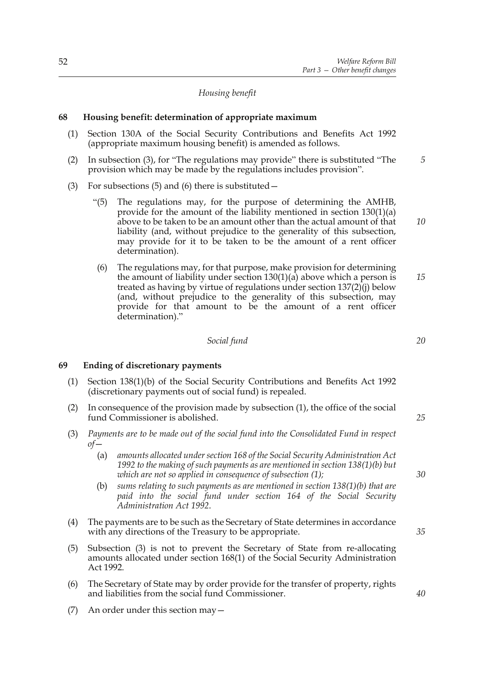*Housing benefit*

## **68 Housing benefit: determination of appropriate maximum**

- (1) Section 130A of the Social Security Contributions and Benefits Act 1992 (appropriate maximum housing benefit) is amended as follows.
- (2) In subsection (3), for "The regulations may provide" there is substituted "The provision which may be made by the regulations includes provision". *5*
- (3) For subsections (5) and (6) there is substituted  $-$ 
	- "(5) The regulations may, for the purpose of determining the AMHB, provide for the amount of the liability mentioned in section 130(1)(a) above to be taken to be an amount other than the actual amount of that liability (and, without prejudice to the generality of this subsection, may provide for it to be taken to be the amount of a rent officer determination).
	- (6) The regulations may, for that purpose, make provision for determining the amount of liability under section  $130(1)(a)$  above which a person is treated as having by virtue of regulations under section  $137(2)(i)$  below (and, without prejudice to the generality of this subsection, may provide for that amount to be the amount of a rent officer determination)." *15*

*Social fund*

## **69 Ending of discretionary payments**

- (1) Section 138(1)(b) of the Social Security Contributions and Benefits Act 1992 (discretionary payments out of social fund) is repealed.
- (2) In consequence of the provision made by subsection (1), the office of the social fund Commissioner is abolished.
- (3) *Payments are to be made out of the social fund into the Consolidated Fund in respect of*—
	- (a) *amounts allocated under section 168 of the Social Security Administration Act 1992 to the making of such payments as are mentioned in section 138(1)(b) but which are not so applied in consequence of subsection (1);*
	- (b) *sums relating to such payments as are mentioned in section 138(1)(b) that are paid into the social fund under section 164 of the Social Security Administration Act 1992*.
- (4) The payments are to be such as the Secretary of State determines in accordance with any directions of the Treasury to be appropriate.
- (5) Subsection (3) is not to prevent the Secretary of State from re-allocating amounts allocated under section 168(1) of the Social Security Administration Act 1992.
- (6) The Secretary of State may by order provide for the transfer of property, rights and liabilities from the social fund Commissioner.
- (7) An order under this section may—

*25*

*20*

*10*

*30*

*35*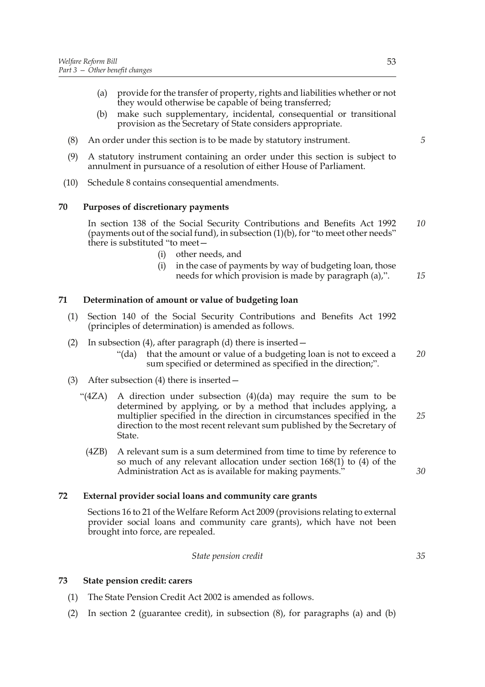- (a) provide for the transfer of property, rights and liabilities whether or not they would otherwise be capable of being transferred;
- (b) make such supplementary, incidental, consequential or transitional provision as the Secretary of State considers appropriate.
- (8) An order under this section is to be made by statutory instrument.
- (9) A statutory instrument containing an order under this section is subject to annulment in pursuance of a resolution of either House of Parliament.
- (10) Schedule 8 contains consequential amendments.

## **70 Purposes of discretionary payments**

In section 138 of the Social Security Contributions and Benefits Act 1992 (payments out of the social fund), in subsection (1)(b), for "to meet other needs" there is substituted "to meet— *10*

- (i) other needs, and
- (i) in the case of payments by way of budgeting loan, those needs for which provision is made by paragraph (a),". *15*

## **71 Determination of amount or value of budgeting loan**

- (1) Section 140 of the Social Security Contributions and Benefits Act 1992 (principles of determination) is amended as follows.
- (2) In subsection (4), after paragraph (d) there is inserted—
	- "(da) that the amount or value of a budgeting loan is not to exceed a sum specified or determined as specified in the direction;". *20*
- (3) After subsection (4) there is inserted—
	- "(4ZA) A direction under subsection (4)(da) may require the sum to be determined by applying, or by a method that includes applying, a multiplier specified in the direction in circumstances specified in the direction to the most recent relevant sum published by the Secretary of State. *25*
		- (4ZB) A relevant sum is a sum determined from time to time by reference to so much of any relevant allocation under section  $168(1)$  to (4) of the Administration Act as is available for making payments."

## **72 External provider social loans and community care grants**

Sections 16 to 21 of the Welfare Reform Act 2009 (provisions relating to external provider social loans and community care grants), which have not been brought into force, are repealed.

#### *State pension credit*

#### *35*

*30*

#### **73 State pension credit: carers**

- (1) The State Pension Credit Act 2002 is amended as follows.
- (2) In section 2 (guarantee credit), in subsection (8), for paragraphs (a) and (b)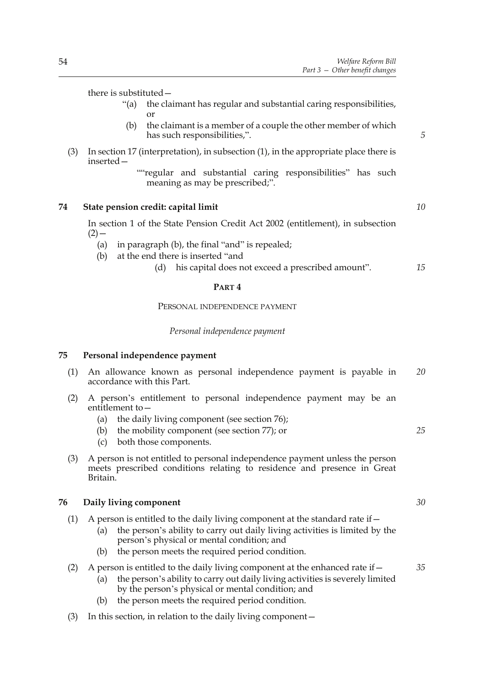there is substituted—

- "(a) the claimant has regular and substantial caring responsibilities, or
- (b) the claimant is a member of a couple the other member of which has such responsibilities,".
- (3) In section 17 (interpretation), in subsection (1), in the appropriate place there is inserted—
	- ""regular and substantial caring responsibilities" has such meaning as may be prescribed;".

## **74 State pension credit: capital limit**

In section 1 of the State Pension Credit Act 2002 (entitlement), in subsection  $(2)$  —

- (a) in paragraph (b), the final "and" is repealed;
- (b) at the end there is inserted "and
	- (d) his capital does not exceed a prescribed amount". *15*

#### **PART 4**

#### PERSONAL INDEPENDENCE PAYMENT

#### *Personal independence payment*

## **75 Personal independence payment**

- (1) An allowance known as personal independence payment is payable in accordance with this Part. *20*
- (2) A person's entitlement to personal independence payment may be an entitlement to—
	- (a) the daily living component (see section 76);
	- (b) the mobility component (see section 77); or
	- (c) both those components.
- (3) A person is not entitled to personal independence payment unless the person meets prescribed conditions relating to residence and presence in Great Britain.

## **76 Daily living component**

- (1) A person is entitled to the daily living component at the standard rate if  $-$ 
	- (a) the person's ability to carry out daily living activities is limited by the person's physical or mental condition; and
	- (b) the person meets the required period condition.

#### (2) A person is entitled to the daily living component at the enhanced rate if  $-$ *35*

- (a) the person's ability to carry out daily living activities is severely limited by the person's physical or mental condition; and
- (b) the person meets the required period condition.
- (3) In this section, in relation to the daily living component—

*30*

*25*

*5*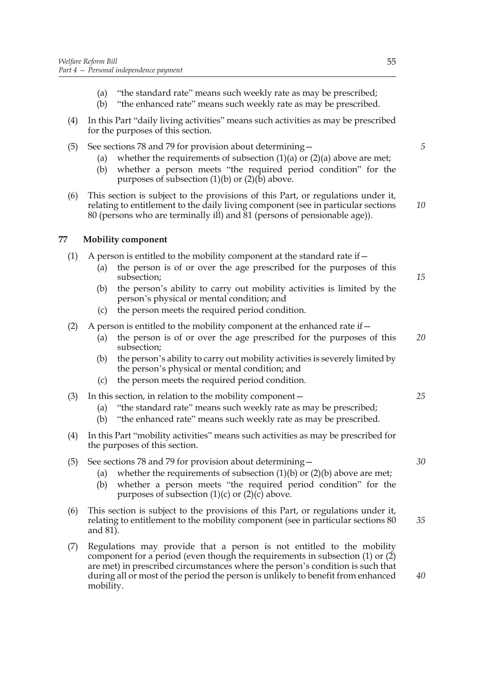- (a) "the standard rate" means such weekly rate as may be prescribed;
- (b) "the enhanced rate" means such weekly rate as may be prescribed.
- (4) In this Part "daily living activities" means such activities as may be prescribed for the purposes of this section.
- (5) See sections 78 and 79 for provision about determining—
	- (a) whether the requirements of subsection  $(1)(a)$  or  $(2)(a)$  above are met;
	- (b) whether a person meets "the required period condition" for the purposes of subsection  $(1)(b)$  or  $(2)(b)$  above.
- (6) This section is subject to the provisions of this Part, or regulations under it, relating to entitlement to the daily living component (see in particular sections 80 (persons who are terminally ill) and 81 (persons of pensionable age)).

## **77 Mobility component**

- (1) A person is entitled to the mobility component at the standard rate if  $-$ 
	- (a) the person is of or over the age prescribed for the purposes of this subsection;
	- (b) the person's ability to carry out mobility activities is limited by the person's physical or mental condition; and
	- (c) the person meets the required period condition.

## (2) A person is entitled to the mobility component at the enhanced rate if  $-$

- (a) the person is of or over the age prescribed for the purposes of this subsection; *20*
- (b) the person's ability to carry out mobility activities is severely limited by the person's physical or mental condition; and
- (c) the person meets the required period condition.

## (3) In this section, in relation to the mobility component—

- (a) "the standard rate" means such weekly rate as may be prescribed;
- (b) "the enhanced rate" means such weekly rate as may be prescribed.
- (4) In this Part "mobility activities" means such activities as may be prescribed for the purposes of this section.
- (5) See sections 78 and 79 for provision about determining—
	- (a) whether the requirements of subsection  $(1)(b)$  or  $(2)(b)$  above are met;
	- (b) whether a person meets "the required period condition" for the purposes of subsection  $(1)(c)$  or  $(2)(c)$  above.
- (6) This section is subject to the provisions of this Part, or regulations under it, relating to entitlement to the mobility component (see in particular sections 80 and 81). *35*
- (7) Regulations may provide that a person is not entitled to the mobility component for a period (even though the requirements in subsection (1) or (2) are met) in prescribed circumstances where the person's condition is such that during all or most of the period the person is unlikely to benefit from enhanced mobility.

*5*

*10*

*15*

*30*

*40*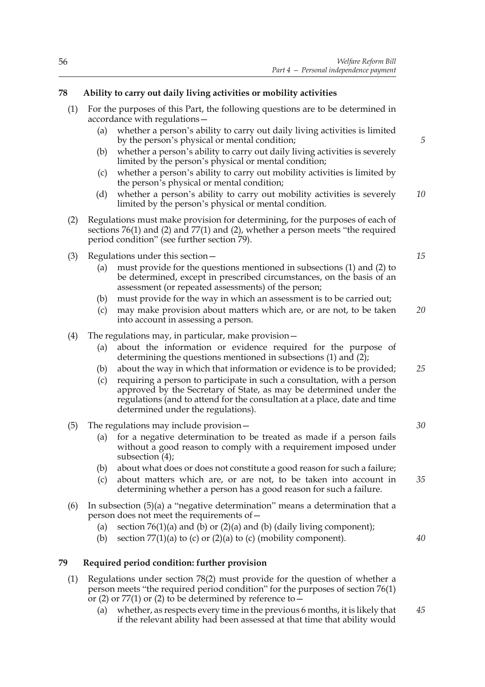# **78 Ability to carry out daily living activities or mobility activities**

- (1) For the purposes of this Part, the following questions are to be determined in accordance with regulations—
	- (a) whether a person's ability to carry out daily living activities is limited by the person's physical or mental condition;
	- (b) whether a person's ability to carry out daily living activities is severely limited by the person's physical or mental condition;
	- (c) whether a person's ability to carry out mobility activities is limited by the person's physical or mental condition;
	- (d) whether a person's ability to carry out mobility activities is severely limited by the person's physical or mental condition. *10*
- (2) Regulations must make provision for determining, for the purposes of each of sections 76(1) and (2) and 77(1) and (2), whether a person meets "the required period condition" (see further section 79).
- (3) Regulations under this section—
	- (a) must provide for the questions mentioned in subsections (1) and (2) to be determined, except in prescribed circumstances, on the basis of an assessment (or repeated assessments) of the person;
	- (b) must provide for the way in which an assessment is to be carried out;
	- (c) may make provision about matters which are, or are not, to be taken into account in assessing a person. *20*
- (4) The regulations may, in particular, make provision—
	- (a) about the information or evidence required for the purpose of determining the questions mentioned in subsections (1) and (2);
	- (b) about the way in which that information or evidence is to be provided;
	- (c) requiring a person to participate in such a consultation, with a person approved by the Secretary of State, as may be determined under the regulations (and to attend for the consultation at a place, date and time determined under the regulations).
- (5) The regulations may include provision—
	- (a) for a negative determination to be treated as made if a person fails without a good reason to comply with a requirement imposed under subsection (4);
	- (b) about what does or does not constitute a good reason for such a failure;
	- (c) about matters which are, or are not, to be taken into account in determining whether a person has a good reason for such a failure.
- (6) In subsection (5)(a) a "negative determination" means a determination that a person does not meet the requirements of—
	- (a) section  $76(1)(a)$  and (b) or  $(2)(a)$  and (b) (daily living component);
	- (b) section  $77(1)(a)$  to (c) or  $(2)(a)$  to (c) (mobility component).

## **79 Required period condition: further provision**

- (1) Regulations under section 78(2) must provide for the question of whether a person meets "the required period condition" for the purposes of section 76(1) or (2) or 77(1) or (2) to be determined by reference to  $\overline{\phantom{a}}$ 
	- (a) whether, as respects every time in the previous 6 months, it is likely that if the relevant ability had been assessed at that time that ability would *45*

*15*

*5*

*30*

*25*

*35*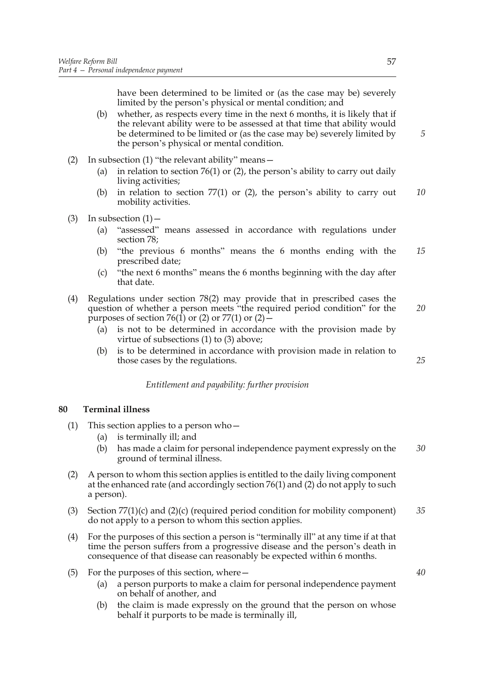have been determined to be limited or (as the case may be) severely limited by the person's physical or mental condition; and

- (b) whether, as respects every time in the next 6 months, it is likely that if the relevant ability were to be assessed at that time that ability would be determined to be limited or (as the case may be) severely limited by the person's physical or mental condition.
- (2) In subsection (1) "the relevant ability" means—
	- (a) in relation to section  $76(1)$  or (2), the person's ability to carry out daily living activities;
	- (b) in relation to section 77(1) or (2), the person's ability to carry out mobility activities. *10*
- (3) In subsection  $(1)$ 
	- (a) "assessed" means assessed in accordance with regulations under section 78;
	- (b) "the previous 6 months" means the 6 months ending with the prescribed date; *15*
	- (c) "the next 6 months" means the 6 months beginning with the day after that date.
- (4) Regulations under section 78(2) may provide that in prescribed cases the question of whether a person meets "the required period condition" for the purposes of section 76(1) or (2) or 77(1) or (2)  $-$ *20*
	- (a) is not to be determined in accordance with the provision made by virtue of subsections (1) to (3) above;
	- (b) is to be determined in accordance with provision made in relation to those cases by the regulations.

*Entitlement and payability: further provision*

# **80 Terminal illness**

- (1) This section applies to a person who  $-$ 
	- (a) is terminally ill; and
	- (b) has made a claim for personal independence payment expressly on the ground of terminal illness. *30*
- (2) A person to whom this section applies is entitled to the daily living component at the enhanced rate (and accordingly section 76(1) and (2) do not apply to such a person).
- (3) Section  $77(1)(c)$  and  $(2)(c)$  (required period condition for mobility component) do not apply to a person to whom this section applies. *35*
- (4) For the purposes of this section a person is "terminally ill" at any time if at that time the person suffers from a progressive disease and the person's death in consequence of that disease can reasonably be expected within 6 months.
- (5) For the purposes of this section, where—
	- (a) a person purports to make a claim for personal independence payment on behalf of another, and
	- (b) the claim is made expressly on the ground that the person on whose behalf it purports to be made is terminally ill,

*5*

*40*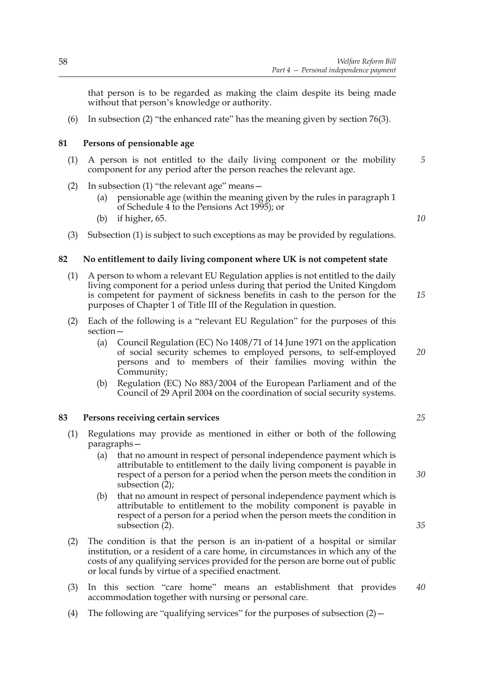that person is to be regarded as making the claim despite its being made without that person's knowledge or authority.

(6) In subsection (2) "the enhanced rate" has the meaning given by section 76(3).

## **81 Persons of pensionable age**

- (1) A person is not entitled to the daily living component or the mobility component for any period after the person reaches the relevant age. *5*
- (2) In subsection (1) "the relevant age" means—
	- (a) pensionable age (within the meaning given by the rules in paragraph 1 of Schedule 4 to the Pensions Act 1995); or
	- (b) if higher, 65.
- (3) Subsection (1) is subject to such exceptions as may be provided by regulations.

## **82 No entitlement to daily living component where UK is not competent state**

- (1) A person to whom a relevant EU Regulation applies is not entitled to the daily living component for a period unless during that period the United Kingdom is competent for payment of sickness benefits in cash to the person for the purposes of Chapter 1 of Title III of the Regulation in question.
- (2) Each of the following is a "relevant EU Regulation" for the purposes of this section—
	- (a) Council Regulation (EC) No 1408/71 of 14 June 1971 on the application of social security schemes to employed persons, to self-employed persons and to members of their families moving within the Community;
	- (b) Regulation (EC) No 883/2004 of the European Parliament and of the Council of 29 April 2004 on the coordination of social security systems.

#### **83 Persons receiving certain services**

- (1) Regulations may provide as mentioned in either or both of the following paragraphs—
	- (a) that no amount in respect of personal independence payment which is attributable to entitlement to the daily living component is payable in respect of a person for a period when the person meets the condition in subsection (2);
	- (b) that no amount in respect of personal independence payment which is attributable to entitlement to the mobility component is payable in respect of a person for a period when the person meets the condition in subsection (2).
- (2) The condition is that the person is an in-patient of a hospital or similar institution, or a resident of a care home, in circumstances in which any of the costs of any qualifying services provided for the person are borne out of public or local funds by virtue of a specified enactment.
- (3) In this section "care home" means an establishment that provides accommodation together with nursing or personal care. *40*
- (4) The following are "qualifying services" for the purposes of subsection  $(2)$  –

*15*

*20*

*10*

*25*

*30*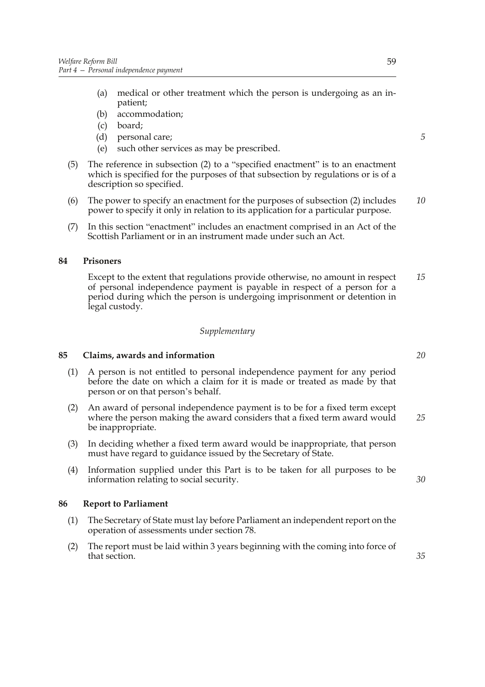- (a) medical or other treatment which the person is undergoing as an inpatient;
- (b) accommodation;
- (c) board;
- (d) personal care;
- (e) such other services as may be prescribed.
- (5) The reference in subsection (2) to a "specified enactment" is to an enactment which is specified for the purposes of that subsection by regulations or is of a description so specified.
- (6) The power to specify an enactment for the purposes of subsection (2) includes power to specify it only in relation to its application for a particular purpose. *10*
- (7) In this section "enactment" includes an enactment comprised in an Act of the Scottish Parliament or in an instrument made under such an Act.

## **84 Prisoners**

Except to the extent that regulations provide otherwise, no amount in respect of personal independence payment is payable in respect of a person for a period during which the person is undergoing imprisonment or detention in legal custody.

## *Supplementary*

## **85 Claims, awards and information**

- (1) A person is not entitled to personal independence payment for any period before the date on which a claim for it is made or treated as made by that person or on that person's behalf.
- (2) An award of personal independence payment is to be for a fixed term except where the person making the award considers that a fixed term award would be inappropriate. *25*
- (3) In deciding whether a fixed term award would be inappropriate, that person must have regard to guidance issued by the Secretary of State.
- (4) Information supplied under this Part is to be taken for all purposes to be information relating to social security.

## **86 Report to Parliament**

- (1) The Secretary of State must lay before Parliament an independent report on the operation of assessments under section 78.
- (2) The report must be laid within 3 years beginning with the coming into force of that section.

*5*

*15*

*20*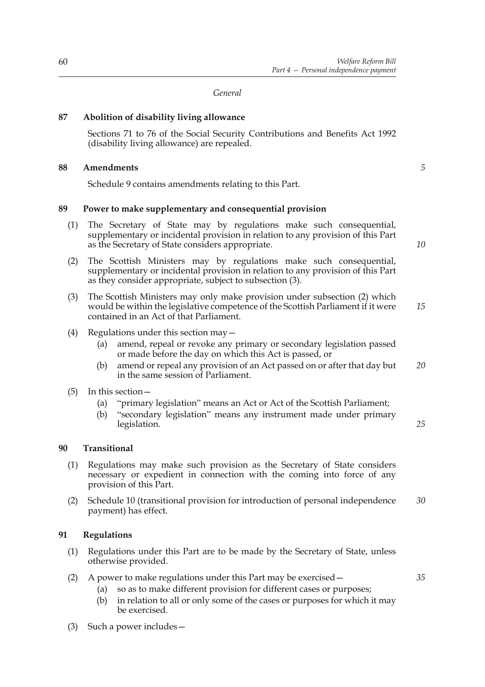*5*

*10*

*25*

*35*

#### *General*

## **87 Abolition of disability living allowance**

Sections 71 to 76 of the Social Security Contributions and Benefits Act 1992 (disability living allowance) are repealed.

## **88 Amendments**

Schedule 9 contains amendments relating to this Part.

## **89 Power to make supplementary and consequential provision**

- (1) The Secretary of State may by regulations make such consequential, supplementary or incidental provision in relation to any provision of this Part as the Secretary of State considers appropriate.
- (2) The Scottish Ministers may by regulations make such consequential, supplementary or incidental provision in relation to any provision of this Part as they consider appropriate, subject to subsection (3).
- (3) The Scottish Ministers may only make provision under subsection (2) which would be within the legislative competence of the Scottish Parliament if it were contained in an Act of that Parliament. *15*
- (4) Regulations under this section may—
	- (a) amend, repeal or revoke any primary or secondary legislation passed or made before the day on which this Act is passed, or
	- (b) amend or repeal any provision of an Act passed on or after that day but in the same session of Parliament. *20*
- (5) In this section—
	- (a) "primary legislation" means an Act or Act of the Scottish Parliament;
	- (b) "secondary legislation" means any instrument made under primary legislation.

#### **90 Transitional**

- (1) Regulations may make such provision as the Secretary of State considers necessary or expedient in connection with the coming into force of any provision of this Part.
- (2) Schedule 10 (transitional provision for introduction of personal independence payment) has effect. *30*

## **91 Regulations**

- (1) Regulations under this Part are to be made by the Secretary of State, unless otherwise provided.
- (2) A power to make regulations under this Part may be exercised—
	- (a) so as to make different provision for different cases or purposes;
	- (b) in relation to all or only some of the cases or purposes for which it may be exercised.
- (3) Such a power includes—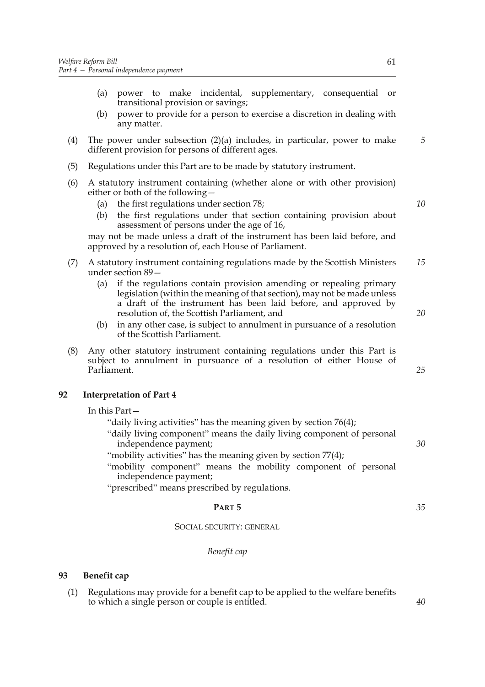- (a) power to make incidental, supplementary, consequential or transitional provision or savings;
- (b) power to provide for a person to exercise a discretion in dealing with any matter.
- (4) The power under subsection  $(2)(a)$  includes, in particular, power to make different provision for persons of different ages. *5*
- (5) Regulations under this Part are to be made by statutory instrument.
- (6) A statutory instrument containing (whether alone or with other provision) either or both of the following—
	- (a) the first regulations under section 78;
	- (b) the first regulations under that section containing provision about assessment of persons under the age of 16,

may not be made unless a draft of the instrument has been laid before, and approved by a resolution of, each House of Parliament.

- (7) A statutory instrument containing regulations made by the Scottish Ministers under section 89— *15*
	- (a) if the regulations contain provision amending or repealing primary legislation (within the meaning of that section), may not be made unless a draft of the instrument has been laid before, and approved by resolution of, the Scottish Parliament, and
	- (b) in any other case, is subject to annulment in pursuance of a resolution of the Scottish Parliament.
- (8) Any other statutory instrument containing regulations under this Part is subject to annulment in pursuance of a resolution of either House of Parliament.

## **92 Interpretation of Part 4**

In this Part—

- "daily living activities" has the meaning given by section 76(4);
- "daily living component" means the daily living component of personal independence payment;
- "mobility activities" has the meaning given by section 77(4);

"mobility component" means the mobility component of personal independence payment;

"prescribed" means prescribed by regulations.

#### **PART 5**

#### SOCIAL SECURITY: GENERAL

#### *Benefit cap*

## **93 Benefit cap**

(1) Regulations may provide for a benefit cap to be applied to the welfare benefits to which a single person or couple is entitled.

*10*

*20*

*25*

*40*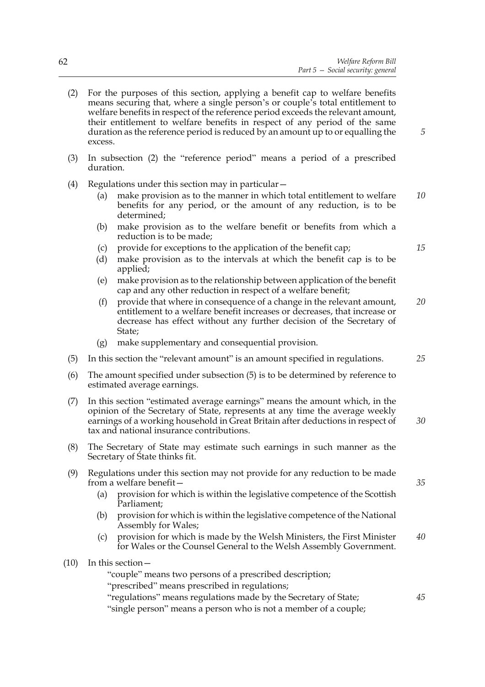- (2) For the purposes of this section, applying a benefit cap to welfare benefits means securing that, where a single person's or couple's total entitlement to welfare benefits in respect of the reference period exceeds the relevant amount, their entitlement to welfare benefits in respect of any period of the same duration as the reference period is reduced by an amount up to or equalling the excess.
- (3) In subsection (2) the "reference period" means a period of a prescribed duration.
- (4) Regulations under this section may in particular—
	- (a) make provision as to the manner in which total entitlement to welfare benefits for any period, or the amount of any reduction, is to be determined; *10*
	- (b) make provision as to the welfare benefit or benefits from which a reduction is to be made;
	- (c) provide for exceptions to the application of the benefit cap;
	- (d) make provision as to the intervals at which the benefit cap is to be applied;
	- (e) make provision as to the relationship between application of the benefit cap and any other reduction in respect of a welfare benefit;
	- (f) provide that where in consequence of a change in the relevant amount, entitlement to a welfare benefit increases or decreases, that increase or decrease has effect without any further decision of the Secretary of State; *20*
	- (g) make supplementary and consequential provision.
- (5) In this section the "relevant amount" is an amount specified in regulations.
- (6) The amount specified under subsection (5) is to be determined by reference to estimated average earnings.
- (7) In this section "estimated average earnings" means the amount which, in the opinion of the Secretary of State, represents at any time the average weekly earnings of a working household in Great Britain after deductions in respect of tax and national insurance contributions. *30*
- (8) The Secretary of State may estimate such earnings in such manner as the Secretary of State thinks fit.
- (9) Regulations under this section may not provide for any reduction to be made from a welfare benefit—
	- (a) provision for which is within the legislative competence of the Scottish Parliament;
	- (b) provision for which is within the legislative competence of the National Assembly for Wales;
	- (c) provision for which is made by the Welsh Ministers, the First Minister for Wales or the Counsel General to the Welsh Assembly Government. *40*
- $(10)$  In this section  $-$

"couple" means two persons of a prescribed description; "prescribed" means prescribed in regulations; "regulations" means regulations made by the Secretary of State; "single person" means a person who is not a member of a couple;

*25*

*5*

*15*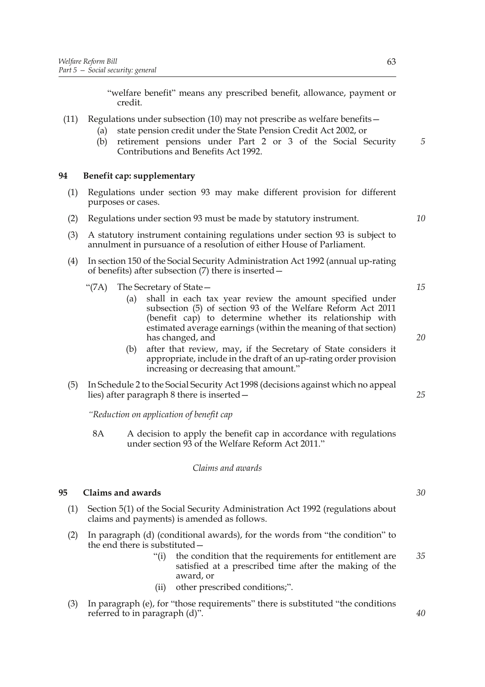"welfare benefit" means any prescribed benefit, allowance, payment or credit.

- (11) Regulations under subsection (10) may not prescribe as welfare benefits—
	- (a) state pension credit under the State Pension Credit Act 2002, or
	- (b) retirement pensions under Part 2 or 3 of the Social Security Contributions and Benefits Act 1992.

## **94 Benefit cap: supplementary**

- (1) Regulations under section 93 may make different provision for different purposes or cases.
- (2) Regulations under section 93 must be made by statutory instrument.
- (3) A statutory instrument containing regulations under section 93 is subject to annulment in pursuance of a resolution of either House of Parliament.
- (4) In section 150 of the Social Security Administration Act 1992 (annual up-rating of benefits) after subsection (7) there is inserted—
	- "(7A) The Secretary of State—
		- (a) shall in each tax year review the amount specified under subsection (5) of section 93 of the Welfare Reform Act 2011 (benefit cap) to determine whether its relationship with estimated average earnings (within the meaning of that section) has changed, and
		- (b) after that review, may, if the Secretary of State considers it appropriate, include in the draft of an up-rating order provision increasing or decreasing that amount."
- (5) In Schedule 2 to the Social Security Act 1998 (decisions against which no appeal lies) after paragraph 8 there is inserted—

*"Reduction on application of benefit cap*

8A A decision to apply the benefit cap in accordance with regulations under section 93 of the Welfare Reform Act 2011."

## *Claims and awards*

#### **95 Claims and awards**

- (1) Section 5(1) of the Social Security Administration Act 1992 (regulations about claims and payments) is amended as follows.
- (2) In paragraph (d) (conditional awards), for the words from "the condition" to the end there is substituted—
	- "(i) the condition that the requirements for entitlement are satisfied at a prescribed time after the making of the award, or *35*
	- (ii) other prescribed conditions;".
- (3) In paragraph (e), for "those requirements" there is substituted "the conditions referred to in paragraph (d)".

*5*

*10*

*15*

*20*

*25*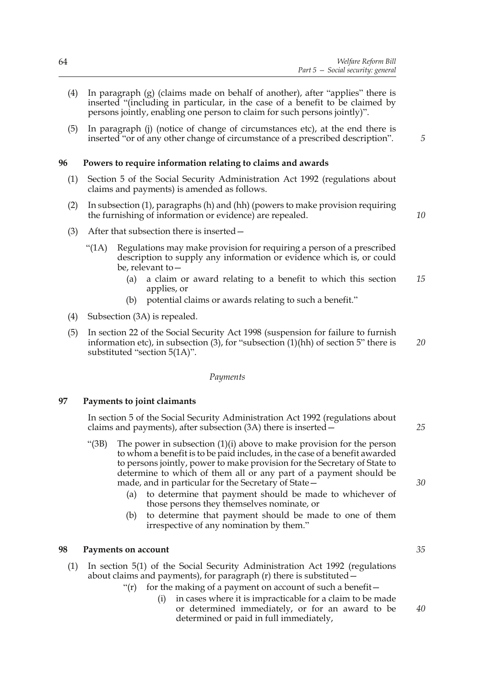- (4) In paragraph (g) (claims made on behalf of another), after "applies" there is inserted "(including in particular, in the case of a benefit to be claimed by persons jointly, enabling one person to claim for such persons jointly)".
- (5) In paragraph (j) (notice of change of circumstances etc), at the end there is inserted "or of any other change of circumstance of a prescribed description".

#### **96 Powers to require information relating to claims and awards**

- (1) Section 5 of the Social Security Administration Act 1992 (regulations about claims and payments) is amended as follows.
- (2) In subsection (1), paragraphs (h) and (hh) (powers to make provision requiring the furnishing of information or evidence) are repealed.
- (3) After that subsection there is inserted—
	- "(1A) Regulations may make provision for requiring a person of a prescribed description to supply any information or evidence which is, or could be, relevant to—
		- (a) a claim or award relating to a benefit to which this section applies, or *15*
		- (b) potential claims or awards relating to such a benefit."
- (4) Subsection (3A) is repealed.
- (5) In section 22 of the Social Security Act 1998 (suspension for failure to furnish information etc), in subsection  $(3)$ , for "subsection  $(1)(hh)$  of section 5" there is substituted "section 5(1A)". *20*

#### *Payments*

#### **97 Payments to joint claimants**

In section 5 of the Social Security Administration Act 1992 (regulations about claims and payments), after subsection (3A) there is inserted—

- "(3B) The power in subsection  $(1)(i)$  above to make provision for the person to whom a benefit is to be paid includes, in the case of a benefit awarded to persons jointly, power to make provision for the Secretary of State to determine to which of them all or any part of a payment should be made, and in particular for the Secretary of State—
	- (a) to determine that payment should be made to whichever of those persons they themselves nominate, or
	- (b) to determine that payment should be made to one of them irrespective of any nomination by them."

#### **98 Payments on account**

- (1) In section 5(1) of the Social Security Administration Act 1992 (regulations about claims and payments), for paragraph (r) there is substituted—
	- " $(r)$  for the making of a payment on account of such a benefit
		- (i) in cases where it is impracticable for a claim to be made or determined immediately, or for an award to be determined or paid in full immediately,

*5*

*10*

*25*

*30*

*35*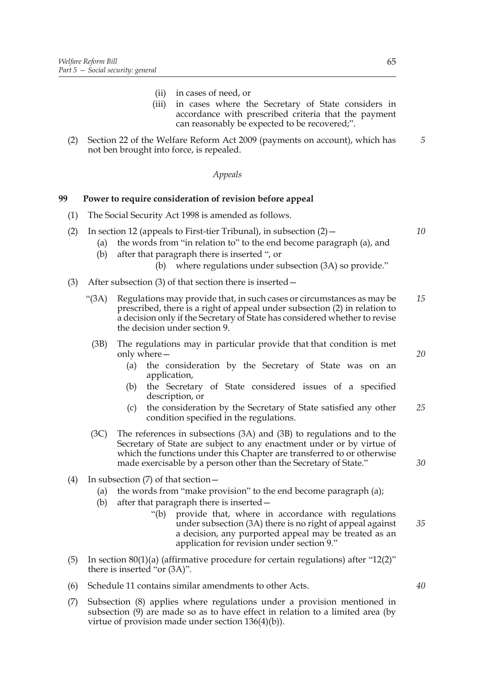- (ii) in cases of need, or
- (iii) in cases where the Secretary of State considers in accordance with prescribed criteria that the payment can reasonably be expected to be recovered;".
- (2) Section 22 of the Welfare Reform Act 2009 (payments on account), which has not ben brought into force, is repealed. *5*

*Appeals*

# **99 Power to require consideration of revision before appeal**

- (1) The Social Security Act 1998 is amended as follows.
- (2) In section 12 (appeals to First-tier Tribunal), in subsection  $(2)$  -
	- (a) the words from "in relation to" to the end become paragraph (a), and
	- (b) after that paragraph there is inserted ", or
		- (b) where regulations under subsection (3A) so provide."
- (3) After subsection (3) of that section there is inserted—
	- "(3A) Regulations may provide that, in such cases or circumstances as may be prescribed, there is a right of appeal under subsection (2) in relation to a decision only if the Secretary of State has considered whether to revise the decision under section 9. *15*
	- (3B) The regulations may in particular provide that that condition is met only where—
		- (a) the consideration by the Secretary of State was on an application,
		- (b) the Secretary of State considered issues of a specified description, or
		- (c) the consideration by the Secretary of State satisfied any other condition specified in the regulations. *25*
	- (3C) The references in subsections (3A) and (3B) to regulations and to the Secretary of State are subject to any enactment under or by virtue of which the functions under this Chapter are transferred to or otherwise made exercisable by a person other than the Secretary of State."
- (4) In subsection (7) of that section—
	- (a) the words from "make provision" to the end become paragraph (a);
	- (b) after that paragraph there is inserted—
		- "(b) provide that, where in accordance with regulations under subsection (3A) there is no right of appeal against a decision, any purported appeal may be treated as an application for revision under section 9."
- (5) In section 80(1)(a) (affirmative procedure for certain regulations) after "12(2)" there is inserted "or (3A)".
- (6) Schedule 11 contains similar amendments to other Acts.
- (7) Subsection (8) applies where regulations under a provision mentioned in subsection (9) are made so as to have effect in relation to a limited area (by virtue of provision made under section 136(4)(b)).

*20*

*10*

*30*

*35*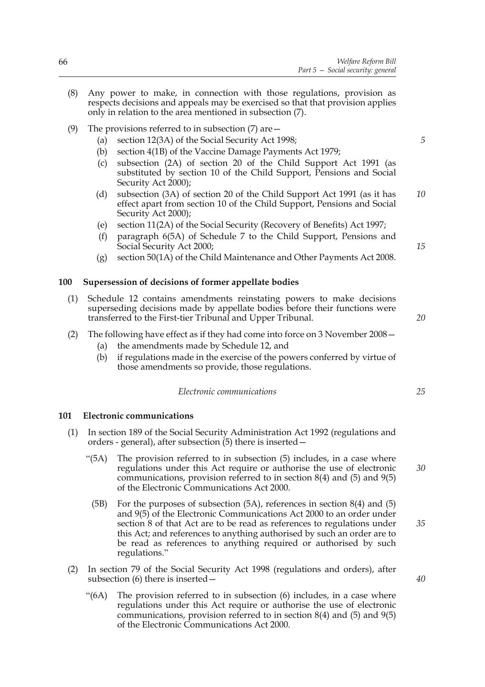- (8) Any power to make, in connection with those regulations, provision as respects decisions and appeals may be exercised so that that provision applies only in relation to the area mentioned in subsection (7).
- (9) The provisions referred to in subsection  $(7)$  are  $-$ 
	- (a) section 12(3A) of the Social Security Act 1998;
	- (b) section 4(1B) of the Vaccine Damage Payments Act 1979;
	- (c) subsection (2A) of section 20 of the Child Support Act 1991 (as substituted by section 10 of the Child Support, Pensions and Social Security Act 2000);
	- (d) subsection (3A) of section 20 of the Child Support Act 1991 (as it has effect apart from section 10 of the Child Support, Pensions and Social Security Act 2000); *10*
	- (e) section 11(2A) of the Social Security (Recovery of Benefits) Act 1997;
	- (f) paragraph 6(5A) of Schedule 7 to the Child Support, Pensions and Social Security Act 2000;
	- (g) section 50(1A) of the Child Maintenance and Other Payments Act 2008.

### **100 Supersession of decisions of former appellate bodies**

- (1) Schedule 12 contains amendments reinstating powers to make decisions superseding decisions made by appellate bodies before their functions were transferred to the First-tier Tribunal and Upper Tribunal.
- (2) The following have effect as if they had come into force on 3 November 2008—
	- (a) the amendments made by Schedule 12, and
	- (b) if regulations made in the exercise of the powers conferred by virtue of those amendments so provide, those regulations.

### *Electronic communications*

**101 Electronic communications**

- (1) In section 189 of the Social Security Administration Act 1992 (regulations and orders - general), after subsection  $(5)$  there is inserted –
	- "(5A) The provision referred to in subsection (5) includes, in a case where regulations under this Act require or authorise the use of electronic communications, provision referred to in section 8(4) and (5) and 9(5) of the Electronic Communications Act 2000.
	- (5B) For the purposes of subsection (5A), references in section 8(4) and (5) and 9(5) of the Electronic Communications Act 2000 to an order under section 8 of that Act are to be read as references to regulations under this Act; and references to anything authorised by such an order are to be read as references to anything required or authorised by such regulations."
- (2) In section 79 of the Social Security Act 1998 (regulations and orders), after subsection (6) there is inserted—
	- " $(6A)$  The provision referred to in subsection  $(6)$  includes, in a case where regulations under this Act require or authorise the use of electronic communications, provision referred to in section 8(4) and (5) and 9(5) of the Electronic Communications Act 2000.

*15*

*5*

*30*

*35*

*25*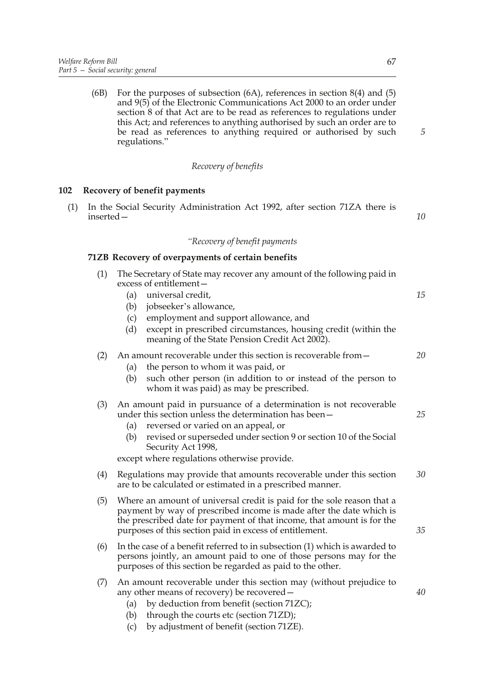(6B) For the purposes of subsection  $(6A)$ , references in section 8(4) and (5) and 9(5) of the Electronic Communications Act 2000 to an order under section 8 of that Act are to be read as references to regulations under this Act; and references to anything authorised by such an order are to be read as references to anything required or authorised by such regulations."

#### *Recovery of benefits*

### **102 Recovery of benefit payments**

(1) In the Social Security Administration Act 1992, after section 71ZA there is inserted—

### *"Recovery of benefit payments*

#### **71ZB Recovery of overpayments of certain benefits**

- (1) The Secretary of State may recover any amount of the following paid in excess of entitlement—
	- (a) universal credit, (b) jobseeker's allowance,
	- (c) employment and support allowance, and
	- (d) except in prescribed circumstances, housing credit (within the meaning of the State Pension Credit Act 2002).

# (2) An amount recoverable under this section is recoverable from—

- (a) the person to whom it was paid, or
- (b) such other person (in addition to or instead of the person to whom it was paid) as may be prescribed.

#### (3) An amount paid in pursuance of a determination is not recoverable under this section unless the determination has been— *25*

- (a) reversed or varied on an appeal, or
- (b) revised or superseded under section 9 or section 10 of the Social Security Act 1998,

except where regulations otherwise provide.

- (4) Regulations may provide that amounts recoverable under this section are to be calculated or estimated in a prescribed manner. *30*
- (5) Where an amount of universal credit is paid for the sole reason that a payment by way of prescribed income is made after the date which is the prescribed date for payment of that income, that amount is for the purposes of this section paid in excess of entitlement.
- (6) In the case of a benefit referred to in subsection (1) which is awarded to persons jointly, an amount paid to one of those persons may for the purposes of this section be regarded as paid to the other.
- (7) An amount recoverable under this section may (without prejudice to any other means of recovery) be recovered—
	- (a) by deduction from benefit (section 71ZC);
	- (b) through the courts etc (section 71ZD);
	- (c) by adjustment of benefit (section 71ZE).

*5*

*10*

*15*

*20*

*40*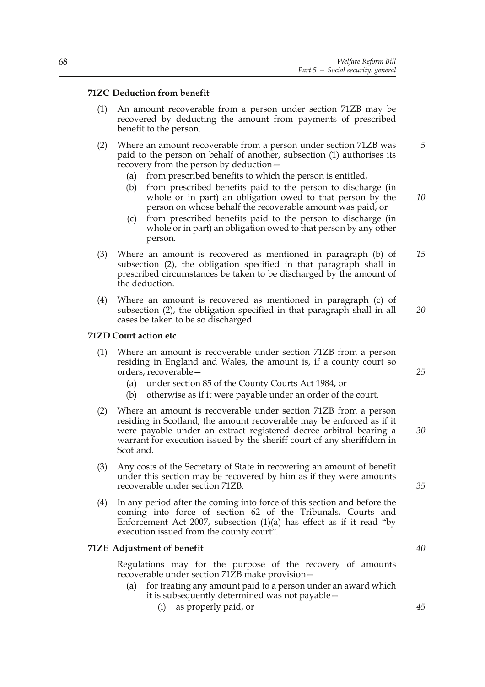### **71ZC Deduction from benefit**

- (1) An amount recoverable from a person under section 71ZB may be recovered by deducting the amount from payments of prescribed benefit to the person.
- (2) Where an amount recoverable from a person under section 71ZB was paid to the person on behalf of another, subsection (1) authorises its recovery from the person by deduction— *5*
	- (a) from prescribed benefits to which the person is entitled,
	- (b) from prescribed benefits paid to the person to discharge (in whole or in part) an obligation owed to that person by the person on whose behalf the recoverable amount was paid, or
	- (c) from prescribed benefits paid to the person to discharge (in whole or in part) an obligation owed to that person by any other person.
- (3) Where an amount is recovered as mentioned in paragraph (b) of subsection (2), the obligation specified in that paragraph shall in prescribed circumstances be taken to be discharged by the amount of the deduction. *15*
- (4) Where an amount is recovered as mentioned in paragraph (c) of subsection (2), the obligation specified in that paragraph shall in all cases be taken to be so discharged. *20*

### **71ZD Court action etc**

- (1) Where an amount is recoverable under section 71ZB from a person residing in England and Wales, the amount is, if a county court so orders, recoverable—
	- (a) under section 85 of the County Courts Act 1984, or
	- (b) otherwise as if it were payable under an order of the court.
- (2) Where an amount is recoverable under section 71ZB from a person residing in Scotland, the amount recoverable may be enforced as if it were payable under an extract registered decree arbitral bearing a warrant for execution issued by the sheriff court of any sheriffdom in Scotland.
- (3) Any costs of the Secretary of State in recovering an amount of benefit under this section may be recovered by him as if they were amounts recoverable under section 71ZB.
- (4) In any period after the coming into force of this section and before the coming into force of section 62 of the Tribunals, Courts and Enforcement Act 2007, subsection (1)(a) has effect as if it read "by execution issued from the county court".

#### **71ZE Adjustment of benefit**

Regulations may for the purpose of the recovery of amounts recoverable under section 71ZB make provision—

- (a) for treating any amount paid to a person under an award which it is subsequently determined was not payable—
	- (i) as properly paid, or

*40*

*10*

*25*

*35*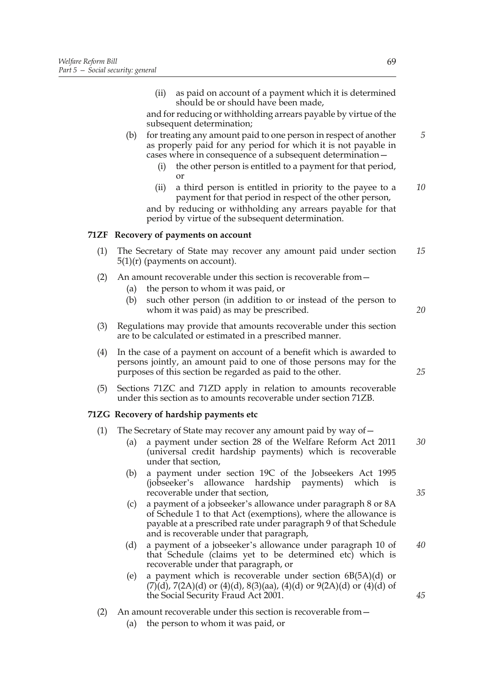(ii) as paid on account of a payment which it is determined should be or should have been made,

and for reducing or withholding arrears payable by virtue of the subsequent determination;

- (b) for treating any amount paid to one person in respect of another as properly paid for any period for which it is not payable in cases where in consequence of a subsequent determination—
	- (i) the other person is entitled to a payment for that period, or
	- (ii) a third person is entitled in priority to the payee to a payment for that period in respect of the other person, *10*

and by reducing or withholding any arrears payable for that period by virtue of the subsequent determination.

### **71ZF Recovery of payments on account**

- (1) The Secretary of State may recover any amount paid under section  $5(1)(r)$  (payments on account). *15*
- (2) An amount recoverable under this section is recoverable from—
	- (a) the person to whom it was paid, or
	- (b) such other person (in addition to or instead of the person to whom it was paid) as may be prescribed.
- (3) Regulations may provide that amounts recoverable under this section are to be calculated or estimated in a prescribed manner.
- (4) In the case of a payment on account of a benefit which is awarded to persons jointly, an amount paid to one of those persons may for the purposes of this section be regarded as paid to the other.
- (5) Sections 71ZC and 71ZD apply in relation to amounts recoverable under this section as to amounts recoverable under section 71ZB.

### **71ZG Recovery of hardship payments etc**

- (1) The Secretary of State may recover any amount paid by way of—
	- (a) a payment under section 28 of the Welfare Reform Act 2011 (universal credit hardship payments) which is recoverable under that section,
	- (b) a payment under section 19C of the Jobseekers Act 1995 (jobseeker's allowance hardship payments) which is recoverable under that section,
	- (c) a payment of a jobseeker's allowance under paragraph 8 or 8A of Schedule 1 to that Act (exemptions), where the allowance is payable at a prescribed rate under paragraph 9 of that Schedule and is recoverable under that paragraph,
	- (d) a payment of a jobseeker's allowance under paragraph 10 of that Schedule (claims yet to be determined etc) which is recoverable under that paragraph, or
	- (e) a payment which is recoverable under section 6B(5A)(d) or  $(7)(d)$ ,  $7(2A)(d)$  or  $(4)(d)$ ,  $8(3)(aa)$ ,  $(4)(d)$  or  $9(2A)(d)$  or  $(4)(d)$  of the Social Security Fraud Act 2001.
- (2) An amount recoverable under this section is recoverable from—
	- (a) the person to whom it was paid, or

*5*

*20*

*25*

*30*

*45*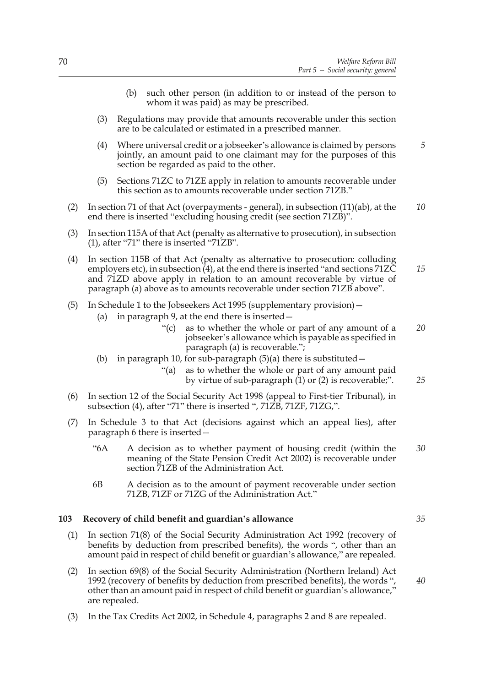- (b) such other person (in addition to or instead of the person to whom it was paid) as may be prescribed.
- (3) Regulations may provide that amounts recoverable under this section are to be calculated or estimated in a prescribed manner.
- (4) Where universal credit or a jobseeker's allowance is claimed by persons jointly, an amount paid to one claimant may for the purposes of this section be regarded as paid to the other.
- (5) Sections 71ZC to 71ZE apply in relation to amounts recoverable under this section as to amounts recoverable under section 71ZB."
- (2) In section 71 of that Act (overpayments general), in subsection (11)(ab), at the end there is inserted "excluding housing credit (see section 71ZB)". *10*
- (3) In section 115A of that Act (penalty as alternative to prosecution), in subsection (1), after "71" there is inserted "71ZB".
- (4) In section 115B of that Act (penalty as alternative to prosecution: colluding employers etc), in subsection (4), at the end there is inserted "and sections 71ZC and 71ZD above apply in relation to an amount recoverable by virtue of paragraph (a) above as to amounts recoverable under section 71ZB above". *15*
- (5) In Schedule 1 to the Jobseekers Act 1995 (supplementary provision)—
	- (a) in paragraph 9, at the end there is inserted—
		- "(c) as to whether the whole or part of any amount of a jobseeker's allowance which is payable as specified in paragraph (a) is recoverable."; *20*
	- (b) in paragraph 10, for sub-paragraph  $(5)(a)$  there is substituted
		- "(a) as to whether the whole or part of any amount paid by virtue of sub-paragraph  $(1)$  or  $(2)$  is recoverable;". *25*
- (6) In section 12 of the Social Security Act 1998 (appeal to First-tier Tribunal), in subsection (4), after "71" there is inserted ", 71 $\overline{ZB}$ , 71 $\overline{ZF}$ , 71 $\overline{ZG}$ ,".
- (7) In Schedule 3 to that Act (decisions against which an appeal lies), after paragraph 6 there is inserted—
	- "6A A decision as to whether payment of housing credit (within the meaning of the State Pension Credit Act 2002) is recoverable under section 71ZB of the Administration Act. *30*
	- 6B A decision as to the amount of payment recoverable under section 71ZB, 71ZF or 71ZG of the Administration Act."

#### **103 Recovery of child benefit and guardian's allowance**

- (1) In section 71(8) of the Social Security Administration Act 1992 (recovery of benefits by deduction from prescribed benefits), the words ", other than an amount paid in respect of child benefit or guardian's allowance," are repealed.
- (2) In section 69(8) of the Social Security Administration (Northern Ireland) Act 1992 (recovery of benefits by deduction from prescribed benefits), the words ", other than an amount paid in respect of child benefit or guardian's allowance," are repealed.
- (3) In the Tax Credits Act 2002, in Schedule 4, paragraphs 2 and 8 are repealed.

*35*

*40*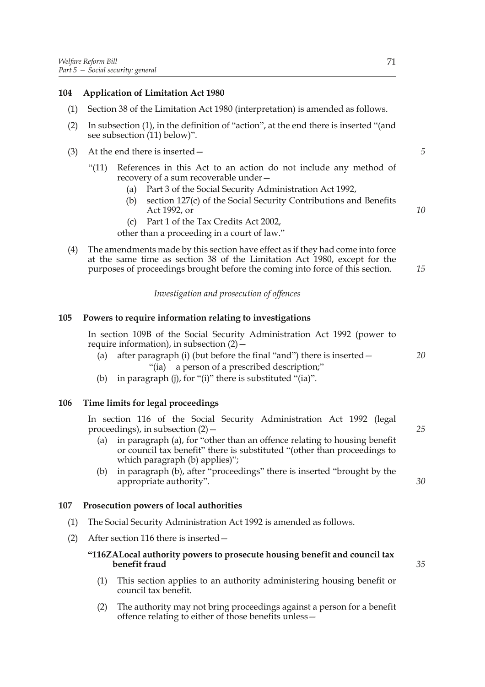### **104 Application of Limitation Act 1980**

- (1) Section 38 of the Limitation Act 1980 (interpretation) is amended as follows.
- (2) In subsection (1), in the definition of "action", at the end there is inserted "(and see subsection (11) below)".
- (3) At the end there is inserted—
	- "(11) References in this Act to an action do not include any method of recovery of a sum recoverable under—
		- (a) Part 3 of the Social Security Administration Act 1992,
		- (b) section 127(c) of the Social Security Contributions and Benefits Act 1992, or
		- (c) Part 1 of the Tax Credits Act 2002,

other than a proceeding in a court of law."

- (4) The amendments made by this section have effect as if they had come into force at the same time as section 38 of the Limitation Act 1980, except for the purposes of proceedings brought before the coming into force of this section.
	- *Investigation and prosecution of offences*

# **105 Powers to require information relating to investigations**

In section 109B of the Social Security Administration Act 1992 (power to require information), in subsection  $(2)$  –

- (a) after paragraph (i) (but before the final "and") there is inserted— "(ia) a person of a prescribed description;" *20*
- (b) in paragraph (j), for "(i)" there is substituted "(ia)".

#### **106 Time limits for legal proceedings**

In section 116 of the Social Security Administration Act 1992 (legal proceedings), in subsection (2)—

- (a) in paragraph (a), for "other than an offence relating to housing benefit or council tax benefit" there is substituted "(other than proceedings to which paragraph (b) applies)";
- (b) in paragraph (b), after "proceedings" there is inserted "brought by the appropriate authority".

#### **107 Prosecution powers of local authorities**

- (1) The Social Security Administration Act 1992 is amended as follows.
- (2) After section 116 there is inserted—

#### **"116ZALocal authority powers to prosecute housing benefit and council tax benefit fraud**

- (1) This section applies to an authority administering housing benefit or council tax benefit.
- (2) The authority may not bring proceedings against a person for a benefit offence relating to either of those benefits unless—

*5*

*10*

*15*

*35*

*25*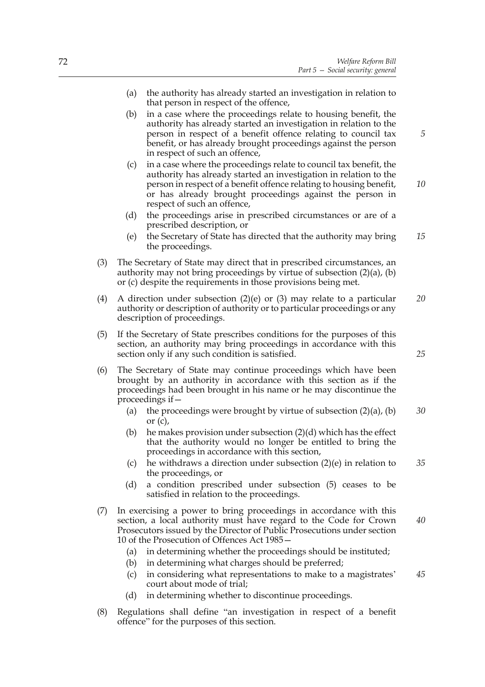- (a) the authority has already started an investigation in relation to that person in respect of the offence, (b) in a case where the proceedings relate to housing benefit, the authority has already started an investigation in relation to the person in respect of a benefit offence relating to council tax benefit, or has already brought proceedings against the person in respect of such an offence, (c) in a case where the proceedings relate to council tax benefit, the authority has already started an investigation in relation to the person in respect of a benefit offence relating to housing benefit, or has already brought proceedings against the person in respect of such an offence, (d) the proceedings arise in prescribed circumstances or are of a prescribed description, or (e) the Secretary of State has directed that the authority may bring the proceedings. (3) The Secretary of State may direct that in prescribed circumstances, an authority may not bring proceedings by virtue of subsection (2)(a), (b) or (c) despite the requirements in those provisions being met. (4) A direction under subsection (2)(e) or (3) may relate to a particular authority or description of authority or to particular proceedings or any description of proceedings. (5) If the Secretary of State prescribes conditions for the purposes of this section, an authority may bring proceedings in accordance with this section only if any such condition is satisfied. (6) The Secretary of State may continue proceedings which have been brought by an authority in accordance with this section as if the proceedings had been brought in his name or he may discontinue the proceedings if— (a) the proceedings were brought by virtue of subsection  $(2)(a)$ ,  $(b)$ or  $(c)$ , (b) he makes provision under subsection (2)(d) which has the effect that the authority would no longer be entitled to bring the proceedings in accordance with this section, (c) he withdraws a direction under subsection (2)(e) in relation to the proceedings, or (d) a condition prescribed under subsection (5) ceases to be satisfied in relation to the proceedings. (7) In exercising a power to bring proceedings in accordance with this section, a local authority must have regard to the Code for Crown Prosecutors issued by the Director of Public Prosecutions under section 10 of the Prosecution of Offences Act 1985— *5 10 15 20 30 35*
	- (a) in determining whether the proceedings should be instituted;
	- (b) in determining what charges should be preferred;
	- (c) in considering what representations to make to a magistrates' court about mode of trial; *45*
	- (d) in determining whether to discontinue proceedings.
- (8) Regulations shall define "an investigation in respect of a benefit offence" for the purposes of this section.
- *25*
-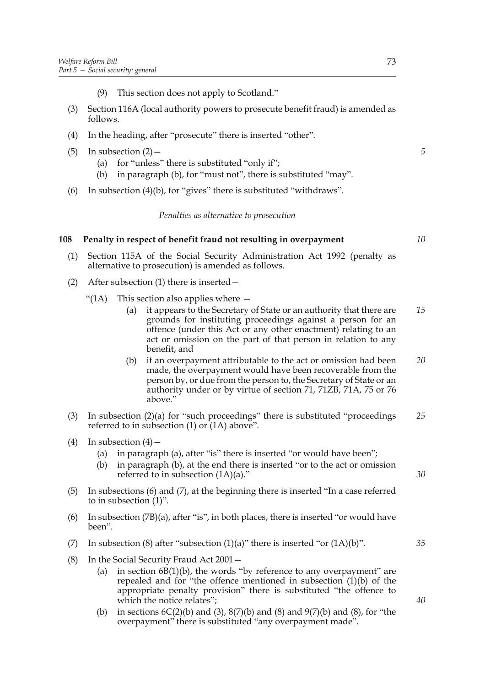- (9) This section does not apply to Scotland."
- (3) Section 116A (local authority powers to prosecute benefit fraud) is amended as follows.
- (4) In the heading, after "prosecute" there is inserted "other".
- (5) In subsection  $(2)$ 
	- (a) for "unless" there is substituted "only if";
	- (b) in paragraph (b), for "must not", there is substituted "may".
- (6) In subsection  $(4)(b)$ , for "gives" there is substituted "withdraws".

#### *Penalties as alternative to prosecution*

# **108 Penalty in respect of benefit fraud not resulting in overpayment**

- (1) Section 115A of the Social Security Administration Act 1992 (penalty as alternative to prosecution) is amended as follows.
- (2) After subsection (1) there is inserted—
	- "(1A) This section also applies where  $-$ 
		- (a) it appears to the Secretary of State or an authority that there are grounds for instituting proceedings against a person for an offence (under this Act or any other enactment) relating to an act or omission on the part of that person in relation to any benefit, and *15*
		- (b) if an overpayment attributable to the act or omission had been made, the overpayment would have been recoverable from the person by, or due from the person to, the Secretary of State or an authority under or by virtue of section 71, 71ZB, 71A, 75 or 76 above." *20*
- (3) In subsection (2)(a) for "such proceedings" there is substituted "proceedings referred to in subsection (1) or (1A) above". *25*
- (4) In subsection  $(4)$ 
	- (a) in paragraph (a), after "is" there is inserted "or would have been";
	- (b) in paragraph (b), at the end there is inserted "or to the act or omission referred to in subsection (1A)(a)."
- (5) In subsections (6) and (7), at the beginning there is inserted "In a case referred to in subsection (1)".
- (6) In subsection (7B)(a), after "is", in both places, there is inserted "or would have been".
- (7) In subsection (8) after "subsection  $(1)(a)$ " there is inserted "or  $(1A)(b)$ ".
- (8) In the Social Security Fraud Act 2001—
	- (a) in section  $6B(1)(b)$ , the words "by reference to any overpayment" are repealed and for "the offence mentioned in subsection  $(1)(b)$  of the appropriate penalty provision" there is substituted "the offence to which the notice relates";
	- (b) in sections  $6C(2)(b)$  and  $(3)$ ,  $8(7)(b)$  and  $(8)$  and  $9(7)(b)$  and  $(8)$ , for "the overpayment" there is substituted "any overpayment made".

*5*

*10*

*30*

*35*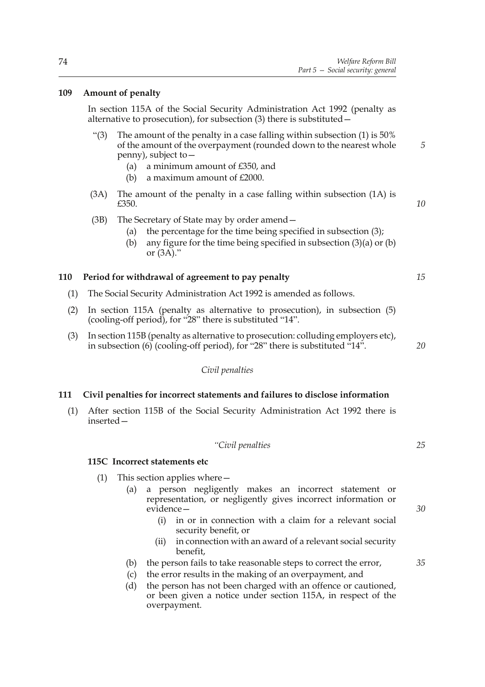### **109 Amount of penalty**

In section 115A of the Social Security Administration Act 1992 (penalty as alternative to prosecution), for subsection (3) there is substituted—

- "(3) The amount of the penalty in a case falling within subsection  $(1)$  is 50% of the amount of the overpayment (rounded down to the nearest whole penny), subject to—
	- (a) a minimum amount of £350, and
	- (b) a maximum amount of £2000.
- (3A) The amount of the penalty in a case falling within subsection (1A) is £350.
- (3B) The Secretary of State may by order amend—
	- (a) the percentage for the time being specified in subsection (3);
	- (b) any figure for the time being specified in subsection (3)(a) or (b) or (3A)."

### **110 Period for withdrawal of agreement to pay penalty**

- (1) The Social Security Administration Act 1992 is amended as follows.
- (2) In section 115A (penalty as alternative to prosecution), in subsection (5) (cooling-off period), for "28" there is substituted "14".
- (3) In section 115B (penalty as alternative to prosecution: colluding employers etc), in subsection (6) (cooling-off period), for "28" there is substituted "14".

#### *Civil penalties*

#### **111 Civil penalties for incorrect statements and failures to disclose information**

(1) After section 115B of the Social Security Administration Act 1992 there is inserted—

#### *"Civil penalties*

### **115C Incorrect statements etc**

- (1) This section applies where—
	- (a) a person negligently makes an incorrect statement or representation, or negligently gives incorrect information or evidence—
		- (i) in or in connection with a claim for a relevant social security benefit, or
		- (ii) in connection with an award of a relevant social security benefit,
	- (b) the person fails to take reasonable steps to correct the error,
	- (c) the error results in the making of an overpayment, and
	- (d) the person has not been charged with an offence or cautioned, or been given a notice under section 115A, in respect of the overpayment.

*15*

*5*

*10*

*20*

*30*

*35*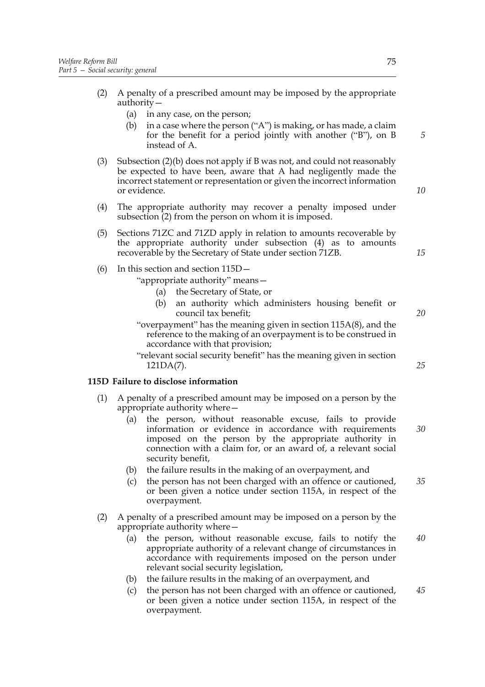- (2) A penalty of a prescribed amount may be imposed by the appropriate authority—
	- (a) in any case, on the person;
	- (b) in a case where the person ("A") is making, or has made, a claim for the benefit for a period jointly with another ("B"), on B instead of A.
- (3) Subsection (2)(b) does not apply if B was not, and could not reasonably be expected to have been, aware that A had negligently made the incorrect statement or representation or given the incorrect information or evidence.
- (4) The appropriate authority may recover a penalty imposed under subsection (2) from the person on whom it is imposed.
- (5) Sections 71ZC and 71ZD apply in relation to amounts recoverable by the appropriate authority under subsection (4) as to amounts recoverable by the Secretary of State under section 71ZB.
- (6) In this section and section 115D—
	- "appropriate authority" means—
		- (a) the Secretary of State, or
		- (b) an authority which administers housing benefit or council tax benefit;
	- "overpayment" has the meaning given in section 115A(8), and the reference to the making of an overpayment is to be construed in accordance with that provision;
	- "relevant social security benefit" has the meaning given in section 121DA(7).

# **115D Failure to disclose information**

- (1) A penalty of a prescribed amount may be imposed on a person by the appropriate authority where—
	- (a) the person, without reasonable excuse, fails to provide information or evidence in accordance with requirements imposed on the person by the appropriate authority in connection with a claim for, or an award of, a relevant social security benefit,
	- (b) the failure results in the making of an overpayment, and
	- (c) the person has not been charged with an offence or cautioned, or been given a notice under section 115A, in respect of the overpayment. *35*
- (2) A penalty of a prescribed amount may be imposed on a person by the appropriate authority where—
	- (a) the person, without reasonable excuse, fails to notify the appropriate authority of a relevant change of circumstances in accordance with requirements imposed on the person under relevant social security legislation, *40*
	- (b) the failure results in the making of an overpayment, and
	- (c) the person has not been charged with an offence or cautioned, or been given a notice under section 115A, in respect of the overpayment.

*5*

*10*

*15*

*25*

*20*

*30*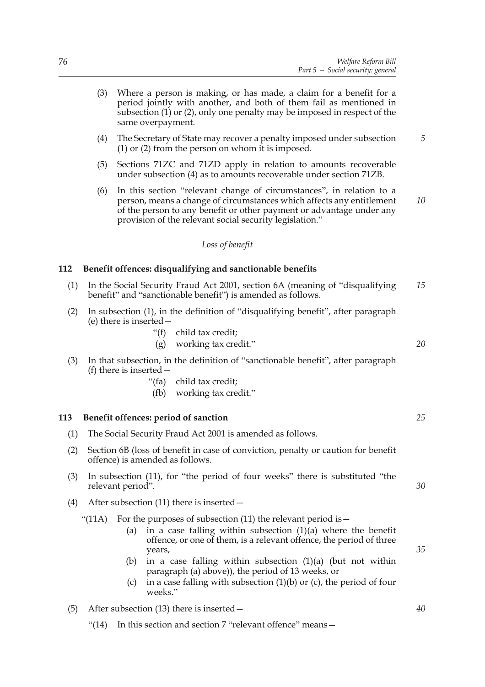- (3) Where a person is making, or has made, a claim for a benefit for a period jointly with another, and both of them fail as mentioned in subsection (1) or (2), only one penalty may be imposed in respect of the same overpayment.
- (4) The Secretary of State may recover a penalty imposed under subsection (1) or (2) from the person on whom it is imposed. *5*
- (5) Sections 71ZC and 71ZD apply in relation to amounts recoverable under subsection (4) as to amounts recoverable under section 71ZB.
- (6) In this section "relevant change of circumstances", in relation to a person, means a change of circumstances which affects any entitlement of the person to any benefit or other payment or advantage under any provision of the relevant social security legislation." *10*

#### *Loss of benefit*

### **112 Benefit offences: disqualifying and sanctionable benefits**

- (1) In the Social Security Fraud Act 2001, section 6A (meaning of "disqualifying benefit" and "sanctionable benefit") is amended as follows. *15*
- (2) In subsection (1), in the definition of "disqualifying benefit", after paragraph (e) there is inserted—
	- "(f) child tax credit;
	- (g) working tax credit."
- (3) In that subsection, in the definition of "sanctionable benefit", after paragraph (f) there is inserted—
	- "(fa) child tax credit;
	- (fb) working tax credit."

# **113 Benefit offences: period of sanction**

- (1) The Social Security Fraud Act 2001 is amended as follows.
- (2) Section 6B (loss of benefit in case of conviction, penalty or caution for benefit offence) is amended as follows.
- (3) In subsection (11), for "the period of four weeks" there is substituted "the relevant period".
- (4) After subsection (11) there is inserted—
	- "(11A) For the purposes of subsection  $(11)$  the relevant period is  $-$ 
		- (a) in a case falling within subsection  $(1)(a)$  where the benefit offence, or one of them, is a relevant offence, the period of three years,
		- (b) in a case falling within subsection  $(1)(a)$  (but not within paragraph (a) above)), the period of 13 weeks, or
		- (c) in a case falling with subsection  $(1)(b)$  or  $(c)$ , the period of four weeks."
- (5) After subsection (13) there is inserted—
	- "(14) In this section and section 7 "relevant offence" means—

*30*

*25*

*20*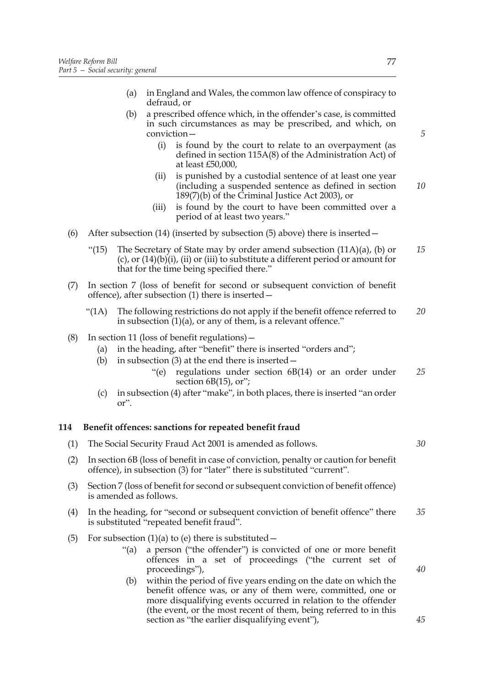- (a) in England and Wales, the common law offence of conspiracy to defraud, or
- (b) a prescribed offence which, in the offender's case, is committed in such circumstances as may be prescribed, and which, on conviction—
	- (i) is found by the court to relate to an overpayment (as defined in section 115A(8) of the Administration Act) of at least £50,000,
	- (ii) is punished by a custodial sentence of at least one year (including a suspended sentence as defined in section 189(7)(b) of the Criminal Justice Act 2003), or
	- (iii) is found by the court to have been committed over a period of at least two years."
- (6) After subsection (14) (inserted by subsection (5) above) there is inserted—
	- "(15) The Secretary of State may by order amend subsection  $(11A)(a)$ ,  $(b)$  or (c), or (14)(b)(i), (ii) or (iii) to substitute a different period or amount for that for the time being specified there." *15*
- (7) In section 7 (loss of benefit for second or subsequent conviction of benefit offence), after subsection (1) there is inserted—
	- " $(1A)$  The following restrictions do not apply if the benefit offence referred to in subsection  $(1)(a)$ , or any of them, is a relevant offence." *20*
- (8) In section 11 (loss of benefit regulations)—
	- (a) in the heading, after "benefit" there is inserted "orders and";
	- (b) in subsection  $(3)$  at the end there is inserted  $-$ 
		- "(e) regulations under section 6B(14) or an order under section  $6B(15)$ , or"; *25*
	- (c) in subsection (4) after "make", in both places, there is inserted "an order or".

### **114 Benefit offences: sanctions for repeated benefit fraud**

- (1) The Social Security Fraud Act 2001 is amended as follows.
- (2) In section 6B (loss of benefit in case of conviction, penalty or caution for benefit offence), in subsection (3) for "later" there is substituted "current".
- (3) Section 7 (loss of benefit for second or subsequent conviction of benefit offence) is amended as follows.
- (4) In the heading, for "second or subsequent conviction of benefit offence" there is substituted "repeated benefit fraud". *35*
- (5) For subsection  $(1)(a)$  to (e) there is substituted  $-$ 
	- "(a) a person ("the offender") is convicted of one or more benefit offences in a set of proceedings ("the current set of proceedings"),
	- (b) within the period of five years ending on the date on which the benefit offence was, or any of them were, committed, one or more disqualifying events occurred in relation to the offender (the event, or the most recent of them, being referred to in this section as "the earlier disqualifying event"),

*5*

*10*

*40*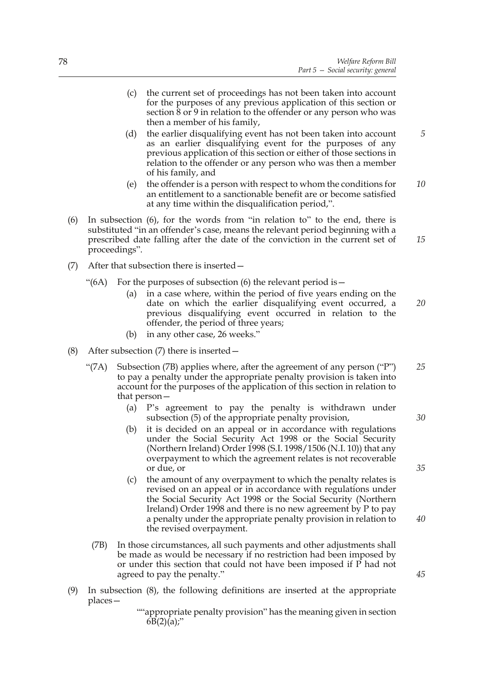- (c) the current set of proceedings has not been taken into account for the purposes of any previous application of this section or section 8 or 9 in relation to the offender or any person who was then a member of his family,
- (d) the earlier disqualifying event has not been taken into account as an earlier disqualifying event for the purposes of any previous application of this section or either of those sections in relation to the offender or any person who was then a member of his family, and *5*
- (e) the offender is a person with respect to whom the conditions for an entitlement to a sanctionable benefit are or become satisfied at any time within the disqualification period,". *10*
- (6) In subsection (6), for the words from "in relation to" to the end, there is substituted "in an offender's case, means the relevant period beginning with a prescribed date falling after the date of the conviction in the current set of proceedings". *15*
- (7) After that subsection there is inserted—
	- "(6A) For the purposes of subsection (6) the relevant period is  $-$ 
		- (a) in a case where, within the period of five years ending on the date on which the earlier disqualifying event occurred, a previous disqualifying event occurred in relation to the offender, the period of three years;
		- (b) in any other case, 26 weeks."
- (8) After subsection (7) there is inserted—
	- "(7A) Subsection (7B) applies where, after the agreement of any person ("P") to pay a penalty under the appropriate penalty provision is taken into account for the purposes of the application of this section in relation to that person— *25*
		- (a) P's agreement to pay the penalty is withdrawn under subsection (5) of the appropriate penalty provision,
		- (b) it is decided on an appeal or in accordance with regulations under the Social Security Act 1998 or the Social Security (Northern Ireland) Order 1998 (S.I. 1998/1506 (N.I. 10)) that any overpayment to which the agreement relates is not recoverable or due, or
		- (c) the amount of any overpayment to which the penalty relates is revised on an appeal or in accordance with regulations under the Social Security Act 1998 or the Social Security (Northern Ireland) Order 1998 and there is no new agreement by P to pay a penalty under the appropriate penalty provision in relation to the revised overpayment.
		- (7B) In those circumstances, all such payments and other adjustments shall be made as would be necessary if no restriction had been imposed by or under this section that could not have been imposed if  $\vec{P}$  had not agreed to pay the penalty."
- (9) In subsection (8), the following definitions are inserted at the appropriate places—

""appropriate penalty provision" has the meaning given in section  $6B(2)(a)$ ;"

*20*

*30*

*35*

*40*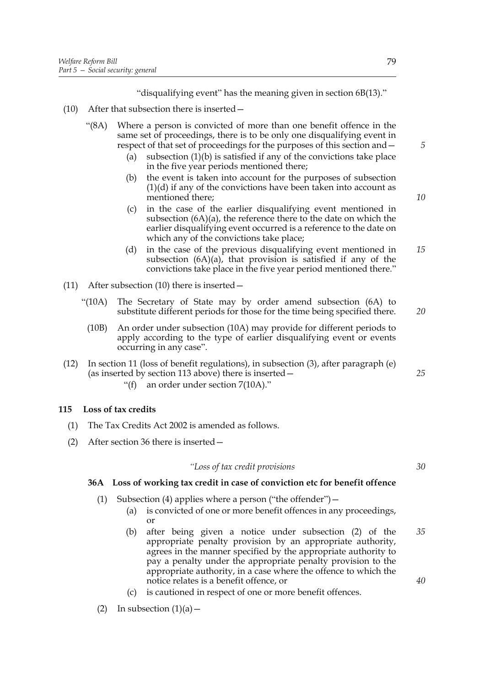"disqualifying event" has the meaning given in section 6B(13)."

- (10) After that subsection there is inserted—
	- "(8A) Where a person is convicted of more than one benefit offence in the same set of proceedings, there is to be only one disqualifying event in respect of that set of proceedings for the purposes of this section and—
		- (a) subsection  $(1)(b)$  is satisfied if any of the convictions take place in the five year periods mentioned there;
		- (b) the event is taken into account for the purposes of subsection (1)(d) if any of the convictions have been taken into account as mentioned there;
		- (c) in the case of the earlier disqualifying event mentioned in subsection (6A)(a), the reference there to the date on which the earlier disqualifying event occurred is a reference to the date on which any of the convictions take place;
		- (d) in the case of the previous disqualifying event mentioned in subsection (6A)(a), that provision is satisfied if any of the convictions take place in the five year period mentioned there." *15*
- (11) After subsection (10) there is inserted—
	- "(10A) The Secretary of State may by order amend subsection (6A) to substitute different periods for those for the time being specified there. *20*
		- (10B) An order under subsection (10A) may provide for different periods to apply according to the type of earlier disqualifying event or events occurring in any case".
- (12) In section 11 (loss of benefit regulations), in subsection (3), after paragraph (e) (as inserted by section 113 above) there is inserted—
	- "(f) an order under section 7(10A)."

#### **115 Loss of tax credits**

- (1) The Tax Credits Act 2002 is amended as follows.
- (2) After section 36 there is inserted—

#### *"Loss of tax credit provisions*

### **36A Loss of working tax credit in case of conviction etc for benefit offence**

- (1) Subsection (4) applies where a person ("the offender")  $-$ 
	- (a) is convicted of one or more benefit offences in any proceedings, or
	- (b) after being given a notice under subsection (2) of the appropriate penalty provision by an appropriate authority, agrees in the manner specified by the appropriate authority to pay a penalty under the appropriate penalty provision to the appropriate authority, in a case where the offence to which the notice relates is a benefit offence, or *35 40*
	- (c) is cautioned in respect of one or more benefit offences.
- (2) In subsection  $(1)(a)$  –

*5*

*10*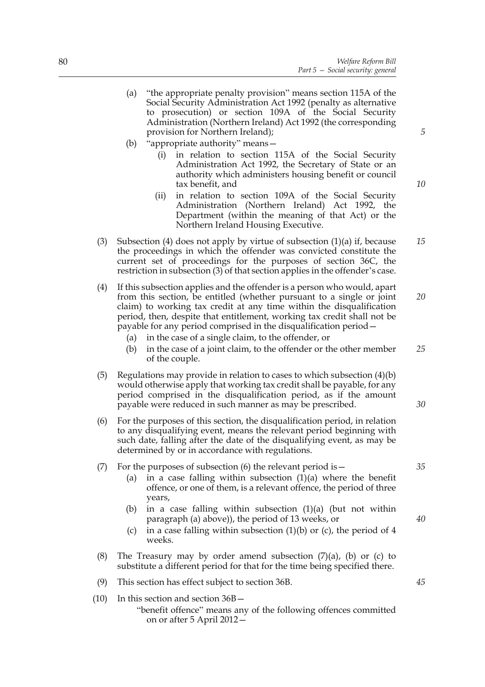- (a) "the appropriate penalty provision" means section 115A of the Social Security Administration Act 1992 (penalty as alternative to prosecution) or section 109A of the Social Security Administration (Northern Ireland) Act 1992 (the corresponding provision for Northern Ireland);
- (b) "appropriate authority" means—
	- (i) in relation to section 115A of the Social Security Administration Act 1992, the Secretary of State or an authority which administers housing benefit or council tax benefit, and
	- (ii) in relation to section 109A of the Social Security Administration (Northern Ireland) Act 1992, the Department (within the meaning of that Act) or the Northern Ireland Housing Executive.
- (3) Subsection (4) does not apply by virtue of subsection  $(1)(a)$  if, because the proceedings in which the offender was convicted constitute the current set of proceedings for the purposes of section 36C, the restriction in subsection (3) of that section applies in the offender's case. *15*
- (4) If this subsection applies and the offender is a person who would, apart from this section, be entitled (whether pursuant to a single or joint claim) to working tax credit at any time within the disqualification period, then, despite that entitlement, working tax credit shall not be payable for any period comprised in the disqualification period— *20*
	- (a) in the case of a single claim, to the offender, or
	- (b) in the case of a joint claim, to the offender or the other member of the couple. *25*
- (5) Regulations may provide in relation to cases to which subsection (4)(b) would otherwise apply that working tax credit shall be payable, for any period comprised in the disqualification period, as if the amount payable were reduced in such manner as may be prescribed.
- (6) For the purposes of this section, the disqualification period, in relation to any disqualifying event, means the relevant period beginning with such date, falling after the date of the disqualifying event, as may be determined by or in accordance with regulations.
- (7) For the purposes of subsection  $(6)$  the relevant period is  $-$ 
	- (a) in a case falling within subsection  $(1)(a)$  where the benefit offence, or one of them, is a relevant offence, the period of three years,
	- (b) in a case falling within subsection (1)(a) (but not within paragraph (a) above)), the period of 13 weeks, or
	- (c) in a case falling within subsection  $(1)(b)$  or  $(c)$ , the period of 4 weeks.
- (8) The Treasury may by order amend subsection  $(7)(a)$ , (b) or (c) to substitute a different period for that for the time being specified there.

(9) This section has effect subject to section 36B.

- (10) In this section and section 36B—
	- "benefit offence" means any of the following offences committed on or after 5 April 2012—

*5*

*10*

*30*

*35*

*40*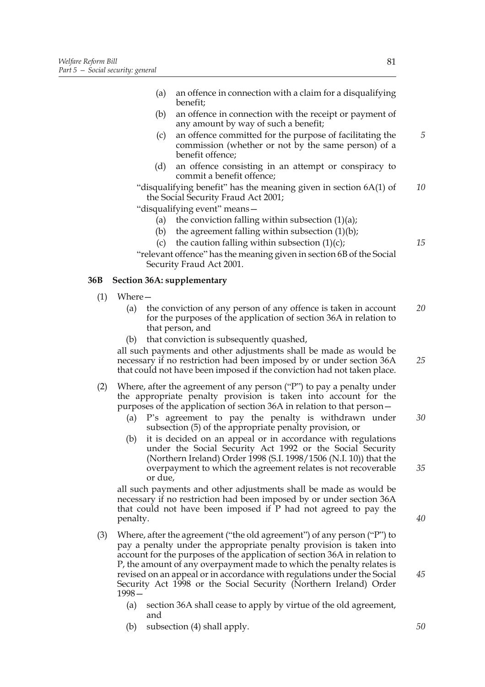- (a) an offence in connection with a claim for a disqualifying benefit;
- (b) an offence in connection with the receipt or payment of any amount by way of such a benefit;
- (c) an offence committed for the purpose of facilitating the commission (whether or not by the same person) of a benefit offence; *5*
- (d) an offence consisting in an attempt or conspiracy to commit a benefit offence;
- "disqualifying benefit" has the meaning given in section 6A(1) of the Social Security Fraud Act 2001; *10*

"disqualifying event" means—

- (a) the conviction falling within subsection  $(1)(a)$ ;
- (b) the agreement falling within subsection  $(1)(b)$ ;
- (c) the caution falling within subsection  $(1)(c)$ ;
- "relevant offence" has the meaning given in section 6B of the Social Security Fraud Act 2001.

### **36B Section 36A: supplementary**

- (1) Where—
	- (a) the conviction of any person of any offence is taken in account for the purposes of the application of section 36A in relation to that person, and *20*
	- (b) that conviction is subsequently quashed,

all such payments and other adjustments shall be made as would be necessary if no restriction had been imposed by or under section 36A that could not have been imposed if the conviction had not taken place.

- (2) Where, after the agreement of any person ("P") to pay a penalty under the appropriate penalty provision is taken into account for the purposes of the application of section 36A in relation to that person—
	- (a) P's agreement to pay the penalty is withdrawn under subsection (5) of the appropriate penalty provision, or *30*
	- (b) it is decided on an appeal or in accordance with regulations under the Social Security Act 1992 or the Social Security (Northern Ireland) Order 1998 (S.I. 1998/1506 (N.I. 10)) that the overpayment to which the agreement relates is not recoverable or due,

all such payments and other adjustments shall be made as would be necessary if no restriction had been imposed by or under section 36A that could not have been imposed if P had not agreed to pay the penalty.

- (3) Where, after the agreement ("the old agreement") of any person ("P") to pay a penalty under the appropriate penalty provision is taken into account for the purposes of the application of section 36A in relation to P, the amount of any overpayment made to which the penalty relates is revised on an appeal or in accordance with regulations under the Social Security Act 1998 or the Social Security (Northern Ireland) Order 1998—
	- (a) section 36A shall cease to apply by virtue of the old agreement, and
	- (b) subsection (4) shall apply.

*15*

*40*

*35*

*50*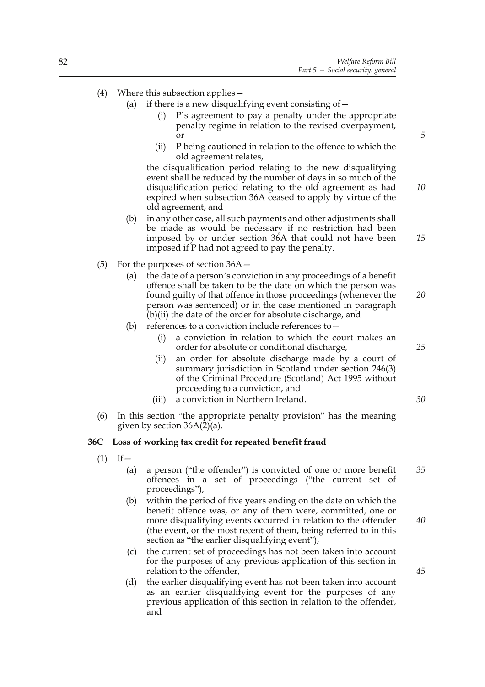- (4) Where this subsection applies—
	- (a) if there is a new disqualifying event consisting of  $-$ 
		- P's agreement to pay a penalty under the appropriate penalty regime in relation to the revised overpayment, or
		- (ii) P being cautioned in relation to the offence to which the old agreement relates,

the disqualification period relating to the new disqualifying event shall be reduced by the number of days in so much of the disqualification period relating to the old agreement as had expired when subsection 36A ceased to apply by virtue of the old agreement, and

- (b) in any other case, all such payments and other adjustments shall be made as would be necessary if no restriction had been imposed by or under section 36A that could not have been imposed if P had not agreed to pay the penalty.
- (5) For the purposes of section 36A—
	- (a) the date of a person's conviction in any proceedings of a benefit offence shall be taken to be the date on which the person was found guilty of that offence in those proceedings (whenever the person was sentenced) or in the case mentioned in paragraph  $(b)(ii)$  the date of the order for absolute discharge, and
	- (b) references to a conviction include references to—
		- (i) a conviction in relation to which the court makes an order for absolute or conditional discharge,
		- (ii) an order for absolute discharge made by a court of summary jurisdiction in Scotland under section 246(3) of the Criminal Procedure (Scotland) Act 1995 without proceeding to a conviction, and
		- (iii) a conviction in Northern Ireland.
- (6) In this section "the appropriate penalty provision" has the meaning given by section 36A(2)(a).

#### **36C Loss of working tax credit for repeated benefit fraud**

- $(1)$  If
	- (a) a person ("the offender") is convicted of one or more benefit offences in a set of proceedings ("the current set of proceedings"), *35*
	- (b) within the period of five years ending on the date on which the benefit offence was, or any of them were, committed, one or more disqualifying events occurred in relation to the offender (the event, or the most recent of them, being referred to in this section as "the earlier disqualifying event"), *40*
	- (c) the current set of proceedings has not been taken into account for the purposes of any previous application of this section in relation to the offender,
	- (d) the earlier disqualifying event has not been taken into account as an earlier disqualifying event for the purposes of any previous application of this section in relation to the offender, and

*5*

*10*

*15*

*20*

*25*

*30*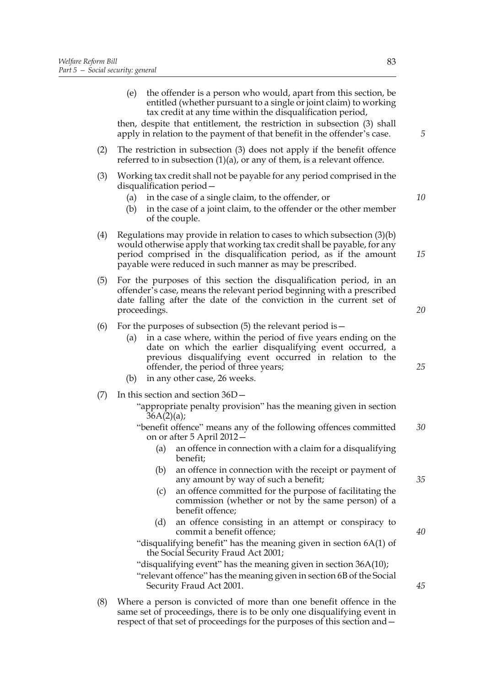- (e) the offender is a person who would, apart from this section, be entitled (whether pursuant to a single or joint claim) to working tax credit at any time within the disqualification period, then, despite that entitlement, the restriction in subsection (3) shall apply in relation to the payment of that benefit in the offender's case. (2) The restriction in subsection (3) does not apply if the benefit offence referred to in subsection (1)(a), or any of them, is a relevant offence. (3) Working tax credit shall not be payable for any period comprised in the disqualification period— (a) in the case of a single claim, to the offender, or (b) in the case of a joint claim, to the offender or the other member of the couple. (4) Regulations may provide in relation to cases to which subsection (3)(b) would otherwise apply that working tax credit shall be payable, for any period comprised in the disqualification period, as if the amount payable were reduced in such manner as may be prescribed. (5) For the purposes of this section the disqualification period, in an offender's case, means the relevant period beginning with a prescribed date falling after the date of the conviction in the current set of proceedings. (6) For the purposes of subsection  $(5)$  the relevant period is  $$ in a case where, within the period of five years ending on the date on which the earlier disqualifying event occurred, a previous disqualifying event occurred in relation to the offender, the period of three years; (b) in any other case, 26 weeks. (7) In this section and section 36D— "appropriate penalty provision" has the meaning given in section  $36A(2)(a)$ ; "benefit offence" means any of the following offences committed on or after 5 April 2012— (a) an offence in connection with a claim for a disqualifying benefit; (b) an offence in connection with the receipt or payment of any amount by way of such a benefit; (c) an offence committed for the purpose of facilitating the commission (whether or not by the same person) of a benefit offence; (d) an offence consisting in an attempt or conspiracy to commit a benefit offence; "disqualifying benefit" has the meaning given in section 6A(1) of the Social Security Fraud Act 2001; "disqualifying event" has the meaning given in section 36A(10); "relevant offence" has the meaning given in section 6B of the Social *15 20 25 30*
- (8) Where a person is convicted of more than one benefit offence in the same set of proceedings, there is to be only one disqualifying event in respect of that set of proceedings for the purposes of this section and—

Security Fraud Act 2001.

*5*

*10*

*35*

*40*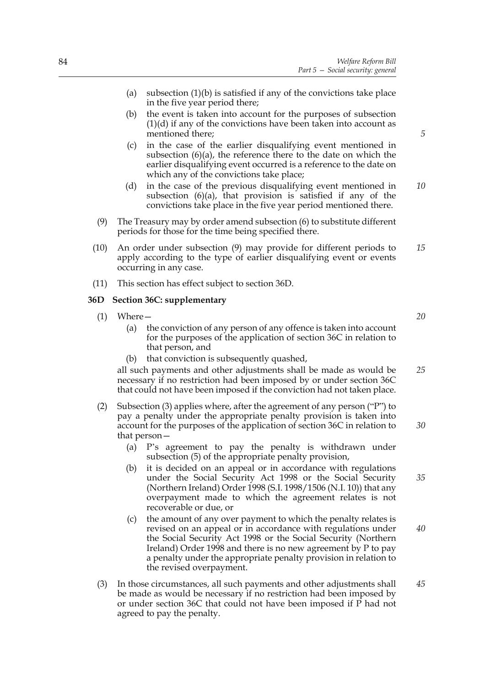- (a) subsection  $(1)(b)$  is satisfied if any of the convictions take place in the five year period there;
- (b) the event is taken into account for the purposes of subsection (1)(d) if any of the convictions have been taken into account as mentioned there;
- (c) in the case of the earlier disqualifying event mentioned in subsection (6)(a), the reference there to the date on which the earlier disqualifying event occurred is a reference to the date on which any of the convictions take place;
- (d) in the case of the previous disqualifying event mentioned in subsection  $(6)(a)$ , that provision is satisfied if any of the convictions take place in the five year period mentioned there. *10*
- (9) The Treasury may by order amend subsection (6) to substitute different periods for those for the time being specified there.
- (10) An order under subsection (9) may provide for different periods to apply according to the type of earlier disqualifying event or events occurring in any case. *15*
- (11) This section has effect subject to section 36D.

### **36D Section 36C: supplementary**

- (1) Where—
	- (a) the conviction of any person of any offence is taken into account for the purposes of the application of section 36C in relation to that person, and
	- (b) that conviction is subsequently quashed,

all such payments and other adjustments shall be made as would be necessary if no restriction had been imposed by or under section 36C that could not have been imposed if the conviction had not taken place. *25*

- (2) Subsection (3) applies where, after the agreement of any person ("P") to pay a penalty under the appropriate penalty provision is taken into account for the purposes of the application of section 36C in relation to that person— *30*
	- (a) P's agreement to pay the penalty is withdrawn under subsection (5) of the appropriate penalty provision,
	- (b) it is decided on an appeal or in accordance with regulations under the Social Security Act 1998 or the Social Security (Northern Ireland) Order 1998 (S.I. 1998/1506 (N.I. 10)) that any overpayment made to which the agreement relates is not recoverable or due, or *35*
	- (c) the amount of any over payment to which the penalty relates is revised on an appeal or in accordance with regulations under the Social Security Act 1998 or the Social Security (Northern Ireland) Order 1998 and there is no new agreement by P to pay a penalty under the appropriate penalty provision in relation to the revised overpayment. *40*
- (3) In those circumstances, all such payments and other adjustments shall be made as would be necessary if no restriction had been imposed by or under section 36C that could not have been imposed if P had not agreed to pay the penalty. *45*

*5*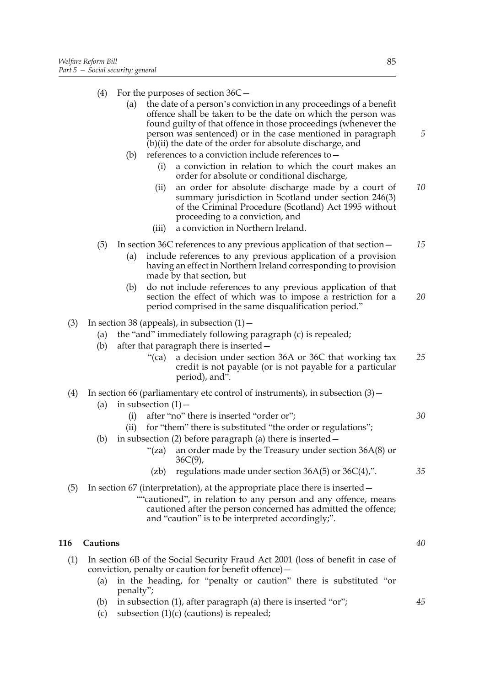*5*

| (4) | For the purposes of section 36C – |
|-----|-----------------------------------|
|-----|-----------------------------------|

- (a) the date of a person's conviction in any proceedings of a benefit offence shall be taken to be the date on which the person was found guilty of that offence in those proceedings (whenever the person was sentenced) or in the case mentioned in paragraph  $(b)(ii)$  the date of the order for absolute discharge, and
- (b) references to a conviction include references to—
	- (i) a conviction in relation to which the court makes an order for absolute or conditional discharge,
	- (ii) an order for absolute discharge made by a court of summary jurisdiction in Scotland under section 246(3) of the Criminal Procedure (Scotland) Act 1995 without proceeding to a conviction, and *10*
	- (iii) a conviction in Northern Ireland.
- (5) In section 36C references to any previous application of that section— *15*
	- (a) include references to any previous application of a provision having an effect in Northern Ireland corresponding to provision made by that section, but
	- (b) do not include references to any previous application of that section the effect of which was to impose a restriction for a period comprised in the same disqualification period." *20*
- (3) In section 38 (appeals), in subsection  $(1)$ 
	- (a) the "and" immediately following paragraph (c) is repealed;
	- (b) after that paragraph there is inserted—
		- "(ca) a decision under section 36A or 36C that working tax credit is not payable (or is not payable for a particular period), and". *25*

# (4) In section 66 (parliamentary etc control of instruments), in subsection  $(3)$  –

- (a) in subsection  $(1)$ 
	- (i) after "no" there is inserted "order or";
	- (ii) for "them" there is substituted "the order or regulations";
- (b) in subsection (2) before paragraph (a) there is inserted  $-$ 
	- "(za) an order made by the Treasury under section 36A(8) or 36C(9),
	- (zb) regulations made under section  $36A(5)$  or  $36C(4)$ ,".
- (5) In section 67 (interpretation), at the appropriate place there is inserted—
	- ""cautioned", in relation to any person and any offence, means cautioned after the person concerned has admitted the offence; and "caution" is to be interpreted accordingly;".

### **116 Cautions**

- (1) In section 6B of the Social Security Fraud Act 2001 (loss of benefit in case of conviction, penalty or caution for benefit offence)—
	- (a) in the heading, for "penalty or caution" there is substituted "or penalty";
	- (b) in subsection (1), after paragraph (a) there is inserted "or";
	- (c) subsection (1)(c) (cautions) is repealed;

*40*

*30*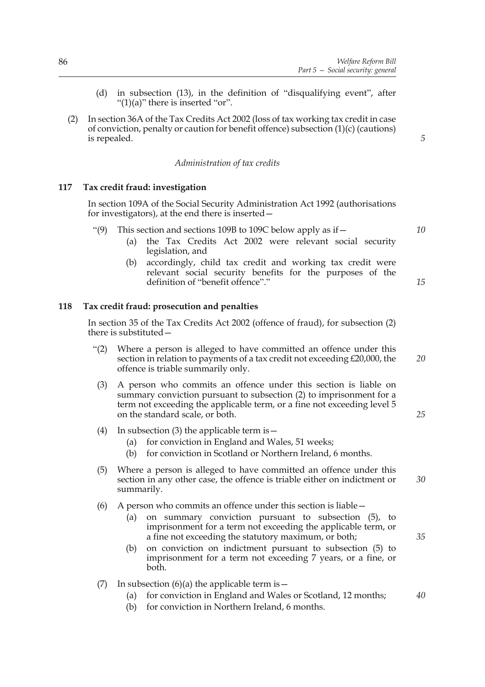- (d) in subsection (13), in the definition of "disqualifying event", after "(1)(a)" there is inserted "or".
- (2) In section 36A of the Tax Credits Act 2002 (loss of tax working tax credit in case of conviction, penalty or caution for benefit offence) subsection (1)(c) (cautions) is repealed.

#### *Administration of tax credits*

### **117 Tax credit fraud: investigation**

In section 109A of the Social Security Administration Act 1992 (authorisations for investigators), at the end there is inserted—

- "(9) This section and sections 109B to 109C below apply as if  $-$ 
	- (a) the Tax Credits Act 2002 were relevant social security legislation, and
	- (b) accordingly, child tax credit and working tax credit were relevant social security benefits for the purposes of the definition of "benefit offence"."

#### **118 Tax credit fraud: prosecution and penalties**

In section 35 of the Tax Credits Act 2002 (offence of fraud), for subsection (2) there is substituted—

- "(2) Where a person is alleged to have committed an offence under this section in relation to payments of a tax credit not exceeding £20,000, the offence is triable summarily only.
- (3) A person who commits an offence under this section is liable on summary conviction pursuant to subsection (2) to imprisonment for a term not exceeding the applicable term, or a fine not exceeding level 5 on the standard scale, or both.
- (4) In subsection (3) the applicable term is  $-$ 
	- (a) for conviction in England and Wales, 51 weeks;
	- (b) for conviction in Scotland or Northern Ireland, 6 months.
- (5) Where a person is alleged to have committed an offence under this section in any other case, the offence is triable either on indictment or summarily.
- (6) A person who commits an offence under this section is liable—
	- (a) on summary conviction pursuant to subsection (5), to imprisonment for a term not exceeding the applicable term, or a fine not exceeding the statutory maximum, or both;
	- (b) on conviction on indictment pursuant to subsection (5) to imprisonment for a term not exceeding 7 years, or a fine, or both.
- (7) In subsection  $(6)(a)$  the applicable term is  $-$ 
	- (a) for conviction in England and Wales or Scotland, 12 months;
	- (b) for conviction in Northern Ireland, 6 months.

*10*

*5*

*15*

*25*

*20*

*35*

*30*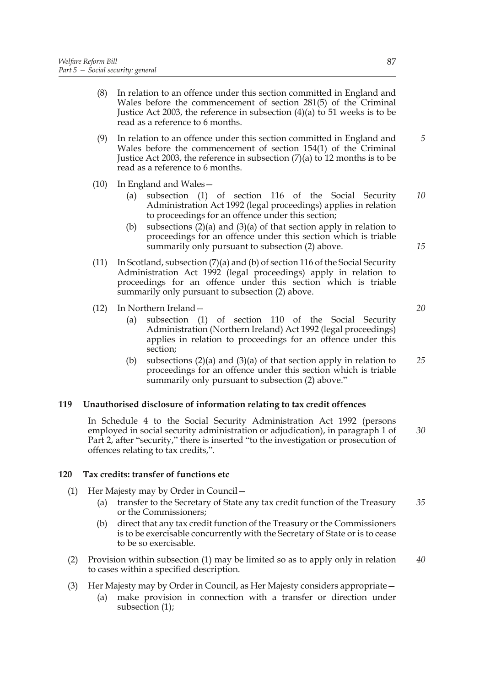- (8) In relation to an offence under this section committed in England and Wales before the commencement of section 281(5) of the Criminal Justice Act 2003, the reference in subsection (4)(a) to 51 weeks is to be read as a reference to 6 months.
- (9) In relation to an offence under this section committed in England and Wales before the commencement of section 154(1) of the Criminal Justice Act 2003, the reference in subsection (7)(a) to 12 months is to be read as a reference to 6 months. *5*
- (10) In England and Wales—
	- (a) subsection (1) of section 116 of the Social Security Administration Act 1992 (legal proceedings) applies in relation to proceedings for an offence under this section; *10*
	- (b) subsections (2)(a) and (3)(a) of that section apply in relation to proceedings for an offence under this section which is triable summarily only pursuant to subsection (2) above.
- (11) In Scotland, subsection (7)(a) and (b) of section 116 of the Social Security Administration Act 1992 (legal proceedings) apply in relation to proceedings for an offence under this section which is triable summarily only pursuant to subsection (2) above.
- (12) In Northern Ireland—
	- (a) subsection (1) of section 110 of the Social Security Administration (Northern Ireland) Act 1992 (legal proceedings) applies in relation to proceedings for an offence under this section;
	- (b) subsections  $(2)(a)$  and  $(3)(a)$  of that section apply in relation to proceedings for an offence under this section which is triable summarily only pursuant to subsection (2) above." *25*

# **119 Unauthorised disclosure of information relating to tax credit offences**

In Schedule 4 to the Social Security Administration Act 1992 (persons employed in social security administration or adjudication), in paragraph 1 of Part 2, after "security," there is inserted "to the investigation or prosecution of offences relating to tax credits,". *30*

# **120 Tax credits: transfer of functions etc**

- (1) Her Majesty may by Order in Council—
	- (a) transfer to the Secretary of State any tax credit function of the Treasury or the Commissioners; *35*
	- (b) direct that any tax credit function of the Treasury or the Commissioners is to be exercisable concurrently with the Secretary of State or is to cease to be so exercisable.
- (2) Provision within subsection (1) may be limited so as to apply only in relation to cases within a specified description. *40*
- (3) Her Majesty may by Order in Council, as Her Majesty considers appropriate—
	- (a) make provision in connection with a transfer or direction under subsection (1);

*20*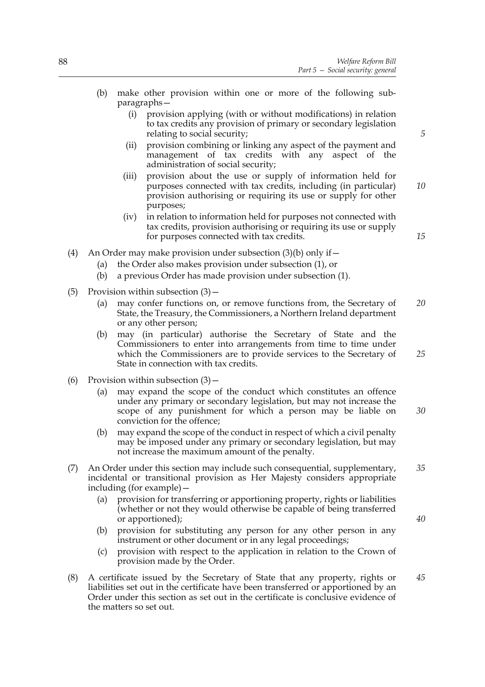- (b) make other provision within one or more of the following subparagraphs—
	- (i) provision applying (with or without modifications) in relation to tax credits any provision of primary or secondary legislation relating to social security;
	- (ii) provision combining or linking any aspect of the payment and management of tax credits with any aspect of the administration of social security;
	- (iii) provision about the use or supply of information held for purposes connected with tax credits, including (in particular) provision authorising or requiring its use or supply for other purposes;
	- (iv) in relation to information held for purposes not connected with tax credits, provision authorising or requiring its use or supply for purposes connected with tax credits.
- (4) An Order may make provision under subsection  $(3)(b)$  only if  $-$ 
	- (a) the Order also makes provision under subsection (1), or
	- (b) a previous Order has made provision under subsection (1).
- (5) Provision within subsection  $(3)$ 
	- (a) may confer functions on, or remove functions from, the Secretary of State, the Treasury, the Commissioners, a Northern Ireland department or any other person; *20*
	- (b) may (in particular) authorise the Secretary of State and the Commissioners to enter into arrangements from time to time under which the Commissioners are to provide services to the Secretary of State in connection with tax credits.
- (6) Provision within subsection  $(3)$ 
	- (a) may expand the scope of the conduct which constitutes an offence under any primary or secondary legislation, but may not increase the scope of any punishment for which a person may be liable on conviction for the offence;
	- (b) may expand the scope of the conduct in respect of which a civil penalty may be imposed under any primary or secondary legislation, but may not increase the maximum amount of the penalty.
- (7) An Order under this section may include such consequential, supplementary, incidental or transitional provision as Her Majesty considers appropriate including (for example)— *35*
	- (a) provision for transferring or apportioning property, rights or liabilities (whether or not they would otherwise be capable of being transferred or apportioned);
	- (b) provision for substituting any person for any other person in any instrument or other document or in any legal proceedings;
	- (c) provision with respect to the application in relation to the Crown of provision made by the Order.
- (8) A certificate issued by the Secretary of State that any property, rights or liabilities set out in the certificate have been transferred or apportioned by an Order under this section as set out in the certificate is conclusive evidence of the matters so set out. *45*

*5*

*15*

*10*

*25*

*30*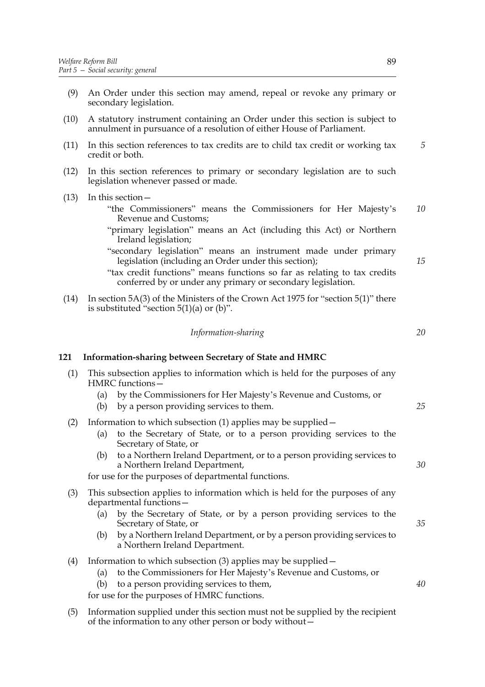- (9) An Order under this section may amend, repeal or revoke any primary or secondary legislation.
- (10) A statutory instrument containing an Order under this section is subject to annulment in pursuance of a resolution of either House of Parliament.
- (11) In this section references to tax credits are to child tax credit or working tax credit or both. *5*
- (12) In this section references to primary or secondary legislation are to such legislation whenever passed or made.
- (13) In this section—
	- "the Commissioners" means the Commissioners for Her Majesty's Revenue and Customs; *10*
	- "primary legislation" means an Act (including this Act) or Northern Ireland legislation;
	- "secondary legislation" means an instrument made under primary legislation (including an Order under this section);
	- "tax credit functions" means functions so far as relating to tax credits conferred by or under any primary or secondary legislation.
- (14) In section 5A(3) of the Ministers of the Crown Act 1975 for "section 5(1)" there is substituted "section  $5(1)(a)$  or  $(b)$ ".

*Information-sharing*

**121 Information-sharing between Secretary of State and HMRC**

of the information to any other person or body without—

(1) This subsection applies to information which is held for the purposes of any HMRC functions— (a) by the Commissioners for Her Majesty's Revenue and Customs, or (b) by a person providing services to them. (2) Information to which subsection (1) applies may be supplied— (a) to the Secretary of State, or to a person providing services to the Secretary of State, or (b) to a Northern Ireland Department, or to a person providing services to a Northern Ireland Department, for use for the purposes of departmental functions. (3) This subsection applies to information which is held for the purposes of any departmental functions— (a) by the Secretary of State, or by a person providing services to the Secretary of State, or (b) by a Northern Ireland Department, or by a person providing services to a Northern Ireland Department. (4) Information to which subsection (3) applies may be supplied— (a) to the Commissioners for Her Majesty's Revenue and Customs, or (b) to a person providing services to them, for use for the purposes of HMRC functions. (5) Information supplied under this section must not be supplied by the recipient *25 30 35 40*

*15*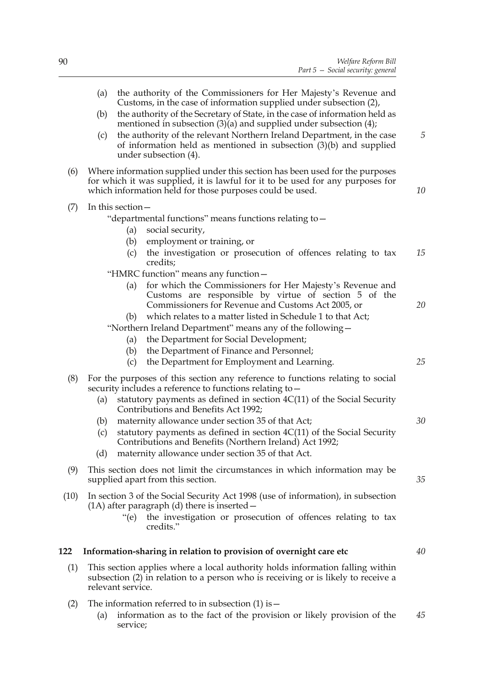|      | the authority of the Commissioners for Her Majesty's Revenue and<br>(a)<br>Customs, in the case of information supplied under subsection (2),<br>the authority of the Secretary of State, in the case of information held as<br>(b)                                   |    |
|------|-----------------------------------------------------------------------------------------------------------------------------------------------------------------------------------------------------------------------------------------------------------------------|----|
|      | mentioned in subsection $(3)(a)$ and supplied under subsection $(4)$ ;                                                                                                                                                                                                |    |
|      | the authority of the relevant Northern Ireland Department, in the case<br>(c)<br>of information held as mentioned in subsection $(3)(b)$ and supplied<br>under subsection $(4)$ .                                                                                     | 5  |
| (6)  | Where information supplied under this section has been used for the purposes<br>for which it was supplied, it is lawful for it to be used for any purposes for<br>which information held for those purposes could be used.                                            | 10 |
| (7)  | In this section -<br>"departmental functions" means functions relating to –<br>social security,<br>(a)<br>employment or training, or<br>(b)<br>the investigation or prosecution of offences relating to tax                                                           | 15 |
|      | (c)<br>credits;                                                                                                                                                                                                                                                       |    |
|      | "HMRC function" means any function -<br>for which the Commissioners for Her Majesty's Revenue and<br>(a)<br>Customs are responsible by virtue of section 5 of the                                                                                                     |    |
|      | Commissioners for Revenue and Customs Act 2005, or<br>which relates to a matter listed in Schedule 1 to that Act;<br>(b)<br>"Northern Ireland Department" means any of the following-                                                                                 | 20 |
|      | the Department for Social Development;<br>(a)                                                                                                                                                                                                                         |    |
|      | the Department of Finance and Personnel;<br>(b)<br>the Department for Employment and Learning.<br>(c)                                                                                                                                                                 | 25 |
| (8)  | For the purposes of this section any reference to functions relating to social<br>security includes a reference to functions relating to -<br>statutory payments as defined in section $4C(11)$ of the Social Security<br>(a)<br>Contributions and Benefits Act 1992; |    |
|      | maternity allowance under section 35 of that Act;<br>(b)<br>statutory payments as defined in section $4C(11)$ of the Social Security<br>(c)<br>Contributions and Benefits (Northern Ireland) Act 1992;<br>(d) maternity allowance under section 35 of that Act.       | 30 |
| (9)  | This section does not limit the circumstances in which information may be<br>supplied apart from this section.                                                                                                                                                        | 35 |
| (10) | In section 3 of the Social Security Act 1998 (use of information), in subsection<br>$(1A)$ after paragraph $(d)$ there is inserted $-$<br>the investigation or prosecution of offences relating to tax<br>" $(e)$<br>credits."                                        |    |
| 122  | Information-sharing in relation to provision of overnight care etc                                                                                                                                                                                                    | 40 |
| (1)  | This section applies where a local authority holds information falling within<br>subsection (2) in relation to a person who is receiving or is likely to receive a<br>relevant service.                                                                               |    |

- (2) The information referred to in subsection (1) is  $-$ 
	- (a) information as to the fact of the provision or likely provision of the service; *45*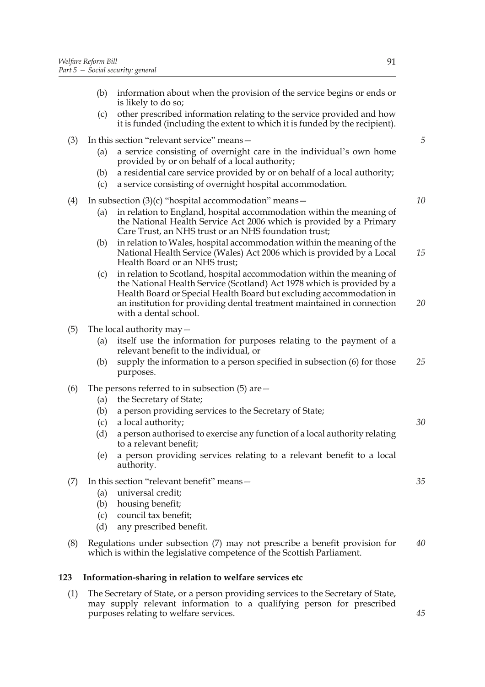- (b) information about when the provision of the service begins or ends or is likely to do so;
- (c) other prescribed information relating to the service provided and how it is funded (including the extent to which it is funded by the recipient).
- *5*

*10*

- (a) a service consisting of overnight care in the individual's own home provided by or on behalf of a local authority;
- (b) a residential care service provided by or on behalf of a local authority;
- (c) a service consisting of overnight hospital accommodation.
- (4) In subsection  $(3)(c)$  "hospital accommodation" means -

(3) In this section "relevant service" means—

- (a) in relation to England, hospital accommodation within the meaning of the National Health Service Act 2006 which is provided by a Primary Care Trust, an NHS trust or an NHS foundation trust;
- (b) in relation to Wales, hospital accommodation within the meaning of the National Health Service (Wales) Act 2006 which is provided by a Local Health Board or an NHS trust; *15*
- (c) in relation to Scotland, hospital accommodation within the meaning of the National Health Service (Scotland) Act 1978 which is provided by a Health Board or Special Health Board but excluding accommodation in an institution for providing dental treatment maintained in connection with a dental school. *20*
- (5) The local authority may—
	- (a) itself use the information for purposes relating to the payment of a relevant benefit to the individual, or
	- (b) supply the information to a person specified in subsection (6) for those purposes. *25*
- (6) The persons referred to in subsection  $(5)$  are  $-$ 
	- (a) the Secretary of State;
	- (b) a person providing services to the Secretary of State;
	- (c) a local authority;
	- (d) a person authorised to exercise any function of a local authority relating to a relevant benefit;
	- (e) a person providing services relating to a relevant benefit to a local authority.
- (7) In this section "relevant benefit" means—
	- (a) universal credit;
	- (b) housing benefit;
	- (c) council tax benefit;
	- (d) any prescribed benefit.
- (8) Regulations under subsection (7) may not prescribe a benefit provision for which is within the legislative competence of the Scottish Parliament. *40*

# **123 Information-sharing in relation to welfare services etc**

(1) The Secretary of State, or a person providing services to the Secretary of State, may supply relevant information to a qualifying person for prescribed purposes relating to welfare services.

91

*35*

*30*

- 
-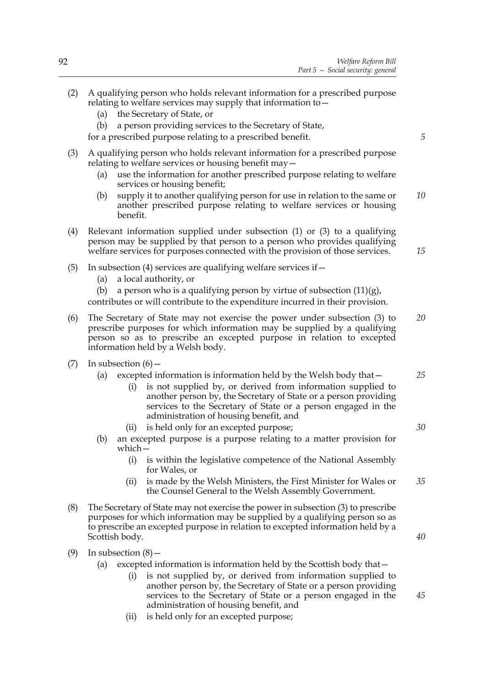- (a) the Secretary of State, or
- (b) a person providing services to the Secretary of State,

for a prescribed purpose relating to a prescribed benefit.

- (3) A qualifying person who holds relevant information for a prescribed purpose relating to welfare services or housing benefit may—
	- (a) use the information for another prescribed purpose relating to welfare services or housing benefit;
	- (b) supply it to another qualifying person for use in relation to the same or another prescribed purpose relating to welfare services or housing benefit. *10*
- (4) Relevant information supplied under subsection (1) or (3) to a qualifying person may be supplied by that person to a person who provides qualifying welfare services for purposes connected with the provision of those services.
- (5) In subsection (4) services are qualifying welfare services if  $-$ 
	- (a) a local authority, or
	- (b) a person who is a qualifying person by virtue of subsection  $(11)(g)$ ,

contributes or will contribute to the expenditure incurred in their provision.

- (6) The Secretary of State may not exercise the power under subsection (3) to prescribe purposes for which information may be supplied by a qualifying person so as to prescribe an excepted purpose in relation to excepted information held by a Welsh body. *20*
- $(7)$  In subsection  $(6)$  -
	- (a) excepted information is information held by the Welsh body that
		- is not supplied by, or derived from information supplied to another person by, the Secretary of State or a person providing services to the Secretary of State or a person engaged in the administration of housing benefit, and
		- (ii) is held only for an excepted purpose;
	- (b) an excepted purpose is a purpose relating to a matter provision for which—
		- (i) is within the legislative competence of the National Assembly for Wales, or
		- (ii) is made by the Welsh Ministers, the First Minister for Wales or the Counsel General to the Welsh Assembly Government. *35*
- (8) The Secretary of State may not exercise the power in subsection (3) to prescribe purposes for which information may be supplied by a qualifying person so as to prescribe an excepted purpose in relation to excepted information held by a Scottish body.
- (9) In subsection  $(8)$ 
	- (a) excepted information is information held by the Scottish body that
		- is not supplied by, or derived from information supplied to another person by, the Secretary of State or a person providing services to the Secretary of State or a person engaged in the administration of housing benefit, and
		- (ii) is held only for an excepted purpose;

*25*

*5*

*15*

*30*

*40*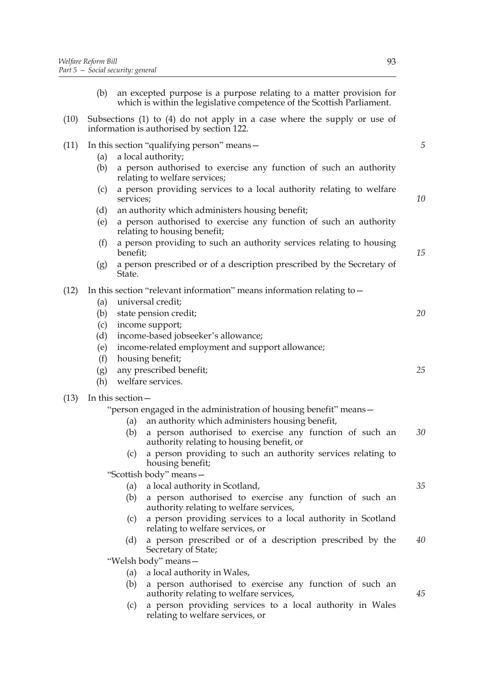- (b) an excepted purpose is a purpose relating to a matter provision for which is within the legislative competence of the Scottish Parliament. (10) Subsections (1) to (4) do not apply in a case where the supply or use of information is authorised by section 122. (11) In this section "qualifying person" means— (a) a local authority; (b) a person authorised to exercise any function of such an authority relating to welfare services; (c) a person providing services to a local authority relating to welfare services; (d) an authority which administers housing benefit; (e) a person authorised to exercise any function of such an authority relating to housing benefit; (f) a person providing to such an authority services relating to housing benefit; (g) a person prescribed or of a description prescribed by the Secretary of State. (12) In this section "relevant information" means information relating to— (a) universal credit; (b) state pension credit; (c) income support; (d) income-based jobseeker's allowance; (e) income-related employment and support allowance; (f) housing benefit; (g) any prescribed benefit; (h) welfare services. (13) In this section— "person engaged in the administration of housing benefit" means— (a) an authority which administers housing benefit, (b) a person authorised to exercise any function of such an authority relating to housing benefit, or (c) a person providing to such an authority services relating to housing benefit; "Scottish body" means— (a) a local authority in Scotland, (b) a person authorised to exercise any function of such an authority relating to welfare services, (c) a person providing services to a local authority in Scotland relating to welfare services, or (d) a person prescribed or of a description prescribed by the Secretary of State; "Welsh body" means— (a) a local authority in Wales, (b) a person authorised to exercise any function of such an authority relating to welfare services, *5 10 15 20 25 30 35 40 45*
	- (c) a person providing services to a local authority in Wales relating to welfare services, or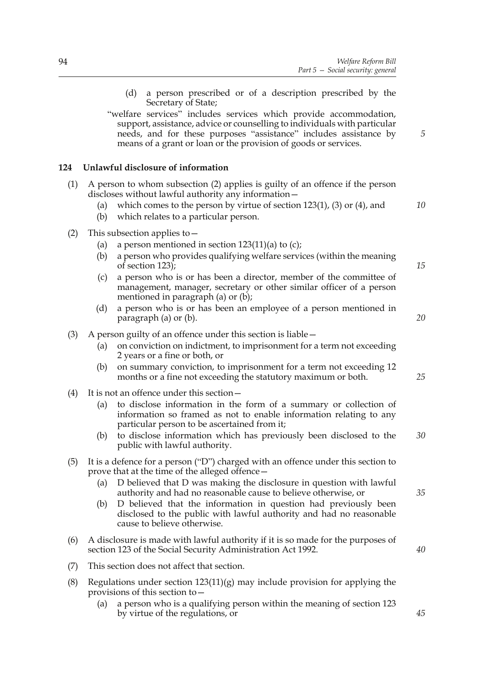- (d) a person prescribed or of a description prescribed by the Secretary of State;
- "welfare services" includes services which provide accommodation, support, assistance, advice or counselling to individuals with particular needs, and for these purposes "assistance" includes assistance by means of a grant or loan or the provision of goods or services.

### **124 Unlawful disclosure of information**

- (1) A person to whom subsection (2) applies is guilty of an offence if the person discloses without lawful authority any information—
	- (a) which comes to the person by virtue of section  $123(1)$ ,  $(3)$  or  $(4)$ , and
	- (b) which relates to a particular person.
- (2) This subsection applies to  $-$ 
	- (a) a person mentioned in section  $123(11)(a)$  to (c);
	- (b) a person who provides qualifying welfare services (within the meaning of section 123);
	- (c) a person who is or has been a director, member of the committee of management, manager, secretary or other similar officer of a person mentioned in paragraph (a) or (b);
	- (d) a person who is or has been an employee of a person mentioned in paragraph (a) or (b).
- (3) A person guilty of an offence under this section is liable—
	- (a) on conviction on indictment, to imprisonment for a term not exceeding 2 years or a fine or both, or
	- (b) on summary conviction, to imprisonment for a term not exceeding 12 months or a fine not exceeding the statutory maximum or both.
- (4) It is not an offence under this section—
	- (a) to disclose information in the form of a summary or collection of information so framed as not to enable information relating to any particular person to be ascertained from it;
	- (b) to disclose information which has previously been disclosed to the public with lawful authority. *30*
- (5) It is a defence for a person ("D") charged with an offence under this section to prove that at the time of the alleged offence—
	- (a) D believed that D was making the disclosure in question with lawful authority and had no reasonable cause to believe otherwise, or
	- (b) D believed that the information in question had previously been disclosed to the public with lawful authority and had no reasonable cause to believe otherwise.
- (6) A disclosure is made with lawful authority if it is so made for the purposes of section 123 of the Social Security Administration Act 1992.
- (7) This section does not affect that section.
- (8) Regulations under section 123(11)(g) may include provision for applying the provisions of this section to—
	- (a) a person who is a qualifying person within the meaning of section 123 by virtue of the regulations, or

*5*

*10*

*15*

*20*

*25*

*35*

*45*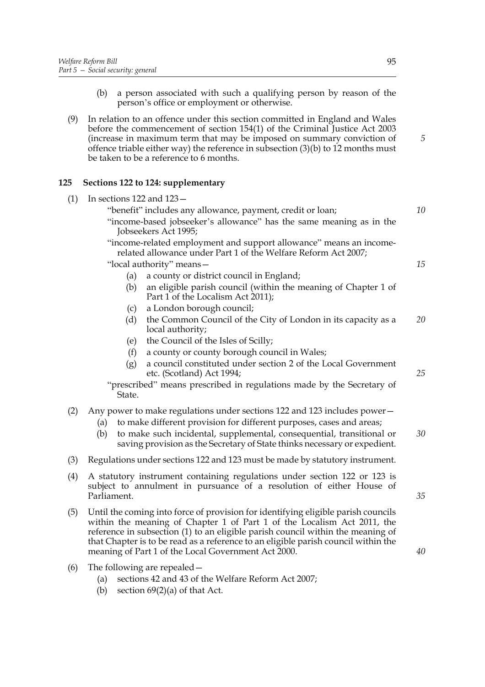- (b) a person associated with such a qualifying person by reason of the person's office or employment or otherwise.
- (9) In relation to an offence under this section committed in England and Wales before the commencement of section 154(1) of the Criminal Justice Act 2003 (increase in maximum term that may be imposed on summary conviction of offence triable either way) the reference in subsection  $(3)(b)$  to 12 months must be taken to be a reference to 6 months.

# **125 Sections 122 to 124: supplementary**

| (1) | In sections $122$ and $123-$                                                                                                                                                                                                                                                                                                                                                                 |    |
|-----|----------------------------------------------------------------------------------------------------------------------------------------------------------------------------------------------------------------------------------------------------------------------------------------------------------------------------------------------------------------------------------------------|----|
|     | "benefit" includes any allowance, payment, credit or loan;                                                                                                                                                                                                                                                                                                                                   | 10 |
|     | "income-based jobseeker's allowance" has the same meaning as in the<br>Jobseekers Act 1995;                                                                                                                                                                                                                                                                                                  |    |
|     | "income-related employment and support allowance" means an income-<br>related allowance under Part 1 of the Welfare Reform Act 2007;                                                                                                                                                                                                                                                         |    |
|     | "local authority" means-                                                                                                                                                                                                                                                                                                                                                                     | 15 |
|     | a county or district council in England;<br>(a)                                                                                                                                                                                                                                                                                                                                              |    |
|     | an eligible parish council (within the meaning of Chapter 1 of<br>(b)<br>Part 1 of the Localism Act 2011);                                                                                                                                                                                                                                                                                   |    |
|     | a London borough council;<br>(c)                                                                                                                                                                                                                                                                                                                                                             |    |
|     | the Common Council of the City of London in its capacity as a<br>(d)<br>local authority;                                                                                                                                                                                                                                                                                                     | 20 |
|     | the Council of the Isles of Scilly;<br>(e)                                                                                                                                                                                                                                                                                                                                                   |    |
|     | a county or county borough council in Wales;<br>(f)                                                                                                                                                                                                                                                                                                                                          |    |
|     | a council constituted under section 2 of the Local Government<br>(g)<br>etc. (Scotland) Act 1994;                                                                                                                                                                                                                                                                                            | 25 |
|     | "prescribed" means prescribed in regulations made by the Secretary of<br>State.                                                                                                                                                                                                                                                                                                              |    |
| (2) | Any power to make regulations under sections 122 and 123 includes power -<br>to make different provision for different purposes, cases and areas;<br>(a)<br>to make such incidental, supplemental, consequential, transitional or<br>(b)<br>saving provision as the Secretary of State thinks necessary or expedient.                                                                        | 30 |
| (3) | Regulations under sections 122 and 123 must be made by statutory instrument.                                                                                                                                                                                                                                                                                                                 |    |
| (4) | A statutory instrument containing regulations under section 122 or 123 is<br>subject to annulment in pursuance of a resolution of either House of<br>Parliament.                                                                                                                                                                                                                             | 35 |
| (5) | Until the coming into force of provision for identifying eligible parish councils<br>within the meaning of Chapter 1 of Part 1 of the Localism Act 2011, the<br>reference in subsection (1) to an eligible parish council within the meaning of<br>that Chapter is to be read as a reference to an eligible parish council within the<br>meaning of Part 1 of the Local Government Act 2000. | 40 |
| (6) | The following are repealed –                                                                                                                                                                                                                                                                                                                                                                 |    |

- (a) sections 42 and 43 of the Welfare Reform Act 2007;
- (b) section  $69(2)(a)$  of that Act.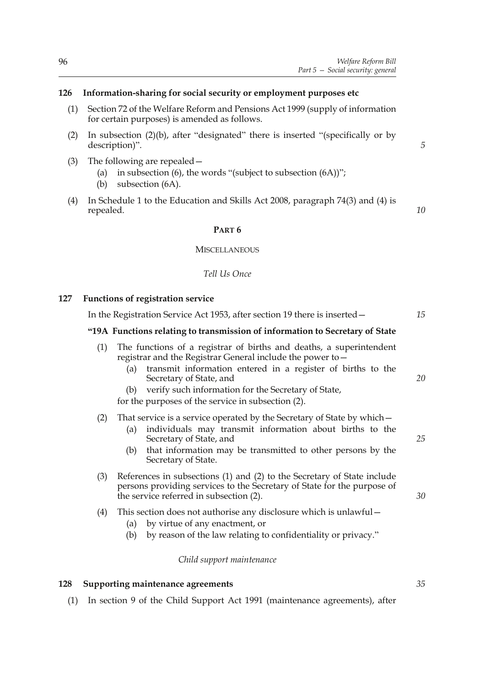# **126 Information-sharing for social security or employment purposes etc**

- (1) Section 72 of the Welfare Reform and Pensions Act 1999 (supply of information for certain purposes) is amended as follows.
- (2) In subsection (2)(b), after "designated" there is inserted "(specifically or by description)".
- (3) The following are repealed—
	- (a) in subsection (6), the words "(subject to subsection  $(6A)$ )";
	- (b) subsection (6A).
- (4) In Schedule 1 to the Education and Skills Act 2008, paragraph 74(3) and (4) is repealed.

#### **PART 6**

#### **MISCELLANEOUS**

# *Tell Us Once*

In the Registration Service Act 1953, after section 19 there is inserted—

### **127 Functions of registration service**

|     | "19A Functions relating to transmission of information to Secretary of State                                                                                                                                                                                                                                                                           |    |
|-----|--------------------------------------------------------------------------------------------------------------------------------------------------------------------------------------------------------------------------------------------------------------------------------------------------------------------------------------------------------|----|
| (1) | The functions of a registrar of births and deaths, a superintendent<br>registrar and the Registrar General include the power to -<br>transmit information entered in a register of births to the<br>(a)<br>Secretary of State, and<br>verify such information for the Secretary of State,<br>(b)<br>for the purposes of the service in subsection (2). | 20 |
| (2) | That service is a service operated by the Secretary of State by which —<br>individuals may transmit information about births to the<br>(a)<br>Secretary of State, and<br>that information may be transmitted to other persons by the<br>(b)<br>Secretary of State.                                                                                     | 25 |
| (3) | References in subsections (1) and (2) to the Secretary of State include<br>persons providing services to the Secretary of State for the purpose of<br>the service referred in subsection (2).                                                                                                                                                          | 30 |
| (4) | This section does not authorise any disclosure which is unlawful –<br>by virtue of any enactment, or<br>(a)<br>by reason of the law relating to confidentiality or privacy."<br>(b)                                                                                                                                                                    |    |

# *Child support maintenance*

# **128 Supporting maintenance agreements**

(1) In section 9 of the Child Support Act 1991 (maintenance agreements), after

*35*

*15*

*5*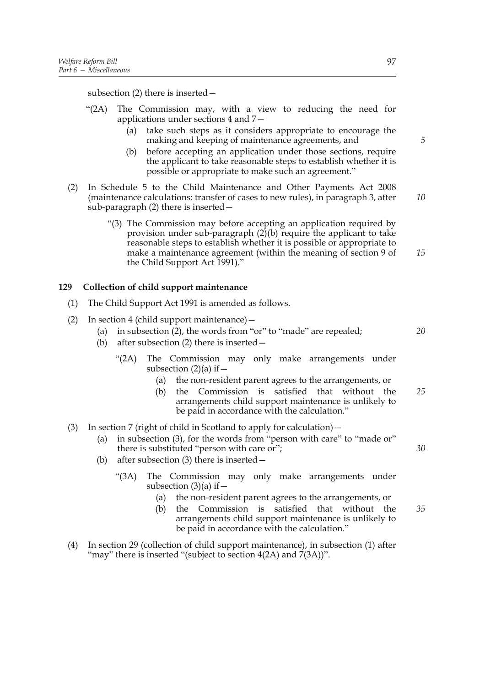subsection (2) there is inserted—

- "(2A) The Commission may, with a view to reducing the need for applications under sections 4 and 7—
	- (a) take such steps as it considers appropriate to encourage the making and keeping of maintenance agreements, and
	- (b) before accepting an application under those sections, require the applicant to take reasonable steps to establish whether it is possible or appropriate to make such an agreement."
- (2) In Schedule 5 to the Child Maintenance and Other Payments Act 2008 (maintenance calculations: transfer of cases to new rules), in paragraph 3, after sub-paragraph (2) there is inserted—
	- "(3) The Commission may before accepting an application required by provision under sub-paragraph (2)(b) require the applicant to take reasonable steps to establish whether it is possible or appropriate to make a maintenance agreement (within the meaning of section 9 of the Child Support Act 1991)." *15*

# **129 Collection of child support maintenance**

- (1) The Child Support Act 1991 is amended as follows.
- (2) In section 4 (child support maintenance)—
	- (a) in subsection (2), the words from "or" to "made" are repealed;
	- (b) after subsection (2) there is inserted—
		- "(2A) The Commission may only make arrangements under subsection  $(2)(a)$  if  $-$ 
			- (a) the non-resident parent agrees to the arrangements, or
			- (b) the Commission is satisfied that without the arrangements child support maintenance is unlikely to be paid in accordance with the calculation." *25*
- (3) In section 7 (right of child in Scotland to apply for calculation)—
	- (a) in subsection (3), for the words from "person with care" to "made or" there is substituted "person with care or";
	- (b) after subsection (3) there is inserted—
		- "(3A) The Commission may only make arrangements under subsection  $(3)(a)$  if  $-$ 
			- (a) the non-resident parent agrees to the arrangements, or
			- (b) the Commission is satisfied that without the arrangements child support maintenance is unlikely to be paid in accordance with the calculation." *35*
- (4) In section 29 (collection of child support maintenance), in subsection (1) after "may" there is inserted "(subject to section 4(2A) and 7(3A))".

*5*

*10*

*20*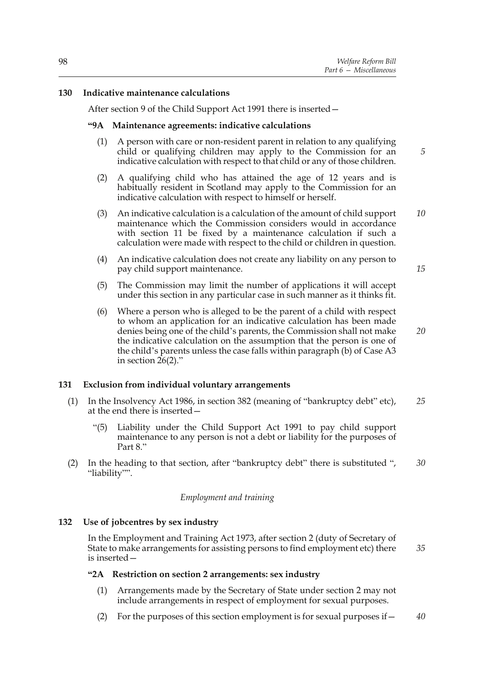### **130 Indicative maintenance calculations**

After section 9 of the Child Support Act 1991 there is inserted—

### **"9A Maintenance agreements: indicative calculations**

- (1) A person with care or non-resident parent in relation to any qualifying child or qualifying children may apply to the Commission for an indicative calculation with respect to that child or any of those children. *5*
- (2) A qualifying child who has attained the age of 12 years and is habitually resident in Scotland may apply to the Commission for an indicative calculation with respect to himself or herself.
- (3) An indicative calculation is a calculation of the amount of child support maintenance which the Commission considers would in accordance with section 11 be fixed by a maintenance calculation if such a calculation were made with respect to the child or children in question. *10*
- (4) An indicative calculation does not create any liability on any person to pay child support maintenance.
- (5) The Commission may limit the number of applications it will accept under this section in any particular case in such manner as it thinks fit.
- (6) Where a person who is alleged to be the parent of a child with respect to whom an application for an indicative calculation has been made denies being one of the child's parents, the Commission shall not make the indicative calculation on the assumption that the person is one of the child's parents unless the case falls within paragraph (b) of Case A3 in section 26(2)." *20*

### **131 Exclusion from individual voluntary arrangements**

- (1) In the Insolvency Act 1986, in section 382 (meaning of "bankruptcy debt" etc), at the end there is inserted— *25*
	- "(5) Liability under the Child Support Act 1991 to pay child support maintenance to any person is not a debt or liability for the purposes of Part 8."
- (2) In the heading to that section, after "bankruptcy debt" there is substituted ", "liability"". *30*

#### *Employment and training*

#### **132 Use of jobcentres by sex industry**

In the Employment and Training Act 1973, after section 2 (duty of Secretary of State to make arrangements for assisting persons to find employment etc) there is inserted— *35*

#### **"2A Restriction on section 2 arrangements: sex industry**

- (1) Arrangements made by the Secretary of State under section 2 may not include arrangements in respect of employment for sexual purposes.
- (2) For the purposes of this section employment is for sexual purposes if  $-$ *40*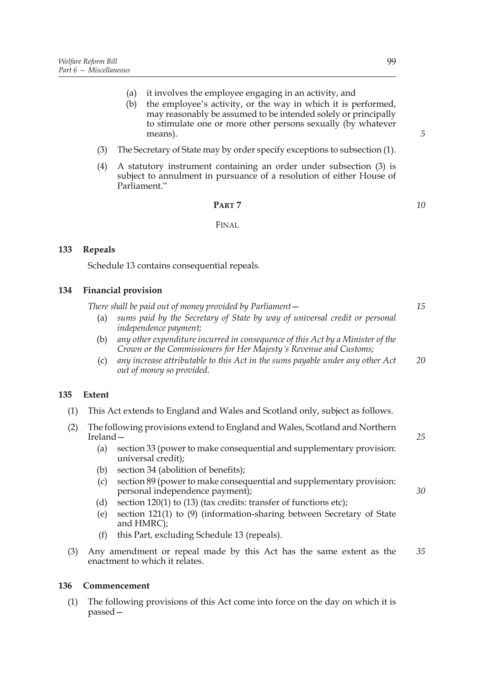- (a) it involves the employee engaging in an activity, and
- (b) the employee's activity, or the way in which it is performed, may reasonably be assumed to be intended solely or principally to stimulate one or more other persons sexually (by whatever means).
- (3) The Secretary of State may by order specify exceptions to subsection (1).
- (4) A statutory instrument containing an order under subsection (3) is subject to annulment in pursuance of a resolution of either House of Parliament."

**PART 7** *10*

FINAL

# **133 Repeals**

Schedule 13 contains consequential repeals.

### **134 Financial provision**

*There shall be paid out of money provided by Parliament*— (a) *sums paid by the Secretary of State by way of universal credit or personal independence payment;*

- (b) *any other expenditure incurred in consequence of this Act by a Minister of the Crown or the Commissioners for Her Majesty's Revenue and Customs;*
- (c) *any increase attributable to this Act in the sums payable under any other Act out of money so provided. 20*

#### **135 Extent**

- (1) This Act extends to England and Wales and Scotland only, subject as follows.
- (2) The following provisions extend to England and Wales, Scotland and Northern Ireland—
	- (a) section 33 (power to make consequential and supplementary provision: universal credit);
	- (b) section 34 (abolition of benefits);
	- (c) section 89 (power to make consequential and supplementary provision: personal independence payment);
	- (d) section  $120(1)$  to  $(13)$  (tax credits: transfer of functions etc);
	- (e) section 121(1) to (9) (information-sharing between Secretary of State and HMRC);
	- (f) this Part, excluding Schedule 13 (repeals).
- (3) Any amendment or repeal made by this Act has the same extent as the enactment to which it relates. *35*

### **136 Commencement**

(1) The following provisions of this Act come into force on the day on which it is passed*5*

*15*

*25*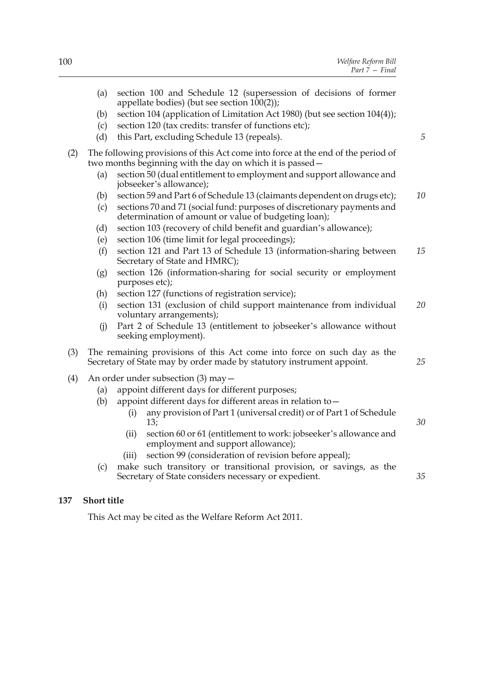|     | (a) | section 100 and Schedule 12 (supersession of decisions of former<br>appellate bodies) (but see section 100(2));                                  |    |
|-----|-----|--------------------------------------------------------------------------------------------------------------------------------------------------|----|
|     | (b) | section 104 (application of Limitation Act 1980) (but see section 104(4));                                                                       |    |
|     | (c) | section 120 (tax credits: transfer of functions etc);                                                                                            |    |
|     | (d) | this Part, excluding Schedule 13 (repeals).                                                                                                      | 5  |
| (2) |     | The following provisions of this Act come into force at the end of the period of<br>two months beginning with the day on which it is passed -    |    |
|     | (a) | section 50 (dual entitlement to employment and support allowance and<br>jobseeker's allowance);                                                  |    |
|     | (b) | section 59 and Part 6 of Schedule 13 (claimants dependent on drugs etc);                                                                         | 10 |
|     | (c) | sections 70 and 71 (social fund: purposes of discretionary payments and<br>determination of amount or value of budgeting loan);                  |    |
|     | (d) | section 103 (recovery of child benefit and guardian's allowance);                                                                                |    |
|     | (e) | section 106 (time limit for legal proceedings);                                                                                                  |    |
|     | (f) | section 121 and Part 13 of Schedule 13 (information-sharing between<br>Secretary of State and HMRC);                                             | 15 |
|     | (g) | section 126 (information-sharing for social security or employment<br>purposes etc);                                                             |    |
|     | (h) | section 127 (functions of registration service);                                                                                                 |    |
|     | (i) | section 131 (exclusion of child support maintenance from individual<br>voluntary arrangements);                                                  | 20 |
|     | (i) | Part 2 of Schedule 13 (entitlement to jobseeker's allowance without<br>seeking employment).                                                      |    |
| (3) |     | The remaining provisions of this Act come into force on such day as the<br>Secretary of State may by order made by statutory instrument appoint. | 25 |
| (4) |     | An order under subsection $(3)$ may $-$                                                                                                          |    |
|     | (a) | appoint different days for different purposes;                                                                                                   |    |
|     | (b) | appoint different days for different areas in relation to -                                                                                      |    |
|     |     | any provision of Part 1 (universal credit) or of Part 1 of Schedule<br>(i)<br>13;                                                                | 30 |
|     |     | section 60 or 61 (entitlement to work: jobseeker's allowance and<br>(ii)<br>employment and support allowance);                                   |    |
|     |     | section 99 (consideration of revision before appeal);<br>(iii)                                                                                   |    |
|     | (c) | make such transitory or transitional provision, or savings, as the<br>Secretary of State considers necessary or expedient.                       | 35 |
|     |     |                                                                                                                                                  |    |

# **137 Short title**

This Act may be cited as the Welfare Reform Act 2011.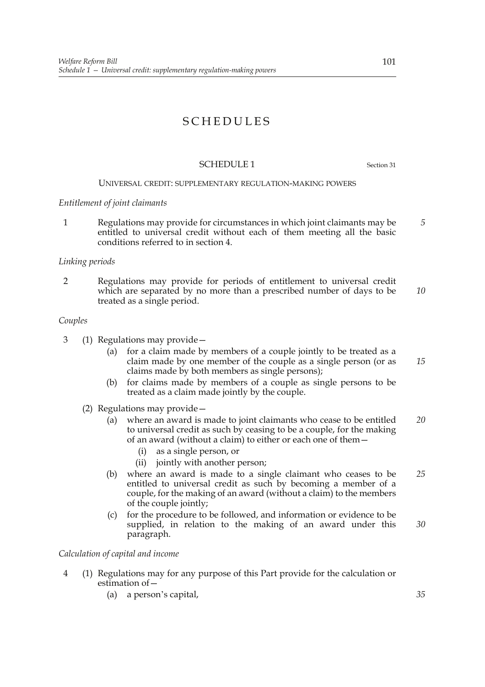# SCHEDULES

## SCHEDULE 1 Section 31

## UNIVERSAL CREDIT: SUPPLEMENTARY REGULATION-MAKING POWERS

### *Entitlement of joint claimants*

1 Regulations may provide for circumstances in which joint claimants may be entitled to universal credit without each of them meeting all the basic conditions referred to in section 4.

## *Linking periods*

2 Regulations may provide for periods of entitlement to universal credit which are separated by no more than a prescribed number of days to be treated as a single period.

#### *Couples*

- 3 (1) Regulations may provide—
	- (a) for a claim made by members of a couple jointly to be treated as a claim made by one member of the couple as a single person (or as claims made by both members as single persons); *15*
	- (b) for claims made by members of a couple as single persons to be treated as a claim made jointly by the couple.
	- (2) Regulations may provide—
		- (a) where an award is made to joint claimants who cease to be entitled to universal credit as such by ceasing to be a couple, for the making of an award (without a claim) to either or each one of them— *20*
			- (i) as a single person, or
			- (ii) jointly with another person;
		- (b) where an award is made to a single claimant who ceases to be entitled to universal credit as such by becoming a member of a couple, for the making of an award (without a claim) to the members of the couple jointly; *25*
		- (c) for the procedure to be followed, and information or evidence to be supplied, in relation to the making of an award under this paragraph. *30*

#### *Calculation of capital and income*

- 4 (1) Regulations may for any purpose of this Part provide for the calculation or estimation of—
	- (a) a person's capital,

*5*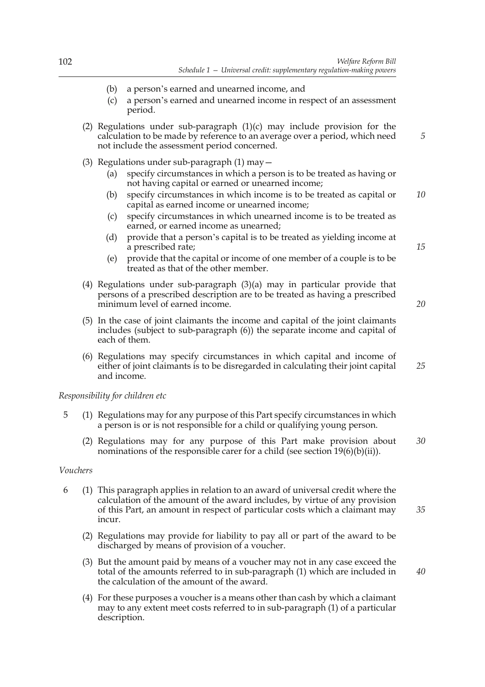- (b) a person's earned and unearned income, and
- (c) a person's earned and unearned income in respect of an assessment period.
- (2) Regulations under sub-paragraph (1)(c) may include provision for the calculation to be made by reference to an average over a period, which need not include the assessment period concerned.
- (3) Regulations under sub-paragraph (1) may—
	- (a) specify circumstances in which a person is to be treated as having or not having capital or earned or unearned income;
	- (b) specify circumstances in which income is to be treated as capital or capital as earned income or unearned income; *10*
	- (c) specify circumstances in which unearned income is to be treated as earned, or earned income as unearned;
	- (d) provide that a person's capital is to be treated as yielding income at a prescribed rate;
	- (e) provide that the capital or income of one member of a couple is to be treated as that of the other member.
- (4) Regulations under sub-paragraph (3)(a) may in particular provide that persons of a prescribed description are to be treated as having a prescribed minimum level of earned income.
- (5) In the case of joint claimants the income and capital of the joint claimants includes (subject to sub-paragraph (6)) the separate income and capital of each of them.
- (6) Regulations may specify circumstances in which capital and income of either of joint claimants is to be disregarded in calculating their joint capital and income. *25*

## *Responsibility for children etc*

- 5 (1) Regulations may for any purpose of this Part specify circumstances in which a person is or is not responsible for a child or qualifying young person.
	- (2) Regulations may for any purpose of this Part make provision about nominations of the responsible carer for a child (see section  $19(6)(b)(ii)$ ). *30*

#### *Vouchers*

- 6 (1) This paragraph applies in relation to an award of universal credit where the calculation of the amount of the award includes, by virtue of any provision of this Part, an amount in respect of particular costs which a claimant may incur. *35*
	- (2) Regulations may provide for liability to pay all or part of the award to be discharged by means of provision of a voucher.
	- (3) But the amount paid by means of a voucher may not in any case exceed the total of the amounts referred to in sub-paragraph (1) which are included in the calculation of the amount of the award.
	- (4) For these purposes a voucher is a means other than cash by which a claimant may to any extent meet costs referred to in sub-paragraph (1) of a particular description.

*15*

*20*

*5*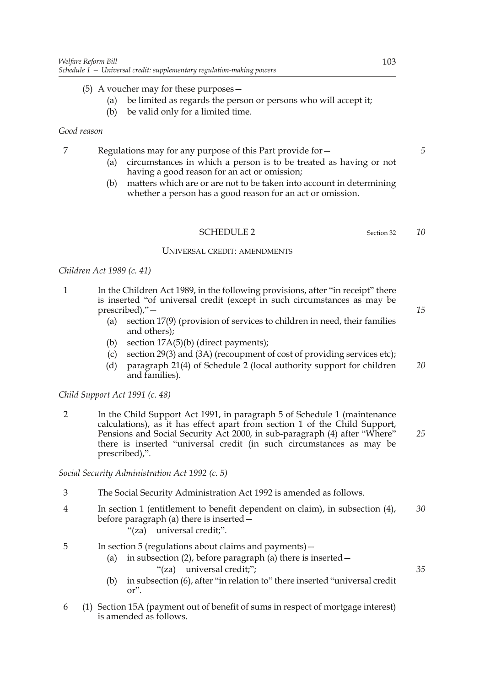## (5) A voucher may for these purposes—

- (a) be limited as regards the person or persons who will accept it;
- (b) be valid only for a limited time.

## *Good reason*

7 Regulations may for any purpose of this Part provide for—

- (a) circumstances in which a person is to be treated as having or not having a good reason for an act or omission;
- (b) matters which are or are not to be taken into account in determining whether a person has a good reason for an act or omission.

## SCHEDULE 2 Section 32

#### UNIVERSAL CREDIT: AMENDMENTS

## *Children Act 1989 (c. 41)*

- 1 In the Children Act 1989, in the following provisions, after "in receipt" there is inserted "of universal credit (except in such circumstances as may be prescribed),"—
	- (a) section 17(9) (provision of services to children in need, their families and others);
	- (b) section  $17A(5)(b)$  (direct payments);
	- (c) section 29(3) and (3A) (recoupment of cost of providing services etc);
	- (d) paragraph 21(4) of Schedule 2 (local authority support for children and families). *20*

*Child Support Act 1991 (c. 48)*

2 In the Child Support Act 1991, in paragraph 5 of Schedule 1 (maintenance calculations), as it has effect apart from section 1 of the Child Support, Pensions and Social Security Act 2000, in sub-paragraph (4) after "Where" there is inserted "universal credit (in such circumstances as may be prescribed),".

*Social Security Administration Act 1992 (c. 5)*

- 3 The Social Security Administration Act 1992 is amended as follows.
- 4 In section 1 (entitlement to benefit dependent on claim), in subsection (4), before paragraph (a) there is inserted— "(za) universal credit;". *30*
- 5 In section 5 (regulations about claims and payments)—
	- (a) in subsection (2), before paragraph (a) there is inserted  $-$ "(za) universal credit;";
	- (b) in subsection (6), after "in relation to" there inserted "universal credit or".
- 6 (1) Section 15A (payment out of benefit of sums in respect of mortgage interest) is amended as follows.

*5*

*10*

*15*

*25*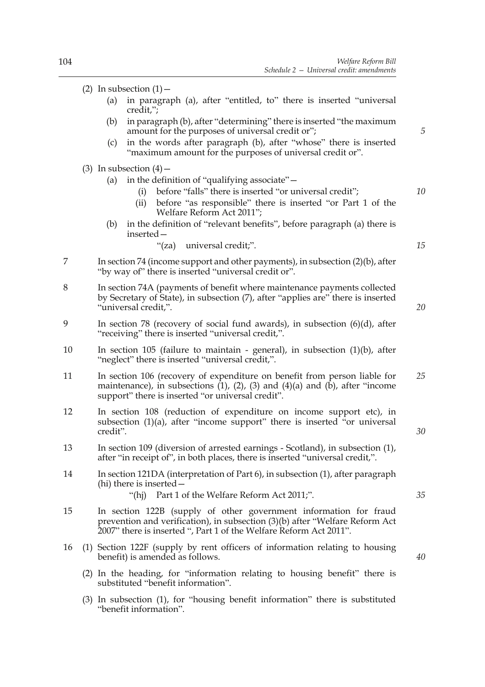(2) In subsection  $(1)$  -

- (a) in paragraph (a), after "entitled, to" there is inserted "universal credit,";
- (b) in paragraph (b), after "determining" there is inserted "the maximum amount for the purposes of universal credit or";
- (c) in the words after paragraph (b), after "whose" there is inserted "maximum amount for the purposes of universal credit or".
- (3) In subsection  $(4)$ 
	- (a) in the definition of "qualifying associate"  $-$ 
		- (i) before "falls" there is inserted "or universal credit";
		- (ii) before "as responsible" there is inserted "or Part 1 of the Welfare Reform Act 2011";
	- (b) in the definition of "relevant benefits", before paragraph (a) there is inserted—

"(za) universal credit;".

- 7 In section 74 (income support and other payments), in subsection (2)(b), after "by way of" there is inserted "universal credit or".
- 8 In section 74A (payments of benefit where maintenance payments collected by Secretary of State), in subsection (7), after "applies are" there is inserted "universal credit,".
- 9 In section 78 (recovery of social fund awards), in subsection (6)(d), after "receiving" there is inserted "universal credit,".
- 10 In section 105 (failure to maintain general), in subsection (1)(b), after "neglect" there is inserted "universal credit,".
- 11 In section 106 (recovery of expenditure on benefit from person liable for maintenance), in subsections  $(1)$ ,  $(2)$ ,  $(3)$  and  $(4)(a)$  and  $(b)$ , after "income support" there is inserted "or universal credit". *25*
- 12 In section 108 (reduction of expenditure on income support etc), in subsection  $(1)(a)$ , after "income support" there is inserted "or universal credit".
- 13 In section 109 (diversion of arrested earnings Scotland), in subsection (1), after "in receipt of", in both places, there is inserted "universal credit,".
- 14 In section 121DA (interpretation of Part 6), in subsection (1), after paragraph (hi) there is inserted—
	- "(hj) Part 1 of the Welfare Reform Act 2011;".
- 15 In section 122B (supply of other government information for fraud prevention and verification), in subsection (3)(b) after "Welfare Reform Act 2007" there is inserted ", Part 1 of the Welfare Reform Act 2011".
- 16 (1) Section 122F (supply by rent officers of information relating to housing benefit) is amended as follows.
	- (2) In the heading, for "information relating to housing benefit" there is substituted "benefit information".
	- (3) In subsection (1), for "housing benefit information" there is substituted "benefit information".

*5*

*15*

*10*

*20*

*30*

*40*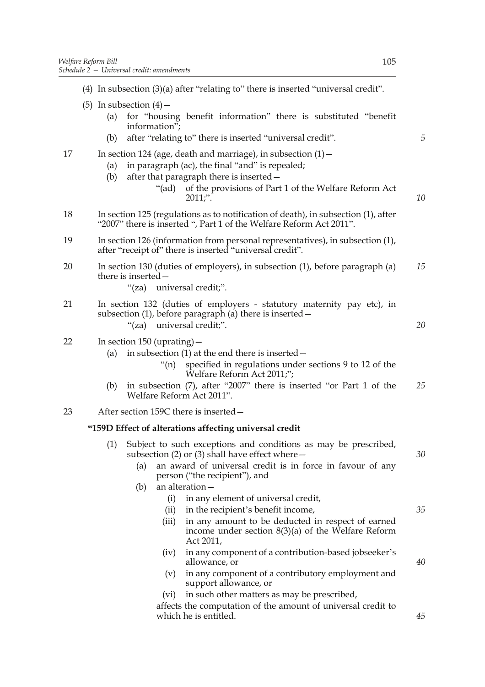- (4) In subsection (3)(a) after "relating to" there is inserted "universal credit".
- (5) In subsection  $(4)$ 
	- (a) for "housing benefit information" there is substituted "benefit information";
	- (b) after "relating to" there is inserted "universal credit".

# 17 In section 124 (age, death and marriage), in subsection (1) -

- (a) in paragraph (ac), the final "and" is repealed;
- (b) after that paragraph there is inserted—
	- "(ad) of the provisions of Part 1 of the Welfare Reform Act  $2011$ ;".
- 18 In section 125 (regulations as to notification of death), in subsection (1), after "2007" there is inserted ", Part 1 of the Welfare Reform Act 2011".
- 19 In section 126 (information from personal representatives), in subsection (1), after "receipt of" there is inserted "universal credit".
- 20 In section 130 (duties of employers), in subsection (1), before paragraph (a) there is inserted— *15*
	- "(za) universal credit;".
- 21 In section 132 (duties of employers statutory maternity pay etc), in subsection (1), before paragraph (a) there is inserted  $-$ "(za) universal credit;".
	-
- 22 In section 150 (uprating)—
	- (a) in subsection  $(1)$  at the end there is inserted  $-$ 
		- "(n) specified in regulations under sections 9 to 12 of the Welfare Reform Act 2011;";
	- (b) in subsection (7), after "2007" there is inserted "or Part 1 of the Welfare Reform Act 2011". *25*
- 23 After section 159C there is inserted—

# **"159D Effect of alterations affecting universal credit**

- (1) Subject to such exceptions and conditions as may be prescribed, subsection (2) or (3) shall have effect where  $-$ (a) an award of universal credit is in force in favour of any person ("the recipient"), and *30*
	- (b) an alteration—
		- (i) in any element of universal credit,
		- (ii) in the recipient's benefit income,
		- (iii) in any amount to be deducted in respect of earned income under section 8(3)(a) of the Welfare Reform Act 2011,
		- (iv) in any component of a contribution-based jobseeker's allowance, or
		- (v) in any component of a contributory employment and support allowance, or
		- (vi) in such other matters as may be prescribed,

affects the computation of the amount of universal credit to which he is entitled.

*5*

*10*

*20*

*40*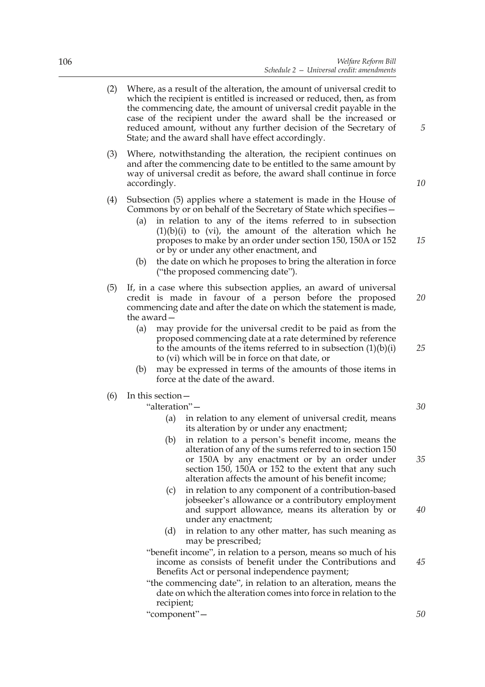- (2) Where, as a result of the alteration, the amount of universal credit to which the recipient is entitled is increased or reduced, then, as from the commencing date, the amount of universal credit payable in the case of the recipient under the award shall be the increased or reduced amount, without any further decision of the Secretary of State; and the award shall have effect accordingly.
- (3) Where, notwithstanding the alteration, the recipient continues on and after the commencing date to be entitled to the same amount by way of universal credit as before, the award shall continue in force accordingly.
- (4) Subsection (5) applies where a statement is made in the House of Commons by or on behalf of the Secretary of State which specifies -
	- (a) in relation to any of the items referred to in subsection  $(1)(b)(i)$  to  $(vi)$ , the amount of the alteration which he proposes to make by an order under section 150, 150A or 152 or by or under any other enactment, and
	- (b) the date on which he proposes to bring the alteration in force ("the proposed commencing date").
- (5) If, in a case where this subsection applies, an award of universal credit is made in favour of a person before the proposed commencing date and after the date on which the statement is made, the award— *20*
	- (a) may provide for the universal credit to be paid as from the proposed commencing date at a rate determined by reference to the amounts of the items referred to in subsection (1)(b)(i) to (vi) which will be in force on that date, or
	- (b) may be expressed in terms of the amounts of those items in force at the date of the award.
- (6) In this section—
	- "alteration"—
		- (a) in relation to any element of universal credit, means its alteration by or under any enactment;
		- (b) in relation to a person's benefit income, means the alteration of any of the sums referred to in section 150 or 150A by any enactment or by an order under section 150, 150A or 152 to the extent that any such alteration affects the amount of his benefit income;
		- (c) in relation to any component of a contribution-based jobseeker's allowance or a contributory employment and support allowance, means its alteration by or under any enactment; *40*
		- (d) in relation to any other matter, has such meaning as may be prescribed;

"benefit income", in relation to a person, means so much of his income as consists of benefit under the Contributions and Benefits Act or personal independence payment;

- "the commencing date", in relation to an alteration, means the date on which the alteration comes into force in relation to the recipient;
- "component"—

*10*

*15*

*5*

*25*

*30*

*35*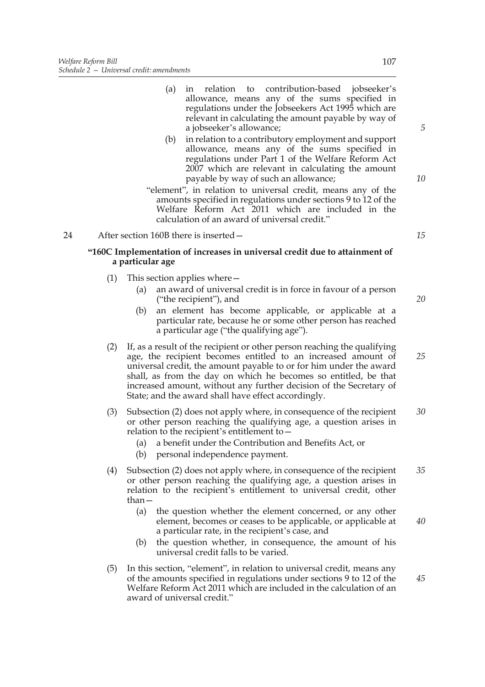- (a) in relation to contribution-based jobseeker's allowance, means any of the sums specified in regulations under the Jobseekers Act 1995 which are relevant in calculating the amount payable by way of a jobseeker's allowance;
- (b) in relation to a contributory employment and support allowance, means any of the sums specified in regulations under Part 1 of the Welfare Reform Act 2007 which are relevant in calculating the amount payable by way of such an allowance;
- "element", in relation to universal credit, means any of the amounts specified in regulations under sections 9 to 12 of the Welfare Reform Act 2011 which are included in the calculation of an award of universal credit."

## 24 After section 160B there is inserted—

## **"160C Implementation of increases in universal credit due to attainment of a particular age**

- (1) This section applies where—
	- (a) an award of universal credit is in force in favour of a person ("the recipient"), and
	- (b) an element has become applicable, or applicable at a particular rate, because he or some other person has reached a particular age ("the qualifying age").
- (2) If, as a result of the recipient or other person reaching the qualifying age, the recipient becomes entitled to an increased amount of universal credit, the amount payable to or for him under the award shall, as from the day on which he becomes so entitled, be that increased amount, without any further decision of the Secretary of State; and the award shall have effect accordingly.
- (3) Subsection (2) does not apply where, in consequence of the recipient or other person reaching the qualifying age, a question arises in relation to the recipient's entitlement to— *30*
	- (a) a benefit under the Contribution and Benefits Act, or
	- (b) personal independence payment.
- (4) Subsection (2) does not apply where, in consequence of the recipient or other person reaching the qualifying age, a question arises in relation to the recipient's entitlement to universal credit, other than— *35*
	- (a) the question whether the element concerned, or any other element, becomes or ceases to be applicable, or applicable at a particular rate, in the recipient's case, and *40*
	- (b) the question whether, in consequence, the amount of his universal credit falls to be varied.
- (5) In this section, "element", in relation to universal credit, means any of the amounts specified in regulations under sections 9 to 12 of the Welfare Reform Act 2011 which are included in the calculation of an award of universal credit." *45*

*5*

*10*

*15*

*20*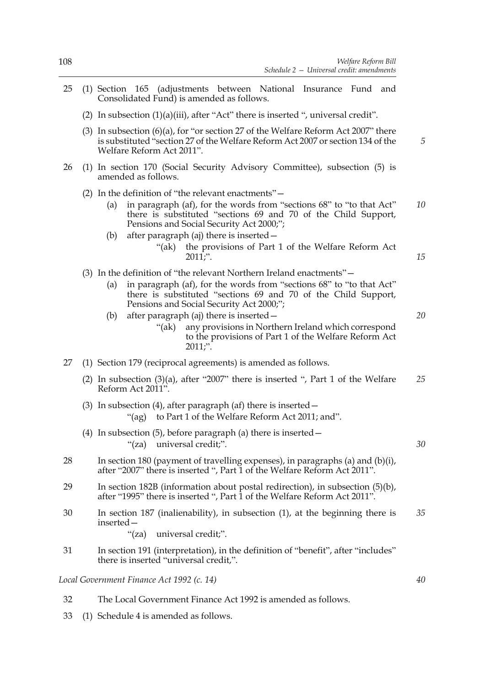| 25 | (1) Section 165 (adjustments between National Insurance Fund and<br>Consolidated Fund) is amended as follows.                                                                                                                                                                                                                                                                                                                                                |          |
|----|--------------------------------------------------------------------------------------------------------------------------------------------------------------------------------------------------------------------------------------------------------------------------------------------------------------------------------------------------------------------------------------------------------------------------------------------------------------|----------|
|    | (2) In subsection $(1)(a)(iii)$ , after "Act" there is inserted ", universal credit".                                                                                                                                                                                                                                                                                                                                                                        |          |
|    | (3) In subsection $(6)(a)$ , for "or section 27 of the Welfare Reform Act 2007" there<br>is substituted "section 27 of the Welfare Reform Act 2007 or section 134 of the<br>Welfare Reform Act 2011".                                                                                                                                                                                                                                                        | 5        |
| 26 | (1) In section 170 (Social Security Advisory Committee), subsection (5) is<br>amended as follows.                                                                                                                                                                                                                                                                                                                                                            |          |
|    | (2) In the definition of "the relevant enactments" $-$<br>in paragraph (af), for the words from "sections 68" to "to that Act"<br>(a)<br>there is substituted "sections 69 and 70 of the Child Support,<br>Pensions and Social Security Act 2000;";<br>after paragraph (aj) there is inserted -<br>(b)<br>the provisions of Part 1 of the Welfare Reform Act<br>"(ak)<br>$2011$ ;".                                                                          | 10<br>15 |
|    | (3) In the definition of "the relevant Northern Ireland enactments" -<br>in paragraph (af), for the words from "sections 68" to "to that Act"<br>(a)<br>there is substituted "sections 69 and 70 of the Child Support,<br>Pensions and Social Security Act 2000;";<br>after paragraph (aj) there is inserted -<br>(b)<br>any provisions in Northern Ireland which correspond<br>"(ak)<br>to the provisions of Part 1 of the Welfare Reform Act<br>$2011;$ ". | 20       |
| 27 | (1) Section 179 (reciprocal agreements) is amended as follows.                                                                                                                                                                                                                                                                                                                                                                                               |          |
|    | (2) In subsection $(3)(a)$ , after "2007" there is inserted ", Part 1 of the Welfare<br>Reform Act 2011".                                                                                                                                                                                                                                                                                                                                                    | 25       |
|    | (3) In subsection (4), after paragraph (af) there is inserted $-$<br>to Part 1 of the Welfare Reform Act 2011; and".<br>"(ag)                                                                                                                                                                                                                                                                                                                                |          |
|    | (4) In subsection $(5)$ , before paragraph (a) there is inserted $-$<br>universal credit;".<br>" $(za)$                                                                                                                                                                                                                                                                                                                                                      | 30       |
| 28 | In section 180 (payment of travelling expenses), in paragraphs (a) and $(b)(i)$ ,<br>after "2007" there is inserted ", Part 1 of the Welfare Reform Act 2011".                                                                                                                                                                                                                                                                                               |          |
| 29 | In section 182B (information about postal redirection), in subsection $(5)(b)$ ,<br>after "1995" there is inserted ", Part 1 of the Welfare Reform Act 2011".                                                                                                                                                                                                                                                                                                |          |
| 30 | In section 187 (inalienability), in subsection $(1)$ , at the beginning there is<br>inserted-<br>" $(za)$<br>universal credit;".                                                                                                                                                                                                                                                                                                                             | 35       |
| 31 | In section 191 (interpretation), in the definition of "benefit", after "includes"<br>there is inserted "universal credit,".                                                                                                                                                                                                                                                                                                                                  |          |
|    | Local Government Finance Act 1992 (c. 14)                                                                                                                                                                                                                                                                                                                                                                                                                    | 40       |

- 32 The Local Government Finance Act 1992 is amended as follows.
- 33 (1) Schedule 4 is amended as follows.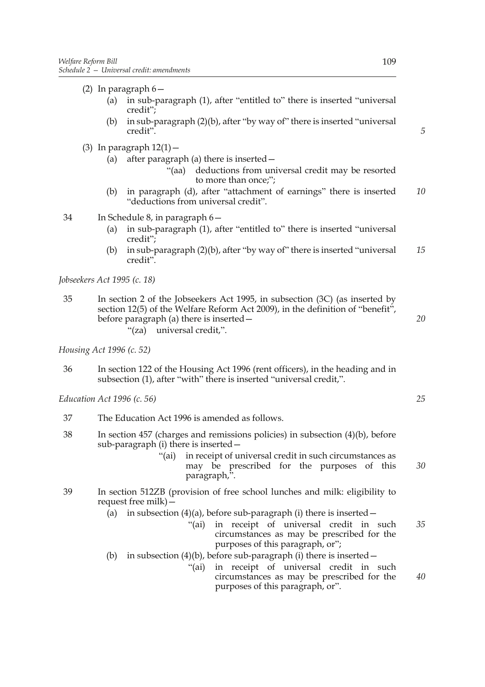- (2) In paragraph 6—
	- (a) in sub-paragraph (1), after "entitled to" there is inserted "universal credit";
	- (b) in sub-paragraph (2)(b), after "by way of" there is inserted "universal credit".
- (3) In paragraph  $12(1)$  -
	- (a) after paragraph (a) there is inserted—
		- "(aa) deductions from universal credit may be resorted to more than once;";
	- (b) in paragraph (d), after "attachment of earnings" there is inserted "deductions from universal credit". *10*
- 34 In Schedule 8, in paragraph 6—
	- (a) in sub-paragraph (1), after "entitled to" there is inserted "universal credit";
	- (b) in sub-paragraph (2)(b), after "by way of" there is inserted "universal credit". *15*

*Jobseekers Act 1995 (c. 18)*

- 35 In section 2 of the Jobseekers Act 1995, in subsection (3C) (as inserted by section 12(5) of the Welfare Reform Act 2009), in the definition of "benefit", before paragraph (a) there is inserted—
	- "(za) universal credit,".

*Housing Act 1996 (c. 52)*

36 In section 122 of the Housing Act 1996 (rent officers), in the heading and in subsection (1), after "with" there is inserted "universal credit,".

*Education Act 1996 (c. 56)*

- 37 The Education Act 1996 is amended as follows.
- 38 In section 457 (charges and remissions policies) in subsection (4)(b), before sub-paragraph (i) there is inserted—
	- "(ai) in receipt of universal credit in such circumstances as may be prescribed for the purposes of this paragraph,". *30*
- 39 In section 512ZB (provision of free school lunches and milk: eligibility to request free milk)—
	- (a) in subsection (4)(a), before sub-paragraph (i) there is inserted  $-$ 
		- "(ai) in receipt of universal credit in such circumstances as may be prescribed for the purposes of this paragraph, or"; *35*
	- (b) in subsection (4)(b), before sub-paragraph (i) there is inserted  $-$ 
		- "(ai) in receipt of universal credit in such circumstances as may be prescribed for the purposes of this paragraph, or". *40*

*5*

*25*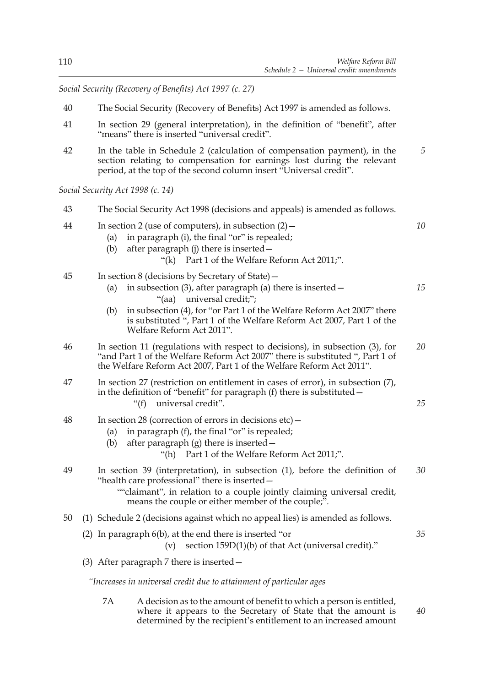*Social Security (Recovery of Benefits) Act 1997 (c. 27)*

- 40 The Social Security (Recovery of Benefits) Act 1997 is amended as follows.
- 41 In section 29 (general interpretation), in the definition of "benefit", after "means" there is inserted "universal credit".
- 42 In the table in Schedule 2 (calculation of compensation payment), in the section relating to compensation for earnings lost during the relevant period, at the top of the second column insert "Universal credit". *5*

*Social Security Act 1998 (c. 14)*

| 43 | The Social Security Act 1998 (decisions and appeals) is amended as follows.                                                                                                                                                                                                                                                                              |    |
|----|----------------------------------------------------------------------------------------------------------------------------------------------------------------------------------------------------------------------------------------------------------------------------------------------------------------------------------------------------------|----|
| 44 | In section 2 (use of computers), in subsection $(2)$ –<br>in paragraph (i), the final "or" is repealed;<br>(a)<br>after paragraph (j) there is inserted -<br>(b)<br>"(k) Part 1 of the Welfare Reform Act 2011;".                                                                                                                                        | 10 |
| 45 | In section 8 (decisions by Secretary of State) –<br>in subsection $(3)$ , after paragraph $(a)$ there is inserted $-$<br>(a)<br>universal credit;";<br>$"$ (aa)<br>in subsection (4), for "or Part 1 of the Welfare Reform Act 2007" there<br>(b)<br>is substituted ", Part 1 of the Welfare Reform Act 2007, Part 1 of the<br>Welfare Reform Act 2011". | 15 |
| 46 | In section 11 (regulations with respect to decisions), in subsection $(3)$ , for<br>"and Part 1 of the Welfare Reform Act 2007" there is substituted ", Part 1 of<br>the Welfare Reform Act 2007, Part 1 of the Welfare Reform Act 2011".                                                                                                                | 20 |
| 47 | In section 27 (restriction on entitlement in cases of error), in subsection (7),<br>in the definition of "benefit" for paragraph (f) there is substituted -<br>universal credit".<br>" $(f)$                                                                                                                                                             | 25 |
| 48 | In section 28 (correction of errors in decisions etc) –<br>in paragraph (f), the final "or" is repealed;<br>(a)<br>after paragraph $(g)$ there is inserted $-$<br>(b)<br>"(h) Part 1 of the Welfare Reform Act 2011;".                                                                                                                                   |    |
| 49 | In section 39 (interpretation), in subsection (1), before the definition of<br>"health care professional" there is inserted -<br>""claimant", in relation to a couple jointly claiming universal credit,<br>means the couple or either member of the couple;".                                                                                           | 30 |
| 50 | (1) Schedule 2 (decisions against which no appeal lies) is amended as follows.                                                                                                                                                                                                                                                                           |    |
|    | (2) In paragraph $6(b)$ , at the end there is inserted "or<br>section 159D(1)(b) of that Act (universal credit)."<br>(v)                                                                                                                                                                                                                                 | 35 |
|    | (3) After paragraph 7 there is inserted $-$                                                                                                                                                                                                                                                                                                              |    |
|    | "Increases in universal credit due to attainment of particular ages                                                                                                                                                                                                                                                                                      |    |

7A A decision as to the amount of benefit to which a person is entitled, where it appears to the Secretary of State that the amount is determined by the recipient's entitlement to an increased amount *40*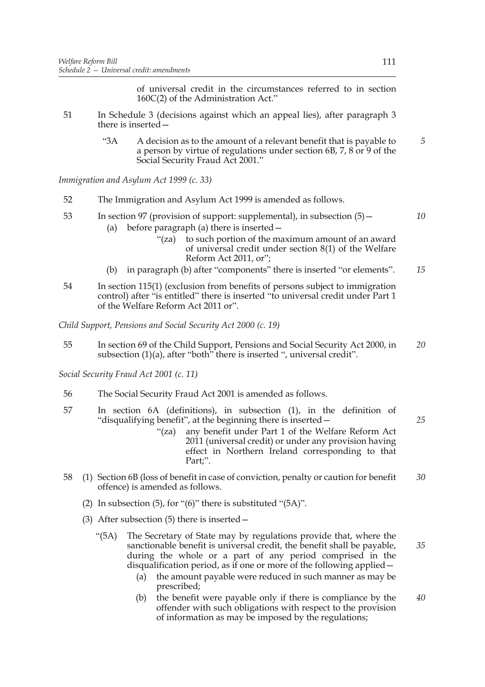of universal credit in the circumstances referred to in section 160C(2) of the Administration Act."

- 51 In Schedule 3 (decisions against which an appeal lies), after paragraph 3 there is inserted—
	- "3A A decision as to the amount of a relevant benefit that is payable to a person by virtue of regulations under section 6B, 7, 8 or 9 of the Social Security Fraud Act 2001." *5*

*Immigration and Asylum Act 1999 (c. 33)*

- 52 The Immigration and Asylum Act 1999 is amended as follows.
- 53 In section 97 (provision of support: supplemental), in subsection (5)— (a) before paragraph (a) there is inserted—
	- "(za) to such portion of the maximum amount of an award of universal credit under section 8(1) of the Welfare Reform Act 2011, or";
	- (b) in paragraph (b) after "components" there is inserted "or elements". *15*
- 54 In section 115(1) (exclusion from benefits of persons subject to immigration control) after "is entitled" there is inserted "to universal credit under Part 1 of the Welfare Reform Act 2011 or".

*Child Support, Pensions and Social Security Act 2000 (c. 19)*

55 In section 69 of the Child Support, Pensions and Social Security Act 2000, in subsection (1)(a), after "both" there is inserted ", universal credit". *20*

*Social Security Fraud Act 2001 (c. 11)*

- 56 The Social Security Fraud Act 2001 is amended as follows.
- 57 In section 6A (definitions), in subsection (1), in the definition of "disqualifying benefit", at the beginning there is inserted—
	- "(za) any benefit under Part 1 of the Welfare Reform Act 2011 (universal credit) or under any provision having effect in Northern Ireland corresponding to that Part;".
- 58 (1) Section 6B (loss of benefit in case of conviction, penalty or caution for benefit offence) is amended as follows. *30*
	- (2) In subsection  $(5)$ , for " $(6)$ " there is substituted " $(5A)$ ".
	- (3) After subsection (5) there is inserted—
		- "(5A) The Secretary of State may by regulations provide that, where the sanctionable benefit is universal credit, the benefit shall be payable, during the whole or a part of any period comprised in the disqualification period, as if one or more of the following applied—
			- (a) the amount payable were reduced in such manner as may be prescribed;
			- (b) the benefit were payable only if there is compliance by the offender with such obligations with respect to the provision of information as may be imposed by the regulations; *40*

*25*

*10*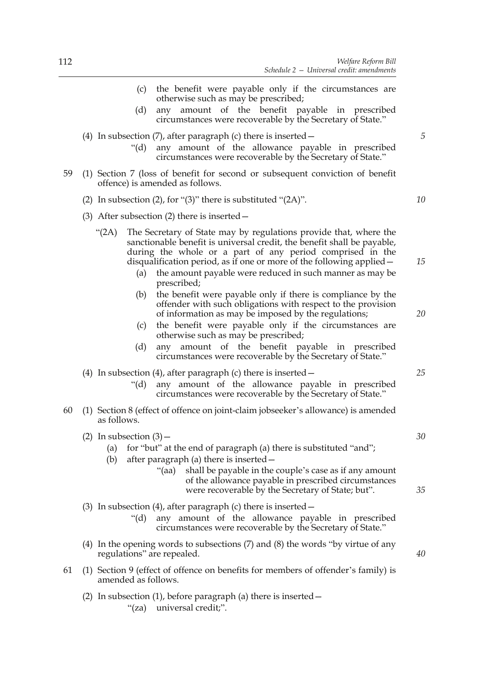- (c) the benefit were payable only if the circumstances are otherwise such as may be prescribed;
- (d) any amount of the benefit payable in prescribed circumstances were recoverable by the Secretary of State."

#### (4) In subsection  $(7)$ , after paragraph  $(c)$  there is inserted  $-$

- "(d) any amount of the allowance payable in prescribed circumstances were recoverable by the Secretary of State."
- 59 (1) Section 7 (loss of benefit for second or subsequent conviction of benefit offence) is amended as follows.
	- (2) In subsection (2), for "(3)" there is substituted " $(2A)$ ".
	- (3) After subsection (2) there is inserted—
		- "(2A) The Secretary of State may by regulations provide that, where the sanctionable benefit is universal credit, the benefit shall be payable, during the whole or a part of any period comprised in the disqualification period, as if one or more of the following applied—
			- (a) the amount payable were reduced in such manner as may be prescribed;
			- (b) the benefit were payable only if there is compliance by the offender with such obligations with respect to the provision of information as may be imposed by the regulations;
			- (c) the benefit were payable only if the circumstances are otherwise such as may be prescribed;
			- (d) any amount of the benefit payable in prescribed circumstances were recoverable by the Secretary of State."

#### (4) In subsection (4), after paragraph (c) there is inserted  $-$

- "(d) any amount of the allowance payable in prescribed circumstances were recoverable by the Secretary of State."
- 60 (1) Section 8 (effect of offence on joint-claim jobseeker's allowance) is amended as follows.
	- (2) In subsection  $(3)$ 
		- (a) for "but" at the end of paragraph (a) there is substituted "and";
		- (b) after paragraph (a) there is inserted—
			- "(aa) shall be payable in the couple's case as if any amount of the allowance payable in prescribed circumstances were recoverable by the Secretary of State; but".
	- (3) In subsection (4), after paragraph (c) there is inserted  $-$ 
		- "(d) any amount of the allowance payable in prescribed circumstances were recoverable by the Secretary of State."
	- (4) In the opening words to subsections (7) and (8) the words "by virtue of any regulations" are repealed.
- 61 (1) Section 9 (effect of offence on benefits for members of offender's family) is amended as follows.
	- (2) In subsection (1), before paragraph (a) there is inserted  $-$ "(za) universal credit;".

*5*

*10*

*15*

*20*

*25*

*30*

*35*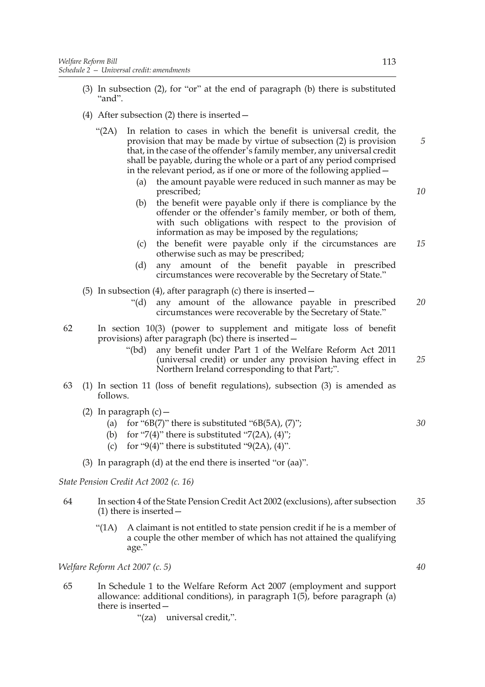- (3) In subsection (2), for "or" at the end of paragraph (b) there is substituted "and".
- (4) After subsection (2) there is inserted—
	- "(2A) In relation to cases in which the benefit is universal credit, the provision that may be made by virtue of subsection (2) is provision that, in the case of the offender's family member, any universal credit shall be payable, during the whole or a part of any period comprised in the relevant period, as if one or more of the following applied—
		- (a) the amount payable were reduced in such manner as may be prescribed;
		- (b) the benefit were payable only if there is compliance by the offender or the offender's family member, or both of them, with such obligations with respect to the provision of information as may be imposed by the regulations;
		- (c) the benefit were payable only if the circumstances are otherwise such as may be prescribed; *15*
		- (d) any amount of the benefit payable in prescribed circumstances were recoverable by the Secretary of State."
- (5) In subsection (4), after paragraph (c) there is inserted  $-$ 
	- "(d) any amount of the allowance payable in prescribed circumstances were recoverable by the Secretary of State." *20*
- 62 In section 10(3) (power to supplement and mitigate loss of benefit provisions) after paragraph (bc) there is inserted—
	- "(bd) any benefit under Part 1 of the Welfare Reform Act 2011 (universal credit) or under any provision having effect in Northern Ireland corresponding to that Part;". *25*
- 63 (1) In section 11 (loss of benefit regulations), subsection (3) is amended as follows.
	- (2) In paragraph  $(c)$ 
		- (a) for " $6B(7)$ " there is substituted " $6B(5A)$ ,  $(7)$ ";
		- (b) for "7(4)" there is substituted "7(2A),  $(4)$ ";
		- (c) for "9(4)" there is substituted "9(2A),  $(4)$ ".
	- (3) In paragraph (d) at the end there is inserted "or (aa)".

*State Pension Credit Act 2002 (c. 16)*

- 64 In section 4 of the State Pension Credit Act 2002 (exclusions), after subsection (1) there is inserted— *35*
	- $\mathcal{L}(1)$  A claimant is not entitled to state pension credit if he is a member of a couple the other member of which has not attained the qualifying age."

*Welfare Reform Act 2007 (c. 5)*

65 In Schedule 1 to the Welfare Reform Act 2007 (employment and support allowance: additional conditions), in paragraph  $1(5)$ , before paragraph (a) there is inserted—

"(za) universal credit,".

*5*

*10*

*40*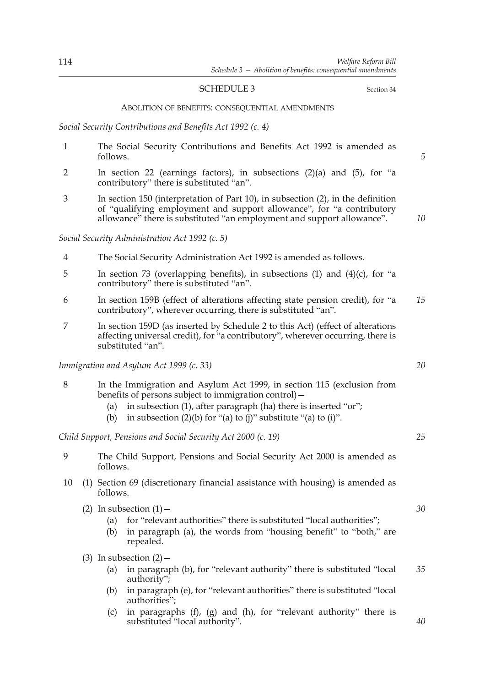## SCHEDULE 3 Section 34

#### ABOLITION OF BENEFITS: CONSEQUENTIAL AMENDMENTS

*Social Security Contributions and Benefits Act 1992 (c. 4)*

- 1 The Social Security Contributions and Benefits Act 1992 is amended as follows.
- 2 In section 22 (earnings factors), in subsections (2)(a) and (5), for "a contributory" there is substituted "an".
- 3 In section 150 (interpretation of Part 10), in subsection (2), in the definition of "qualifying employment and support allowance", for "a contributory allowance" there is substituted "an employment and support allowance".

*Social Security Administration Act 1992 (c. 5)*

- 4 The Social Security Administration Act 1992 is amended as follows.
- 5 In section 73 (overlapping benefits), in subsections (1) and (4)(c), for "a contributory" there is substituted "an".
- 6 In section 159B (effect of alterations affecting state pension credit), for "a contributory", wherever occurring, there is substituted "an". *15*
- 7 In section 159D (as inserted by Schedule 2 to this Act) (effect of alterations affecting universal credit), for "a contributory", wherever occurring, there is substituted "an".

*Immigration and Asylum Act 1999 (c. 33)*

- 8 In the Immigration and Asylum Act 1999, in section 115 (exclusion from benefits of persons subject to immigration control)—
	- (a) in subsection (1), after paragraph (ha) there is inserted "or";
	- (b) in subsection  $(2)(b)$  for "(a) to (i)" substitute "(a) to (i)".

#### *Child Support, Pensions and Social Security Act 2000 (c. 19)*

- 9 The Child Support, Pensions and Social Security Act 2000 is amended as follows.
- 10 (1) Section 69 (discretionary financial assistance with housing) is amended as follows.
	- (2) In subsection  $(1)$ 
		- (a) for "relevant authorities" there is substituted "local authorities";
		- (b) in paragraph (a), the words from "housing benefit" to "both," are repealed.
	- (3) In subsection  $(2)$ 
		- (a) in paragraph (b), for "relevant authority" there is substituted "local authority"; *35*
		- (b) in paragraph (e), for "relevant authorities" there is substituted "local authorities";
		- (c) in paragraphs (f), (g) and (h), for "relevant authority" there is substituted "local authority".

*20*

*5*

*10*

*25*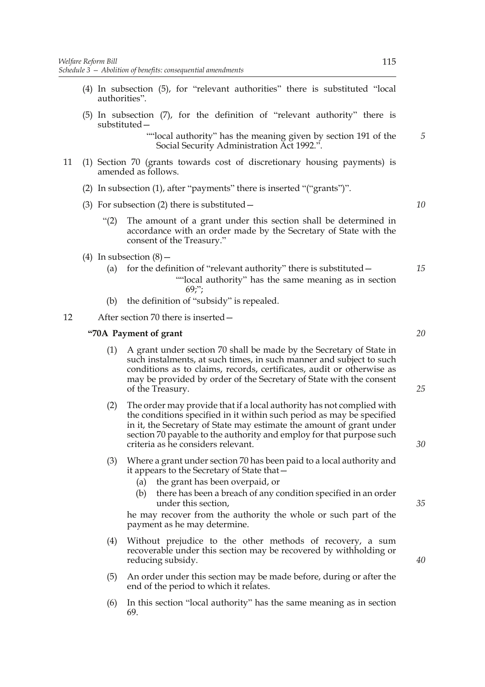- (4) In subsection (5), for "relevant authorities" there is substituted "local authorities".
- (5) In subsection (7), for the definition of "relevant authority" there is substituted—

""local authority" has the meaning given by section 191 of the Social Security Administration Act 1992.".

- 11 (1) Section 70 (grants towards cost of discretionary housing payments) is amended as follows.
	- (2) In subsection (1), after "payments" there is inserted "("grants")".
	- (3) For subsection (2) there is substituted—
		- "(2) The amount of a grant under this section shall be determined in accordance with an order made by the Secretary of State with the consent of the Treasury."
	- (4) In subsection  $(8)$ 
		- (a) for the definition of "relevant authority" there is substituted— ""local authority" has the same meaning as in section 69;"; *15*
		- (b) the definition of "subsidy" is repealed.
- 12 After section 70 there is inserted—

#### **"70A Payment of grant**

- (1) A grant under section 70 shall be made by the Secretary of State in such instalments, at such times, in such manner and subject to such conditions as to claims, records, certificates, audit or otherwise as may be provided by order of the Secretary of State with the consent of the Treasury.
- (2) The order may provide that if a local authority has not complied with the conditions specified in it within such period as may be specified in it, the Secretary of State may estimate the amount of grant under section 70 payable to the authority and employ for that purpose such criteria as he considers relevant.

#### (3) Where a grant under section 70 has been paid to a local authority and it appears to the Secretary of State that—

- (a) the grant has been overpaid, or
- (b) there has been a breach of any condition specified in an order under this section,

he may recover from the authority the whole or such part of the payment as he may determine.

- (4) Without prejudice to the other methods of recovery, a sum recoverable under this section may be recovered by withholding or reducing subsidy.
- (5) An order under this section may be made before, during or after the end of the period to which it relates.
- (6) In this section "local authority" has the same meaning as in section 69.

*5*

*10*

*25*

*20*

*30*

*35*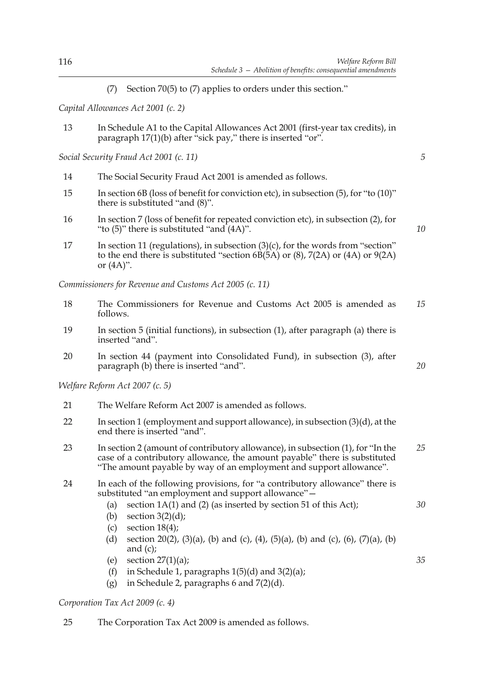# (7) Section 70(5) to (7) applies to orders under this section."

*Capital Allowances Act 2001 (c. 2)*

13 In Schedule A1 to the Capital Allowances Act 2001 (first-year tax credits), in paragraph 17(1)(b) after "sick pay," there is inserted "or".

*Social Security Fraud Act 2001 (c. 11)*

- 14 The Social Security Fraud Act 2001 is amended as follows.
- 15 In section 6B (loss of benefit for conviction etc), in subsection (5), for "to (10)" there is substituted "and (8)".
- 16 In section 7 (loss of benefit for repeated conviction etc), in subsection (2), for "to  $(5)$ " there is substituted "and  $(4A)$ ".
- 17 In section 11 (regulations), in subsection (3)(c), for the words from "section" to the end there is substituted "section  $6B(5A)$  or  $(8)$ ,  $7(2A)$  or  $(4A)$  or  $9(2A)$ or  $(4A)$ ".

*Commissioners for Revenue and Customs Act 2005 (c. 11)*

- 18 The Commissioners for Revenue and Customs Act 2005 is amended as follows. *15*
- 19 In section 5 (initial functions), in subsection (1), after paragraph (a) there is inserted "and".
- 20 In section 44 (payment into Consolidated Fund), in subsection (3), after paragraph (b) there is inserted "and".

*Welfare Reform Act 2007 (c. 5)*

- 21 The Welfare Reform Act 2007 is amended as follows.
- 22 In section 1 (employment and support allowance), in subsection (3)(d), at the end there is inserted "and".
- 23 In section 2 (amount of contributory allowance), in subsection (1), for "In the case of a contributory allowance, the amount payable" there is substituted "The amount payable by way of an employment and support allowance". *25*
- 24 In each of the following provisions, for "a contributory allowance" there is substituted "an employment and support allowance"-
	- (a) section  $1A(1)$  and (2) (as inserted by section 51 of this Act);
	- (b) section  $3(2)(d)$ ;
	- (c) section 18(4);
	- (d) section 20(2), (3)(a), (b) and (c), (4), (5)(a), (b) and (c), (6), (7)(a), (b) and (c);
	- (e) section  $27(1)(a)$ ;
	- (f) in Schedule 1, paragraphs  $1(5)(d)$  and  $3(2)(a)$ ;
	- (g) in Schedule 2, paragraphs 6 and  $7(2)(d)$ .

*Corporation Tax Act 2009 (c. 4)*

25 The Corporation Tax Act 2009 is amended as follows.

*20*

*5*

- *30*
- *35*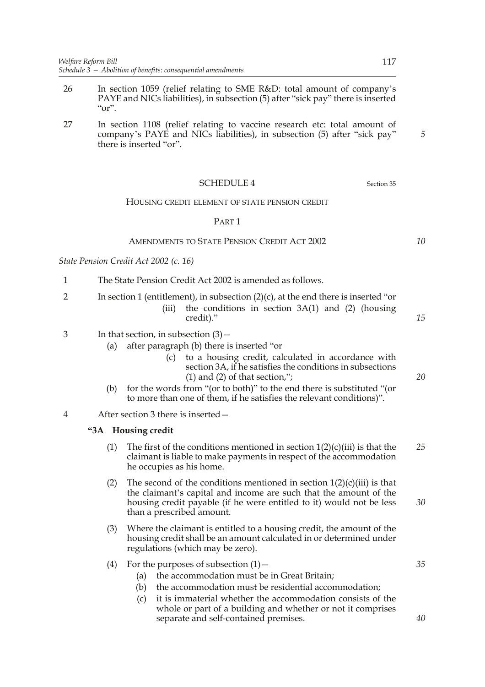- 26 In section 1059 (relief relating to SME R&D: total amount of company's PAYE and NICs liabilities), in subsection (5) after "sick pay" there is inserted " $or$ ".
- 27 In section 1108 (relief relating to vaccine research etc: total amount of company's PAYE and NICs liabilities), in subsection (5) after "sick pay" there is inserted "or".

## SCHEDULE 4 Section 35

## HOUSING CREDIT ELEMENT OF STATE PENSION CREDIT

#### PART 1

#### AMENDMENTS TO STATE PENSION CREDIT ACT 2002

*State Pension Credit Act 2002 (c. 16)*

- 1 The State Pension Credit Act 2002 is amended as follows.
- 2 In section 1 (entitlement), in subsection  $(2)(c)$ , at the end there is inserted "or
	- (iii) the conditions in section 3A(1) and (2) (housing credit)."
- 3 In that section, in subsection (3)—
	- (a) after paragraph (b) there is inserted "or
		- (c) to a housing credit, calculated in accordance with section 3A, if he satisfies the conditions in subsections (1) and (2) of that section,";
	- (b) for the words from "(or to both)" to the end there is substituted "(or to more than one of them, if he satisfies the relevant conditions)".
- 4 After section 3 there is inserted—

#### **"3A Housing credit**

- (1) The first of the conditions mentioned in section  $1(2)(c)(iii)$  is that the claimant is liable to make payments in respect of the accommodation he occupies as his home. *25*
- (2) The second of the conditions mentioned in section  $1(2)(c)(iii)$  is that the claimant's capital and income are such that the amount of the housing credit payable (if he were entitled to it) would not be less than a prescribed amount.
- (3) Where the claimant is entitled to a housing credit, the amount of the housing credit shall be an amount calculated in or determined under regulations (which may be zero).

## (4) For the purposes of subsection  $(1)$  –

- (a) the accommodation must be in Great Britain;
- (b) the accommodation must be residential accommodation;
- (c) it is immaterial whether the accommodation consists of the whole or part of a building and whether or not it comprises separate and self-contained premises.

*10*

*5*

*20*

*15*

*30*

*35*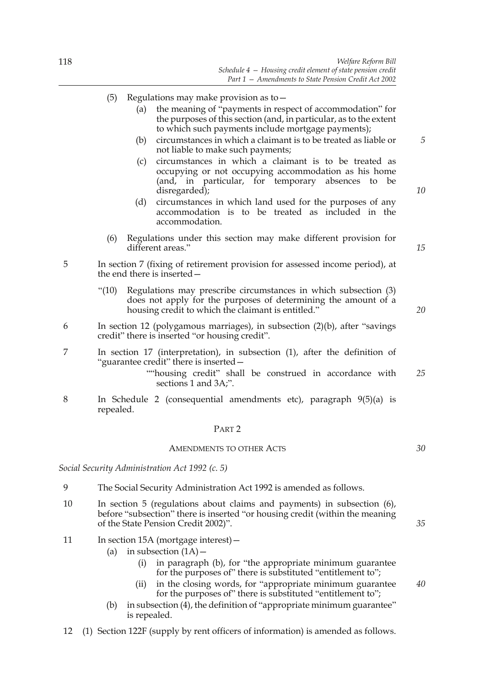## (5) Regulations may make provision as to—

- (a) the meaning of "payments in respect of accommodation" for the purposes of this section (and, in particular, as to the extent to which such payments include mortgage payments);
- (b) circumstances in which a claimant is to be treated as liable or not liable to make such payments;
- (c) circumstances in which a claimant is to be treated as occupying or not occupying accommodation as his home (and, in particular, for temporary absences to be disregarded);
- (d) circumstances in which land used for the purposes of any accommodation is to be treated as included in the accommodation.
- (6) Regulations under this section may make different provision for different areas."
- 5 In section 7 (fixing of retirement provision for assessed income period), at the end there is inserted—
	- "(10) Regulations may prescribe circumstances in which subsection (3) does not apply for the purposes of determining the amount of a housing credit to which the claimant is entitled."
- 6 In section 12 (polygamous marriages), in subsection (2)(b), after "savings credit" there is inserted "or housing credit".
- 7 In section 17 (interpretation), in subsection (1), after the definition of "guarantee credit" there is inserted—
	- ""housing credit" shall be construed in accordance with sections 1 and 3A;". *25*
- 8 In Schedule 2 (consequential amendments etc), paragraph 9(5)(a) is repealed.

#### PART 2

#### AMENDMENTS TO OTHER ACTS

*Social Security Administration Act 1992 (c. 5)*

- 9 The Social Security Administration Act 1992 is amended as follows.
- 10 In section 5 (regulations about claims and payments) in subsection (6), before "subsection" there is inserted "or housing credit (within the meaning of the State Pension Credit 2002)".
- 11 In section 15A (mortgage interest)
	- (a) in subsection  $(1A)$  -
		- (i) in paragraph (b), for "the appropriate minimum guarantee for the purposes of" there is substituted "entitlement to";
		- (ii) in the closing words, for "appropriate minimum guarantee for the purposes of" there is substituted "entitlement to";
	- (b) in subsection (4), the definition of "appropriate minimum guarantee" is repealed.
- 12 (1) Section 122F (supply by rent officers of information) is amended as follows.

*10*

*5*

*15*

*20*

*30*

*35*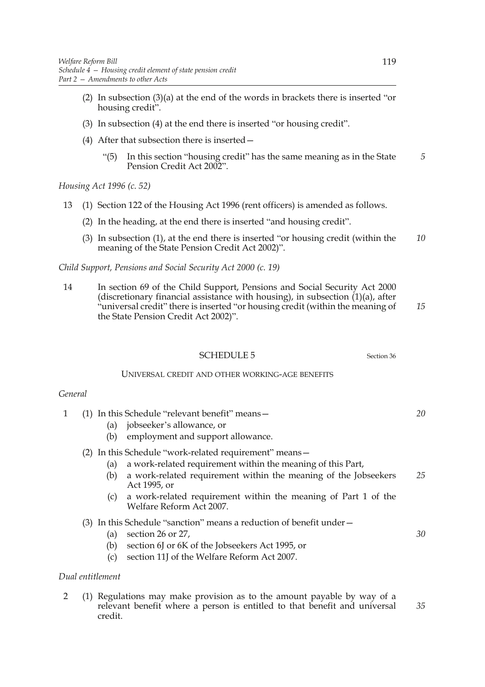- (2) In subsection (3)(a) at the end of the words in brackets there is inserted "or housing credit".
- (3) In subsection (4) at the end there is inserted "or housing credit".
- (4) After that subsection there is inserted—
	- "(5) In this section "housing credit" has the same meaning as in the State Pension Credit Act 2002". *5*

*Housing Act 1996 (c. 52)*

- 13 (1) Section 122 of the Housing Act 1996 (rent officers) is amended as follows.
	- (2) In the heading, at the end there is inserted "and housing credit".
	- (3) In subsection (1), at the end there is inserted "or housing credit (within the meaning of the State Pension Credit Act 2002)". *10*

*Child Support, Pensions and Social Security Act 2000 (c. 19)*

 $(1)$  In this Calcadule  $(2n-1)$  and  $(n-1)$ 

14 In section 69 of the Child Support, Pensions and Social Security Act 2000 (discretionary financial assistance with housing), in subsection  $(1)(a)$ , after "universal credit" there is inserted "or housing credit (within the meaning of the State Pension Credit Act 2002)". *15*

# SCHEDULE 5 Section 36

## UNIVERSAL CREDIT AND OTHER WORKING-AGE BENEFITS

## *General*

| $\perp$ |                  | $(1)$ In this schedule Televant benefit Theans $-$                                         | ZU |
|---------|------------------|--------------------------------------------------------------------------------------------|----|
|         | (a)              | jobseeker's allowance, or                                                                  |    |
|         | (b)              | employment and support allowance.                                                          |    |
|         |                  | (2) In this Schedule "work-related requirement" means —                                    |    |
|         | (a)              | a work-related requirement within the meaning of this Part,                                |    |
|         | (b)              | a work-related requirement within the meaning of the Jobseekers<br>Act 1995, or            | 25 |
|         | (c)              | a work-related requirement within the meaning of Part 1 of the<br>Welfare Reform Act 2007. |    |
|         |                  | (3) In this Schedule "sanction" means a reduction of benefit under $-$                     |    |
|         | (a)              | section 26 or $27$ ,                                                                       | 30 |
|         | (b)              | section 6J or 6K of the Jobseekers Act 1995, or                                            |    |
|         | (c)              | section 11J of the Welfare Reform Act 2007.                                                |    |
|         | Dual entitlement |                                                                                            |    |
|         |                  |                                                                                            |    |

2 (1) Regulations may make provision as to the amount payable by way of a relevant benefit where a person is entitled to that benefit and universal credit. *35*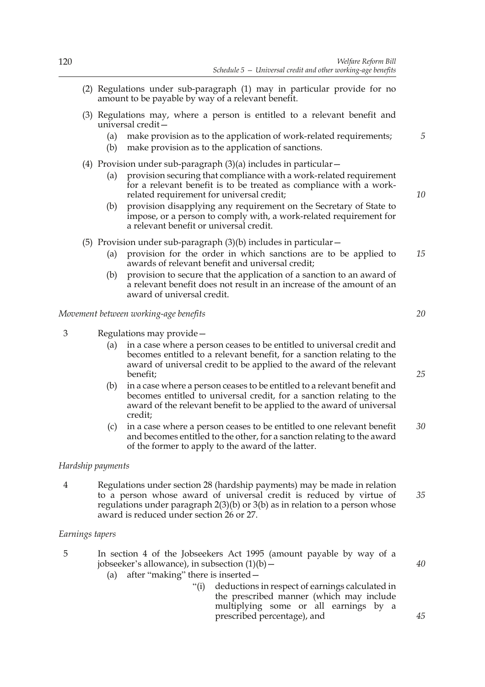- (2) Regulations under sub-paragraph (1) may in particular provide for no amount to be payable by way of a relevant benefit.
- (3) Regulations may, where a person is entitled to a relevant benefit and universal credit—
	- (a) make provision as to the application of work-related requirements;
	- (b) make provision as to the application of sanctions.
- (4) Provision under sub-paragraph  $(3)(a)$  includes in particular -
	- (a) provision securing that compliance with a work-related requirement for a relevant benefit is to be treated as compliance with a workrelated requirement for universal credit;
	- (b) provision disapplying any requirement on the Secretary of State to impose, or a person to comply with, a work-related requirement for a relevant benefit or universal credit.
- (5) Provision under sub-paragraph (3)(b) includes in particular—
	- (a) provision for the order in which sanctions are to be applied to awards of relevant benefit and universal credit; *15*
	- (b) provision to secure that the application of a sanction to an award of a relevant benefit does not result in an increase of the amount of an award of universal credit.

*Movement between working-age benefits*

3 Regulations may provide—

- (a) in a case where a person ceases to be entitled to universal credit and becomes entitled to a relevant benefit, for a sanction relating to the award of universal credit to be applied to the award of the relevant benefit;
- (b) in a case where a person ceases to be entitled to a relevant benefit and becomes entitled to universal credit, for a sanction relating to the award of the relevant benefit to be applied to the award of universal credit;
- (c) in a case where a person ceases to be entitled to one relevant benefit and becomes entitled to the other, for a sanction relating to the award of the former to apply to the award of the latter. *30*

#### *Hardship payments*

4 Regulations under section 28 (hardship payments) may be made in relation to a person whose award of universal credit is reduced by virtue of regulations under paragraph 2(3)(b) or 3(b) as in relation to a person whose award is reduced under section 26 or 27. *35*

## *Earnings tapers*

- 5 In section 4 of the Jobseekers Act 1995 (amount payable by way of a jobseeker's allowance), in subsection  $(1)(b)$  -
	- (a) after "making" there is inserted—
		- "(i) deductions in respect of earnings calculated in the prescribed manner (which may include multiplying some or all earnings by a prescribed percentage), and

*10*

*5*

*20*

*25*

*40*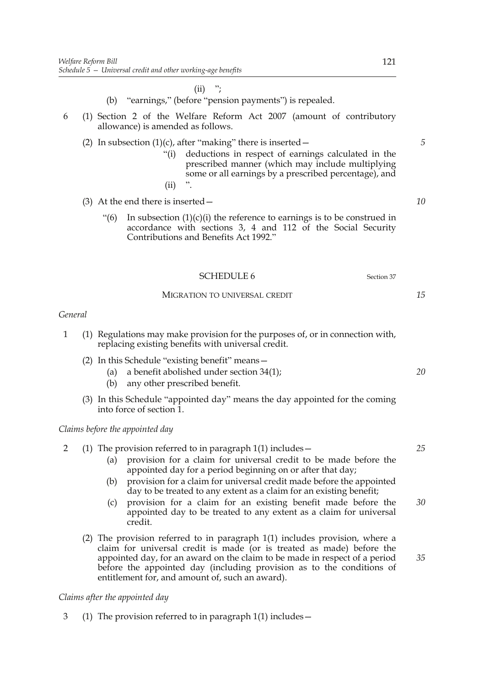$(ii)$  ":

- (b) "earnings," (before "pension payments") is repealed.
- 6 (1) Section 2 of the Welfare Reform Act 2007 (amount of contributory allowance) is amended as follows.
	- (2) In subsection  $(1)(c)$ , after "making" there is inserted  $-$ 
		- "(i) deductions in respect of earnings calculated in the prescribed manner (which may include multiplying some or all earnings by a prescribed percentage), and  $(ii)$  ".

(3) At the end there is inserted—

"(6) In subsection  $(1)(c)(i)$  the reference to earnings is to be construed in accordance with sections 3, 4 and 112 of the Social Security Contributions and Benefits Act 1992."

| <b>SCHEDULE 6</b> | Section 37 |
|-------------------|------------|
|                   |            |

#### MIGRATION TO UNIVERSAL CREDIT

#### *General*

- 1 (1) Regulations may make provision for the purposes of, or in connection with, replacing existing benefits with universal credit.
	- (2) In this Schedule "existing benefit" means—
		- (a) a benefit abolished under section 34(1);
		- (b) any other prescribed benefit.
	- (3) In this Schedule "appointed day" means the day appointed for the coming into force of section 1.

#### *Claims before the appointed day*

- 2 (1) The provision referred to in paragraph 1(1) includes— *25*
	- (a) provision for a claim for universal credit to be made before the appointed day for a period beginning on or after that day;
	- (b) provision for a claim for universal credit made before the appointed day to be treated to any extent as a claim for an existing benefit;
	- (c) provision for a claim for an existing benefit made before the appointed day to be treated to any extent as a claim for universal credit. *30*
	- (2) The provision referred to in paragraph 1(1) includes provision, where a claim for universal credit is made (or is treated as made) before the appointed day, for an award on the claim to be made in respect of a period before the appointed day (including provision as to the conditions of entitlement for, and amount of, such an award).

#### *Claims after the appointed day*

3 (1) The provision referred to in paragraph 1(1) includes—

*5*

*10*

*15*

*20*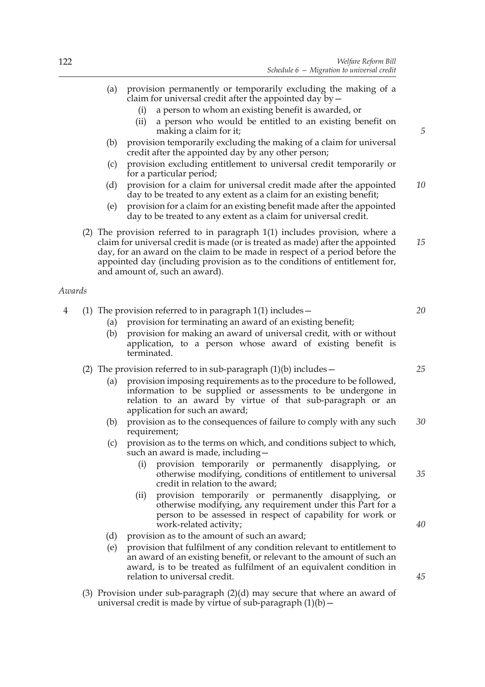*5*

*25*

*40*

*45*

- (a) provision permanently or temporarily excluding the making of a claim for universal credit after the appointed day by  $-$ 
	- (i) a person to whom an existing benefit is awarded, or
	- (ii) a person who would be entitled to an existing benefit on making a claim for it;
- (b) provision temporarily excluding the making of a claim for universal credit after the appointed day by any other person;
- (c) provision excluding entitlement to universal credit temporarily or for a particular period;
- (d) provision for a claim for universal credit made after the appointed day to be treated to any extent as a claim for an existing benefit; *10*
- (e) provision for a claim for an existing benefit made after the appointed day to be treated to any extent as a claim for universal credit.
- (2) The provision referred to in paragraph 1(1) includes provision, where a claim for universal credit is made (or is treated as made) after the appointed day, for an award on the claim to be made in respect of a period before the appointed day (including provision as to the conditions of entitlement for, and amount of, such an award). *15*

#### *Awards*

- 4 (1) The provision referred to in paragraph 1(1) includes— *20*
	- (a) provision for terminating an award of an existing benefit;
	- (b) provision for making an award of universal credit, with or without application, to a person whose award of existing benefit is terminated.
	- (2) The provision referred to in sub-paragraph  $(1)(b)$  includes -
		- (a) provision imposing requirements as to the procedure to be followed, information to be supplied or assessments to be undergone in relation to an award by virtue of that sub-paragraph or an application for such an award;
		- (b) provision as to the consequences of failure to comply with any such requirement; *30*
		- (c) provision as to the terms on which, and conditions subject to which, such an award is made, including—
			- (i) provision temporarily or permanently disapplying, or otherwise modifying, conditions of entitlement to universal credit in relation to the award; *35*
			- (ii) provision temporarily or permanently disapplying, or otherwise modifying, any requirement under this Part for a person to be assessed in respect of capability for work or work-related activity;
		- (d) provision as to the amount of such an award;
		- (e) provision that fulfilment of any condition relevant to entitlement to an award of an existing benefit, or relevant to the amount of such an award, is to be treated as fulfilment of an equivalent condition in relation to universal credit.
	- (3) Provision under sub-paragraph (2)(d) may secure that where an award of universal credit is made by virtue of sub-paragraph  $(1)(b)$  –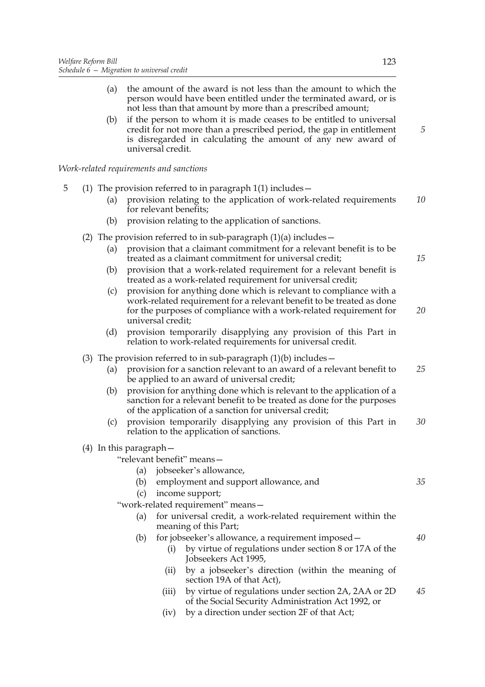- (a) the amount of the award is not less than the amount to which the person would have been entitled under the terminated award, or is not less than that amount by more than a prescribed amount;
- (b) if the person to whom it is made ceases to be entitled to universal credit for not more than a prescribed period, the gap in entitlement is disregarded in calculating the amount of any new award of universal credit.

*Work-related requirements and sanctions*

- 5 (1) The provision referred to in paragraph 1(1) includes—
	- (a) provision relating to the application of work-related requirements for relevant benefits; *10*
	- (b) provision relating to the application of sanctions.
	- (2) The provision referred to in sub-paragraph  $(1)(a)$  includes -
		- (a) provision that a claimant commitment for a relevant benefit is to be treated as a claimant commitment for universal credit;
		- (b) provision that a work-related requirement for a relevant benefit is treated as a work-related requirement for universal credit;
		- (c) provision for anything done which is relevant to compliance with a work-related requirement for a relevant benefit to be treated as done for the purposes of compliance with a work-related requirement for universal credit; *20*
		- (d) provision temporarily disapplying any provision of this Part in relation to work-related requirements for universal credit.
	- (3) The provision referred to in sub-paragraph  $(1)(b)$  includes -
		- (a) provision for a sanction relevant to an award of a relevant benefit to be applied to an award of universal credit; *25*
		- (b) provision for anything done which is relevant to the application of a sanction for a relevant benefit to be treated as done for the purposes of the application of a sanction for universal credit;
		- (c) provision temporarily disapplying any provision of this Part in relation to the application of sanctions. *30*
	- (4) In this paragraph—
		- "relevant benefit" means—
			- (a) jobseeker's allowance,
			- (b) employment and support allowance, and
			- (c) income support;

"work-related requirement" means—

- (a) for universal credit, a work-related requirement within the meaning of this Part;
- (b) for jobseeker's allowance, a requirement imposed—
	- (i) by virtue of regulations under section 8 or 17A of the Jobseekers Act 1995,
	- (ii) by a jobseeker's direction (within the meaning of section 19A of that Act),
	- (iii) by virtue of regulations under section 2A, 2AA or 2D of the Social Security Administration Act 1992, or *45*
	- (iv) by a direction under section 2F of that Act;

*5*

*15*

*40*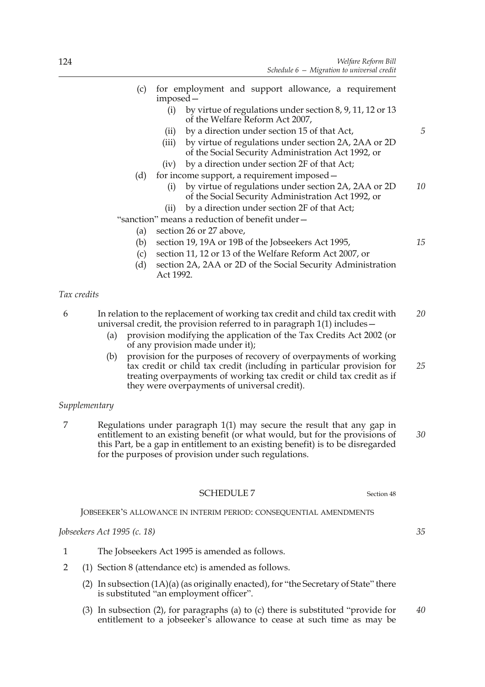- (c) for employment and support allowance, a requirement imposed—
	- (i) by virtue of regulations under section 8, 9, 11, 12 or 13 of the Welfare Reform Act 2007,
	- (ii) by a direction under section 15 of that Act,
	- (iii) by virtue of regulations under section 2A, 2AA or 2D of the Social Security Administration Act 1992, or
	- (iv) by a direction under section 2F of that Act;
- (d) for income support, a requirement imposed—
	- (i) by virtue of regulations under section 2A, 2AA or 2D of the Social Security Administration Act 1992, or *10*
	- (ii) by a direction under section 2F of that Act;
- "sanction" means a reduction of benefit under—
	- (a) section 26 or 27 above,
	- (b) section 19, 19A or 19B of the Jobseekers Act 1995,
	- (c) section 11, 12 or 13 of the Welfare Reform Act 2007, or
	- (d) section 2A, 2AA or 2D of the Social Security Administration Act 1992.

## *Tax credits*

- 6 In relation to the replacement of working tax credit and child tax credit with universal credit, the provision referred to in paragraph 1(1) includes— *20*
	- (a) provision modifying the application of the Tax Credits Act 2002 (or of any provision made under it);
	- (b) provision for the purposes of recovery of overpayments of working tax credit or child tax credit (including in particular provision for treating overpayments of working tax credit or child tax credit as if they were overpayments of universal credit). *25*

## *Supplementary*

7 Regulations under paragraph 1(1) may secure the result that any gap in entitlement to an existing benefit (or what would, but for the provisions of this Part, be a gap in entitlement to an existing benefit) is to be disregarded for the purposes of provision under such regulations. *30*

## SCHEDULE 7 Section 48

JOBSEEKER'S ALLOWANCE IN INTERIM PERIOD: CONSEQUENTIAL AMENDMENTS

#### *Jobseekers Act 1995 (c. 18)*

- 1 The Jobseekers Act 1995 is amended as follows.
- 2 (1) Section 8 (attendance etc) is amended as follows.
	- (2) In subsection (1A)(a) (as originally enacted), for "the Secretary of State" there is substituted "an employment officer".
	- (3) In subsection (2), for paragraphs (a) to (c) there is substituted "provide for entitlement to a jobseeker's allowance to cease at such time as may be *40*

*35*

*5*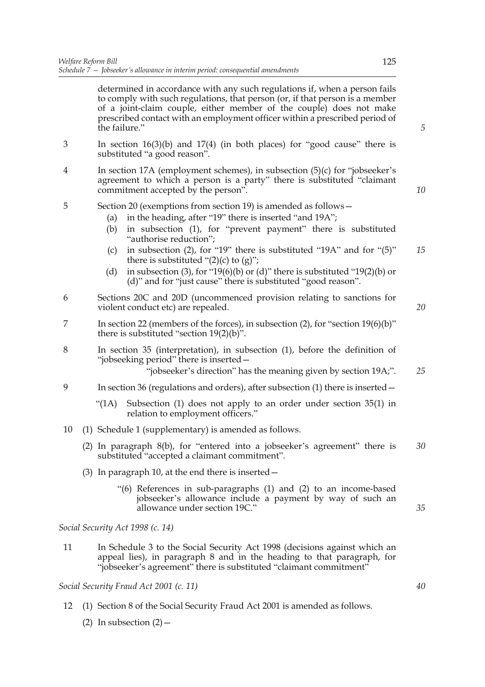determined in accordance with any such regulations if, when a person fails to comply with such regulations, that person (or, if that person is a member of a joint-claim couple, either member of the couple) does not make prescribed contact with an employment officer within a prescribed period of the failure."

- 3 In section 16(3)(b) and 17(4) (in both places) for "good cause" there is substituted "a good reason".
- 4 In section 17A (employment schemes), in subsection (5)(c) for "jobseeker's agreement to which a person is a party" there is substituted "claimant commitment accepted by the person".
- 5 Section 20 (exemptions from section 19) is amended as follows—
	- (a) in the heading, after "19" there is inserted "and 19A";
	- (b) in subsection (1), for "prevent payment" there is substituted "authorise reduction";
	- (c) in subsection (2), for "19" there is substituted "19A" and for "(5)" there is substituted " $(2)(c)$  to  $(g)$ "; *15*
	- (d) in subsection (3), for "19(6)(b) or (d)" there is substituted "19(2)(b) or (d)" and for "just cause" there is substituted "good reason".
- 6 Sections 20C and 20D (uncommenced provision relating to sanctions for violent conduct etc) are repealed.
- 7 In section 22 (members of the forces), in subsection (2), for "section 19(6)(b)" there is substituted "section 19(2)(b)".
- 8 In section 35 (interpretation), in subsection (1), before the definition of "jobseeking period" there is inserted—
	- "jobseeker's direction" has the meaning given by section 19A;".
- 9 In section 36 (regulations and orders), after subsection (1) there is inserted
	- "(1A) Subsection (1) does not apply to an order under section 35(1) in relation to employment officers."
- 10 (1) Schedule 1 (supplementary) is amended as follows.
	- (2) In paragraph 8(b), for "entered into a jobseeker's agreement" there is substituted "accepted a claimant commitment". *30*
	- (3) In paragraph 10, at the end there is inserted—
		- "(6) References in sub-paragraphs (1) and (2) to an income-based jobseeker's allowance include a payment by way of such an allowance under section 19C."

*Social Security Act 1998 (c. 14)*

11 In Schedule 3 to the Social Security Act 1998 (decisions against which an appeal lies), in paragraph 8 and in the heading to that paragraph, for "jobseeker's agreement" there is substituted "claimant commitment"

#### *Social Security Fraud Act 2001 (c. 11)*

- 12 (1) Section 8 of the Social Security Fraud Act 2001 is amended as follows.
	- (2) In subsection  $(2)$  -

*5*

*10*

*20*

*25*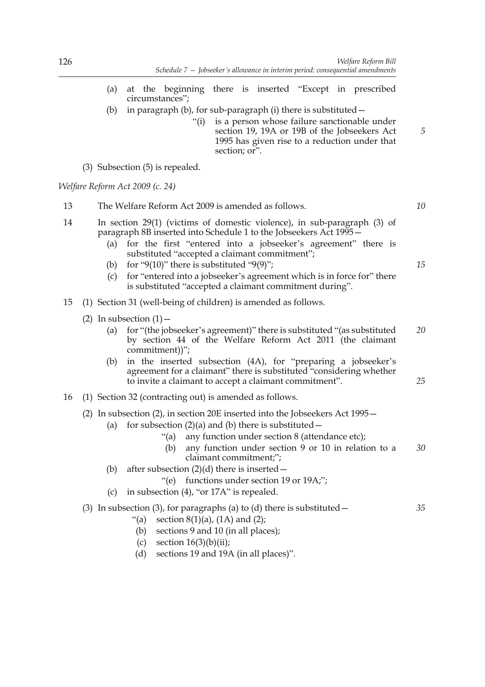- (a) at the beginning there is inserted "Except in prescribed circumstances";
- (b) in paragraph (b), for sub-paragraph (i) there is substituted—
	- "(i) is a person whose failure sanctionable under section 19, 19A or 19B of the Jobseekers Act 1995 has given rise to a reduction under that section; or".

*5*

(3) Subsection (5) is repealed.

*Welfare Reform Act 2009 (c. 24)*

| 13 | The Welfare Reform Act 2009 is amended as follows.                                                                                                                                                                                                                                                                                                                                                                                                                     | 10 |
|----|------------------------------------------------------------------------------------------------------------------------------------------------------------------------------------------------------------------------------------------------------------------------------------------------------------------------------------------------------------------------------------------------------------------------------------------------------------------------|----|
| 14 | In section 29(1) (victims of domestic violence), in sub-paragraph (3) of<br>paragraph 8B inserted into Schedule 1 to the Jobseekers Act 1995 –<br>for the first "entered into a jobseeker's agreement" there is<br>(a)<br>substituted "accepted a claimant commitment";<br>for "9(10)" there is substituted "9(9)";<br>(b)<br>for "entered into a jobseeker's agreement which is in force for" there<br>(c)<br>is substituted "accepted a claimant commitment during". | 15 |
| 15 | (1) Section 31 (well-being of children) is amended as follows.                                                                                                                                                                                                                                                                                                                                                                                                         |    |
|    | (2) In subsection $(1)$ –                                                                                                                                                                                                                                                                                                                                                                                                                                              |    |
|    | for "(the jobseeker's agreement)" there is substituted "(as substituted<br>(a)<br>by section 44 of the Welfare Reform Act 2011 (the claimant<br>commitment))";                                                                                                                                                                                                                                                                                                         | 20 |
|    | in the inserted subsection (4A), for "preparing a jobseeker's<br>(b)<br>agreement for a claimant" there is substituted "considering whether<br>to invite a claimant to accept a claimant commitment".                                                                                                                                                                                                                                                                  | 25 |
| 16 | (1) Section 32 (contracting out) is amended as follows.                                                                                                                                                                                                                                                                                                                                                                                                                |    |
|    | (2) In subsection (2), in section 20E inserted into the Jobseekers Act $1995 -$                                                                                                                                                                                                                                                                                                                                                                                        |    |
|    | for subsection $(2)(a)$ and $(b)$ there is substituted –<br>(a)                                                                                                                                                                                                                                                                                                                                                                                                        |    |
|    | any function under section 8 (attendance etc);<br>"(a)<br>any function under section 9 or 10 in relation to a<br>(b)<br>claimant commitment;";                                                                                                                                                                                                                                                                                                                         | 30 |
|    | after subsection $(2)(d)$ there is inserted –<br>(b)                                                                                                                                                                                                                                                                                                                                                                                                                   |    |
|    | "(e) functions under section 19 or 19A;";                                                                                                                                                                                                                                                                                                                                                                                                                              |    |
|    | in subsection $(4)$ , "or 17A" is repealed.<br>(c)                                                                                                                                                                                                                                                                                                                                                                                                                     |    |
|    | (3) In subsection (3), for paragraphs (a) to (d) there is substituted $-$<br>section $8(1)(a)$ , $(1A)$ and $(2)$ ;<br>"(a)<br>sections 9 and 10 (in all places);<br>(b)<br>section $16(3)(b)(ii)$ ;<br>(c)<br>(d)<br>sections 19 and 19A (in all places)".                                                                                                                                                                                                            | 35 |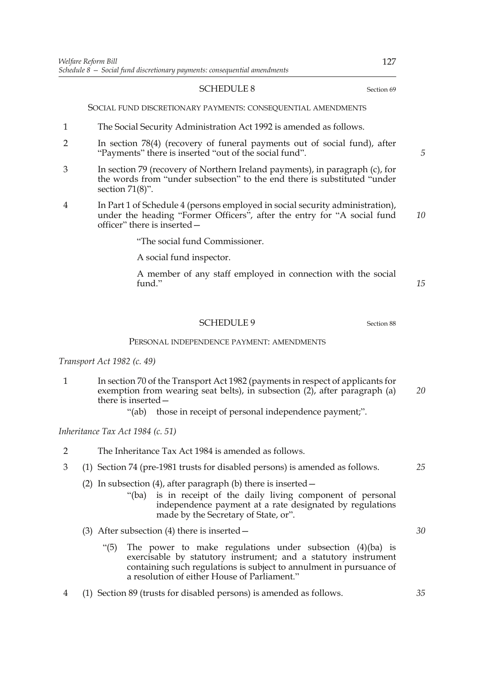#### SCHEDULE 8 Section 69

SOCIAL FUND DISCRETIONARY PAYMENTS: CONSEQUENTIAL AMENDMENTS

- 1 The Social Security Administration Act 1992 is amended as follows.
- 2 In section 78(4) (recovery of funeral payments out of social fund), after "Payments" there is inserted "out of the social fund".
- 3 In section 79 (recovery of Northern Ireland payments), in paragraph (c), for the words from "under subsection" to the end there is substituted "under section 71(8)".
- 4 In Part 1 of Schedule 4 (persons employed in social security administration), under the heading "Former Officers", after the entry for "A social fund officer" there is inserted— *10*

"The social fund Commissioner.

A social fund inspector.

 A member of any staff employed in connection with the social fund." *15*

#### SCHEDULE 9 Section 88

#### PERSONAL INDEPENDENCE PAYMENT: AMENDMENTS

*Transport Act 1982 (c. 49)*

1 In section 70 of the Transport Act 1982 (payments in respect of applicants for exemption from wearing seat belts), in subsection (2), after paragraph (a) there is inserted— *20*

"(ab) those in receipt of personal independence payment;".

*Inheritance Tax Act 1984 (c. 51)*

2 The Inheritance Tax Act 1984 is amended as follows.

#### 3 (1) Section 74 (pre-1981 trusts for disabled persons) is amended as follows.

- (2) In subsection (4), after paragraph (b) there is inserted  $-$ 
	- "(ba) is in receipt of the daily living component of personal independence payment at a rate designated by regulations made by the Secretary of State, or".

#### (3) After subsection (4) there is inserted—

- "(5) The power to make regulations under subsection (4)(ba) is exercisable by statutory instrument; and a statutory instrument containing such regulations is subject to annulment in pursuance of a resolution of either House of Parliament."
- 4 (1) Section 89 (trusts for disabled persons) is amended as follows.

*35*

*30*

*25*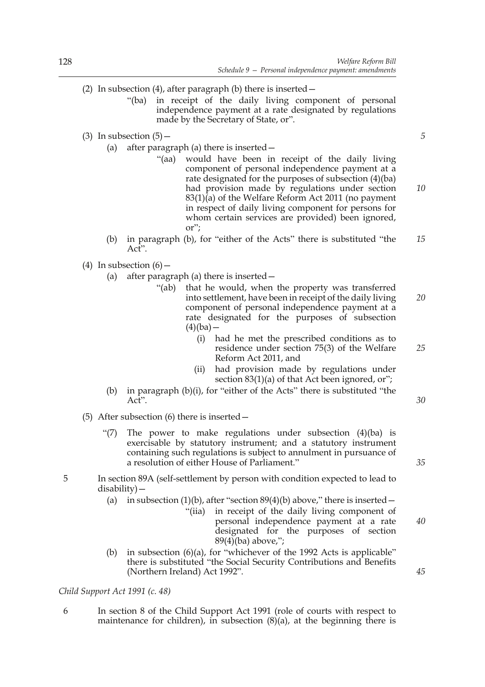# (2) In subsection (4), after paragraph (b) there is inserted  $-$

"(ba) in receipt of the daily living component of personal independence payment at a rate designated by regulations made by the Secretary of State, or".

# (3) In subsection  $(5)$  –

- (a) after paragraph (a) there is inserted—
	- "(aa) would have been in receipt of the daily living component of personal independence payment at a rate designated for the purposes of subsection (4)(ba) had provision made by regulations under section 83(1)(a) of the Welfare Reform Act 2011 (no payment in respect of daily living component for persons for whom certain services are provided) been ignored, or";
- (b) in paragraph (b), for "either of the Acts" there is substituted "the Act". *15*
- (4) In subsection  $(6)$ 
	- (a) after paragraph (a) there is inserted—
		- "(ab) that he would, when the property was transferred into settlement, have been in receipt of the daily living component of personal independence payment at a rate designated for the purposes of subsection  $(4)(ba)$  — *20*
			- (i) had he met the prescribed conditions as to residence under section 75(3) of the Welfare Reform Act 2011, and
			- (ii) had provision made by regulations under section 83(1)(a) of that Act been ignored, or";
	- (b) in paragraph (b)(i), for "either of the Acts" there is substituted "the  $Acr$ :
- (5) After subsection (6) there is inserted—
	- "(7) The power to make regulations under subsection (4)(ba) is exercisable by statutory instrument; and a statutory instrument containing such regulations is subject to annulment in pursuance of a resolution of either House of Parliament."
- 5 In section 89A (self-settlement by person with condition expected to lead to disability)—

(a) in subsection (1)(b), after "section  $89(4)(b)$  above," there is inserted  $-$ 

- "(iia) in receipt of the daily living component of personal independence payment at a rate designated for the purposes of section  $89(4)$ (ba) above,";
- (b) in subsection (6)(a), for "whichever of the 1992 Acts is applicable" there is substituted "the Social Security Contributions and Benefits (Northern Ireland) Act 1992".

#### *Child Support Act 1991 (c. 48)*

6 In section 8 of the Child Support Act 1991 (role of courts with respect to maintenance for children), in subsection  $(8)(a)$ , at the beginning there is *5*

*10*

*35*

*30*

*25*

*45*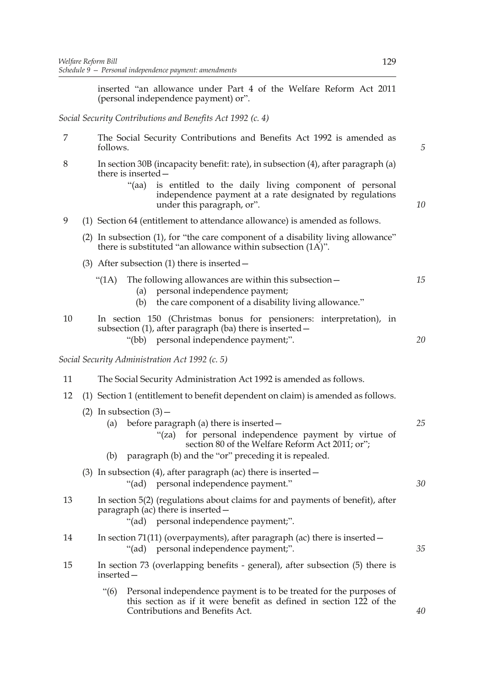inserted "an allowance under Part 4 of the Welfare Reform Act 2011 (personal independence payment) or".

*Social Security Contributions and Benefits Act 1992 (c. 4)*

- 7 The Social Security Contributions and Benefits Act 1992 is amended as follows.
- 8 In section 30B (incapacity benefit: rate), in subsection (4), after paragraph (a) there is inserted—
	- "(aa) is entitled to the daily living component of personal independence payment at a rate designated by regulations under this paragraph, or".
- 9 (1) Section 64 (entitlement to attendance allowance) is amended as follows.
	- (2) In subsection (1), for "the care component of a disability living allowance" there is substituted "an allowance within subsection (1A)".
	- (3) After subsection (1) there is inserted—

|  | "(1A) The following allowances are within this subsection $-$ |  |
|--|---------------------------------------------------------------|--|
|--|---------------------------------------------------------------|--|

- (a) personal independence payment;
- (b) the care component of a disability living allowance."
- 10 In section 150 (Christmas bonus for pensioners: interpretation), in subsection  $(1)$ , after paragraph  $(ba)$  there is inserted  $-$ "(bb) personal independence payment;".

*Social Security Administration Act 1992 (c. 5)*

- 11 The Social Security Administration Act 1992 is amended as follows.
- 12 (1) Section 1 (entitlement to benefit dependent on claim) is amended as follows.

|    | (2) In subsection $(3)$ –                                                                                                                                                                       |    |
|----|-------------------------------------------------------------------------------------------------------------------------------------------------------------------------------------------------|----|
|    | before paragraph (a) there is inserted –<br>(a)                                                                                                                                                 | 25 |
|    | "(za) for personal independence payment by virtue of<br>section 80 of the Welfare Reform Act 2011; or";                                                                                         |    |
|    | paragraph (b) and the "or" preceding it is repealed.<br>(b)                                                                                                                                     |    |
|    | (3) In subsection (4), after paragraph (ac) there is inserted $-$<br>"(ad) personal independence payment."                                                                                      | 30 |
| 13 | In section 5(2) (regulations about claims for and payments of benefit), after<br>paragraph (ac) there is inserted -<br>"(ad) personal independence payment;".                                   |    |
| 14 | In section 71(11) (overpayments), after paragraph (ac) there is inserted $-$<br>"(ad) personal independence payment;".                                                                          | 35 |
| 15 | In section 73 (overlapping benefits - general), after subsection (5) there is<br>inserted-                                                                                                      |    |
|    | Personal independence payment is to be treated for the purposes of<br>$\cdot\cdot(6)$<br>this section as if it were benefit as defined in section 122 of the<br>Contributions and Benefits Act. | 40 |

*5*

*10*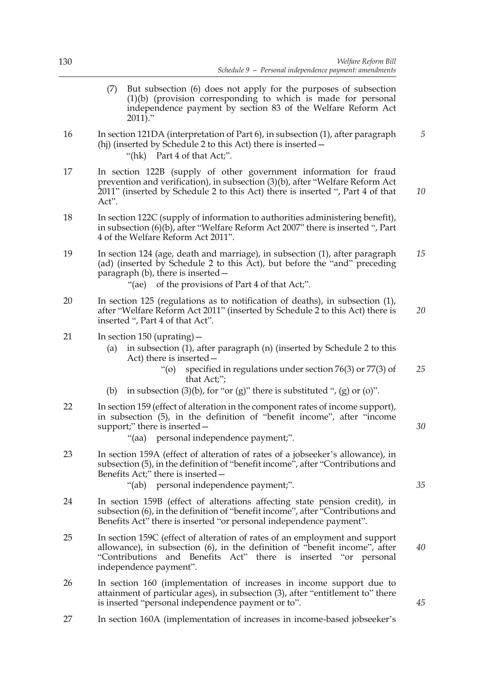| 130 | Welfare Reform Bill<br>Schedule 9 - Personal independence payment: amendments                                                                                                                                                                                                                                              |    |
|-----|----------------------------------------------------------------------------------------------------------------------------------------------------------------------------------------------------------------------------------------------------------------------------------------------------------------------------|----|
|     | But subsection (6) does not apply for the purposes of subsection<br>(7)<br>$(1)(b)$ (provision corresponding to which is made for personal<br>independence payment by section 83 of the Welfare Reform Act<br>$2011$ ."                                                                                                    |    |
| 16  | In section 121DA (interpretation of Part 6), in subsection (1), after paragraph<br>(hj) (inserted by Schedule 2 to this Act) there is inserted –<br>"(hk) Part 4 of that $Act$ ;".                                                                                                                                         | 5  |
| 17  | In section 122B (supply of other government information for fraud<br>prevention and verification), in subsection (3)(b), after "Welfare Reform Act<br>2011" (inserted by Schedule 2 to this Act) there is inserted ", Part 4 of that<br>Act".                                                                              | 10 |
| 18  | In section 122C (supply of information to authorities administering benefit),<br>in subsection (6)(b), after "Welfare Reform Act 2007" there is inserted ", Part<br>4 of the Welfare Reform Act 2011".                                                                                                                     |    |
| 19  | In section 124 (age, death and marriage), in subsection (1), after paragraph<br>(ad) (inserted by Schedule 2 to this Act), but before the "and" preceding<br>paragraph (b), there is inserted $-$<br>"(ae) of the provisions of Part 4 of that Act;".                                                                      | 15 |
| 20  | In section 125 (regulations as to notification of deaths), in subsection (1),<br>after "Welfare Reform Act 2011" (inserted by Schedule 2 to this Act) there is<br>inserted ", Part 4 of that Act".                                                                                                                         | 20 |
| 21  | In section $150$ (uprating) $-$<br>in subsection (1), after paragraph (n) (inserted by Schedule 2 to this<br>(a)<br>Act) there is inserted -<br>specified in regulations under section $76(3)$ or $77(3)$ of<br>" $(o)$ "<br>that Act;";<br>in subsection (3)(b), for "or (g)" there is substituted ", (g) or (o)".<br>(b) | 25 |
| 22  | In section 159 (effect of alteration in the component rates of income support),<br>in subsection (5), in the definition of "benefit income", after "income<br>support;" there is inserted -<br>"(aa) personal independence payment;".                                                                                      | 30 |
| 23  | In section 159A (effect of alteration of rates of a jobseeker's allowance), in<br>subsection (5), in the definition of "benefit income", after "Contributions and<br>Benefits Act;" there is inserted -<br>"(ab) personal independence payment;".                                                                          | 35 |
| 24  | In section 159B (effect of alterations affecting state pension credit), in<br>subsection (6), in the definition of "benefit income", after "Contributions and<br>Benefits Act" there is inserted "or personal independence payment".                                                                                       |    |
| 25  | In section 159C (effect of alteration of rates of an employment and support<br>allowance), in subsection (6), in the definition of "benefit income", after<br>"Contributions and Benefits Act" there is inserted "or personal<br>independence payment".                                                                    | 40 |
| 26  | In section 160 (implementation of increases in income support due to<br>attainment of particular ages), in subsection (3), after "entitlement to" there<br>is inserted "personal independence payment or to".                                                                                                              | 45 |
| 27  | In section 160A (implementation of increases in income-based jobseeker's                                                                                                                                                                                                                                                   |    |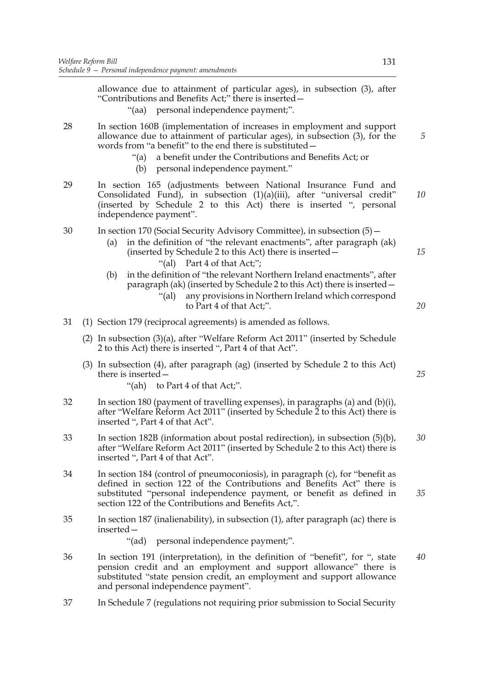allowance due to attainment of particular ages), in subsection (3), after "Contributions and Benefits Act;" there is inserted—

- "(aa) personal independence payment;".
- 28 In section 160B (implementation of increases in employment and support allowance due to attainment of particular ages), in subsection (3), for the words from "a benefit" to the end there is substituted—
	- "(a) a benefit under the Contributions and Benefits Act; or
	- (b) personal independence payment."
- 29 In section 165 (adjustments between National Insurance Fund and Consolidated Fund), in subsection (1)(a)(iii), after "universal credit" (inserted by Schedule 2 to this Act) there is inserted ", personal independence payment". *10*
- 30 In section 170 (Social Security Advisory Committee), in subsection (5)—
	- (a) in the definition of "the relevant enactments", after paragraph (ak) (inserted by Schedule 2 to this Act) there is inserted— "(al) Part 4 of that Act;"; *15*
	- (b) in the definition of "the relevant Northern Ireland enactments", after paragraph (ak) (inserted by Schedule 2 to this Act) there is inserted— "(al) any provisions in Northern Ireland which correspond
		- to Part 4 of that Act;".
- 31 (1) Section 179 (reciprocal agreements) is amended as follows.
	- (2) In subsection (3)(a), after "Welfare Reform Act 2011" (inserted by Schedule 2 to this Act) there is inserted ", Part 4 of that Act".
	- (3) In subsection (4), after paragraph (ag) (inserted by Schedule 2 to this Act) there is inserted—
		- "(ah) to Part 4 of that Act;".
- 32 In section 180 (payment of travelling expenses), in paragraphs (a) and (b)(i), after "Welfare Reform Act 2011" (inserted by Schedule 2 to this Act) there is inserted ", Part 4 of that Act".
- 33 In section 182B (information about postal redirection), in subsection (5)(b), after "Welfare Reform Act 2011" (inserted by Schedule 2 to this Act) there is inserted ", Part 4 of that Act". *30*
- 34 In section 184 (control of pneumoconiosis), in paragraph (c), for "benefit as defined in section 122 of the Contributions and Benefits Act" there is substituted "personal independence payment, or benefit as defined in section 122 of the Contributions and Benefits Act,".
- 35 In section 187 (inalienability), in subsection (1), after paragraph (ac) there is inserted—
	- "(ad) personal independence payment;".
- 36 In section 191 (interpretation), in the definition of "benefit", for ", state pension credit and an employment and support allowance" there is substituted "state pension credit, an employment and support allowance and personal independence payment". *40*
- 37 In Schedule 7 (regulations not requiring prior submission to Social Security

*5*

*20*

*25*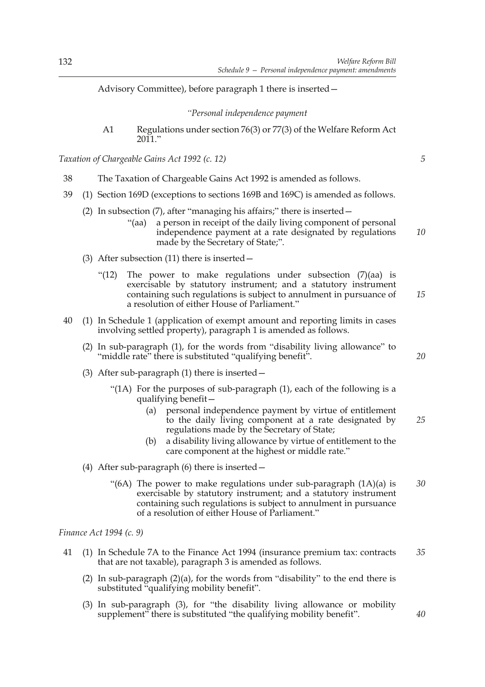Advisory Committee), before paragraph 1 there is inserted—

## *"Personal independence payment*

A1 Regulations under section 76(3) or 77(3) of the Welfare Reform Act 2011."

*Taxation of Chargeable Gains Act 1992 (c. 12)*

- 38 The Taxation of Chargeable Gains Act 1992 is amended as follows.
- 39 (1) Section 169D (exceptions to sections 169B and 169C) is amended as follows.
	- (2) In subsection (7), after "managing his affairs;" there is inserted—
		- "(aa) a person in receipt of the daily living component of personal independence payment at a rate designated by regulations made by the Secretary of State;". *10*
	- (3) After subsection (11) there is inserted—
		- "(12) The power to make regulations under subsection (7)(aa) is exercisable by statutory instrument; and a statutory instrument containing such regulations is subject to annulment in pursuance of a resolution of either House of Parliament." *15*
- 40 (1) In Schedule 1 (application of exempt amount and reporting limits in cases involving settled property), paragraph 1 is amended as follows.
	- (2) In sub-paragraph (1), for the words from "disability living allowance" to "middle rate" there is substituted "qualifying benefit".
	- (3) After sub-paragraph (1) there is inserted—
		- "(1A) For the purposes of sub-paragraph (1), each of the following is a qualifying benefit—
			- (a) personal independence payment by virtue of entitlement to the daily living component at a rate designated by regulations made by the Secretary of State; *25*
			- (b) a disability living allowance by virtue of entitlement to the care component at the highest or middle rate."
	- (4) After sub-paragraph (6) there is inserted—
		- "(6A) The power to make regulations under sub-paragraph  $(1A)(a)$  is exercisable by statutory instrument; and a statutory instrument containing such regulations is subject to annulment in pursuance of a resolution of either House of Parliament." *30*

*Finance Act 1994 (c. 9)*

- 41 (1) In Schedule 7A to the Finance Act 1994 (insurance premium tax: contracts that are not taxable), paragraph 3 is amended as follows. *35*
	- (2) In sub-paragraph (2)(a), for the words from "disability" to the end there is substituted "qualifying mobility benefit".
	- (3) In sub-paragraph (3), for "the disability living allowance or mobility supplement" there is substituted "the qualifying mobility benefit".

*5*

*20*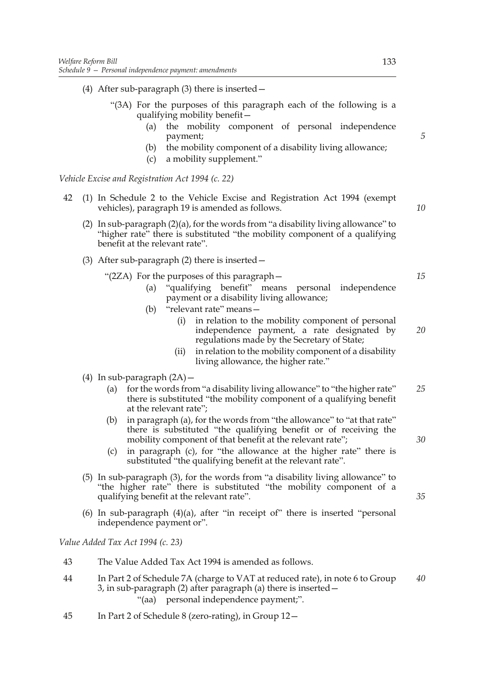- (4) After sub-paragraph (3) there is inserted—
	- "(3A) For the purposes of this paragraph each of the following is a qualifying mobility benefit—
		- (a) the mobility component of personal independence payment;
		- (b) the mobility component of a disability living allowance;
		- (c) a mobility supplement."

*Vehicle Excise and Registration Act 1994 (c. 22)*

- 42 (1) In Schedule 2 to the Vehicle Excise and Registration Act 1994 (exempt vehicles), paragraph 19 is amended as follows.
	- (2) In sub-paragraph (2)(a), for the words from "a disability living allowance" to "higher rate" there is substituted "the mobility component of a qualifying benefit at the relevant rate".
	- (3) After sub-paragraph (2) there is inserted—
		- "(2ZA) For the purposes of this paragraph—
			- (a) "qualifying benefit" means personal independence payment or a disability living allowance;
			- (b) "relevant rate" means—
				- (i) in relation to the mobility component of personal independence payment, a rate designated by regulations made by the Secretary of State;
				- (ii) in relation to the mobility component of a disability living allowance, the higher rate."
	- (4) In sub-paragraph (2A)—
		- (a) for the words from "a disability living allowance" to "the higher rate" there is substituted "the mobility component of a qualifying benefit at the relevant rate"; *25*
		- (b) in paragraph (a), for the words from "the allowance" to "at that rate" there is substituted "the qualifying benefit or of receiving the mobility component of that benefit at the relevant rate";
		- (c) in paragraph (c), for "the allowance at the higher rate" there is substituted "the qualifying benefit at the relevant rate".
	- (5) In sub-paragraph (3), for the words from "a disability living allowance" to "the higher rate" there is substituted "the mobility component of a qualifying benefit at the relevant rate".
	- (6) In sub-paragraph (4)(a), after "in receipt of" there is inserted "personal independence payment or".

*Value Added Tax Act 1994 (c. 23)*

- 43 The Value Added Tax Act 1994 is amended as follows.
- 44 In Part 2 of Schedule 7A (charge to VAT at reduced rate), in note 6 to Group 3, in sub-paragraph (2) after paragraph (a) there is inserted— "(aa) personal independence payment;". *40*
- 45 In Part 2 of Schedule 8 (zero-rating), in Group 12—

*5*

*10*

*15*

*20*

*35*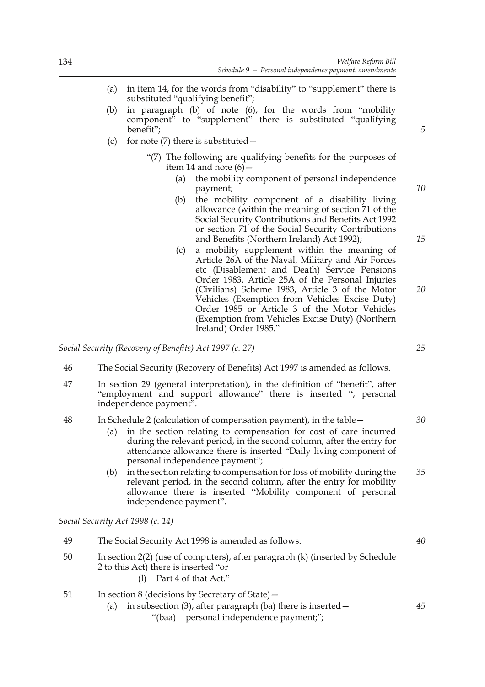- (a) in item 14, for the words from "disability" to "supplement" there is substituted "qualifying benefit";
- (b) in paragraph (b) of note (6), for the words from "mobility component" to "supplement" there is substituted "qualifying benefit";
- (c) for note  $(7)$  there is substituted  $-$ 
	- "(7) The following are qualifying benefits for the purposes of item 14 and note  $(6)$  -
		- (a) the mobility component of personal independence payment;
		- (b) the mobility component of a disability living allowance (within the meaning of section 71 of the Social Security Contributions and Benefits Act 1992 or section 71 of the Social Security Contributions and Benefits (Northern Ireland) Act 1992);
		- (c) a mobility supplement within the meaning of Article 26A of the Naval, Military and Air Forces etc (Disablement and Death) Service Pensions Order 1983, Article 25A of the Personal Injuries (Civilians) Scheme 1983, Article 3 of the Motor Vehicles (Exemption from Vehicles Excise Duty) Order 1985 or Article 3 of the Motor Vehicles (Exemption from Vehicles Excise Duty) (Northern Ireland) Order 1985."

*Social Security (Recovery of Benefits) Act 1997 (c. 27)*

- 46 The Social Security (Recovery of Benefits) Act 1997 is amended as follows.
- 47 In section 29 (general interpretation), in the definition of "benefit", after "employment and support allowance" there is inserted ", personal independence payment".

# 48 In Schedule 2 (calculation of compensation payment), in the table—

- (a) in the section relating to compensation for cost of care incurred during the relevant period, in the second column, after the entry for attendance allowance there is inserted "Daily living component of personal independence payment";
- (b) in the section relating to compensation for loss of mobility during the relevant period, in the second column, after the entry for mobility allowance there is inserted "Mobility component of personal independence payment". *35*

*Social Security Act 1998 (c. 14)*

| 49 | The Social Security Act 1998 is amended as follows.                                                                                                                      | 40 |
|----|--------------------------------------------------------------------------------------------------------------------------------------------------------------------------|----|
| 50 | In section 2(2) (use of computers), after paragraph (k) (inserted by Schedule<br>2 to this Act) there is inserted "or<br>Part 4 of that Act."<br>(1)                     |    |
| 51 | In section 8 (decisions by Secretary of State) $-$<br>in subsection $(3)$ , after paragraph (ba) there is inserted $-$<br>(a)<br>"(baa) personal independence payment;"; | 45 |

*25*

*30*

*20*

*5*

*10*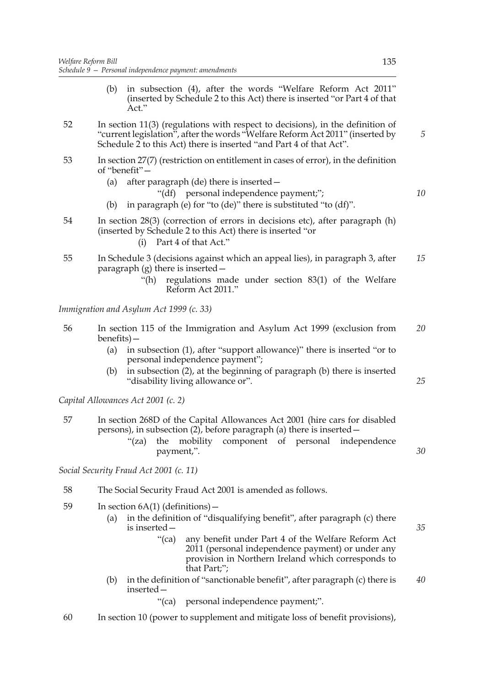- (b) in subsection (4), after the words "Welfare Reform Act 2011" (inserted by Schedule 2 to this Act) there is inserted "or Part 4 of that Act."
- 52 In section 11(3) (regulations with respect to decisions), in the definition of "current legislation", after the words "Welfare Reform Act 2011" (inserted by Schedule 2 to this Act) there is inserted "and Part 4 of that Act".
- 53 In section 27(7) (restriction on entitlement in cases of error), in the definition of "benefit"—
	- (a) after paragraph (de) there is inserted—
		- "(df) personal independence payment;";
	- (b) in paragraph (e) for "to (de)" there is substituted "to (df)".
- 54 In section 28(3) (correction of errors in decisions etc), after paragraph (h) (inserted by Schedule 2 to this Act) there is inserted "or
	- (i) Part 4 of that Act."
- 55 In Schedule 3 (decisions against which an appeal lies), in paragraph 3, after paragraph (g) there is inserted— *15*
	- "(h) regulations made under section 83(1) of the Welfare Reform Act 2011."

*Immigration and Asylum Act 1999 (c. 33)*

- 56 In section 115 of the Immigration and Asylum Act 1999 (exclusion from benefits)— *20*
	- (a) in subsection (1), after "support allowance)" there is inserted "or to personal independence payment";
	- (b) in subsection (2), at the beginning of paragraph (b) there is inserted "disability living allowance or".

*Capital Allowances Act 2001 (c. 2)*

## 57 In section 268D of the Capital Allowances Act 2001 (hire cars for disabled persons), in subsection  $(2)$ , before paragraph (a) there is inserted –

"(za) the mobility component of personal independence payment,".

*Social Security Fraud Act 2001 (c. 11)*

- 58 The Social Security Fraud Act 2001 is amended as follows.
- 59 In section 6A(1) (definitions)—
	- (a) in the definition of "disqualifying benefit", after paragraph (c) there is inserted—
		- "(ca) any benefit under Part 4 of the Welfare Reform Act 2011 (personal independence payment) or under any provision in Northern Ireland which corresponds to that Part;";
	- (b) in the definition of "sanctionable benefit", after paragraph (c) there is inserted— *40*
		- "(ca) personal independence payment;".
- 60 In section 10 (power to supplement and mitigate loss of benefit provisions),

*5*

*10*

*35*

*25*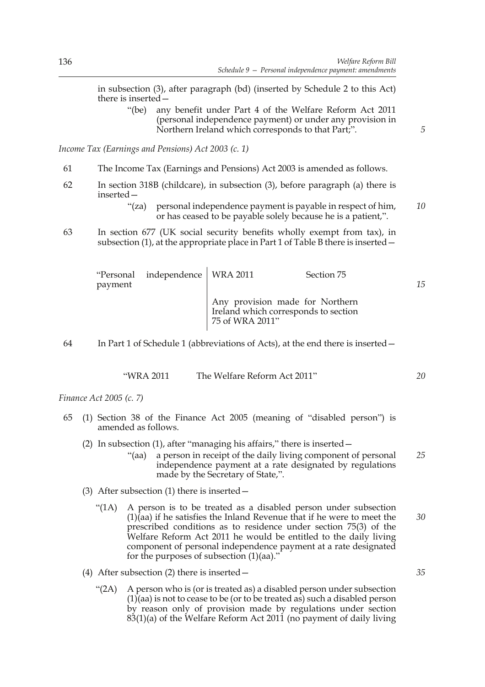in subsection (3), after paragraph (bd) (inserted by Schedule 2 to this Act) there is inserted—

"(be) any benefit under Part 4 of the Welfare Reform Act 2011 (personal independence payment) or under any provision in Northern Ireland which corresponds to that Part;".

*Income Tax (Earnings and Pensions) Act 2003 (c. 1)*

- 61 The Income Tax (Earnings and Pensions) Act 2003 is amended as follows.
- 62 In section 318B (childcare), in subsection (3), before paragraph (a) there is inserted—
	- "(za) personal independence payment is payable in respect of him, or has ceased to be payable solely because he is a patient,". *10*
- 63 In section 677 (UK social security benefits wholly exempt from tax), in subsection (1), at the appropriate place in Part 1 of Table B there is inserted—

| payment | "Personal independence   WRA 2011 |                                                                                            | Section 75 | 15 |
|---------|-----------------------------------|--------------------------------------------------------------------------------------------|------------|----|
|         |                                   | Any provision made for Northern<br>Ireland which corresponds to section<br>75 of WRA 2011" |            |    |

64 In Part 1 of Schedule 1 (abbreviations of Acts), at the end there is inserted—

| "WRA 2011 | The Welfare Reform Act 2011" |
|-----------|------------------------------|
|-----------|------------------------------|

*Finance Act 2005 (c. 7)*

- 65 (1) Section 38 of the Finance Act 2005 (meaning of "disabled person") is amended as follows.
	- (2) In subsection (1), after "managing his affairs," there is inserted—
		- "(aa) a person in receipt of the daily living component of personal independence payment at a rate designated by regulations made by the Secretary of State,". *25*
	- (3) After subsection (1) there is inserted—
		- "(1A) A person is to be treated as a disabled person under subsection  $(1)$ (aa) if he satisfies the Inland Revenue that if he were to meet the prescribed conditions as to residence under section 75(3) of the Welfare Reform Act 2011 he would be entitled to the daily living component of personal independence payment at a rate designated for the purposes of subsection (1)(aa)." *30*
	- (4) After subsection (2) there is inserted—
		- "(2A) A person who is (or is treated as) a disabled person under subsection  $(1)$ (aa) is not to cease to be (or to be treated as) such a disabled person by reason only of provision made by regulations under section 83(1)(a) of the Welfare Reform Act 2011 (no payment of daily living

*20*

*5*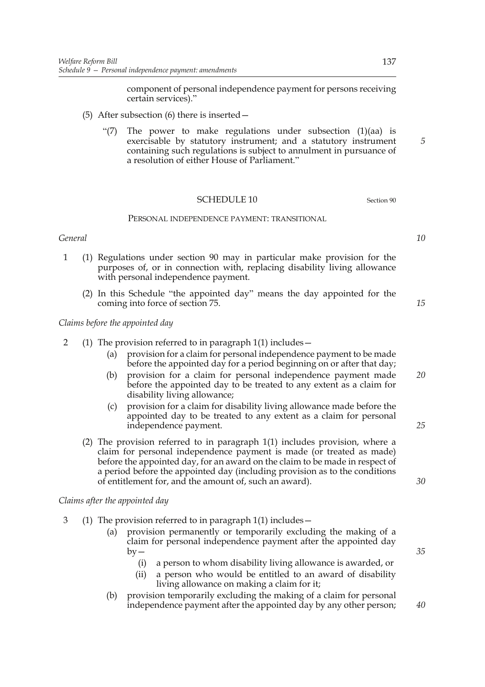component of personal independence payment for persons receiving certain services)."

- (5) After subsection (6) there is inserted—
	- "(7) The power to make regulations under subsection (1)(aa) is exercisable by statutory instrument; and a statutory instrument containing such regulations is subject to annulment in pursuance of a resolution of either House of Parliament."

#### SCHEDULE 10 Section 90

#### PERSONAL INDEPENDENCE PAYMENT: TRANSITIONAL

#### *General*

- 1 (1) Regulations under section 90 may in particular make provision for the purposes of, or in connection with, replacing disability living allowance with personal independence payment.
	- (2) In this Schedule "the appointed day" means the day appointed for the coming into force of section 75.

#### *Claims before the appointed day*

- 2 (1) The provision referred to in paragraph 1(1) includes—
	- (a) provision for a claim for personal independence payment to be made before the appointed day for a period beginning on or after that day;
	- (b) provision for a claim for personal independence payment made before the appointed day to be treated to any extent as a claim for disability living allowance; *20*
	- (c) provision for a claim for disability living allowance made before the appointed day to be treated to any extent as a claim for personal independence payment.
	- (2) The provision referred to in paragraph 1(1) includes provision, where a claim for personal independence payment is made (or treated as made) before the appointed day, for an award on the claim to be made in respect of a period before the appointed day (including provision as to the conditions of entitlement for, and the amount of, such an award).

*Claims after the appointed day*

- 3 (1) The provision referred to in paragraph 1(1) includes—
	- (a) provision permanently or temporarily excluding the making of a claim for personal independence payment after the appointed day  $bv -$ 
		- (i) a person to whom disability living allowance is awarded, or
		- (ii) a person who would be entitled to an award of disability living allowance on making a claim for it;
	- (b) provision temporarily excluding the making of a claim for personal independence payment after the appointed day by any other person;

*15*

*10*

*25*

*30*

*35*

*40*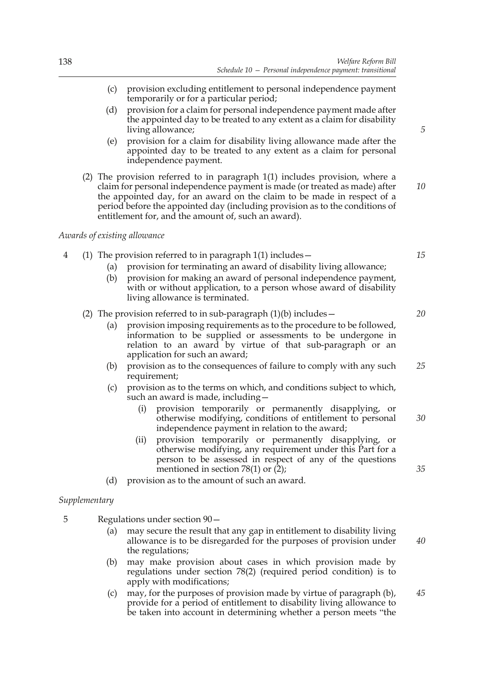- (c) provision excluding entitlement to personal independence payment temporarily or for a particular period;
- (d) provision for a claim for personal independence payment made after the appointed day to be treated to any extent as a claim for disability living allowance;
- (e) provision for a claim for disability living allowance made after the appointed day to be treated to any extent as a claim for personal independence payment.
- (2) The provision referred to in paragraph 1(1) includes provision, where a claim for personal independence payment is made (or treated as made) after the appointed day, for an award on the claim to be made in respect of a period before the appointed day (including provision as to the conditions of entitlement for, and the amount of, such an award).

#### *Awards of existing allowance*

- 4 (1) The provision referred to in paragraph 1(1) includes—
	- (a) provision for terminating an award of disability living allowance;
	- (b) provision for making an award of personal independence payment, with or without application, to a person whose award of disability living allowance is terminated.
	- (2) The provision referred to in sub-paragraph  $(1)(b)$  includes -
		- (a) provision imposing requirements as to the procedure to be followed, information to be supplied or assessments to be undergone in relation to an award by virtue of that sub-paragraph or an application for such an award;
		- (b) provision as to the consequences of failure to comply with any such requirement; *25*
		- (c) provision as to the terms on which, and conditions subject to which, such an award is made, including—
			- (i) provision temporarily or permanently disapplying, or otherwise modifying, conditions of entitlement to personal independence payment in relation to the award; *30*
			- (ii) provision temporarily or permanently disapplying, or otherwise modifying, any requirement under this Part for a person to be assessed in respect of any of the questions mentioned in section 78(1) or (2);
		- (d) provision as to the amount of such an award.

*Supplementary*

- 5 Regulations under section 90—
	- (a) may secure the result that any gap in entitlement to disability living allowance is to be disregarded for the purposes of provision under the regulations;
	- (b) may make provision about cases in which provision made by regulations under section 78(2) (required period condition) is to apply with modifications;
	- (c) may, for the purposes of provision made by virtue of paragraph (b), provide for a period of entitlement to disability living allowance to be taken into account in determining whether a person meets "the *45*

*10*

*5*

*20*

*35*

*40*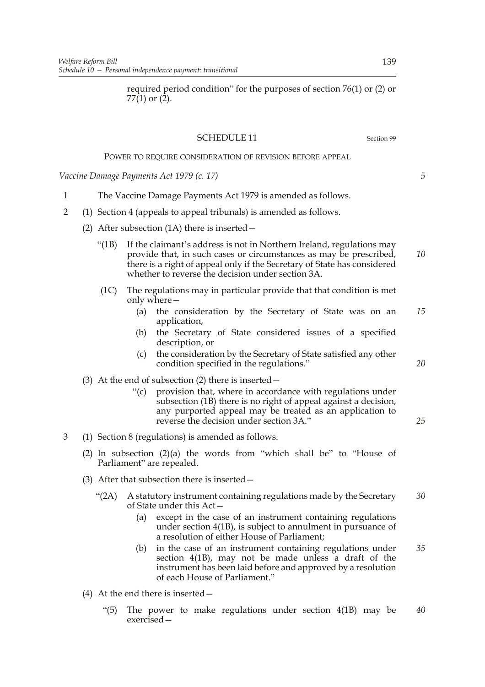required period condition" for the purposes of section 76(1) or (2) or  $77(1)$  or  $(2)$ .

#### SCHEDULE 11 Section 99

POWER TO REQUIRE CONSIDERATION OF REVISION BEFORE APPEAL

*Vaccine Damage Payments Act 1979 (c. 17)*

- 1 The Vaccine Damage Payments Act 1979 is amended as follows.
- 2 (1) Section 4 (appeals to appeal tribunals) is amended as follows.
	- (2) After subsection (1A) there is inserted—
		- "(1B) If the claimant's address is not in Northern Ireland, regulations may provide that, in such cases or circumstances as may be prescribed, there is a right of appeal only if the Secretary of State has considered whether to reverse the decision under section 3A. *10*
		- (1C) The regulations may in particular provide that that condition is met only where—
			- (a) the consideration by the Secretary of State was on an application, *15*
			- (b) the Secretary of State considered issues of a specified description, or
			- (c) the consideration by the Secretary of State satisfied any other condition specified in the regulations."
	- (3) At the end of subsection (2) there is inserted—
		- "(c) provision that, where in accordance with regulations under subsection (1B) there is no right of appeal against a decision, any purported appeal may be treated as an application to reverse the decision under section 3A."
- 3 (1) Section 8 (regulations) is amended as follows.
	- (2) In subsection  $(2)(a)$  the words from "which shall be" to "House of Parliament" are repealed.
	- (3) After that subsection there is inserted—
		- "(2A) A statutory instrument containing regulations made by the Secretary of State under this Act— *30*
			- (a) except in the case of an instrument containing regulations under section 4(1B), is subject to annulment in pursuance of a resolution of either House of Parliament;
			- (b) in the case of an instrument containing regulations under section 4(1B), may not be made unless a draft of the instrument has been laid before and approved by a resolution of each House of Parliament." *35*
	- (4) At the end there is inserted—
		- "(5) The power to make regulations under section 4(1B) may be exercised— *40*

*25*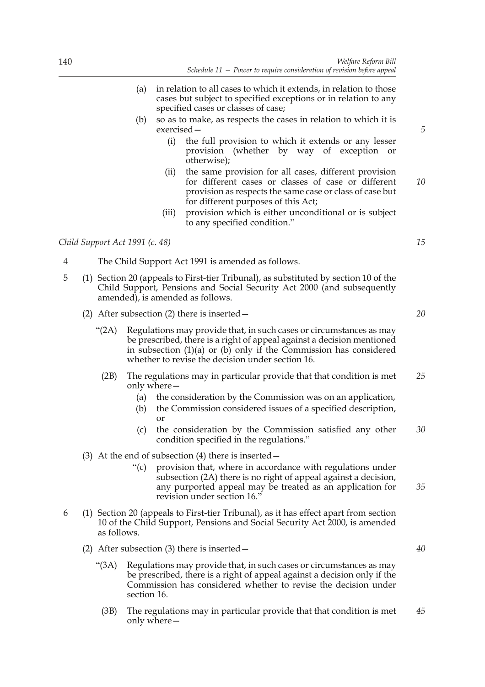- (a) in relation to all cases to which it extends, in relation to those cases but subject to specified exceptions or in relation to any specified cases or classes of case;
- (b) so as to make, as respects the cases in relation to which it is exercised—
	- (i) the full provision to which it extends or any lesser provision (whether by way of exception or otherwise);
	- (ii) the same provision for all cases, different provision for different cases or classes of case or different provision as respects the same case or class of case but for different purposes of this Act; *10*
	- (iii) provision which is either unconditional or is subject to any specified condition."

*Child Support Act 1991 (c. 48)*

- 4 The Child Support Act 1991 is amended as follows.
- 5 (1) Section 20 (appeals to First-tier Tribunal), as substituted by section 10 of the Child Support, Pensions and Social Security Act 2000 (and subsequently amended), is amended as follows.
	- (2) After subsection (2) there is inserted—
		- "(2A) Regulations may provide that, in such cases or circumstances as may be prescribed, there is a right of appeal against a decision mentioned in subsection (1)(a) or (b) only if the Commission has considered whether to revise the decision under section 16.
			- (2B) The regulations may in particular provide that that condition is met only where— *25*
				- (a) the consideration by the Commission was on an application,
				- (b) the Commission considered issues of a specified description, or
				- (c) the consideration by the Commission satisfied any other condition specified in the regulations." *30*
	- (3) At the end of subsection (4) there is inserted—
		- "(c) provision that, where in accordance with regulations under subsection (2A) there is no right of appeal against a decision, any purported appeal may be treated as an application for revision under section 16."
- 6 (1) Section 20 (appeals to First-tier Tribunal), as it has effect apart from section 10 of the Child Support, Pensions and Social Security Act 2000, is amended as follows.
	- (2) After subsection (3) there is inserted—
		- "(3A) Regulations may provide that, in such cases or circumstances as may be prescribed, there is a right of appeal against a decision only if the Commission has considered whether to revise the decision under section 16.
			- (3B) The regulations may in particular provide that that condition is met only where— *45*

*15*

*5*

*20*

*35*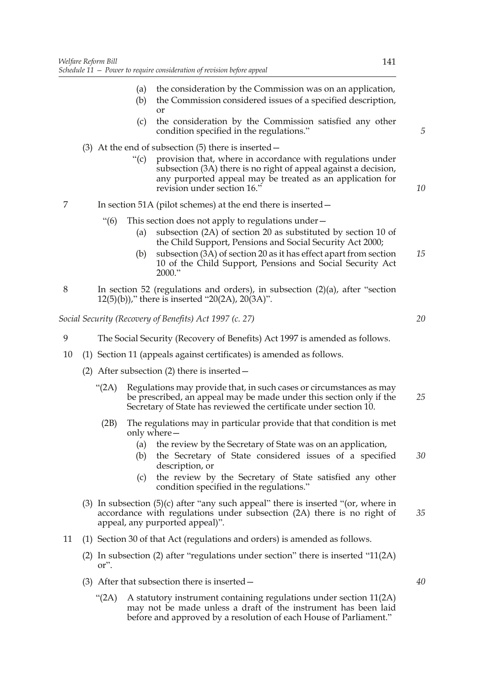- (a) the consideration by the Commission was on an application,
- (b) the Commission considered issues of a specified description, or
- (c) the consideration by the Commission satisfied any other condition specified in the regulations."
- (3) At the end of subsection (5) there is inserted—
	- "(c) provision that, where in accordance with regulations under subsection (3A) there is no right of appeal against a decision, any purported appeal may be treated as an application for revision under section 16."
- 7 In section 51A (pilot schemes) at the end there is inserted—
	- "(6) This section does not apply to regulations under—
		- (a) subsection (2A) of section 20 as substituted by section 10 of the Child Support, Pensions and Social Security Act 2000;
		- (b) subsection (3A) of section 20 as it has effect apart from section 10 of the Child Support, Pensions and Social Security Act 2000." *15*
- 8 In section 52 (regulations and orders), in subsection (2)(a), after "section 12(5)(b))," there is inserted "20(2A), 20(3A)".

*Social Security (Recovery of Benefits) Act 1997 (c. 27)*

- 9 The Social Security (Recovery of Benefits) Act 1997 is amended as follows.
- 10 (1) Section 11 (appeals against certificates) is amended as follows.
	- (2) After subsection (2) there is inserted—
		- "(2A) Regulations may provide that, in such cases or circumstances as may be prescribed, an appeal may be made under this section only if the Secretary of State has reviewed the certificate under section 10. *25*
		- (2B) The regulations may in particular provide that that condition is met only where—
			- (a) the review by the Secretary of State was on an application,
			- (b) the Secretary of State considered issues of a specified description, or *30*
			- (c) the review by the Secretary of State satisfied any other condition specified in the regulations."
	- (3) In subsection (5)(c) after "any such appeal" there is inserted "(or, where in accordance with regulations under subsection (2A) there is no right of appeal, any purported appeal)". *35*
- 11 (1) Section 30 of that Act (regulations and orders) is amended as follows.
	- (2) In subsection (2) after "regulations under section" there is inserted "11(2A) or".
	- (3) After that subsection there is inserted—
		- "(2A) A statutory instrument containing regulations under section 11(2A) may not be made unless a draft of the instrument has been laid before and approved by a resolution of each House of Parliament."

*20*

*5*

*10*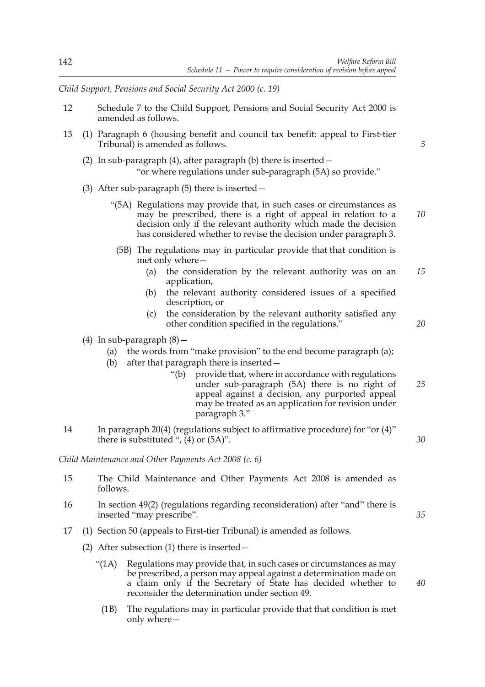*5*

*10*

*20*

*30*

*35*

*40*

*Child Support, Pensions and Social Security Act 2000 (c. 19)*

- 12 Schedule 7 to the Child Support, Pensions and Social Security Act 2000 is amended as follows.
- 13 (1) Paragraph 6 (housing benefit and council tax benefit: appeal to First-tier Tribunal) is amended as follows.
	- (2) In sub-paragraph (4), after paragraph (b) there is inserted— "or where regulations under sub-paragraph (5A) so provide."
	- (3) After sub-paragraph (5) there is inserted—
		- "(5A) Regulations may provide that, in such cases or circumstances as may be prescribed, there is a right of appeal in relation to a decision only if the relevant authority which made the decision has considered whether to revise the decision under paragraph 3.
			- (5B) The regulations may in particular provide that that condition is met only where—
				- (a) the consideration by the relevant authority was on an application, *15*
				- (b) the relevant authority considered issues of a specified description, or
				- (c) the consideration by the relevant authority satisfied any other condition specified in the regulations."
	- (4) In sub-paragraph  $(8)$  -
		- (a) the words from "make provision" to the end become paragraph (a);
		- (b) after that paragraph there is inserted—
			- "(b) provide that, where in accordance with regulations under sub-paragraph (5A) there is no right of appeal against a decision, any purported appeal may be treated as an application for revision under paragraph 3." *25*
- 14 In paragraph 20(4) (regulations subject to affirmative procedure) for "or (4)" there is substituted ",  $(4)$  or  $(5A)$ ".

*Child Maintenance and Other Payments Act 2008 (c. 6)*

- 15 The Child Maintenance and Other Payments Act 2008 is amended as follows.
- 16 In section 49(2) (regulations regarding reconsideration) after "and" there is inserted "may prescribe".
- 17 (1) Section 50 (appeals to First-tier Tribunal) is amended as follows.
	- (2) After subsection (1) there is inserted—
		- "(1A) Regulations may provide that, in such cases or circumstances as may be prescribed, a person may appeal against a determination made on a claim only if the Secretary of State has decided whether to reconsider the determination under section 49.
			- (1B) The regulations may in particular provide that that condition is met only where—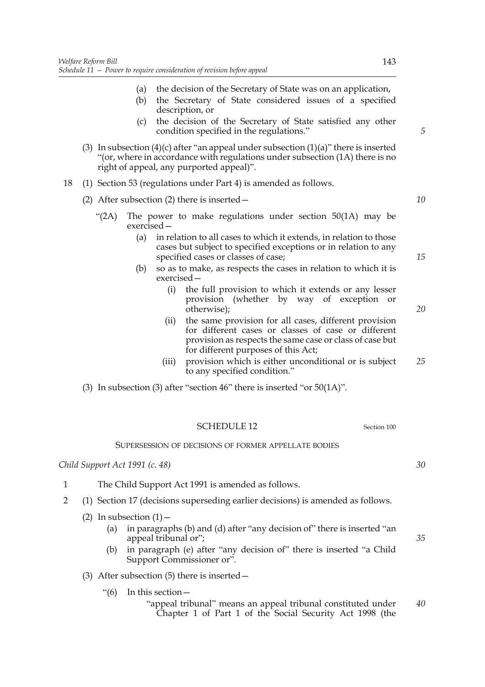- (a) the decision of the Secretary of State was on an application,
- (b) the Secretary of State considered issues of a specified description, or
- (c) the decision of the Secretary of State satisfied any other condition specified in the regulations."
- (3) In subsection  $(4)(c)$  after "an appeal under subsection  $(1)(a)$ " there is inserted "(or, where in accordance with regulations under subsection (1A) there is no right of appeal, any purported appeal)".
- 18 (1) Section 53 (regulations under Part 4) is amended as follows.
	- (2) After subsection (2) there is inserted—
		- "(2A) The power to make regulations under section 50(1A) may be exercised—
			- (a) in relation to all cases to which it extends, in relation to those cases but subject to specified exceptions or in relation to any specified cases or classes of case;
			- (b) so as to make, as respects the cases in relation to which it is exercised—
				- (i) the full provision to which it extends or any lesser provision (whether by way of exception or otherwise);
				- (ii) the same provision for all cases, different provision for different cases or classes of case or different provision as respects the same case or class of case but for different purposes of this Act;
				- (iii) provision which is either unconditional or is subject to any specified condition." *25*
	- (3) In subsection (3) after "section 46" there is inserted "or 50(1A)".

| SCHEDULE 12 |
|-------------|
|             |

#### SUPERSESSION OF DECISIONS OF FORMER APPELLATE BODIES

*Child Support Act 1991 (c. 48)*

- 1 The Child Support Act 1991 is amended as follows.
- 2 (1) Section 17 (decisions superseding earlier decisions) is amended as follows.
	- (2) In subsection  $(1)$  -
		- (a) in paragraphs (b) and (d) after "any decision of" there is inserted "an appeal tribunal or";
		- (b) in paragraph (e) after "any decision of" there is inserted "a Child Support Commissioner or".

#### (3) After subsection (5) there is inserted—

- "(6) In this section—
	- "appeal tribunal" means an appeal tribunal constituted under Chapter 1 of Part 1 of the Social Security Act 1998 (the *40*

*30*

Section 100

*35*

*15*

*10*

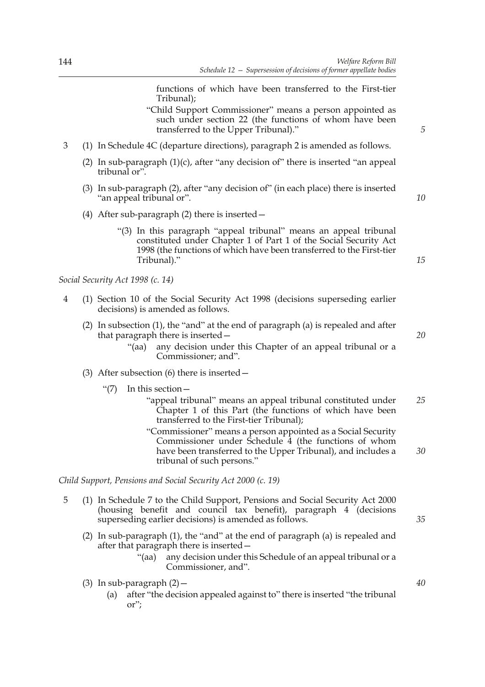functions of which have been transferred to the First-tier Tribunal);

"Child Support Commissioner" means a person appointed as such under section 22 (the functions of whom have been transferred to the Upper Tribunal)."

- 3 (1) In Schedule 4C (departure directions), paragraph 2 is amended as follows.
	- (2) In sub-paragraph  $(1)(c)$ , after "any decision of" there is inserted "an appeal tribunal or".
	- (3) In sub-paragraph (2), after "any decision of" (in each place) there is inserted "an appeal tribunal or".
	- (4) After sub-paragraph (2) there is inserted—
		- "(3) In this paragraph "appeal tribunal" means an appeal tribunal constituted under Chapter 1 of Part 1 of the Social Security Act 1998 (the functions of which have been transferred to the First-tier Tribunal)."

*Social Security Act 1998 (c. 14)*

- 4 (1) Section 10 of the Social Security Act 1998 (decisions superseding earlier decisions) is amended as follows.
	- (2) In subsection (1), the "and" at the end of paragraph (a) is repealed and after that paragraph there is inserted—
		- "(aa) any decision under this Chapter of an appeal tribunal or a Commissioner; and".
	- (3) After subsection (6) there is inserted—
		- "(7) In this section—
			- "appeal tribunal" means an appeal tribunal constituted under Chapter 1 of this Part (the functions of which have been transferred to the First-tier Tribunal); *25*
			- "Commissioner" means a person appointed as a Social Security Commissioner under Schedule 4 (the functions of whom have been transferred to the Upper Tribunal), and includes a tribunal of such persons."

*Child Support, Pensions and Social Security Act 2000 (c. 19)*

- 5 (1) In Schedule 7 to the Child Support, Pensions and Social Security Act 2000 (housing benefit and council tax benefit), paragraph 4 (decisions superseding earlier decisions) is amended as follows.
	- (2) In sub-paragraph (1), the "and" at the end of paragraph (a) is repealed and after that paragraph there is inserted—
		- "(aa) any decision under this Schedule of an appeal tribunal or a Commissioner, and".
	- (3) In sub-paragraph  $(2)$  -
		- (a) after "the decision appealed against to" there is inserted "the tribunal or";

*10*

*5*

*15*

*20*

*35*

*30*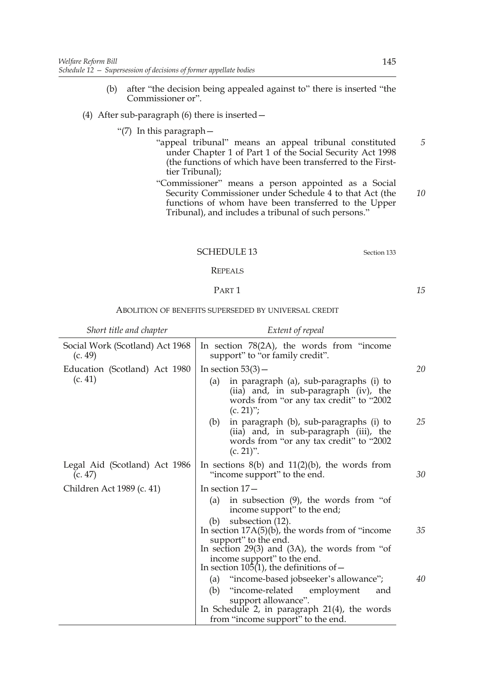- (b) after "the decision being appealed against to" there is inserted "the Commissioner or".
- (4) After sub-paragraph (6) there is inserted—
	- "(7) In this paragraph—
		- "appeal tribunal" means an appeal tribunal constituted under Chapter 1 of Part 1 of the Social Security Act 1998 (the functions of which have been transferred to the Firsttier Tribunal);
		- "Commissioner" means a person appointed as a Social Security Commissioner under Schedule 4 to that Act (the functions of whom have been transferred to the Upper Tribunal), and includes a tribunal of such persons."

#### SCHEDULE 13 Section 133

#### REPEALS

#### PART 1

#### ABOLITION OF BENEFITS SUPERSEDED BY UNIVERSAL CREDIT

| Short title and chapter                    | Extent of repeal                                                                                                                                    |    |
|--------------------------------------------|-----------------------------------------------------------------------------------------------------------------------------------------------------|----|
| Social Work (Scotland) Act 1968<br>(c. 49) | In section $78(2A)$ , the words from "income"<br>support" to "or family credit".                                                                    |    |
| Education (Scotland) Act 1980<br>(c. 41)   | In section $53(3)$ –<br>in paragraph (a), sub-paragraphs (i) to<br>(a)                                                                              | 20 |
|                                            | (iia) and, in sub-paragraph (iv), the<br>words from "or any tax credit" to "2002<br>$(c. 21)$ ";                                                    |    |
|                                            | in paragraph (b), sub-paragraphs (i) to<br>(b)<br>(iia) and, in sub-paragraph (iii), the<br>words from "or any tax credit" to "2002<br>$(c. 21)$ ". | 25 |
| Legal Aid (Scotland) Act 1986<br>(c. 47)   | In sections $8(b)$ and $11(2)(b)$ , the words from<br>"income support" to the end.                                                                  | 30 |
| Children Act 1989 (c. 41)                  | In section 17-                                                                                                                                      |    |
|                                            | in subsection $(9)$ , the words from "of<br>(a)<br>income support" to the end;                                                                      |    |
|                                            | subsection (12).<br>(b)                                                                                                                             | 35 |
|                                            | In section $17A(5)(b)$ , the words from of "income"<br>support" to the end.                                                                         |    |
|                                            | In section $29(3)$ and $(3A)$ , the words from "of                                                                                                  |    |
|                                            | income support" to the end.<br>In section 105(1), the definitions of $-$                                                                            |    |
|                                            | "income-based jobseeker's allowance";<br>(a)                                                                                                        | 40 |
|                                            | "income-related<br>employment<br>(b)<br>and                                                                                                         |    |
|                                            | support allowance".<br>In Schedule 2, in paragraph $21(4)$ , the words                                                                              |    |
|                                            | from "income support" to the end.                                                                                                                   |    |

*10*

*5*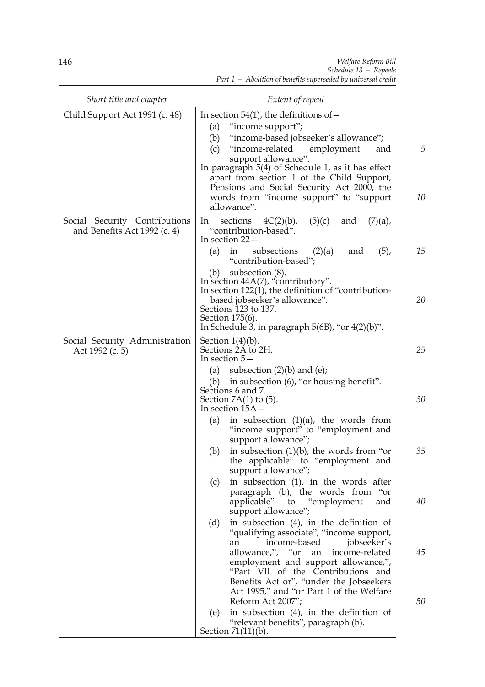*Welfare Reform Bill Schedule 13 — Repeals Part 1 — Abolition of benefits superseded by universal credit*

| Short title and chapter                                       | Extent of repeal                                                                                                                                                                                                                                                                                                                                                                                      |          |
|---------------------------------------------------------------|-------------------------------------------------------------------------------------------------------------------------------------------------------------------------------------------------------------------------------------------------------------------------------------------------------------------------------------------------------------------------------------------------------|----------|
| Child Support Act 1991 (c. 48)                                | In section 54(1), the definitions of $-$<br>(a)<br>"income support";<br>"income-based jobseeker's allowance";<br>(b)<br>(c)<br>"income-related<br>employment<br>and<br>support allowance".<br>In paragraph 5(4) of Schedule 1, as it has effect<br>apart from section 1 of the Child Support,<br>Pensions and Social Security Act 2000, the<br>words from "income support" to "support<br>allowance". | 5<br>10  |
| Social Security Contributions<br>and Benefits Act 1992 (c. 4) | (5)(c)<br>$4C(2)(b)$ ,<br>$(7)(a)$ ,<br>In<br>sections<br>and<br>"contribution-based".<br>In section $22-$<br>(a)<br>subsections<br>(2)(a)<br>$(5)$ ,<br>in<br>and<br>"contribution-based";<br>subsection (8).<br>(b)                                                                                                                                                                                 | 15       |
|                                                               | In section $44A(7)$ , "contributory".<br>In section $122(1)$ , the definition of "contribution-<br>based jobseeker's allowance".<br>Sections 123 to 137.<br>Section 175(6).<br>In Schedule 3, in paragraph $5(6B)$ , "or $4(2)(b)$ ".                                                                                                                                                                 | 20       |
| Social Security Administration<br>Act 1992 (c. 5)             | Section $1(4)(b)$ .<br>Sections 2A to 2H.<br>In section 5-<br>subsection $(2)(b)$ and $(e)$ ;<br>(a)<br>(b)<br>in subsection (6), "or housing benefit".                                                                                                                                                                                                                                               | 25       |
|                                                               | Sections 6 and 7.<br>Section $7A(1)$ to $(5)$ .<br>In section $15A -$<br>in subsection $(1)(a)$ , the words from<br>(a)<br>"income support" to "employment and                                                                                                                                                                                                                                        | 30       |
|                                                               | support allowance";<br>in subsection $(1)(b)$ , the words from "or<br>(b)<br>the applicable" to "employment and<br>support allowance";<br>in subsection $(1)$ , in the words after<br>(c)                                                                                                                                                                                                             | 35       |
|                                                               | paragraph (b), the words from "or<br>"employment<br>applicable"<br>to<br>and<br>support allowance";<br>in subsection (4), in the definition of<br>(d)                                                                                                                                                                                                                                                 | 40       |
|                                                               | "qualifying associate", "income support,<br>income-based<br>jobseeker's<br>an<br>allowance,", "or<br>an<br>income-related<br>employment and support allowance,",<br>"Part VII of the Contributions and<br>Benefits Act or", "under the Jobseekers<br>Act 1995," and "or Part 1 of the Welfare<br>Reform Act 2007";                                                                                    | 45<br>50 |
|                                                               | in subsection $(4)$ , in the definition of<br>(e)<br>"relevant benefits", paragraph (b).<br>Section $71(11)(b)$ .                                                                                                                                                                                                                                                                                     |          |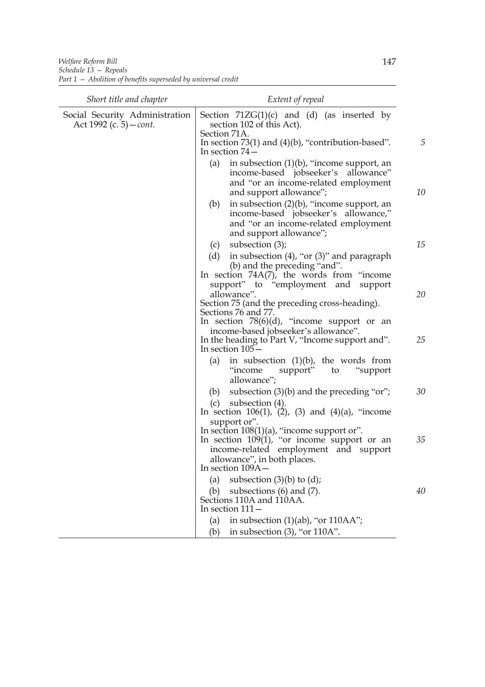| Short title and chapter                                          | Extent of repeal                                                                                                                                                                               |    |
|------------------------------------------------------------------|------------------------------------------------------------------------------------------------------------------------------------------------------------------------------------------------|----|
| Social Security Administration<br>Act 1992 (c. 5) – <i>cont.</i> | Section $71ZG(1)(c)$ and (d) (as inserted by<br>section 102 of this Act).<br>Section 71A.<br>In section $73(1)$ and $(4)(b)$ , "contribution-based".<br>In section $74-$                       | 5  |
|                                                                  | in subsection $(1)(b)$ , "income support, an<br>(a)<br>income-based jobseeker's allowance"<br>and "or an income-related employment<br>and support allowance";                                  | 10 |
|                                                                  | in subsection $(2)(b)$ , "income support, an<br>(b)<br>income-based jobseeker's allowance,"<br>and "or an income-related employment<br>and support allowance";<br>subsection $(3)$ ;<br>(c)    | 15 |
|                                                                  | (d)<br>in subsection $(4)$ , "or $(3)$ " and paragraph<br>(b) and the preceding "and".<br>In section $74A(7)$ , the words from "income"<br>support" to "employment and<br>support              |    |
|                                                                  | allowance".<br>Section 75 (and the preceding cross-heading).<br>Sections 76 and 77.<br>In section $78(6)(d)$ , "income support or an<br>income-based jobseeker's allowance".                   | 20 |
|                                                                  | In the heading to Part V, "Income support and".<br>In section $105-$<br>in subsection $(1)(b)$ , the words from<br>(a)<br>"income<br>support"<br>to<br>"support"                               | 25 |
|                                                                  | allowance";<br>subsection $(3)(b)$ and the preceding "or";<br>(b)<br>(c)<br>subsection $(4)$ .<br>In section 106(1), (2), (3) and (4)(a), "income<br>support or".                              | 30 |
|                                                                  | In section $108(1)(a)$ , "income support or".<br>In section $109(1)$ , "or income support or an<br>income-related employment and support<br>allowance", in both places.<br>In section $109A -$ | 35 |
|                                                                  | subsection $(3)(b)$ to $(d)$ ;<br>(a)<br>subsections $(6)$ and $(7)$ .<br>(b)<br>Sections 110A and 110AA.<br>In section 111-<br>in subsection $(1)(ab)$ , "or $110AA$ ";<br>(a)                | 40 |
|                                                                  | in subsection $(3)$ , "or 110A".<br>(b)                                                                                                                                                        |    |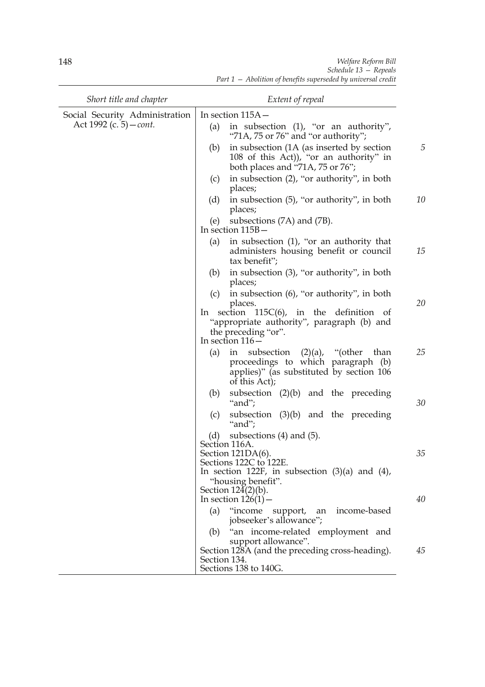| Welfare Reform Bill                                             |
|-----------------------------------------------------------------|
| Schedule 13 – Repeals                                           |
| Part $1$ – Abolition of benefits superseded by universal credit |

| Short title and chapter        | Extent of repeal                                                                                                                                            |    |
|--------------------------------|-------------------------------------------------------------------------------------------------------------------------------------------------------------|----|
| Social Security Administration | In section 115A-                                                                                                                                            |    |
| Act 1992 (c. 5) – <i>cont.</i> | (a)<br>in subsection $(1)$ , "or an authority",<br>"71A, 75 or 76" and "or authority";                                                                      |    |
|                                | in subsection (1A (as inserted by section<br>(b)<br>108 of this Act)), "or an authority" in<br>both places and "71A, 75 or 76";                             | 5  |
|                                | in subsection (2), "or authority", in both<br>(c)<br>places;                                                                                                |    |
|                                | in subsection (5), "or authority", in both<br>(d)<br>places;                                                                                                | 10 |
|                                | subsections (7A) and (7B).<br>(e)<br>In section 115B-                                                                                                       |    |
|                                | (a)<br>in subsection $(1)$ , "or an authority that<br>administers housing benefit or council<br>tax benefit";                                               | 15 |
|                                | in subsection (3), "or authority", in both<br>(b)<br>places;                                                                                                |    |
|                                | in subsection (6), "or authority", in both<br>(c)<br>places.<br>In section $115C(6)$ , in the definition of                                                 | 20 |
|                                | "appropriate authority", paragraph (b) and<br>the preceding "or".<br>In section $116-$                                                                      |    |
|                                | (a)<br>in<br>subsection<br>$(2)(a)$ ,<br>"(other<br>than<br>proceedings to which paragraph (b)<br>applies)" (as substituted by section 106<br>of this Act); | 25 |
|                                | subsection $(2)(b)$ and the preceding<br>(b)<br>"and";                                                                                                      | 30 |
|                                | subsection $(3)(b)$ and the preceding<br>(c)<br>"and";                                                                                                      |    |
|                                | (d)<br>subsections $(4)$ and $(5)$ .<br>Section 116A.<br>Section 121DA(6).<br>Sections 122C to 122E.                                                        | 35 |
|                                | In section 122F, in subsection $(3)(a)$ and $(4)$ ,<br>"housing benefit".<br>Section $124(2)(b)$ .                                                          |    |
|                                | In section $126(1)$ –<br>income-based<br>"income<br>(a)<br>support,<br>an                                                                                   | 40 |
|                                | jobseeker's allowance";<br>"an income-related employment and<br>(b)                                                                                         |    |
|                                | support allowance".<br>Section 128A (and the preceding cross-heading).<br>Section 134.<br>Sections 138 to 140G.                                             | 45 |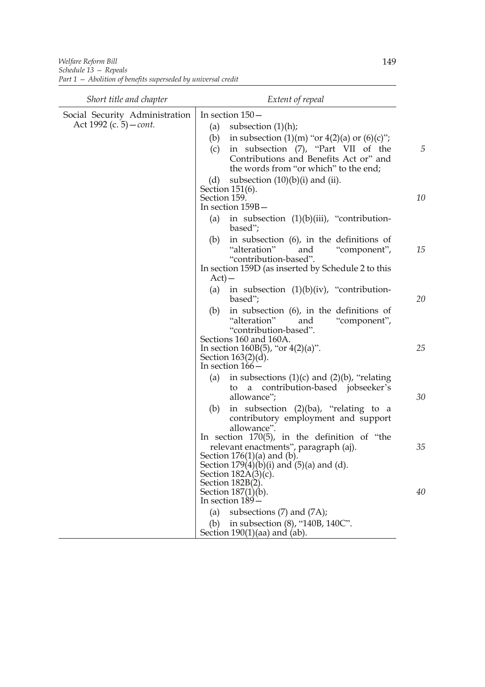| Short title and chapter         | Extent of repeal                                                                                                                                                               |    |
|---------------------------------|--------------------------------------------------------------------------------------------------------------------------------------------------------------------------------|----|
| Social Security Administration  | In section $150-$                                                                                                                                                              |    |
| Act 1992 (c. 5) – <i>cont</i> . | subsection $(1)(h)$ ;<br>(a)                                                                                                                                                   |    |
|                                 | in subsection (1)(m) "or $4(2)(a)$ or $(6)(c)$ ";<br>(b)                                                                                                                       |    |
|                                 | in subsection (7), "Part VII of the<br>(c)<br>Contributions and Benefits Act or" and<br>the words from "or which" to the end;                                                  | 5  |
|                                 | subsection $(10)(b)(i)$ and $(ii)$ .<br>(d)<br>Section 151(6).<br>Section 159.<br>In section 159B-                                                                             | 10 |
|                                 | in subsection $(1)(b)(iii)$ , "contribution-<br>(a)<br>based";                                                                                                                 |    |
|                                 | in subsection $(6)$ , in the definitions of<br>(b)<br>"alteration"<br>and<br>"component",<br>"contribution-based".                                                             | 15 |
|                                 | In section 159D (as inserted by Schedule 2 to this<br>$Act)$ –                                                                                                                 |    |
|                                 | in subsection $(1)(b)(iv)$ , "contribution-<br>(a)<br>based";                                                                                                                  | 20 |
|                                 | in subsection $(6)$ , in the definitions of<br>(b)<br>"alteration"<br>"component",<br>and<br>"contribution-based".                                                             |    |
|                                 | Sections 160 and 160A.<br>In section $160B(5)$ , "or $4(2)(a)$ ".<br>Section $163(2)(d)$ .<br>In section $166-$                                                                | 25 |
|                                 | in subsections $(1)(c)$ and $(2)(b)$ , "relating<br>(a)<br>to a contribution-based jobseeker's<br>allowance";                                                                  | 30 |
|                                 | in subsection $(2)(ba)$ , "relating to a<br>(b)<br>contributory employment and support<br>allowance".                                                                          |    |
|                                 | In section $170(5)$ , in the definition of "the<br>relevant enactments", paragraph (aj).<br>Section $176(1)(a)$ and $(b)$ .<br>Section $179(4)(b)(i)$ and $(5)(a)$ and $(d)$ . | 35 |
|                                 | Section $182A(3)(c)$ .<br>Section $182B(2)$ .<br>Section $187(1)(b)$ .<br>In section $189-$                                                                                    | 40 |
|                                 | subsections (7) and (7A);<br>(a)<br>in subsection (8), "140B, 140C".<br>(b)<br>Section $190(1)(aa)$ and $(ab)$ .                                                               |    |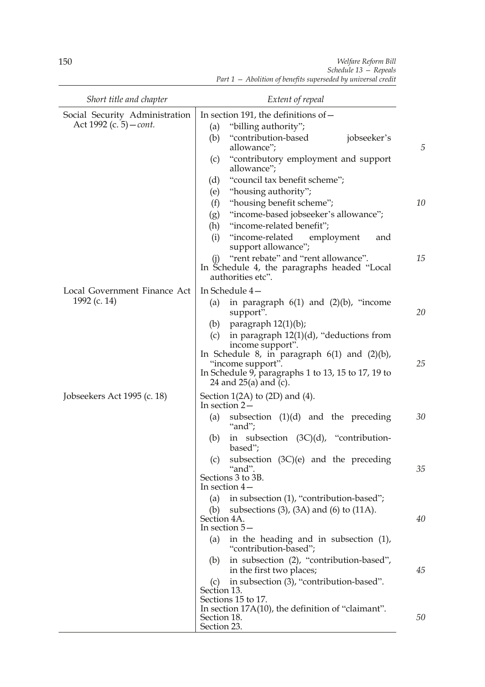| <i><b>Welfare Reform Bill</b></i>                             |
|---------------------------------------------------------------|
| Schedule 13 – Repeals                                         |
| Part 1 – Abolition of benefits superseded by universal credit |

| Short title and chapter                                   | Extent of repeal                                                                                                                                      |    |
|-----------------------------------------------------------|-------------------------------------------------------------------------------------------------------------------------------------------------------|----|
| Social Security Administration<br>Act 1992 (c. 5) - cont. | In section 191, the definitions of $-$<br>"billing authority";<br>(a)<br>"contribution-based<br>(b)<br>jobseeker's<br>allowance";                     | 5  |
|                                                           | "contributory employment and support<br>(c)<br>allowance";                                                                                            |    |
|                                                           | "council tax benefit scheme";<br>(d)                                                                                                                  |    |
|                                                           | "housing authority";<br>(e)<br>"housing benefit scheme";<br>(f)                                                                                       | 10 |
|                                                           | "income-based jobseeker's allowance";<br>(g)                                                                                                          |    |
|                                                           | "income-related benefit";<br>(h)                                                                                                                      |    |
|                                                           | "income-related<br>(i)<br>employment<br>and<br>support allowance";                                                                                    |    |
|                                                           | "rent rebate" and "rent allowance".<br>(i)<br>In Schedule 4, the paragraphs headed "Local<br>authorities etc".                                        | 15 |
| Local Government Finance Act                              | In Schedule 4-                                                                                                                                        |    |
| 1992 (c. 14)                                              | in paragraph $6(1)$ and $(2)(b)$ , "income<br>(a)<br>support".                                                                                        | 20 |
|                                                           | paragraph $12(1)(b)$ ;<br>(b)<br>in paragraph $12(1)(d)$ , "deductions from<br>(c)<br>income support".                                                |    |
|                                                           | In Schedule 8, in paragraph $6(1)$ and $(2)(b)$ ,<br>"income support".<br>In Schedule 9, paragraphs 1 to 13, 15 to 17, 19 to<br>24 and 25(a) and (c). | 25 |
| Jobseekers Act 1995 (c. 18)                               | Section $1(2A)$ to $(2D)$ and $(4)$ .<br>In section $2-$                                                                                              |    |
|                                                           | subsection $(1)(d)$ and the preceding<br>(a)<br>"and";                                                                                                | 30 |
|                                                           | in subsection $(3C)(d)$ , "contribution-<br>(b)<br>based";                                                                                            |    |
|                                                           | subsection (3C)(e) and the preceding<br>(c)<br>"and".                                                                                                 | 35 |
|                                                           | Sections 3 to 3B.<br>In section $4-$                                                                                                                  |    |
|                                                           | in subsection (1), "contribution-based";<br>(a)<br>subsections $(3)$ , $(3A)$ and $(6)$ to $(11A)$ .<br>(b)<br>Section 4A.<br>In section $5-$         | 40 |
|                                                           | in the heading and in subsection (1),<br>(a)<br>"contribution-based";                                                                                 |    |
|                                                           | in subsection (2), "contribution-based",<br>(b)<br>in the first two places;                                                                           | 45 |
|                                                           | in subsection (3), "contribution-based".<br>(c)<br>Section 13.                                                                                        |    |
|                                                           | Sections 15 to 17.<br>In section 17A(10), the definition of "claimant".<br>Section 18.<br>Section 23.                                                 | 50 |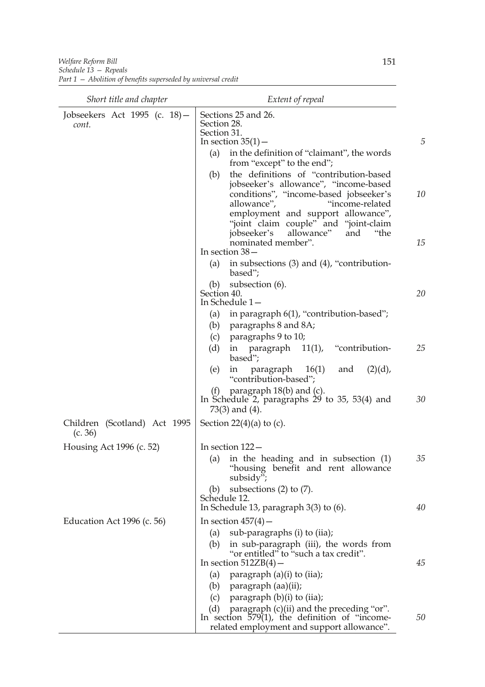*Welfare Reform Bill Schedule 13 — Repeals Part 1 — Abolition of benefits superseded by universal credit*

| Short title and chapter                     | Extent of repeal                                                                                                                                                                                                                                                                               |    |
|---------------------------------------------|------------------------------------------------------------------------------------------------------------------------------------------------------------------------------------------------------------------------------------------------------------------------------------------------|----|
| Jobseekers Act $1995$ (c. $18$ ) –<br>cont. | Sections 25 and 26.<br>Section 28.<br>Section 31.<br>In section $35(1)$ –                                                                                                                                                                                                                      | 5  |
|                                             | in the definition of "claimant", the words<br>(a)<br>from "except" to the end";                                                                                                                                                                                                                |    |
|                                             | the definitions of "contribution-based<br>(b)<br>jobseeker's allowance", "income-based<br>conditions", "income-based jobseeker's<br>"income-related<br>allowance",<br>employment and support allowance",<br>"joint claim couple" and "joint-claim"<br>allowance"<br>jobseeker's<br>and<br>"the | 10 |
|                                             | nominated member".<br>In section 38-                                                                                                                                                                                                                                                           | 15 |
|                                             | in subsections $(3)$ and $(4)$ , "contribution-<br>(a)<br>based";                                                                                                                                                                                                                              |    |
|                                             | subsection (6).<br>(b)<br>Section 40.<br>In Schedule 1-                                                                                                                                                                                                                                        | 20 |
|                                             | in paragraph 6(1), "contribution-based";<br>(a)<br>(b)<br>paragraphs 8 and 8A;<br>paragraphs 9 to 10;<br>(c)                                                                                                                                                                                   | 25 |
|                                             | (d)<br>paragraph<br>$11(1)$ , "contribution-<br>in<br>based";<br>16(1)<br>$(2)(d)$ ,<br>(e)<br>paragraph<br>and<br>in<br>"contribution-based";                                                                                                                                                 |    |
|                                             | paragraph $18(b)$ and (c).<br>(f)<br>In Schedule 2, paragraphs $29$ to $35$ , $53(4)$ and<br>$73(3)$ and $(4)$ .                                                                                                                                                                               | 30 |
| Children (Scotland) Act 1995<br>(c. 36)     | Section $22(4)(a)$ to (c).                                                                                                                                                                                                                                                                     |    |
| Housing Act 1996 (c. 52)                    | In section $122-$                                                                                                                                                                                                                                                                              |    |
|                                             | (a) in the heading and in subsection $(1)$<br>"housing benefit and rent allowance<br>subsidy";                                                                                                                                                                                                 | 35 |
|                                             | subsections $(2)$ to $(7)$ .<br>(b)<br>Schedule 12.<br>In Schedule 13, paragraph $3(3)$ to $(6)$ .                                                                                                                                                                                             | 40 |
| Education Act $1996$ (c. 56)                | In section $457(4)$ –                                                                                                                                                                                                                                                                          |    |
|                                             | sub-paragraphs (i) to (iia);<br>(a)<br>in sub-paragraph (iii), the words from<br>(b)<br>"or entitled" to "such a tax credit".<br>In section $512ZB(4)$ –                                                                                                                                       | 45 |
|                                             | paragraph (a)(i) to (iia);<br>(a)<br>paragraph (aa)(ii);<br>(b)                                                                                                                                                                                                                                |    |
|                                             | paragraph (b)(i) to (iia);<br>(c)                                                                                                                                                                                                                                                              |    |
|                                             | (d)<br>paragraph $(c)(ii)$ and the preceding "or".<br>In section $579(1)$ , the definition of "income-<br>related employment and support allowance".                                                                                                                                           | 50 |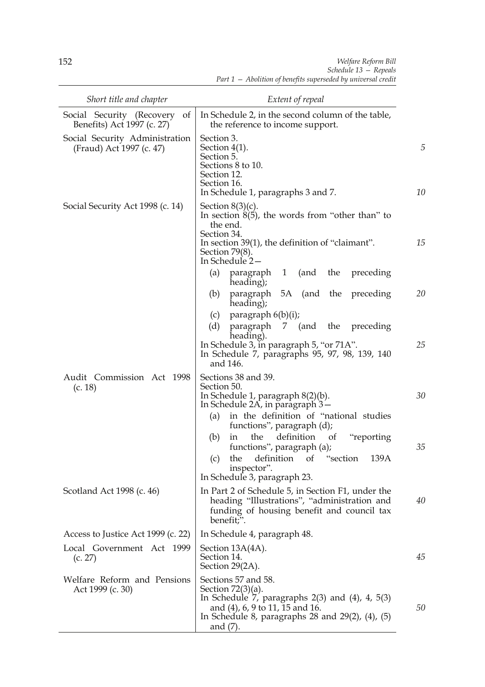| Welfare Reform Bill                                             |
|-----------------------------------------------------------------|
| Schedule 13 – Repeals                                           |
| Part $1$ – Abolition of benefits superseded by universal credit |

| Short title and chapter                                       | Extent of repeal                                                                                                                                                                                                                                             |         |
|---------------------------------------------------------------|--------------------------------------------------------------------------------------------------------------------------------------------------------------------------------------------------------------------------------------------------------------|---------|
| of<br>Social Security (Recovery<br>Benefits) Act 1997 (c. 27) | In Schedule 2, in the second column of the table,<br>the reference to income support.                                                                                                                                                                        |         |
| Social Security Administration<br>(Fraud) Act 1997 (c. 47)    | Section 3.<br>Section $4(1)$ .<br>Section 5.<br>Sections 8 to 10.<br>Section 12.<br>Section 16.<br>In Schedule 1, paragraphs 3 and 7.                                                                                                                        | 5<br>10 |
| Social Security Act 1998 (c. 14)                              | Section $8(3)(c)$ .<br>In section $8(5)$ , the words from "other than" to<br>the end.<br>Section 34.<br>In section 39(1), the definition of "claimant".<br>Section 79(8).<br>In Schedule 2-                                                                  | 15      |
|                                                               | (and<br>the<br>preceding<br>(a)<br>paragraph<br>$\mathbf{1}$<br>heading);                                                                                                                                                                                    |         |
|                                                               | paragraph<br>5A (and the preceding<br>(b)<br>heading);                                                                                                                                                                                                       | 20      |
|                                                               | paragraph $6(b)(i)$ ;<br>(c)<br>(d)<br>paragraph<br>7 (and the preceding                                                                                                                                                                                     |         |
|                                                               | heading).<br>In Schedule 3, in paragraph 5, "or 71A".<br>In Schedule 7, paragraphs 95, 97, 98, 139, 140<br>and 146.                                                                                                                                          | 25      |
| Audit Commission Act 1998<br>(c. 18)                          | Sections 38 and 39.<br>Section 50.<br>In Schedule 1, paragraph $8(2)(b)$ .<br>In Schedule 2A, in paragraph 3-                                                                                                                                                | 30      |
|                                                               | in the definition of "national studies<br>(a)<br>functions", paragraph (d);<br>definition<br>the<br>(b)<br>of<br>in<br>"reporting"<br>functions", paragraph (a);<br>the definition of "section<br>(c)<br>139A<br>inspector".<br>In Schedule 3, paragraph 23. | 35      |
| Scotland Act 1998 (c. 46)                                     | In Part 2 of Schedule 5, in Section F1, under the<br>heading "Illustrations", "administration and<br>funding of housing benefit and council tax<br>benefit;".                                                                                                | 40      |
| Access to Justice Act 1999 (c. 22)                            | In Schedule 4, paragraph 48.                                                                                                                                                                                                                                 |         |
| Local Government Act 1999<br>(c. 27)                          | Section 13A(4A).<br>Section 14.<br>Section 29(2A).                                                                                                                                                                                                           | 45      |
| Welfare Reform and Pensions<br>Act 1999 (c. 30)               | Sections 57 and 58.<br>Section $72(3)(a)$ .<br>In Schedule 7, paragraphs $2(3)$ and $(4)$ , 4, 5(3)<br>and (4), 6, 9 to 11, 15 and 16.<br>In Schedule 8, paragraphs $28$ and $29(2)$ , $(4)$ , $(5)$<br>and $(7)$ .                                          | 50      |

 $\overline{a}$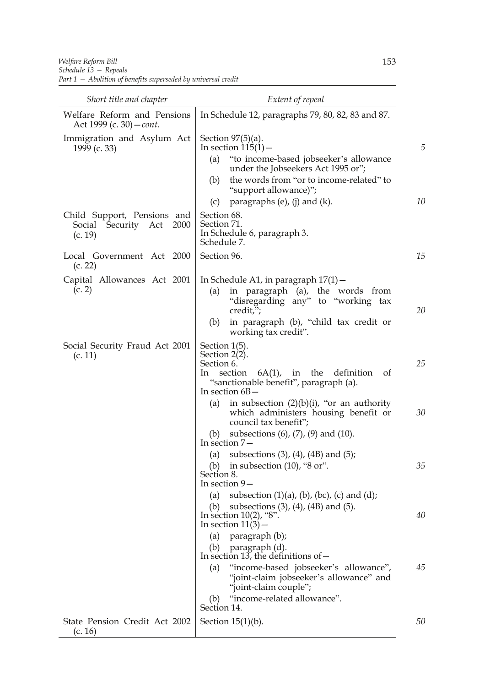| Short title and chapter                                               | Extent of repeal                                                                                                                                                                                   |    |
|-----------------------------------------------------------------------|----------------------------------------------------------------------------------------------------------------------------------------------------------------------------------------------------|----|
| Welfare Reform and Pensions<br>Act 1999 (c. 30) – <i>cont.</i>        | In Schedule 12, paragraphs 79, 80, 82, 83 and 87.                                                                                                                                                  |    |
| Immigration and Asylum Act<br>1999 (c. 33)                            | Section $97(5)(a)$ .<br>In section $115(1)$ –                                                                                                                                                      | 5  |
|                                                                       | "to income-based jobseeker's allowance<br>(a)<br>under the Jobseekers Act 1995 or";                                                                                                                |    |
|                                                                       | the words from "or to income-related" to<br>(b)<br>"support allowance)";                                                                                                                           |    |
|                                                                       | paragraphs $(e)$ , $(j)$ and $(k)$ .<br>(c)                                                                                                                                                        | 10 |
| Child Support, Pensions and<br>Social Security Act<br>2000<br>(c. 19) | Section 68.<br>Section 71.<br>In Schedule 6, paragraph 3.<br>Schedule 7.                                                                                                                           |    |
| Local Government Act 2000<br>(c. 22)                                  | Section 96.                                                                                                                                                                                        | 15 |
| Capital Allowances Act 2001<br>(c. 2)                                 | In Schedule A1, in paragraph $17(1)$ –<br>in paragraph (a), the words from<br>(a)<br>"disregarding any" to "working tax<br>credit,";<br>in paragraph (b), "child tax credit or<br>(b)              | 20 |
|                                                                       | working tax credit".                                                                                                                                                                               |    |
| Social Security Fraud Act 2001<br>(c. 11)                             | Section 1(5).<br>Section $2(2)$ .<br>Section 6.<br>$6A(1)$ , in the<br>definition<br>section<br>In.<br>0t<br>"sanctionable benefit", paragraph (a).<br>In section $6B-$                            | 25 |
|                                                                       | in subsection $(2)(b)(i)$ , "or an authority<br>(a)<br>which administers housing benefit or<br>council tax benefit";<br>subsections $(6)$ , $(7)$ , $(9)$ and $(10)$ .<br>(b)<br>In section $7-$   | 30 |
|                                                                       | subsections $(3)$ , $(4)$ , $(4B)$ and $(5)$ ;<br>(a)<br>in subsection $(10)$ , "8 or".<br>(b)<br>Section 8.<br>In section $9-$<br>(a)<br>subsection $(1)(a)$ , $(b)$ , $(bc)$ , $(c)$ and $(d)$ ; | 35 |
|                                                                       | subsections (3), (4), (4B) and (5).<br>(b)<br>In section $10(2)$ , "8".<br>In section $11(3)$ –                                                                                                    | 40 |
|                                                                       | (a) paragraph (b);<br>(b) paragraph (d).<br>In section 13, the definitions of $-$                                                                                                                  |    |
|                                                                       | "income-based jobseeker's allowance",<br>(a)<br>"joint-claim jobseeker's allowance" and<br>"joint-claim couple";<br>"income-related allowance".<br>(b)                                             | 45 |
|                                                                       | Section 14.                                                                                                                                                                                        |    |
| State Pension Credit Act 2002<br>(c. 16)                              | Section $15(1)(b)$ .                                                                                                                                                                               | 50 |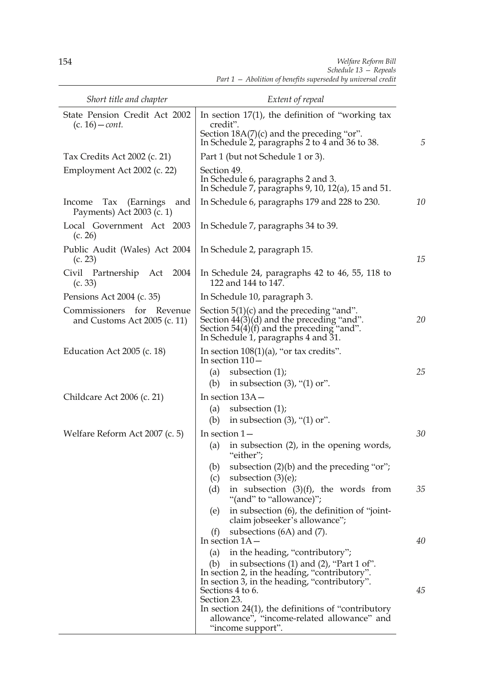| <i><b>Welfare Reform Bill</b></i>                               |
|-----------------------------------------------------------------|
| Schedule 13 – Repeals                                           |
| $Part 1 - Abolition$ of benefits superseded by universal credit |

| Short title and chapter                                         | Extent of repeal                                                                                                                                                              |    |
|-----------------------------------------------------------------|-------------------------------------------------------------------------------------------------------------------------------------------------------------------------------|----|
| State Pension Credit Act 2002<br>$(c. 16) - cont.$              | In section $17(1)$ , the definition of "working tax<br>credit".                                                                                                               |    |
|                                                                 | Section $18A(7)(c)$ and the preceding "or".<br>In Schedule 2, paragraphs 2 to 4 and 36 to 38.                                                                                 | 5  |
| Tax Credits Act 2002 (c. 21)                                    | Part 1 (but not Schedule 1 or 3).                                                                                                                                             |    |
| Employment Act 2002 (c. 22)                                     | Section 49.<br>In Schedule 6, paragraphs 2 and 3.<br>In Schedule 7, paragraphs $9$ , $10$ , $12(a)$ , $15$ and $51$ .                                                         |    |
| Tax<br>Income<br>(Earnings)<br>and<br>Payments) Act 2003 (c. 1) | In Schedule 6, paragraphs 179 and 228 to 230.                                                                                                                                 | 10 |
| Local Government Act 2003<br>(c. 26)                            | In Schedule 7, paragraphs 34 to 39.                                                                                                                                           |    |
| Public Audit (Wales) Act 2004<br>(c. 23)                        | In Schedule 2, paragraph 15.                                                                                                                                                  | 15 |
| Civil Partnership<br>Act<br>2004<br>(c. 33)                     | In Schedule 24, paragraphs 42 to 46, 55, 118 to<br>122 and 144 to 147.                                                                                                        |    |
| Pensions Act 2004 (c. 35)                                       | In Schedule 10, paragraph 3.                                                                                                                                                  |    |
| Commissioners for Revenue<br>and Customs Act $2005$ (c. 11)     | Section $5(1)(c)$ and the preceding "and".<br>Section $44(3)(d)$ and the preceding "and".<br>Section 54(4)(f) and the preceding "and".<br>In Schedule 1, paragraphs 4 and 31. | 20 |
| Education Act $2005$ (c. 18)                                    | In section $108(1)(a)$ , "or tax credits".<br>In section $110 -$                                                                                                              |    |
|                                                                 | subsection $(1)$ ;<br>(a)                                                                                                                                                     | 25 |
|                                                                 | in subsection $(3)$ , " $(1)$ or".<br>(b)                                                                                                                                     |    |
| Childcare Act 2006 (c. 21)                                      | In section 13A-                                                                                                                                                               |    |
|                                                                 | subsection $(1)$ ;<br>(a)                                                                                                                                                     |    |
|                                                                 | in subsection $(3)$ , " $(1)$ or".<br>(b)                                                                                                                                     | 30 |
| Welfare Reform Act 2007 (c. 5)                                  | In section $1-$<br>in subsection (2), in the opening words,<br>(a)                                                                                                            |    |
|                                                                 | "either":                                                                                                                                                                     |    |
|                                                                 | (b)<br>subsection $(2)(b)$ and the preceding "or";<br>(c)<br>subsection $(3)(e)$ ;                                                                                            |    |
|                                                                 | (d)<br>in subsection $(3)(f)$ , the words from<br>"(and" to "allowance)";                                                                                                     | 35 |
|                                                                 | in subsection (6), the definition of "joint-<br>(e)<br>claim jobseeker's allowance";                                                                                          |    |
|                                                                 | subsections (6A) and (7).<br>(f)<br>In section 1A-                                                                                                                            | 40 |
|                                                                 | in the heading, "contributory";<br>(a)                                                                                                                                        |    |
|                                                                 | in subsections $(1)$ and $(2)$ , "Part 1 of".<br>(b)<br>In section 2, in the heading, "contributory".<br>In section 3, in the heading, "contributory".<br>Sections 4 to 6.    | 45 |
|                                                                 | Section 23.<br>In section $24(1)$ , the definitions of "contributory"<br>allowance", "income-related allowance" and<br>"income support".                                      |    |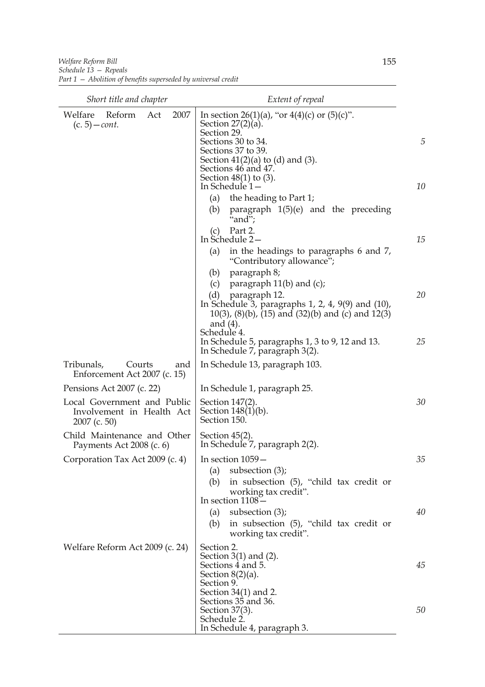*Welfare Reform Bill Schedule 13 — Repeals Part 1 — Abolition of benefits superseded by universal credit*

| Short title and chapter                                                    | Extent of repeal                                                                                                                                                                                                                                                                                                                                                                                                                                                                                                                                                                                                                                                                               |                     |
|----------------------------------------------------------------------------|------------------------------------------------------------------------------------------------------------------------------------------------------------------------------------------------------------------------------------------------------------------------------------------------------------------------------------------------------------------------------------------------------------------------------------------------------------------------------------------------------------------------------------------------------------------------------------------------------------------------------------------------------------------------------------------------|---------------------|
| Reform<br>Welfare<br>2007<br>Act<br>$(c. 5) - cont.$                       | In section 26(1)(a), "or 4(4)(c) or $(5)(c)$ ".<br>Section $27(2)(a)$ .<br>Section 29.<br>Sections 30 to 34.<br>Sections 37 to 39.<br>Section $41(2)(a)$ to $(d)$ and $(3)$ .<br>Sections 46 and 47.<br>Section $48(1)$ to $(3)$ .<br>In Schedule 1-<br>(a) the heading to Part 1;<br>(b)<br>paragraph $1(5)(e)$ and the preceding<br>"and";<br>(c)<br>Part 2.<br>In Schedule 2-<br>in the headings to paragraphs 6 and 7,<br>(a)<br>"Contributory allowance";<br>(b)<br>paragraph 8;<br>(c)<br>paragraph $11(b)$ and (c);<br>(d)<br>paragraph 12.<br>In Schedule 3, paragraphs 1, 2, 4, $9(9)$ and $(10)$ ,<br>$10(3)$ , $(8)(b)$ , $(15)$ and $(32)(b)$ and $(c)$ and $12(3)$<br>and $(4)$ . | 5<br>10<br>15<br>20 |
| Tribunals,<br>Courts<br>and                                                | Schedule 4.<br>In Schedule 5, paragraphs $1, 3$ to $9, 12$ and $13.$<br>In Schedule 7, paragraph 3(2).<br>In Schedule 13, paragraph 103.                                                                                                                                                                                                                                                                                                                                                                                                                                                                                                                                                       | 25                  |
| Enforcement Act 2007 (c. 15)                                               |                                                                                                                                                                                                                                                                                                                                                                                                                                                                                                                                                                                                                                                                                                |                     |
| Pensions Act 2007 (c. 22)                                                  | In Schedule 1, paragraph 25.                                                                                                                                                                                                                                                                                                                                                                                                                                                                                                                                                                                                                                                                   |                     |
| Local Government and Public<br>Involvement in Health Act<br>$2007$ (c. 50) | Section 147(2).<br>Section $148(1)(b)$ .<br>Section 150.                                                                                                                                                                                                                                                                                                                                                                                                                                                                                                                                                                                                                                       | 30                  |
| Child Maintenance and Other<br>Payments Act 2008 (c. 6)                    | Section $45(2)$ .<br>In Schedule 7, paragraph 2(2).                                                                                                                                                                                                                                                                                                                                                                                                                                                                                                                                                                                                                                            |                     |
| Corporation Tax Act 2009 (c. 4)                                            | In section 1059-<br>subsection $(3)$ ;<br>(a)<br>in subsection (5), "child tax credit or<br>(b)<br>working tax credit".<br>In section $1108 -$                                                                                                                                                                                                                                                                                                                                                                                                                                                                                                                                                 | 35                  |
|                                                                            | subsection $(3)$ ;<br>(a)<br>(b)<br>in subsection (5), "child tax credit or<br>working tax credit".                                                                                                                                                                                                                                                                                                                                                                                                                                                                                                                                                                                            | 40                  |
| Welfare Reform Act 2009 (c. 24)                                            | Section 2.<br>Section $3(1)$ and $(2)$ .<br>Sections 4 and 5.<br>Section $8(2)(a)$ .<br>Section 9.<br>Section $34(1)$ and 2.<br>Sections 35 and 36.                                                                                                                                                                                                                                                                                                                                                                                                                                                                                                                                            | 45                  |
|                                                                            | Section $37(3)$ .<br>Schedule 2.<br>In Schedule 4, paragraph 3.                                                                                                                                                                                                                                                                                                                                                                                                                                                                                                                                                                                                                                | 50                  |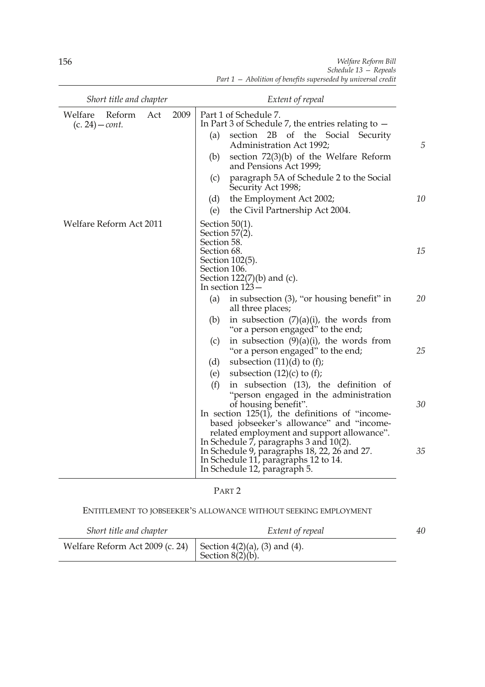*Welfare Reform Bill Schedule 13 — Repeals Part 1 — Abolition of benefits superseded by universal credit*

| Short title and chapter                               | Extent of repeal                                                                                                                                                                                                                 |    |
|-------------------------------------------------------|----------------------------------------------------------------------------------------------------------------------------------------------------------------------------------------------------------------------------------|----|
| Welfare<br>Reform<br>2009<br>Act<br>$(c. 24) - cont.$ | Part 1 of Schedule 7.<br>In Part 3 of Schedule 7, the entries relating to $-$<br>section 2B of the Social Security<br>(a)<br>Administration Act 1992;<br>section 72(3)(b) of the Welfare Reform<br>(b)<br>and Pensions Act 1999; | 5  |
|                                                       | paragraph 5A of Schedule 2 to the Social<br>(c)<br>Security Act 1998;                                                                                                                                                            |    |
|                                                       | the Employment Act 2002;<br>(d)<br>the Civil Partnership Act 2004.<br>(e)                                                                                                                                                        | 10 |
| Welfare Reform Act 2011                               | Section $50(1)$ .<br>Section $57(2)$ .<br>Section 58.<br>Section 68.<br>Section 102(5).<br>Section 106.<br>Section $122(7)(b)$ and (c).<br>In section $123 -$                                                                    | 15 |
|                                                       | in subsection $(3)$ , "or housing benefit" in<br>(a)<br>all three places;<br>in subsection $(7)(a)(i)$ , the words from<br>(b)<br>"or a person engaged" to the end;                                                              | 20 |
|                                                       | in subsection $(9)(a)(i)$ , the words from<br>(c)<br>"or a person engaged" to the end;<br>subsection $(11)(d)$ to $(f)$ ;<br>(d)<br>subsection $(12)(c)$ to $(f)$ ;<br>(e)                                                       | 25 |
|                                                       | (f)<br>in subsection (13), the definition of<br>"person engaged in the administration<br>of housing benefit".<br>In section $125(1)$ , the definitions of "income-<br>based jobseeker's allowance" and "income-                  | 30 |
|                                                       | related employment and support allowance".<br>In Schedule 7, paragraphs $3$ and $10(2)$ .<br>In Schedule 9, paragraphs 18, 22, 26 and 27.<br>In Schedule 11, paragraphs 12 to 14.<br>In Schedule 12, paragraph 5.                | 35 |

#### PART 2

# ENTITLEMENT TO JOBSEEKER'S ALLOWANCE WITHOUT SEEKING EMPLOYMENT

| Short title and chapter                                                                   | Extent of repeal | 40 |
|-------------------------------------------------------------------------------------------|------------------|----|
| Welfare Reform Act 2009 (c. 24)   Section $4(2)(a)$ , (3) and (4).<br>Section $8(2)(b)$ . |                  |    |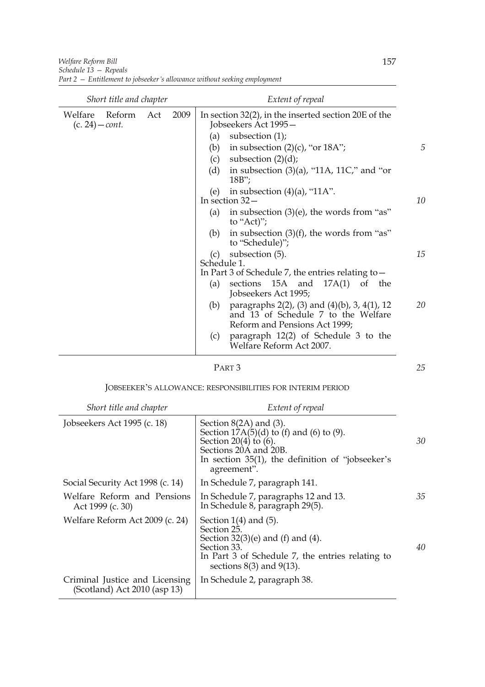*Welfare Reform Bill Schedule 13 — Repeals Part 2 — Entitlement to jobseeker's allowance without seeking employment*

| Short title and chapter                       |      | Extent of repeal                                                                                                                       |    |
|-----------------------------------------------|------|----------------------------------------------------------------------------------------------------------------------------------------|----|
| Welfare<br>Reform<br>Act<br>$(c. 24) - cont.$ | 2009 | In section $32(2)$ , in the inserted section $20E$ of the<br>Jobseekers Act 1995-                                                      |    |
|                                               |      | subsection $(1)$ ;<br>(a)                                                                                                              |    |
|                                               |      | in subsection $(2)(c)$ , "or 18A";<br>(b)                                                                                              | 5  |
|                                               |      | subsection (2)(d);<br>(c)                                                                                                              |    |
|                                               |      | in subsection $(3)(a)$ , "11A, 11C," and "or<br>(d)<br>$18B$ ";                                                                        |    |
|                                               |      | in subsection $(4)(a)$ , "11A".<br>(e)<br>In section $32-$                                                                             | 10 |
|                                               |      | in subsection $(3)(e)$ , the words from "as"<br>(a)<br>to "Act)";                                                                      |    |
|                                               |      | in subsection $(3)(f)$ , the words from "as"<br>(b)<br>to "Schedule)";                                                                 |    |
|                                               |      | subsection (5).<br>(c)                                                                                                                 | 15 |
|                                               |      | Schedule 1.                                                                                                                            |    |
|                                               |      | In Part 3 of Schedule 7, the entries relating to $-$                                                                                   |    |
|                                               |      | sections 15A and<br>17A(1)<br>the<br>of<br>(a)<br>Jobseekers Act 1995;                                                                 |    |
|                                               |      | paragraphs $2(2)$ , $(3)$ and $(4)(b)$ , 3, $4(1)$ , 12<br>(b)<br>and 13 of Schedule 7 to the Welfare<br>Reform and Pensions Act 1999; | 20 |
|                                               |      | paragraph 12(2) of Schedule 3 to the<br>(c)<br>Welfare Reform Act 2007.                                                                |    |

#### PART 3

*25*

JOBSEEKER'S ALLOWANCE: RESPONSIBILITIES FOR INTERIM PERIOD

| Short title and chapter                                        | Extent of repeal                                                                                                                                                                                       |    |
|----------------------------------------------------------------|--------------------------------------------------------------------------------------------------------------------------------------------------------------------------------------------------------|----|
| Jobseekers Act 1995 (c. 18)                                    | Section $8(2A)$ and $(3)$ .<br>Section $17A(5)(d)$ to (f) and (6) to (9).<br>Section $20(4)$ to $(6)$ .<br>Sections 20A and 20B.<br>In section $35(1)$ , the definition of "jobseeker's<br>agreement". | 30 |
| Social Security Act 1998 (c. 14)                               | In Schedule 7, paragraph 141.                                                                                                                                                                          |    |
| Welfare Reform and Pensions<br>Act 1999 (c. 30)                | In Schedule 7, paragraphs 12 and 13.<br>In Schedule 8, paragraph 29(5).                                                                                                                                | 35 |
| Welfare Reform Act 2009 (c. 24)                                | Section $1(4)$ and $(5)$ .<br>Section 25.<br>Section $32(3)(e)$ and $(f)$ and $(4)$ .<br>Section 33.<br>In Part 3 of Schedule 7, the entries relating to<br>sections $8(3)$ and $9(13)$ .              | 40 |
| Criminal Justice and Licensing<br>(Scotland) Act 2010 (asp 13) | In Schedule 2, paragraph 38.                                                                                                                                                                           |    |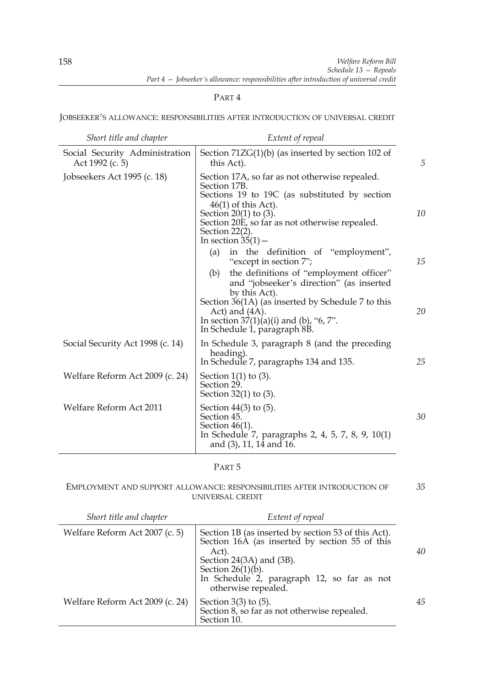JOBSEEKER'S ALLOWANCE: RESPONSIBILITIES AFTER INTRODUCTION OF UNIVERSAL CREDIT

| Short title and chapter                           | Extent of repeal                                                                                                                                                                                                                                                                                                                                                                                                                                                                                                                                                                                                     |
|---------------------------------------------------|----------------------------------------------------------------------------------------------------------------------------------------------------------------------------------------------------------------------------------------------------------------------------------------------------------------------------------------------------------------------------------------------------------------------------------------------------------------------------------------------------------------------------------------------------------------------------------------------------------------------|
| Social Security Administration<br>Act 1992 (c. 5) | Section $71ZG(1)(b)$ (as inserted by section 102 of<br>this Act).                                                                                                                                                                                                                                                                                                                                                                                                                                                                                                                                                    |
| Jobseekers Act 1995 (c. 18)                       | Section 17A, so far as not otherwise repealed.<br>Section 17B.<br>Sections 19 to 19C (as substituted by section<br>$46(1)$ of this Act).<br>Section $20(1)$ to $(3)$ .<br>Section 20E, so far as not otherwise repealed.<br>Section $22(2)$ .<br>In section $35(1)$ –<br>in the definition of "employment",<br>(a)<br>"except in section 7";<br>the definitions of "employment officer"<br>(b)<br>and "jobseeker's direction" (as inserted<br>by this Act).<br>Section $36(1A)$ (as inserted by Schedule 7 to this<br>Act) and $(4A)$ .<br>In section $37(1)(a)(i)$ and (b), "6, 7".<br>In Schedule 1, paragraph 8B. |
| Social Security Act 1998 (c. 14)                  | In Schedule 3, paragraph 8 (and the preceding<br>heading).<br>In Schedule 7, paragraphs 134 and 135.                                                                                                                                                                                                                                                                                                                                                                                                                                                                                                                 |
| Welfare Reform Act 2009 (c. 24)                   | Section $1(1)$ to $(3)$ .<br>Section 29.<br>Section $32(1)$ to $(3)$ .                                                                                                                                                                                                                                                                                                                                                                                                                                                                                                                                               |
| Welfare Reform Act 2011                           | Section $44(3)$ to $(5)$ .<br>Section 45.<br>Section $46(1)$ .<br>In Schedule 7, paragraphs 2, 4, 5, 7, 8, 9, 10(1)<br>and (3), 11, 14 and 16.                                                                                                                                                                                                                                                                                                                                                                                                                                                                       |

#### PART 5

| EMPLOYMENT AND SUPPORT ALLOWANCE: RESPONSIBILITIES AFTER INTRODUCTION OF | 35 |
|--------------------------------------------------------------------------|----|
| UNIVERSAL CREDIT                                                         |    |

| Short title and chapter         | Extent of repeal                                                                                                                                                                                                                             |    |
|---------------------------------|----------------------------------------------------------------------------------------------------------------------------------------------------------------------------------------------------------------------------------------------|----|
| Welfare Reform Act 2007 (c. 5)  | Section 1B (as inserted by section 53 of this Act).<br>Section 16A (as inserted by section 55 of this<br>Act).<br>Section $24(3A)$ and $(3B)$ .<br>Section $26(1)(b)$ .<br>In Schedule 2, paragraph 12, so far as not<br>otherwise repealed. | 40 |
| Welfare Reform Act 2009 (c. 24) | Section $3(3)$ to $(5)$ .<br>Section 8, so far as not otherwise repealed.<br>Section 10.                                                                                                                                                     | 45 |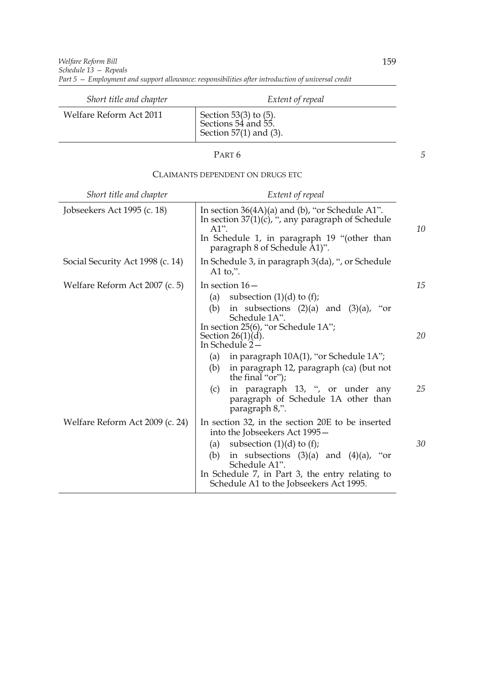| Short title and chapter | Extent of repeal                                                            |
|-------------------------|-----------------------------------------------------------------------------|
| Welfare Reform Act 2011 | Section 53(3) to (5).<br>Sections 54 and 55.<br>Section $57(1)$ and $(3)$ . |

| Short title and chapter          | Extent of repeal                                                                                                                                                                                          |          |
|----------------------------------|-----------------------------------------------------------------------------------------------------------------------------------------------------------------------------------------------------------|----------|
| Jobseekers Act 1995 (c. 18)      | In section $36(4A)(a)$ and (b), "or Schedule A1".<br>In section $37(1)(c)$ , ", any paragraph of Schedule<br>$A1$ ".<br>In Schedule 1, in paragraph 19 "(other than                                       | 10       |
|                                  | paragraph 8 of Schedule A1)".                                                                                                                                                                             |          |
| Social Security Act 1998 (c. 14) | In Schedule 3, in paragraph 3(da), ", or Schedule<br>A1 to.".                                                                                                                                             |          |
| Welfare Reform Act 2007 (c. 5)   | In section $16-$<br>subsection $(1)(d)$ to $(f)$ ;<br>(a)<br>in subsections $(2)(a)$ and $(3)(a)$ , "or<br>(b)<br>Schedule 1A".<br>In section 25(6), "or Schedule 1A";<br>Section $26(1)(d)$ .            | 15<br>20 |
|                                  | In Schedule $2-$<br>in paragraph $10A(1)$ , "or Schedule $1A$ ";<br>(a)<br>in paragraph 12, paragraph (ca) (but not<br>(b)<br>the final "or");                                                            |          |
|                                  | in paragraph 13, ", or under any<br>(c)<br>paragraph of Schedule 1A other than<br>paragraph 8,".                                                                                                          | 25       |
| Welfare Reform Act 2009 (c. 24)  | In section 32, in the section 20E to be inserted<br>into the Jobseekers Act 1995 -                                                                                                                        |          |
|                                  | subsection $(1)(d)$ to $(f)$ ;<br>(a)<br>in subsections $(3)(a)$ and $(4)(a)$ , "or<br>(b)<br>Schedule A1".<br>In Schedule 7, in Part 3, the entry relating to<br>Schedule A1 to the Jobseekers Act 1995. | 30       |

# CLAIMANTS DEPENDENT ON DRUGS ETC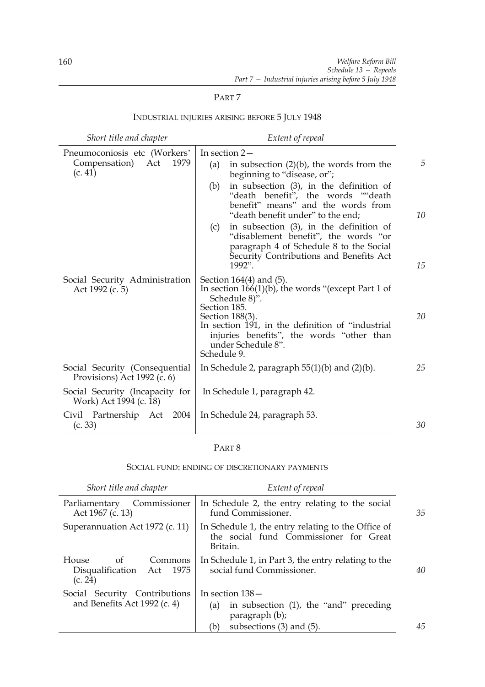# INDUSTRIAL INJURIES ARISING BEFORE 5 JULY 1948

*Short title and chapter Extent of repeal*

| Pneumoconiosis etc (Workers'                                     | In section $2-$                                                                                                                                                                                                                                                                                                                                                                                                                                      |               |
|------------------------------------------------------------------|------------------------------------------------------------------------------------------------------------------------------------------------------------------------------------------------------------------------------------------------------------------------------------------------------------------------------------------------------------------------------------------------------------------------------------------------------|---------------|
| Compensation) Act<br>1979<br>(c. 41)                             | in subsection $(2)(b)$ , the words from the<br>(a)<br>beginning to "disease, or";<br>in subsection $(3)$ , in the definition of<br>(b)<br>"death benefit", the words ""death<br>benefit" means" and the words from<br>"death benefit under" to the end;<br>in subsection $(3)$ , in the definition of<br>(c)<br>"disablement benefit", the words "or<br>paragraph 4 of Schedule 8 to the Social<br>Security Contributions and Benefits Act<br>1992". | 5<br>10<br>15 |
| Social Security Administration<br>Act 1992 (c. 5)                | Section $164(4)$ and $(5)$ .<br>In section $166(1)(b)$ , the words "(except Part 1 of<br>Schedule 8)".<br>Section 185.<br>Section 188(3).<br>In section 191, in the definition of "industrial"<br>injuries benefits", the words "other than<br>under Schedule 8".<br>Schedule 9.                                                                                                                                                                     | 20            |
| Social Security (Consequential<br>Provisions) Act 1992 (c. $6$ ) | In Schedule 2, paragraph $55(1)(b)$ and $(2)(b)$ .                                                                                                                                                                                                                                                                                                                                                                                                   | 25            |
| Social Security (Incapacity for<br>Work) Act 1994 (c. 18)        | In Schedule 1, paragraph 42.                                                                                                                                                                                                                                                                                                                                                                                                                         |               |
| Civil Partnership Act<br>2004<br>(c. 33)                         | In Schedule 24, paragraph 53.                                                                                                                                                                                                                                                                                                                                                                                                                        | 30            |

### PART 8

#### SOCIAL FUND: ENDING OF DISCRETIONARY PAYMENTS

| Short title and chapter                                              | Extent of repeal                                                                                         |    |
|----------------------------------------------------------------------|----------------------------------------------------------------------------------------------------------|----|
| Commissioner<br>Parliamentary<br>Act 1967 (c. 13)                    | In Schedule 2, the entry relating to the social<br>fund Commissioner.                                    | 35 |
| Superannuation Act 1972 (c. 11)                                      | In Schedule 1, the entry relating to the Office of<br>the social fund Commissioner for Great<br>Britain. |    |
| House<br>Ωt<br>Commons<br>Disqualification<br>1975<br>Act<br>(c. 24) | In Schedule 1, in Part 3, the entry relating to the<br>social fund Commissioner.                         | 40 |
| Social Security Contributions<br>and Benefits Act 1992 (c. 4)        | In section $138-$<br>in subsection $(1)$ , the "and" preceding<br>(a)<br>paragraph (b);                  |    |
|                                                                      | subsections $(3)$ and $(5)$ .<br>(b)                                                                     | 45 |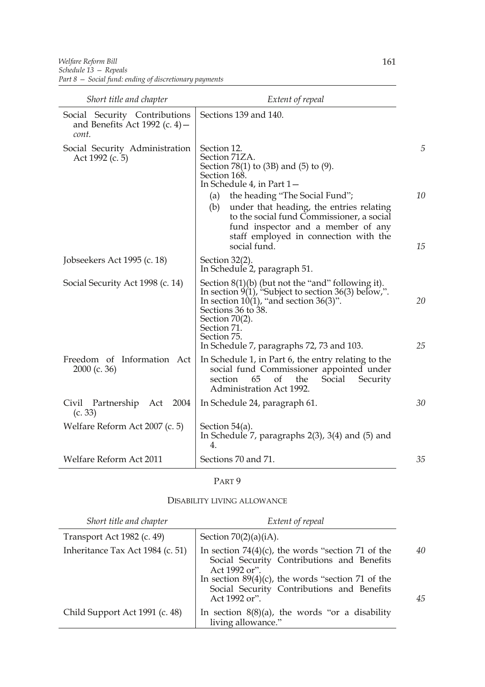| Short title and chapter                                                    | Extent of repeal                                                                                                                                                                                                                                                                    |          |
|----------------------------------------------------------------------------|-------------------------------------------------------------------------------------------------------------------------------------------------------------------------------------------------------------------------------------------------------------------------------------|----------|
| Social Security Contributions<br>and Benefits Act 1992 (c. 4) $-$<br>cont. | Sections 139 and 140.                                                                                                                                                                                                                                                               |          |
| Social Security Administration<br>Act 1992 (c. 5)                          | Section 12.<br>Section 71ZA.<br>Section $78(1)$ to $(3B)$ and $(5)$ to $(9)$ .<br>Section 168.<br>In Schedule 4, in Part $1-$                                                                                                                                                       | 5        |
|                                                                            | (a) the heading "The Social Fund";<br>under that heading, the entries relating<br>(b)<br>to the social fund Commissioner, a social<br>fund inspector and a member of any<br>staff employed in connection with the<br>social fund.                                                   | 10<br>15 |
| Jobseekers Act 1995 (c. 18)                                                | Section 32(2).<br>In Schedule 2, paragraph 51.                                                                                                                                                                                                                                      |          |
| Social Security Act 1998 (c. 14)                                           | Section $8(1)(b)$ (but not the "and" following it).<br>In section $9(1)$ , "Subject to section 36(3) below,".<br>In section $10(1)$ , "and section $36(3)$ ".<br>Sections 36 to 38.<br>Section $70(2)$ .<br>Section 71.<br>Section 75.<br>In Schedule 7, paragraphs 72, 73 and 103. | 20<br>25 |
| Freedom of Information Act<br>$2000$ (c. 36)                               | In Schedule 1, in Part 6, the entry relating to the<br>social fund Commissioner appointed under<br>65<br>section<br>of<br>the<br>Social<br>Security<br>Administration Act 1992.                                                                                                     |          |
| Civil<br>Partnership<br>Act<br>2004<br>(c. 33)                             | In Schedule 24, paragraph 61.                                                                                                                                                                                                                                                       | 30       |
| Welfare Reform Act 2007 (c. 5)                                             | Section 54(a).<br>In Schedule 7, paragraphs $2(3)$ , $3(4)$ and $(5)$ and<br>4.                                                                                                                                                                                                     |          |
| Welfare Reform Act 2011                                                    | Sections 70 and 71.                                                                                                                                                                                                                                                                 | 35       |

| Short title and chapter          | Extent of repeal                                                                                                                                                                                                                           |          |
|----------------------------------|--------------------------------------------------------------------------------------------------------------------------------------------------------------------------------------------------------------------------------------------|----------|
| Transport Act 1982 (c. 49)       | Section $70(2)(a)(i)$ .                                                                                                                                                                                                                    |          |
| Inheritance Tax Act 1984 (c. 51) | In section $74(4)(c)$ , the words "section 71 of the<br>Social Security Contributions and Benefits<br>Act 1992 or".<br>In section $89(4)(c)$ , the words "section 71 of the<br>Social Security Contributions and Benefits<br>Act 1992 or". | 40<br>45 |
| Child Support Act 1991 (c. 48)   | In section $8(8)(a)$ , the words "or a disability<br>living allowance."                                                                                                                                                                    |          |

## DISABILITY LIVING ALLOWANCE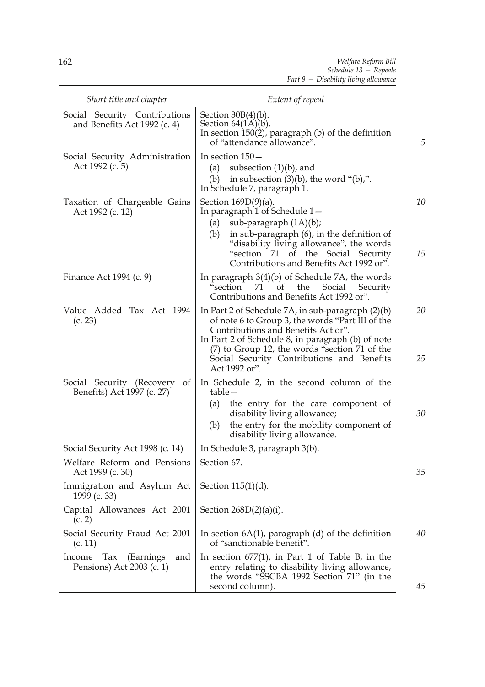| Short title and chapter                                                  | Extent of repeal                                                                                                                                                                                                                                                                                                  |          |
|--------------------------------------------------------------------------|-------------------------------------------------------------------------------------------------------------------------------------------------------------------------------------------------------------------------------------------------------------------------------------------------------------------|----------|
| Social Security Contributions<br>and Benefits Act 1992 (c. 4)            | Section $30B(4)(b)$ .<br>Section $64(1A)(b)$ .<br>In section $150(2)$ , paragraph (b) of the definition<br>of "attendance allowance".                                                                                                                                                                             |          |
| Social Security Administration<br>Act 1992 (c. 5)                        | In section $150-$<br>subsection $(1)(b)$ , and<br>(a)<br>in subsection $(3)(b)$ , the word " $(b)$ ,".<br>(b)<br>In Schedule 7, paragraph 1.                                                                                                                                                                      |          |
| Taxation of Chargeable Gains<br>Act 1992 (c. 12)                         | Section $169D(9)(a)$ .<br>In paragraph $1$ of Schedule $1-$<br>sub-paragraph (1A)(b);<br>(a)<br>(b)<br>in sub-paragraph (6), in the definition of<br>"disability living allowance", the words<br>"section 71 of the Social Security<br>Contributions and Benefits Act 1992 or".                                   | 10<br>15 |
| Finance Act 1994 (c. 9)                                                  | In paragraph $3(4)(b)$ of Schedule 7A, the words<br>of<br>the<br>71<br>Social<br>"section<br>Security<br>Contributions and Benefits Act 1992 or".                                                                                                                                                                 |          |
| Value Added Tax Act 1994<br>(c. 23)                                      | In Part 2 of Schedule 7A, in sub-paragraph (2)(b)<br>of note 6 to Group 3, the words "Part III of the<br>Contributions and Benefits Act or".<br>In Part 2 of Schedule 8, in paragraph (b) of note<br>(7) to Group 12, the words "section 71 of the<br>Social Security Contributions and Benefits<br>Act 1992 or". | 20<br>25 |
| Social Security (Recovery<br><sub>of</sub><br>Benefits) Act 1997 (c. 27) | In Schedule 2, in the second column of the<br>table-<br>the entry for the care component of<br>(a)<br>disability living allowance;<br>the entry for the mobility component of<br>(b)<br>disability living allowance.                                                                                              | 30       |
| Social Security Act 1998 (c. 14)                                         | In Schedule 3, paragraph 3(b).                                                                                                                                                                                                                                                                                    |          |
| Welfare Reform and Pensions<br>Act 1999 (c. 30)                          | Section 67.                                                                                                                                                                                                                                                                                                       | 35       |
| Immigration and Asylum Act<br>1999 (c. 33)                               | Section $115(1)(d)$ .                                                                                                                                                                                                                                                                                             |          |
| Capital Allowances Act 2001<br>(c. 2)                                    | Section $268D(2)(a)(i)$ .                                                                                                                                                                                                                                                                                         |          |
| Social Security Fraud Act 2001<br>(c. 11)                                | In section $6A(1)$ , paragraph $(d)$ of the definition<br>of "sanctionable benefit".                                                                                                                                                                                                                              | 40       |
| Income<br>Tax<br>(Earnings<br>and<br>Pensions) Act 2003 (c. 1)           | In section $677(1)$ , in Part 1 of Table B, in the<br>entry relating to disability living allowance,<br>the words "SSCBA 1992 Section 71" (in the<br>second column).                                                                                                                                              | 45       |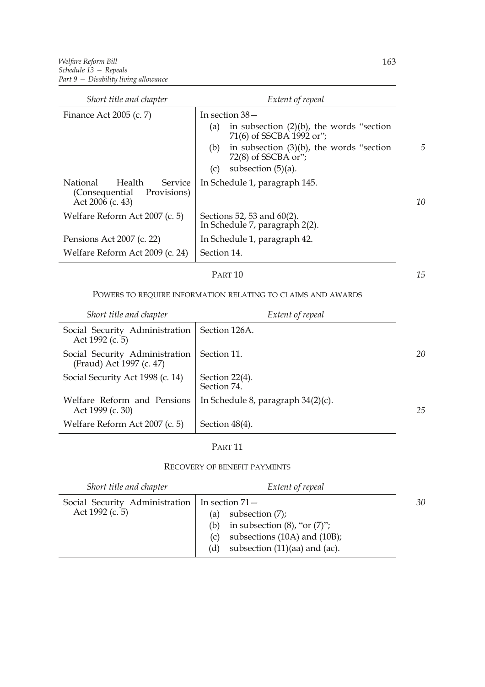| Short title and chapter                                               | Extent of repeal                                                                |            |
|-----------------------------------------------------------------------|---------------------------------------------------------------------------------|------------|
| Finance Act 2005 (c. 7)                                               | In section $38-$                                                                |            |
|                                                                       | in subsection $(2)(b)$ , the words "section"<br>(a)<br>71(6) of SSCBA 1992 or"; |            |
|                                                                       | in subsection $(3)(b)$ , the words "section"<br>(b)<br>$72(8)$ of SSCBA or";    | $\sqrt{2}$ |
|                                                                       | subsection $(5)(a)$ .<br>(c)                                                    |            |
| National<br><b>Health</b><br>Service<br>Provisions)<br>(Consequential | In Schedule 1, paragraph 145.                                                   |            |
| Act 2006 (c. 43)                                                      |                                                                                 | 10         |
| Welfare Reform Act 2007 (c. 5)                                        | Sections 52, 53 and 60(2).<br>In Schedule 7, paragraph 2(2).                    |            |
| Pensions Act 2007 (c. 22)                                             | In Schedule 1, paragraph 42.                                                    |            |
| Welfare Reform Act 2009 (c. 24)                                       | Section 14.                                                                     |            |

POWERS TO REQUIRE INFORMATION RELATING TO CLAIMS AND AWARDS

| Short title and chapter                                    | Extent of repeal                      |    |
|------------------------------------------------------------|---------------------------------------|----|
| Social Security Administration<br>Act 1992 (c. 5)          | Section 126A.                         |    |
| Social Security Administration<br>(Fraud) Act 1997 (c. 47) | Section 11.                           | 20 |
| Social Security Act 1998 (c. 14)                           | Section $22(4)$ .<br>Section 74.      |    |
| Welfare Reform and Pensions<br>Act 1999 (c. 30)            | In Schedule 8, paragraph $34(2)(c)$ . | 25 |
| Welfare Reform Act 2007 (c. 5)                             | Section $48(4)$ .                     |    |

# PART 11

#### RECOVERY OF BENEFIT PAYMENTS

| Short title and chapter                                               | Extent of repeal                                                                                                                                           |    |
|-----------------------------------------------------------------------|------------------------------------------------------------------------------------------------------------------------------------------------------------|----|
| Social Security Administration   In section $71 -$<br>Act 1992 (c. 5) | subsection $(7)$ ;<br>(a)<br>in subsection $(8)$ , "or $(7)$ ";<br>(b)<br>subsections (10A) and (10B);<br>(c)<br>subsection $(11)(aa)$ and $(ac)$ .<br>(d) | 30 |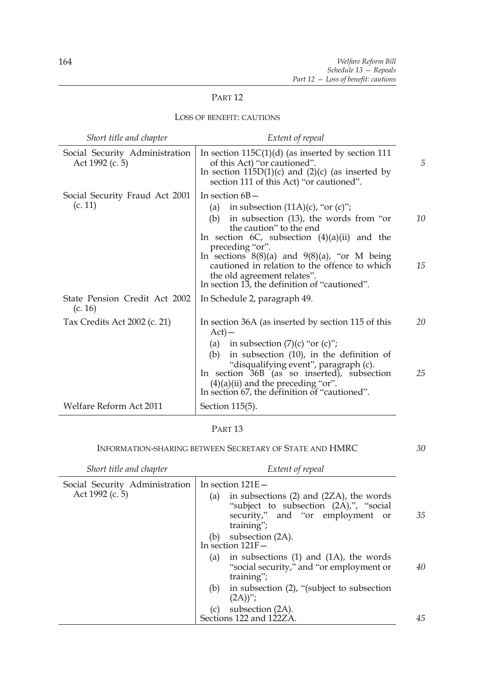#### LOSS OF BENEFIT: CAUTIONS

| Short title and chapter                           | Extent of repeal                                                                                                                                                                                                                                                                                                                                                                                             |          |
|---------------------------------------------------|--------------------------------------------------------------------------------------------------------------------------------------------------------------------------------------------------------------------------------------------------------------------------------------------------------------------------------------------------------------------------------------------------------------|----------|
| Social Security Administration<br>Act 1992 (c. 5) | In section $115C(1)(d)$ (as inserted by section 111<br>of this Act) "or cautioned".<br>In section $115D(1)(c)$ and $(2)(c)$ (as inserted by<br>section 111 of this Act) "or cautioned".                                                                                                                                                                                                                      | 5        |
| Social Security Fraud Act 2001<br>(c. 11)         | In section $6B-$<br>in subsection $(11A)(c)$ , "or $(c)$ ";<br>(a)<br>in subsection (13), the words from "or<br>(b)<br>the caution" to the end<br>In section $6C$ , subsection $(4)(a)(ii)$ and the<br>preceding "or".<br>In sections $8(8)(a)$ and $9(8)(a)$ , "or M being<br>cautioned in relation to the offence to which<br>the old agreement relates".<br>In section 13, the definition of "cautioned". | 10<br>15 |
| State Pension Credit Act 2002<br>(c. 16)          | In Schedule 2, paragraph 49.                                                                                                                                                                                                                                                                                                                                                                                 |          |
| Tax Credits Act 2002 (c. 21)                      | In section 36A (as inserted by section 115 of this<br>$Act)$ –<br>in subsection $(7)(c)$ "or $(c)$ ";<br>(a)<br>in subsection $(10)$ , in the definition of<br>(b)<br>"disqualifying event", paragraph (c).<br>In section 36B (as so inserted), subsection                                                                                                                                                   | 20<br>25 |
| <b>Welfare Reform Act 2011</b>                    | $(4)(a)(ii)$ and the preceding "or".<br>In section 67, the definition of "cautioned".<br>Section 115(5).                                                                                                                                                                                                                                                                                                     |          |

# PART 13

#### INFORMATION-SHARING BETWEEN SECRETARY OF STATE AND HMRC

*Short title and chapter Extent of repeal*

| Social Security Administration<br>Act 1992 (c. 5) | In section $121E-$                                                                                                                               |    |
|---------------------------------------------------|--------------------------------------------------------------------------------------------------------------------------------------------------|----|
|                                                   | in subsections $(2)$ and $(2ZA)$ , the words<br>(a)<br>"subject to subsection (2A),", "social"<br>security," and "or employment or<br>training"; | 35 |
|                                                   | subsection (2A).<br>(b)<br>In section $121F -$                                                                                                   |    |
|                                                   | in subsections $(1)$ and $(1A)$ , the words<br>(a)<br>"social security," and "or employment or<br>training";                                     | 40 |
|                                                   | in subsection (2), "(subject to subsection<br>(b)<br>$(2A))$ ";                                                                                  |    |
|                                                   | subsection (2A).<br>(c)<br>Sections 122 and 122ZA.                                                                                               | 45 |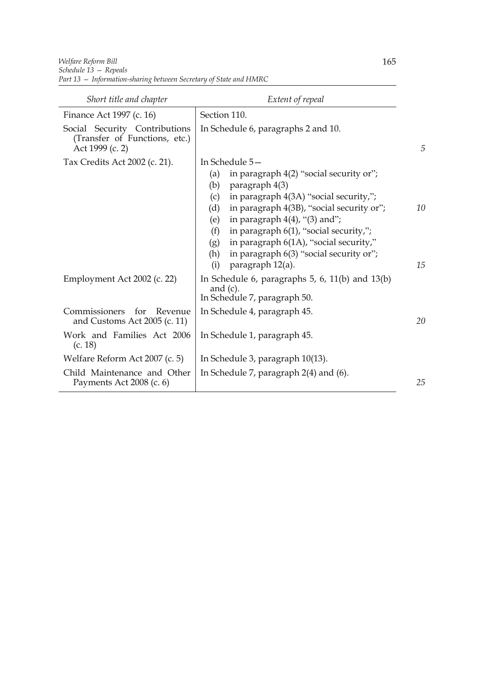| Short title and chapter                                                           | Extent of repeal                                                                                                                                                                                                                                                                                                                                                                                                            |          |
|-----------------------------------------------------------------------------------|-----------------------------------------------------------------------------------------------------------------------------------------------------------------------------------------------------------------------------------------------------------------------------------------------------------------------------------------------------------------------------------------------------------------------------|----------|
| Finance Act 1997 (c. 16)                                                          | Section 110.                                                                                                                                                                                                                                                                                                                                                                                                                |          |
| Social Security Contributions<br>(Transfer of Functions, etc.)<br>Act 1999 (c. 2) | In Schedule 6, paragraphs 2 and 10.                                                                                                                                                                                                                                                                                                                                                                                         | 5        |
| Tax Credits Act 2002 (c. 21).                                                     | In Schedule 5-<br>in paragraph 4(2) "social security or";<br>(a)<br>(b)<br>paragraph 4(3)<br>in paragraph 4(3A) "social security,";<br>(c)<br>in paragraph 4(3B), "social security or";<br>(d)<br>in paragraph $4(4)$ , " $(3)$ and";<br>(e)<br>in paragraph 6(1), "social security,";<br>(f)<br>in paragraph 6(1A), "social security,"<br>(g)<br>in paragraph 6(3) "social security or";<br>(h)<br>paragraph 12(a).<br>(i) | 10<br>15 |
| Employment Act 2002 (c. 22)                                                       | In Schedule 6, paragraphs $5$ , 6, 11(b) and 13(b)<br>and $(c)$ .<br>In Schedule 7, paragraph 50.                                                                                                                                                                                                                                                                                                                           |          |
| Commissioners<br>for<br>Revenue<br>and Customs Act 2005 (c. 11)                   | In Schedule 4, paragraph 45.                                                                                                                                                                                                                                                                                                                                                                                                | 20       |
| Work and Families Act 2006<br>(c. 18)                                             | In Schedule 1, paragraph 45.                                                                                                                                                                                                                                                                                                                                                                                                |          |
| Welfare Reform Act 2007 (c. 5)                                                    | In Schedule 3, paragraph 10(13).                                                                                                                                                                                                                                                                                                                                                                                            |          |
| Child Maintenance and Other<br>Payments Act 2008 (c. 6)                           | In Schedule 7, paragraph 2(4) and (6).                                                                                                                                                                                                                                                                                                                                                                                      | 25       |